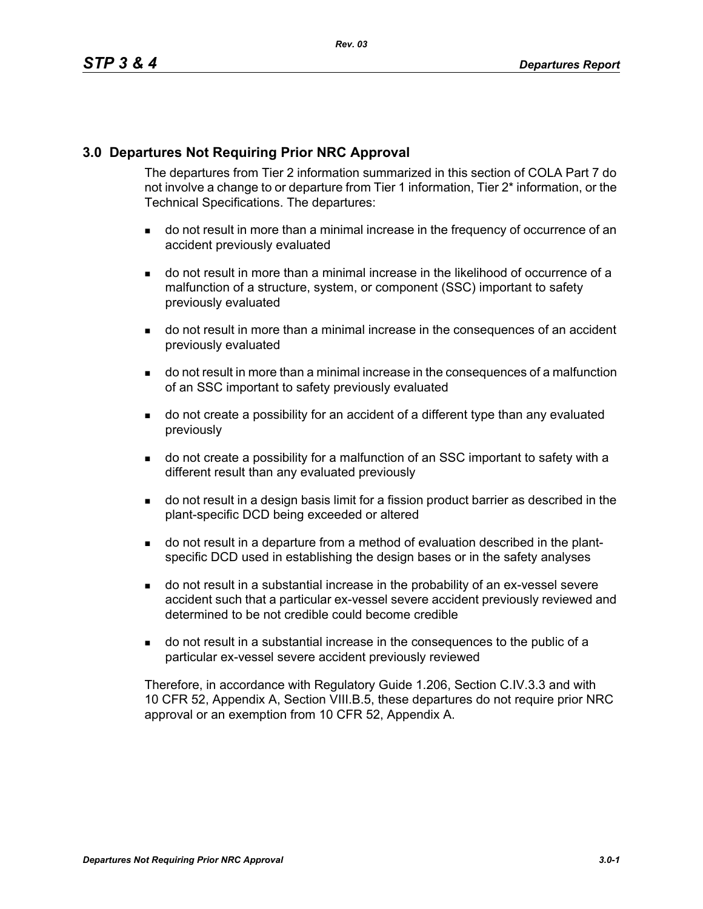## **3.0 Departures Not Requiring Prior NRC Approval**

The departures from Tier 2 information summarized in this section of COLA Part 7 do not involve a change to or departure from Tier 1 information, Tier 2\* information, or the Technical Specifications. The departures:

- do not result in more than a minimal increase in the frequency of occurrence of an accident previously evaluated
- do not result in more than a minimal increase in the likelihood of occurrence of a malfunction of a structure, system, or component (SSC) important to safety previously evaluated
- do not result in more than a minimal increase in the consequences of an accident previously evaluated
- do not result in more than a minimal increase in the consequences of a malfunction of an SSC important to safety previously evaluated
- do not create a possibility for an accident of a different type than any evaluated previously
- do not create a possibility for a malfunction of an SSC important to safety with a different result than any evaluated previously
- do not result in a design basis limit for a fission product barrier as described in the plant-specific DCD being exceeded or altered
- do not result in a departure from a method of evaluation described in the plantspecific DCD used in establishing the design bases or in the safety analyses
- do not result in a substantial increase in the probability of an ex-vessel severe accident such that a particular ex-vessel severe accident previously reviewed and determined to be not credible could become credible
- do not result in a substantial increase in the consequences to the public of a particular ex-vessel severe accident previously reviewed

Therefore, in accordance with Regulatory Guide 1.206, Section C.IV.3.3 and with 10 CFR 52, Appendix A, Section VIII.B.5, these departures do not require prior NRC approval or an exemption from 10 CFR 52, Appendix A.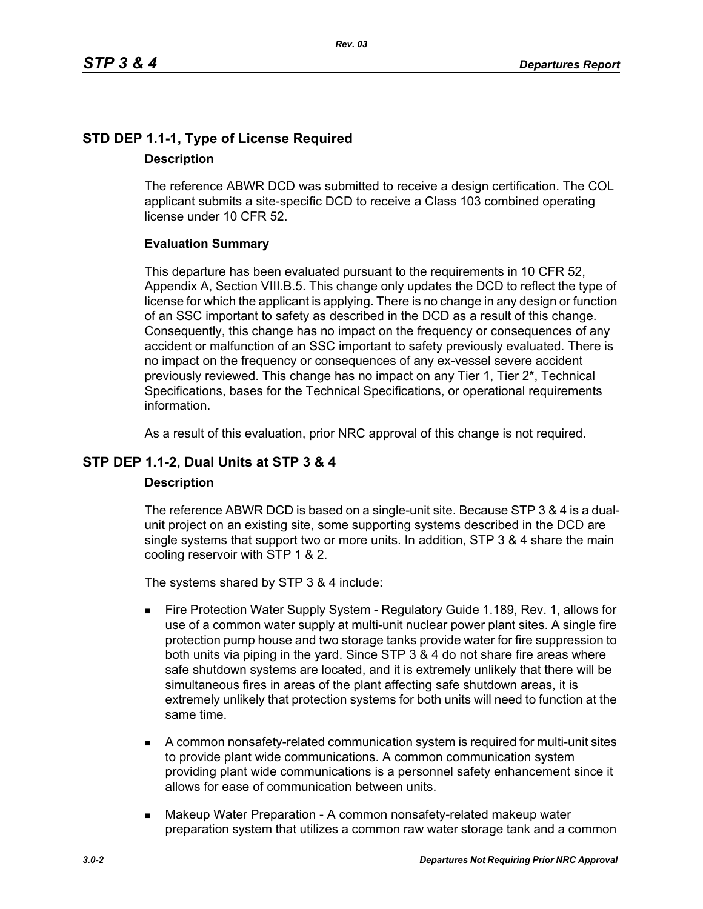## **STD DEP 1.1-1, Type of License Required Description**

The reference ABWR DCD was submitted to receive a design certification. The COL applicant submits a site-specific DCD to receive a Class 103 combined operating license under 10 CFR 52.

## **Evaluation Summary**

This departure has been evaluated pursuant to the requirements in 10 CFR 52, Appendix A, Section VIII.B.5. This change only updates the DCD to reflect the type of license for which the applicant is applying. There is no change in any design or function of an SSC important to safety as described in the DCD as a result of this change. Consequently, this change has no impact on the frequency or consequences of any accident or malfunction of an SSC important to safety previously evaluated. There is no impact on the frequency or consequences of any ex-vessel severe accident previously reviewed. This change has no impact on any Tier 1, Tier 2\*, Technical Specifications, bases for the Technical Specifications, or operational requirements information.

As a result of this evaluation, prior NRC approval of this change is not required.

## **STP DEP 1.1-2, Dual Units at STP 3 & 4**

## **Description**

The reference ABWR DCD is based on a single-unit site. Because STP 3 & 4 is a dualunit project on an existing site, some supporting systems described in the DCD are single systems that support two or more units. In addition, STP 3 & 4 share the main cooling reservoir with STP 1 & 2.

The systems shared by STP 3 & 4 include:

- Fire Protection Water Supply System Regulatory Guide 1.189, Rev. 1, allows for use of a common water supply at multi-unit nuclear power plant sites. A single fire protection pump house and two storage tanks provide water for fire suppression to both units via piping in the yard. Since STP 3 & 4 do not share fire areas where safe shutdown systems are located, and it is extremely unlikely that there will be simultaneous fires in areas of the plant affecting safe shutdown areas, it is extremely unlikely that protection systems for both units will need to function at the same time.
- A common nonsafety-related communication system is required for multi-unit sites to provide plant wide communications. A common communication system providing plant wide communications is a personnel safety enhancement since it allows for ease of communication between units.
- **Makeup Water Preparation A common nonsafety-related makeup water** preparation system that utilizes a common raw water storage tank and a common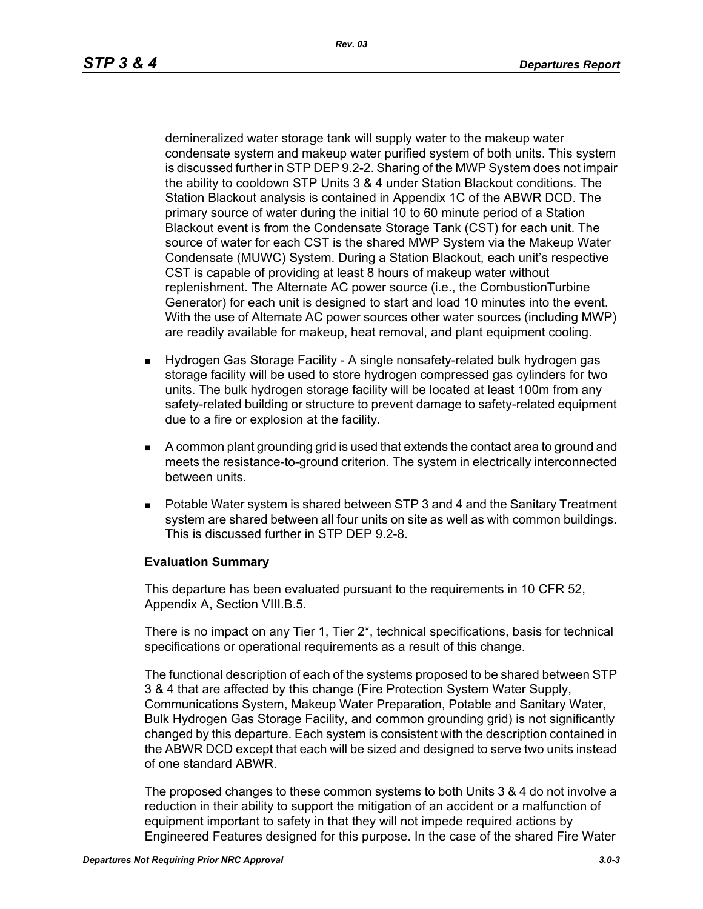demineralized water storage tank will supply water to the makeup water condensate system and makeup water purified system of both units. This system is discussed further in STP DEP 9.2-2. Sharing of the MWP System does not impair the ability to cooldown STP Units 3 & 4 under Station Blackout conditions. The Station Blackout analysis is contained in Appendix 1C of the ABWR DCD. The primary source of water during the initial 10 to 60 minute period of a Station Blackout event is from the Condensate Storage Tank (CST) for each unit. The source of water for each CST is the shared MWP System via the Makeup Water Condensate (MUWC) System. During a Station Blackout, each unit's respective CST is capable of providing at least 8 hours of makeup water without replenishment. The Alternate AC power source (i.e., the CombustionTurbine Generator) for each unit is designed to start and load 10 minutes into the event. With the use of Alternate AC power sources other water sources (including MWP) are readily available for makeup, heat removal, and plant equipment cooling.

- Hydrogen Gas Storage Facility A single nonsafety-related bulk hydrogen gas storage facility will be used to store hydrogen compressed gas cylinders for two units. The bulk hydrogen storage facility will be located at least 100m from any safety-related building or structure to prevent damage to safety-related equipment due to a fire or explosion at the facility.
- A common plant grounding grid is used that extends the contact area to ground and meets the resistance-to-ground criterion. The system in electrically interconnected between units.
- Potable Water system is shared between STP 3 and 4 and the Sanitary Treatment system are shared between all four units on site as well as with common buildings. This is discussed further in STP DEP 9.2-8.

## **Evaluation Summary**

This departure has been evaluated pursuant to the requirements in 10 CFR 52, Appendix A, Section VIII.B.5.

There is no impact on any Tier 1, Tier 2\*, technical specifications, basis for technical specifications or operational requirements as a result of this change.

The functional description of each of the systems proposed to be shared between STP 3 & 4 that are affected by this change (Fire Protection System Water Supply, Communications System, Makeup Water Preparation, Potable and Sanitary Water, Bulk Hydrogen Gas Storage Facility, and common grounding grid) is not significantly changed by this departure. Each system is consistent with the description contained in the ABWR DCD except that each will be sized and designed to serve two units instead of one standard ABWR.

The proposed changes to these common systems to both Units 3 & 4 do not involve a reduction in their ability to support the mitigation of an accident or a malfunction of equipment important to safety in that they will not impede required actions by Engineered Features designed for this purpose. In the case of the shared Fire Water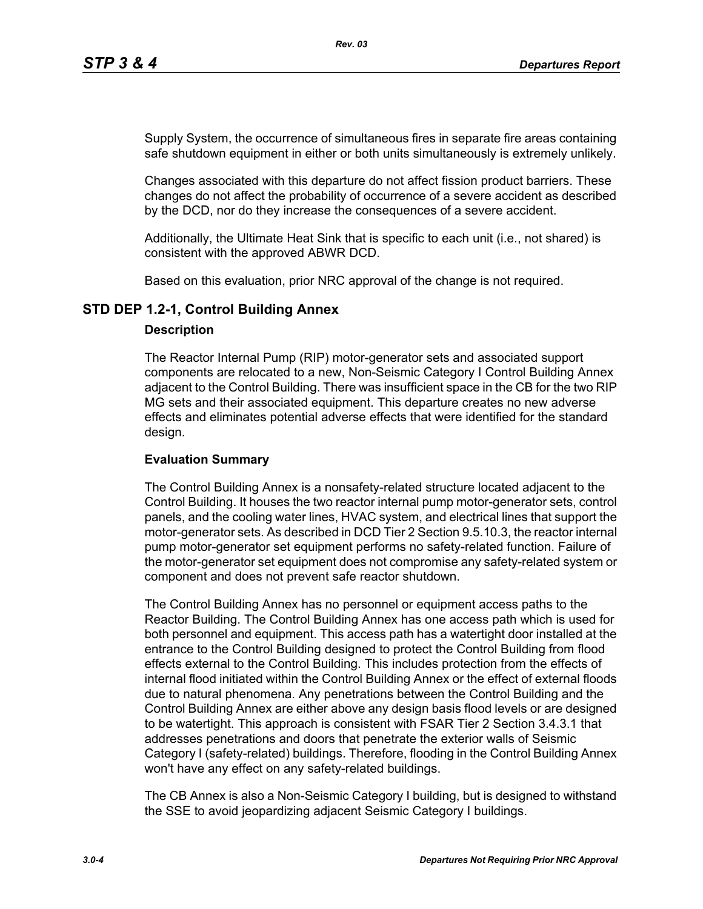Supply System, the occurrence of simultaneous fires in separate fire areas containing safe shutdown equipment in either or both units simultaneously is extremely unlikely.

Changes associated with this departure do not affect fission product barriers. These changes do not affect the probability of occurrence of a severe accident as described by the DCD, nor do they increase the consequences of a severe accident.

Additionally, the Ultimate Heat Sink that is specific to each unit (i.e., not shared) is consistent with the approved ABWR DCD.

Based on this evaluation, prior NRC approval of the change is not required.

## **STD DEP 1.2-1, Control Building Annex**

#### **Description**

The Reactor Internal Pump (RIP) motor-generator sets and associated support components are relocated to a new, Non-Seismic Category I Control Building Annex adjacent to the Control Building. There was insufficient space in the CB for the two RIP MG sets and their associated equipment. This departure creates no new adverse effects and eliminates potential adverse effects that were identified for the standard design.

### **Evaluation Summary**

The Control Building Annex is a nonsafety-related structure located adjacent to the Control Building. It houses the two reactor internal pump motor-generator sets, control panels, and the cooling water lines, HVAC system, and electrical lines that support the motor-generator sets. As described in DCD Tier 2 Section 9.5.10.3, the reactor internal pump motor-generator set equipment performs no safety-related function. Failure of the motor-generator set equipment does not compromise any safety-related system or component and does not prevent safe reactor shutdown.

The Control Building Annex has no personnel or equipment access paths to the Reactor Building. The Control Building Annex has one access path which is used for both personnel and equipment. This access path has a watertight door installed at the entrance to the Control Building designed to protect the Control Building from flood effects external to the Control Building. This includes protection from the effects of internal flood initiated within the Control Building Annex or the effect of external floods due to natural phenomena. Any penetrations between the Control Building and the Control Building Annex are either above any design basis flood levels or are designed to be watertight. This approach is consistent with FSAR Tier 2 Section 3.4.3.1 that addresses penetrations and doors that penetrate the exterior walls of Seismic Category I (safety-related) buildings. Therefore, flooding in the Control Building Annex won't have any effect on any safety-related buildings.

The CB Annex is also a Non-Seismic Category I building, but is designed to withstand the SSE to avoid jeopardizing adjacent Seismic Category I buildings.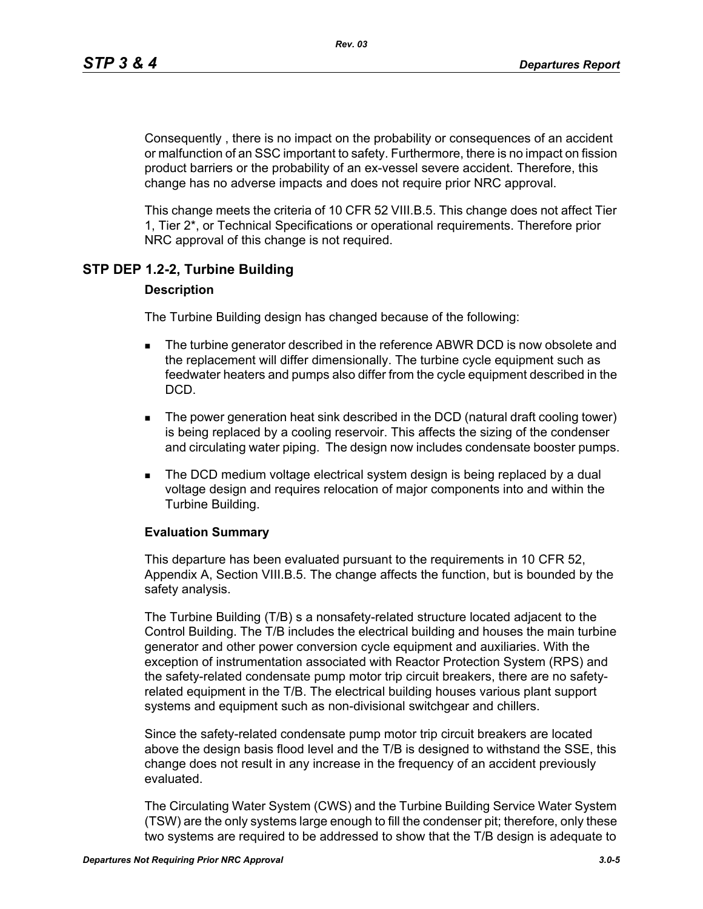Consequently , there is no impact on the probability or consequences of an accident or malfunction of an SSC important to safety. Furthermore, there is no impact on fission product barriers or the probability of an ex-vessel severe accident. Therefore, this change has no adverse impacts and does not require prior NRC approval.

This change meets the criteria of 10 CFR 52 VIII.B.5. This change does not affect Tier 1, Tier 2\*, or Technical Specifications or operational requirements. Therefore prior NRC approval of this change is not required.

## **STP DEP 1.2-2, Turbine Building**

#### **Description**

The Turbine Building design has changed because of the following:

- **The turbine generator described in the reference ABWR DCD is now obsolete and** the replacement will differ dimensionally. The turbine cycle equipment such as feedwater heaters and pumps also differ from the cycle equipment described in the DCD.
- The power generation heat sink described in the DCD (natural draft cooling tower) is being replaced by a cooling reservoir. This affects the sizing of the condenser and circulating water piping. The design now includes condensate booster pumps.
- **The DCD medium voltage electrical system design is being replaced by a dual** voltage design and requires relocation of major components into and within the Turbine Building.

#### **Evaluation Summary**

This departure has been evaluated pursuant to the requirements in 10 CFR 52, Appendix A, Section VIII.B.5. The change affects the function, but is bounded by the safety analysis.

The Turbine Building (T/B) s a nonsafety-related structure located adjacent to the Control Building. The T/B includes the electrical building and houses the main turbine generator and other power conversion cycle equipment and auxiliaries. With the exception of instrumentation associated with Reactor Protection System (RPS) and the safety-related condensate pump motor trip circuit breakers, there are no safetyrelated equipment in the T/B. The electrical building houses various plant support systems and equipment such as non-divisional switchgear and chillers.

Since the safety-related condensate pump motor trip circuit breakers are located above the design basis flood level and the T/B is designed to withstand the SSE, this change does not result in any increase in the frequency of an accident previously evaluated.

The Circulating Water System (CWS) and the Turbine Building Service Water System (TSW) are the only systems large enough to fill the condenser pit; therefore, only these two systems are required to be addressed to show that the T/B design is adequate to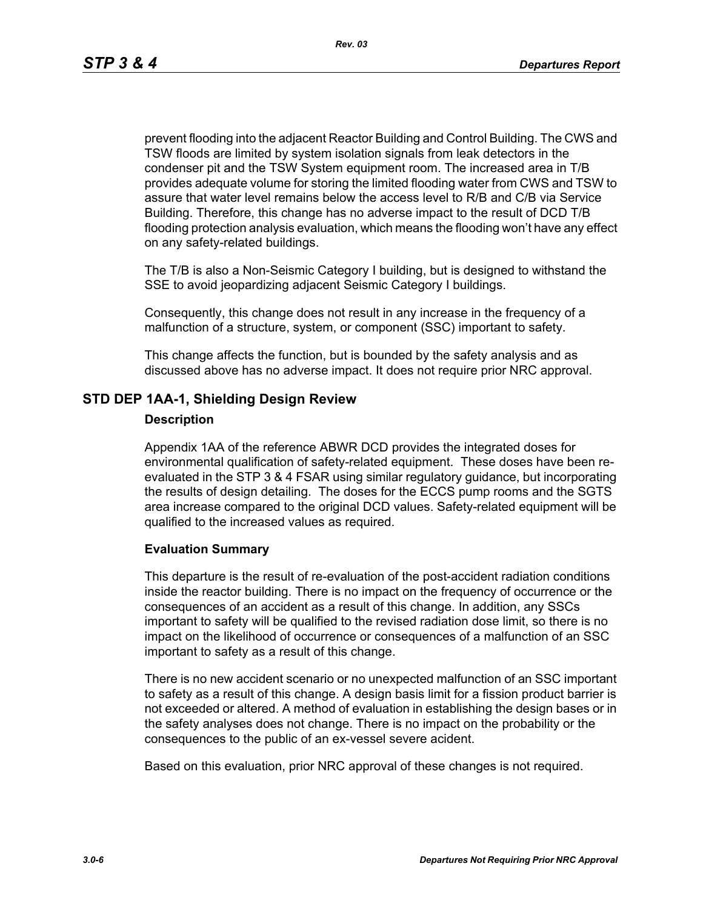prevent flooding into the adjacent Reactor Building and Control Building. The CWS and TSW floods are limited by system isolation signals from leak detectors in the condenser pit and the TSW System equipment room. The increased area in T/B provides adequate volume for storing the limited flooding water from CWS and TSW to assure that water level remains below the access level to R/B and C/B via Service Building. Therefore, this change has no adverse impact to the result of DCD T/B flooding protection analysis evaluation, which means the flooding won't have any effect on any safety-related buildings.

The T/B is also a Non-Seismic Category I building, but is designed to withstand the SSE to avoid jeopardizing adjacent Seismic Category I buildings.

Consequently, this change does not result in any increase in the frequency of a malfunction of a structure, system, or component (SSC) important to safety.

This change affects the function, but is bounded by the safety analysis and as discussed above has no adverse impact. It does not require prior NRC approval.

## **STD DEP 1AA-1, Shielding Design Review**

#### **Description**

Appendix 1AA of the reference ABWR DCD provides the integrated doses for environmental qualification of safety-related equipment. These doses have been reevaluated in the STP 3 & 4 FSAR using similar regulatory guidance, but incorporating the results of design detailing. The doses for the ECCS pump rooms and the SGTS area increase compared to the original DCD values. Safety-related equipment will be qualified to the increased values as required.

#### **Evaluation Summary**

This departure is the result of re-evaluation of the post-accident radiation conditions inside the reactor building. There is no impact on the frequency of occurrence or the consequences of an accident as a result of this change. In addition, any SSCs important to safety will be qualified to the revised radiation dose limit, so there is no impact on the likelihood of occurrence or consequences of a malfunction of an SSC important to safety as a result of this change.

There is no new accident scenario or no unexpected malfunction of an SSC important to safety as a result of this change. A design basis limit for a fission product barrier is not exceeded or altered. A method of evaluation in establishing the design bases or in the safety analyses does not change. There is no impact on the probability or the consequences to the public of an ex-vessel severe acident.

Based on this evaluation, prior NRC approval of these changes is not required.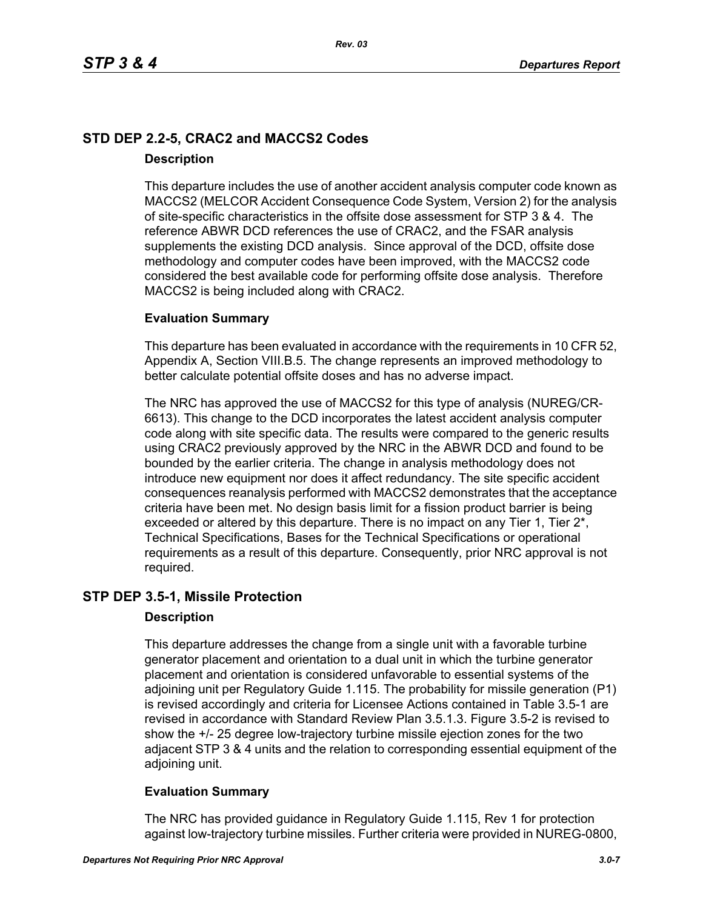## **STD DEP 2.2-5, CRAC2 and MACCS2 Codes Description**

This departure includes the use of another accident analysis computer code known as MACCS2 (MELCOR Accident Consequence Code System, Version 2) for the analysis of site-specific characteristics in the offsite dose assessment for STP 3 & 4. The reference ABWR DCD references the use of CRAC2, and the FSAR analysis supplements the existing DCD analysis. Since approval of the DCD, offsite dose methodology and computer codes have been improved, with the MACCS2 code considered the best available code for performing offsite dose analysis. Therefore MACCS2 is being included along with CRAC2.

## **Evaluation Summary**

This departure has been evaluated in accordance with the requirements in 10 CFR 52, Appendix A, Section VIII.B.5. The change represents an improved methodology to better calculate potential offsite doses and has no adverse impact.

The NRC has approved the use of MACCS2 for this type of analysis (NUREG/CR-6613). This change to the DCD incorporates the latest accident analysis computer code along with site specific data. The results were compared to the generic results using CRAC2 previously approved by the NRC in the ABWR DCD and found to be bounded by the earlier criteria. The change in analysis methodology does not introduce new equipment nor does it affect redundancy. The site specific accident consequences reanalysis performed with MACCS2 demonstrates that the acceptance criteria have been met. No design basis limit for a fission product barrier is being exceeded or altered by this departure. There is no impact on any Tier 1, Tier 2<sup>\*</sup>, Technical Specifications, Bases for the Technical Specifications or operational requirements as a result of this departure. Consequently, prior NRC approval is not required.

## **STP DEP 3.5-1, Missile Protection**

## **Description**

This departure addresses the change from a single unit with a favorable turbine generator placement and orientation to a dual unit in which the turbine generator placement and orientation is considered unfavorable to essential systems of the adjoining unit per Regulatory Guide 1.115. The probability for missile generation (P1) is revised accordingly and criteria for Licensee Actions contained in Table 3.5-1 are revised in accordance with Standard Review Plan 3.5.1.3. Figure 3.5-2 is revised to show the +/- 25 degree low-trajectory turbine missile ejection zones for the two adjacent STP 3 & 4 units and the relation to corresponding essential equipment of the adjoining unit.

## **Evaluation Summary**

The NRC has provided guidance in Regulatory Guide 1.115, Rev 1 for protection against low-trajectory turbine missiles. Further criteria were provided in NUREG-0800,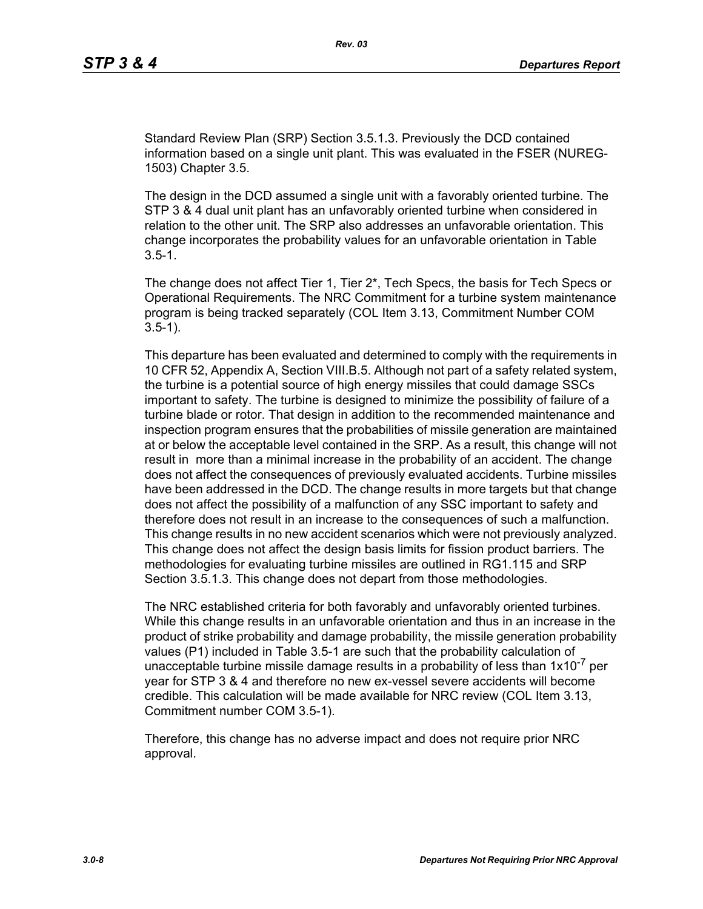Standard Review Plan (SRP) Section 3.5.1.3. Previously the DCD contained information based on a single unit plant. This was evaluated in the FSER (NUREG-1503) Chapter 3.5.

The design in the DCD assumed a single unit with a favorably oriented turbine. The STP 3 & 4 dual unit plant has an unfavorably oriented turbine when considered in relation to the other unit. The SRP also addresses an unfavorable orientation. This change incorporates the probability values for an unfavorable orientation in Table  $3.5 - 1.$ 

The change does not affect Tier 1, Tier 2\*, Tech Specs, the basis for Tech Specs or Operational Requirements. The NRC Commitment for a turbine system maintenance program is being tracked separately (COL Item 3.13, Commitment Number COM 3.5-1).

This departure has been evaluated and determined to comply with the requirements in 10 CFR 52, Appendix A, Section VIII.B.5. Although not part of a safety related system, the turbine is a potential source of high energy missiles that could damage SSCs important to safety. The turbine is designed to minimize the possibility of failure of a turbine blade or rotor. That design in addition to the recommended maintenance and inspection program ensures that the probabilities of missile generation are maintained at or below the acceptable level contained in the SRP. As a result, this change will not result in more than a minimal increase in the probability of an accident. The change does not affect the consequences of previously evaluated accidents. Turbine missiles have been addressed in the DCD. The change results in more targets but that change does not affect the possibility of a malfunction of any SSC important to safety and therefore does not result in an increase to the consequences of such a malfunction. This change results in no new accident scenarios which were not previously analyzed. This change does not affect the design basis limits for fission product barriers. The methodologies for evaluating turbine missiles are outlined in RG1.115 and SRP Section 3.5.1.3. This change does not depart from those methodologies.

The NRC established criteria for both favorably and unfavorably oriented turbines. While this change results in an unfavorable orientation and thus in an increase in the product of strike probability and damage probability, the missile generation probability values (P1) included in Table 3.5-1 are such that the probability calculation of unacceptable turbine missile damage results in a probability of less than  $1x10^{-7}$  per year for STP 3 & 4 and therefore no new ex-vessel severe accidents will become credible. This calculation will be made available for NRC review (COL Item 3.13, Commitment number COM 3.5-1).

Therefore, this change has no adverse impact and does not require prior NRC approval.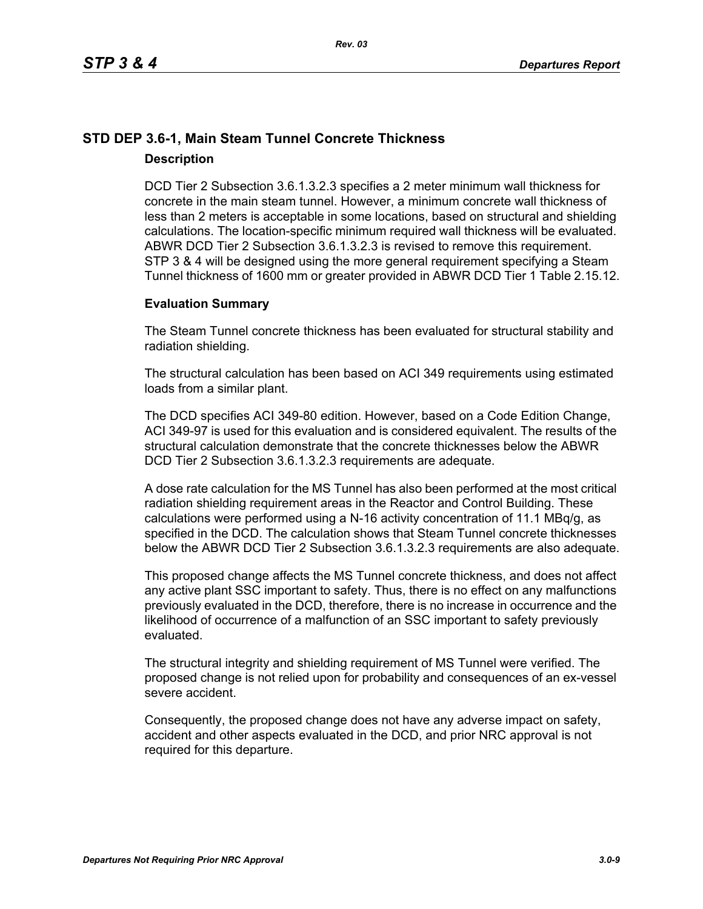## **STD DEP 3.6-1, Main Steam Tunnel Concrete Thickness Description**

DCD Tier 2 Subsection 3.6.1.3.2.3 specifies a 2 meter minimum wall thickness for concrete in the main steam tunnel. However, a minimum concrete wall thickness of less than 2 meters is acceptable in some locations, based on structural and shielding calculations. The location-specific minimum required wall thickness will be evaluated. ABWR DCD Tier 2 Subsection 3.6.1.3.2.3 is revised to remove this requirement. STP 3 & 4 will be designed using the more general requirement specifying a Steam Tunnel thickness of 1600 mm or greater provided in ABWR DCD Tier 1 Table 2.15.12.

## **Evaluation Summary**

The Steam Tunnel concrete thickness has been evaluated for structural stability and radiation shielding.

The structural calculation has been based on ACI 349 requirements using estimated loads from a similar plant.

The DCD specifies ACI 349-80 edition. However, based on a Code Edition Change, ACI 349-97 is used for this evaluation and is considered equivalent. The results of the structural calculation demonstrate that the concrete thicknesses below the ABWR DCD Tier 2 Subsection 3.6.1.3.2.3 requirements are adequate.

A dose rate calculation for the MS Tunnel has also been performed at the most critical radiation shielding requirement areas in the Reactor and Control Building. These calculations were performed using a N-16 activity concentration of 11.1 MBq/g, as specified in the DCD. The calculation shows that Steam Tunnel concrete thicknesses below the ABWR DCD Tier 2 Subsection 3.6.1.3.2.3 requirements are also adequate.

This proposed change affects the MS Tunnel concrete thickness, and does not affect any active plant SSC important to safety. Thus, there is no effect on any malfunctions previously evaluated in the DCD, therefore, there is no increase in occurrence and the likelihood of occurrence of a malfunction of an SSC important to safety previously evaluated.

The structural integrity and shielding requirement of MS Tunnel were verified. The proposed change is not relied upon for probability and consequences of an ex-vessel severe accident.

Consequently, the proposed change does not have any adverse impact on safety, accident and other aspects evaluated in the DCD, and prior NRC approval is not required for this departure.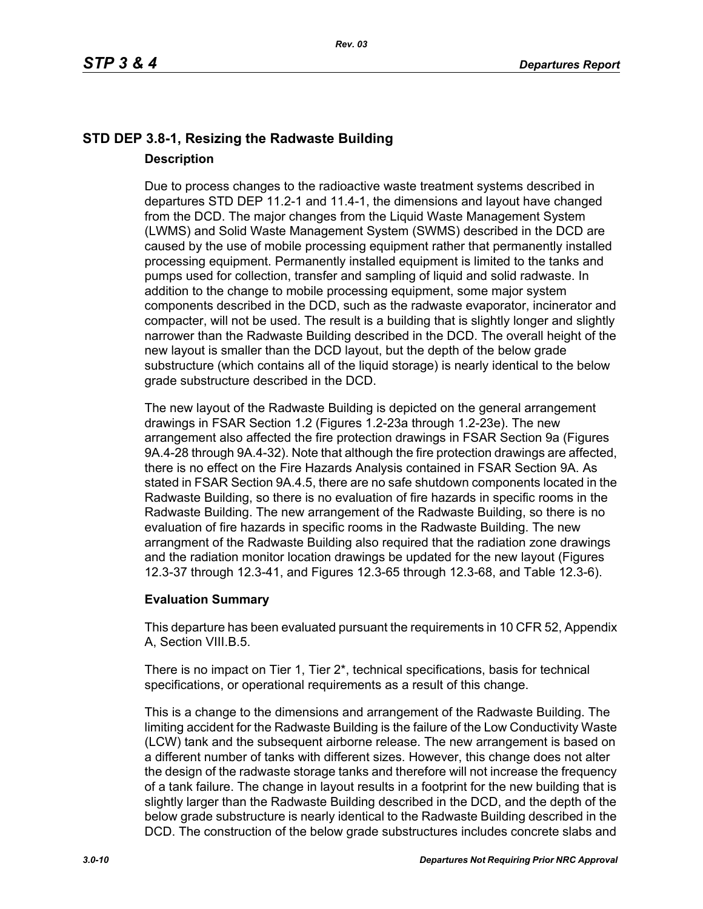## **STD DEP 3.8-1, Resizing the Radwaste Building Description**

Due to process changes to the radioactive waste treatment systems described in departures STD DEP 11.2-1 and 11.4-1, the dimensions and layout have changed from the DCD. The major changes from the Liquid Waste Management System (LWMS) and Solid Waste Management System (SWMS) described in the DCD are caused by the use of mobile processing equipment rather that permanently installed processing equipment. Permanently installed equipment is limited to the tanks and pumps used for collection, transfer and sampling of liquid and solid radwaste. In addition to the change to mobile processing equipment, some major system components described in the DCD, such as the radwaste evaporator, incinerator and compacter, will not be used. The result is a building that is slightly longer and slightly narrower than the Radwaste Building described in the DCD. The overall height of the new layout is smaller than the DCD layout, but the depth of the below grade substructure (which contains all of the liquid storage) is nearly identical to the below grade substructure described in the DCD.

The new layout of the Radwaste Building is depicted on the general arrangement drawings in FSAR Section 1.2 (Figures 1.2-23a through 1.2-23e). The new arrangement also affected the fire protection drawings in FSAR Section 9a (Figures 9A.4-28 through 9A.4-32). Note that although the fire protection drawings are affected, there is no effect on the Fire Hazards Analysis contained in FSAR Section 9A. As stated in FSAR Section 9A.4.5, there are no safe shutdown components located in the Radwaste Building, so there is no evaluation of fire hazards in specific rooms in the Radwaste Building. The new arrangement of the Radwaste Building, so there is no evaluation of fire hazards in specific rooms in the Radwaste Building. The new arrangment of the Radwaste Building also required that the radiation zone drawings and the radiation monitor location drawings be updated for the new layout (Figures 12.3-37 through 12.3-41, and Figures 12.3-65 through 12.3-68, and Table 12.3-6).

## **Evaluation Summary**

This departure has been evaluated pursuant the requirements in 10 CFR 52, Appendix A, Section VIII.B.5.

There is no impact on Tier 1, Tier  $2^*$ , technical specifications, basis for technical specifications, or operational requirements as a result of this change.

This is a change to the dimensions and arrangement of the Radwaste Building. The limiting accident for the Radwaste Building is the failure of the Low Conductivity Waste (LCW) tank and the subsequent airborne release. The new arrangement is based on a different number of tanks with different sizes. However, this change does not alter the design of the radwaste storage tanks and therefore will not increase the frequency of a tank failure. The change in layout results in a footprint for the new building that is slightly larger than the Radwaste Building described in the DCD, and the depth of the below grade substructure is nearly identical to the Radwaste Building described in the DCD. The construction of the below grade substructures includes concrete slabs and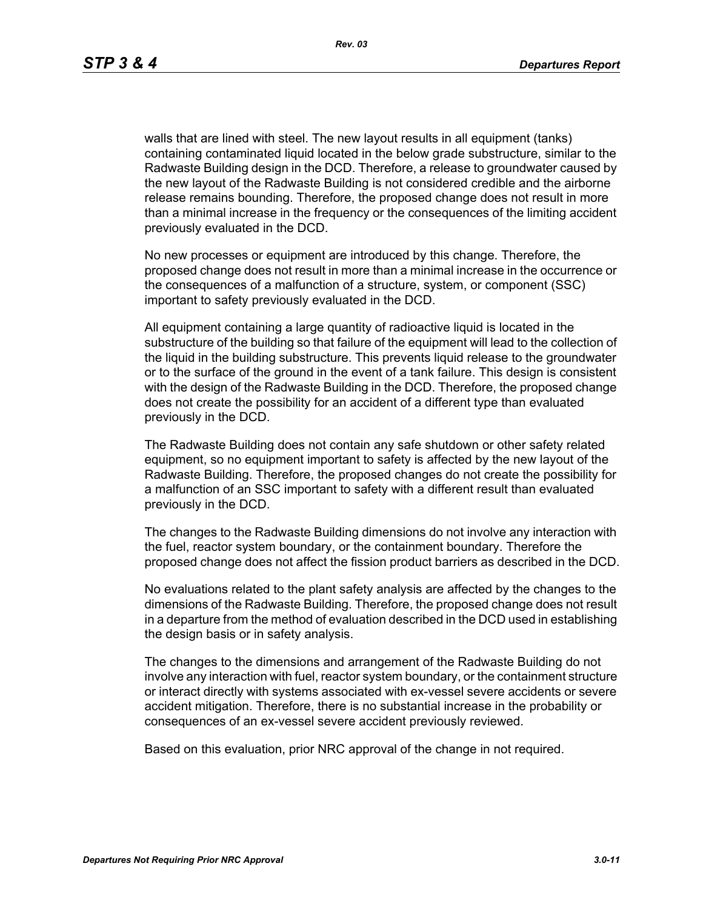walls that are lined with steel. The new layout results in all equipment (tanks) containing contaminated liquid located in the below grade substructure, similar to the Radwaste Building design in the DCD. Therefore, a release to groundwater caused by the new layout of the Radwaste Building is not considered credible and the airborne release remains bounding. Therefore, the proposed change does not result in more than a minimal increase in the frequency or the consequences of the limiting accident previously evaluated in the DCD.

No new processes or equipment are introduced by this change. Therefore, the proposed change does not result in more than a minimal increase in the occurrence or the consequences of a malfunction of a structure, system, or component (SSC) important to safety previously evaluated in the DCD.

All equipment containing a large quantity of radioactive liquid is located in the substructure of the building so that failure of the equipment will lead to the collection of the liquid in the building substructure. This prevents liquid release to the groundwater or to the surface of the ground in the event of a tank failure. This design is consistent with the design of the Radwaste Building in the DCD. Therefore, the proposed change does not create the possibility for an accident of a different type than evaluated previously in the DCD.

The Radwaste Building does not contain any safe shutdown or other safety related equipment, so no equipment important to safety is affected by the new layout of the Radwaste Building. Therefore, the proposed changes do not create the possibility for a malfunction of an SSC important to safety with a different result than evaluated previously in the DCD.

The changes to the Radwaste Building dimensions do not involve any interaction with the fuel, reactor system boundary, or the containment boundary. Therefore the proposed change does not affect the fission product barriers as described in the DCD.

No evaluations related to the plant safety analysis are affected by the changes to the dimensions of the Radwaste Building. Therefore, the proposed change does not result in a departure from the method of evaluation described in the DCD used in establishing the design basis or in safety analysis.

The changes to the dimensions and arrangement of the Radwaste Building do not involve any interaction with fuel, reactor system boundary, or the containment structure or interact directly with systems associated with ex-vessel severe accidents or severe accident mitigation. Therefore, there is no substantial increase in the probability or consequences of an ex-vessel severe accident previously reviewed.

Based on this evaluation, prior NRC approval of the change in not required.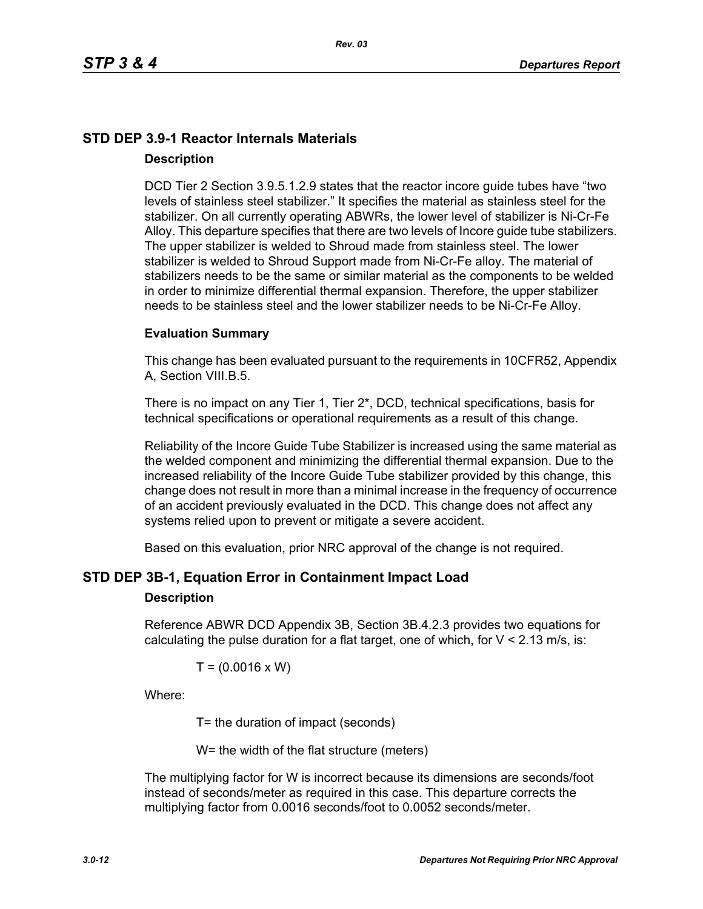## **STD DEP 3.9-1 Reactor Internals Materials Description**

DCD Tier 2 Section 3.9.5.1.2.9 states that the reactor incore guide tubes have "two levels of stainless steel stabilizer." It specifies the material as stainless steel for the stabilizer. On all currently operating ABWRs, the lower level of stabilizer is Ni-Cr-Fe Alloy. This departure specifies that there are two levels of Incore guide tube stabilizers. The upper stabilizer is welded to Shroud made from stainless steel. The lower stabilizer is welded to Shroud Support made from Ni-Cr-Fe alloy. The material of stabilizers needs to be the same or similar material as the components to be welded in order to minimize differential thermal expansion. Therefore, the upper stabilizer needs to be stainless steel and the lower stabilizer needs to be Ni-Cr-Fe Alloy.

#### **Evaluation Summary**

This change has been evaluated pursuant to the requirements in 10CFR52, Appendix A, Section VIII.B.5.

There is no impact on any Tier 1, Tier 2\*, DCD, technical specifications, basis for technical specifications or operational requirements as a result of this change.

Reliability of the Incore Guide Tube Stabilizer is increased using the same material as the welded component and minimizing the differential thermal expansion. Due to the increased reliability of the Incore Guide Tube stabilizer provided by this change, this change does not result in more than a minimal increase in the frequency of occurrence of an accident previously evaluated in the DCD. This change does not affect any systems relied upon to prevent or mitigate a severe accident.

Based on this evaluation, prior NRC approval of the change is not required.

## **STD DEP 3B-1, Equation Error in Containment Impact Load**

#### **Description**

Reference ABWR DCD Appendix 3B, Section 3B.4.2.3 provides two equations for calculating the pulse duration for a flat target, one of which, for  $V < 2.13$  m/s, is:

$$
T = (0.0016 \times W)
$$

Where:

T= the duration of impact (seconds)

W= the width of the flat structure (meters)

The multiplying factor for W is incorrect because its dimensions are seconds/foot instead of seconds/meter as required in this case. This departure corrects the multiplying factor from 0.0016 seconds/foot to 0.0052 seconds/meter.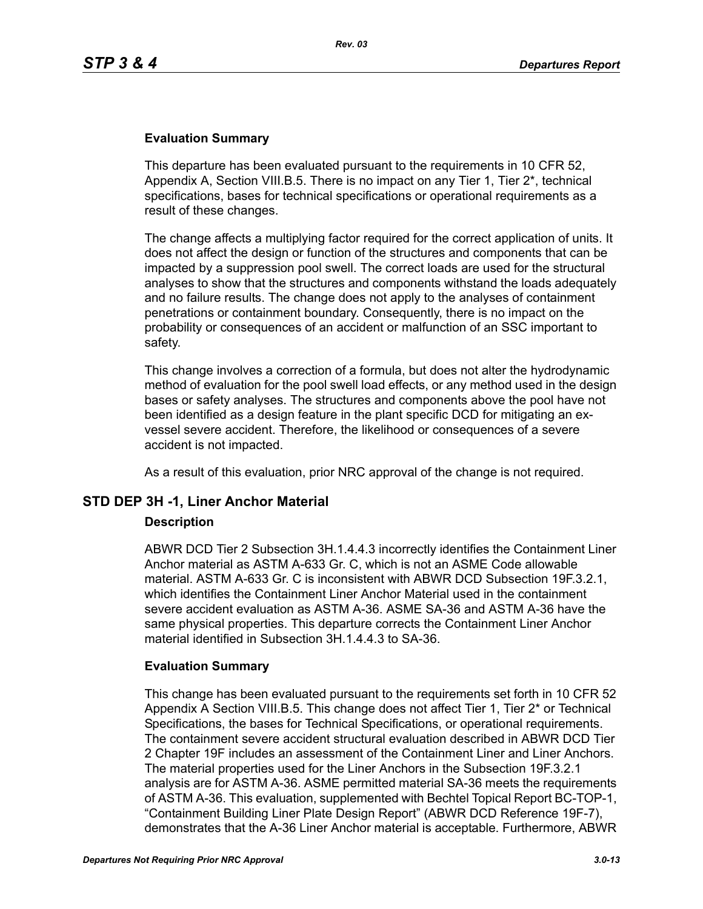### **Evaluation Summary**

This departure has been evaluated pursuant to the requirements in 10 CFR 52, Appendix A, Section VIII.B.5. There is no impact on any Tier 1, Tier 2\*, technical specifications, bases for technical specifications or operational requirements as a result of these changes.

The change affects a multiplying factor required for the correct application of units. It does not affect the design or function of the structures and components that can be impacted by a suppression pool swell. The correct loads are used for the structural analyses to show that the structures and components withstand the loads adequately and no failure results. The change does not apply to the analyses of containment penetrations or containment boundary. Consequently, there is no impact on the probability or consequences of an accident or malfunction of an SSC important to safety.

This change involves a correction of a formula, but does not alter the hydrodynamic method of evaluation for the pool swell load effects, or any method used in the design bases or safety analyses. The structures and components above the pool have not been identified as a design feature in the plant specific DCD for mitigating an exvessel severe accident. Therefore, the likelihood or consequences of a severe accident is not impacted.

As a result of this evaluation, prior NRC approval of the change is not required.

## **STD DEP 3H -1, Liner Anchor Material**

#### **Description**

ABWR DCD Tier 2 Subsection 3H.1.4.4.3 incorrectly identifies the Containment Liner Anchor material as ASTM A-633 Gr. C, which is not an ASME Code allowable material. ASTM A-633 Gr. C is inconsistent with ABWR DCD Subsection 19F.3.2.1, which identifies the Containment Liner Anchor Material used in the containment severe accident evaluation as ASTM A-36. ASME SA-36 and ASTM A-36 have the same physical properties. This departure corrects the Containment Liner Anchor material identified in Subsection 3H.1.4.4.3 to SA-36.

#### **Evaluation Summary**

This change has been evaluated pursuant to the requirements set forth in 10 CFR 52 Appendix A Section VIII.B.5. This change does not affect Tier 1, Tier 2\* or Technical Specifications, the bases for Technical Specifications, or operational requirements. The containment severe accident structural evaluation described in ABWR DCD Tier 2 Chapter 19F includes an assessment of the Containment Liner and Liner Anchors. The material properties used for the Liner Anchors in the Subsection 19F.3.2.1 analysis are for ASTM A-36. ASME permitted material SA-36 meets the requirements of ASTM A-36. This evaluation, supplemented with Bechtel Topical Report BC-TOP-1, "Containment Building Liner Plate Design Report" (ABWR DCD Reference 19F-7), demonstrates that the A-36 Liner Anchor material is acceptable. Furthermore, ABWR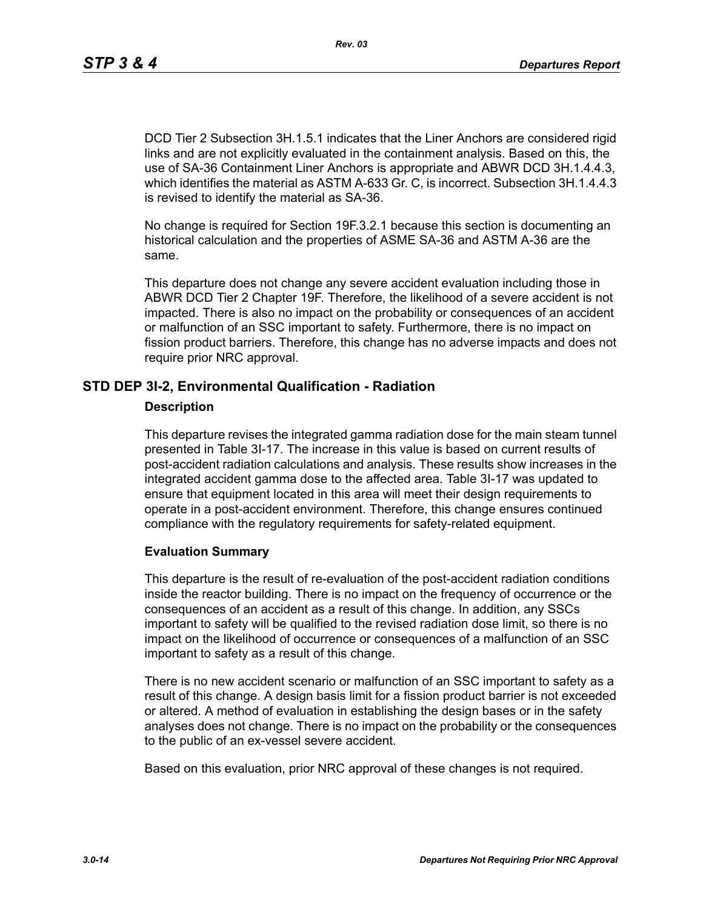DCD Tier 2 Subsection 3H.1.5.1 indicates that the Liner Anchors are considered rigid links and are not explicitly evaluated in the containment analysis. Based on this, the use of SA-36 Containment Liner Anchors is appropriate and ABWR DCD 3H.1.4.4.3, which identifies the material as ASTM A-633 Gr. C, is incorrect. Subsection 3H.1.4.4.3 is revised to identify the material as SA-36.

No change is required for Section 19F.3.2.1 because this section is documenting an historical calculation and the properties of ASME SA-36 and ASTM A-36 are the same.

This departure does not change any severe accident evaluation including those in ABWR DCD Tier 2 Chapter 19F. Therefore, the likelihood of a severe accident is not impacted. There is also no impact on the probability or consequences of an accident or malfunction of an SSC important to safety. Furthermore, there is no impact on fission product barriers. Therefore, this change has no adverse impacts and does not require prior NRC approval.

## **STD DEP 3I-2, Environmental Qualification - Radiation**

#### **Description**

This departure revises the integrated gamma radiation dose for the main steam tunnel presented in Table 3I-17. The increase in this value is based on current results of post-accident radiation calculations and analysis. These results show increases in the integrated accident gamma dose to the affected area. Table 3I-17 was updated to ensure that equipment located in this area will meet their design requirements to operate in a post-accident environment. Therefore, this change ensures continued compliance with the regulatory requirements for safety-related equipment.

#### **Evaluation Summary**

This departure is the result of re-evaluation of the post-accident radiation conditions inside the reactor building. There is no impact on the frequency of occurrence or the consequences of an accident as a result of this change. In addition, any SSCs important to safety will be qualified to the revised radiation dose limit, so there is no impact on the likelihood of occurrence or consequences of a malfunction of an SSC important to safety as a result of this change.

There is no new accident scenario or malfunction of an SSC important to safety as a result of this change. A design basis limit for a fission product barrier is not exceeded or altered. A method of evaluation in establishing the design bases or in the safety analyses does not change. There is no impact on the probability or the consequences to the public of an ex-vessel severe accident.

Based on this evaluation, prior NRC approval of these changes is not required.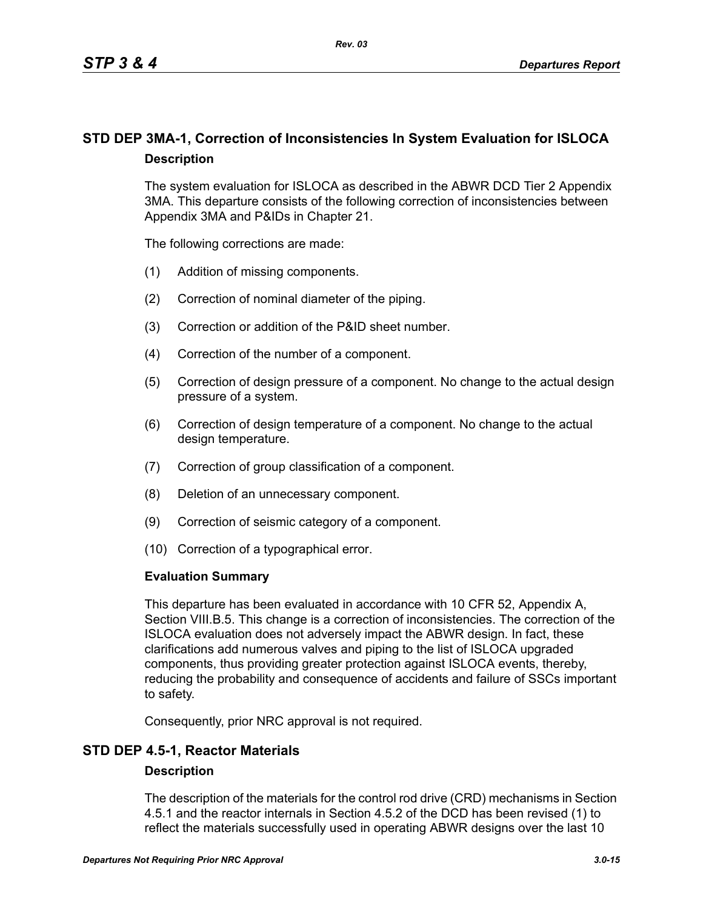## **STD DEP 3MA-1, Correction of Inconsistencies In System Evaluation for ISLOCA Description**

The system evaluation for ISLOCA as described in the ABWR DCD Tier 2 Appendix 3MA. This departure consists of the following correction of inconsistencies between Appendix 3MA and P&IDs in Chapter 21.

The following corrections are made:

- (1) Addition of missing components.
- (2) Correction of nominal diameter of the piping.
- (3) Correction or addition of the P&ID sheet number.
- (4) Correction of the number of a component.
- (5) Correction of design pressure of a component. No change to the actual design pressure of a system.
- (6) Correction of design temperature of a component. No change to the actual design temperature.
- (7) Correction of group classification of a component.
- (8) Deletion of an unnecessary component.
- (9) Correction of seismic category of a component.
- (10) Correction of a typographical error.

#### **Evaluation Summary**

This departure has been evaluated in accordance with 10 CFR 52, Appendix A, Section VIII.B.5. This change is a correction of inconsistencies. The correction of the ISLOCA evaluation does not adversely impact the ABWR design. In fact, these clarifications add numerous valves and piping to the list of ISLOCA upgraded components, thus providing greater protection against ISLOCA events, thereby, reducing the probability and consequence of accidents and failure of SSCs important to safety.

Consequently, prior NRC approval is not required.

## **STD DEP 4.5-1, Reactor Materials**

#### **Description**

The description of the materials for the control rod drive (CRD) mechanisms in Section 4.5.1 and the reactor internals in Section 4.5.2 of the DCD has been revised (1) to reflect the materials successfully used in operating ABWR designs over the last 10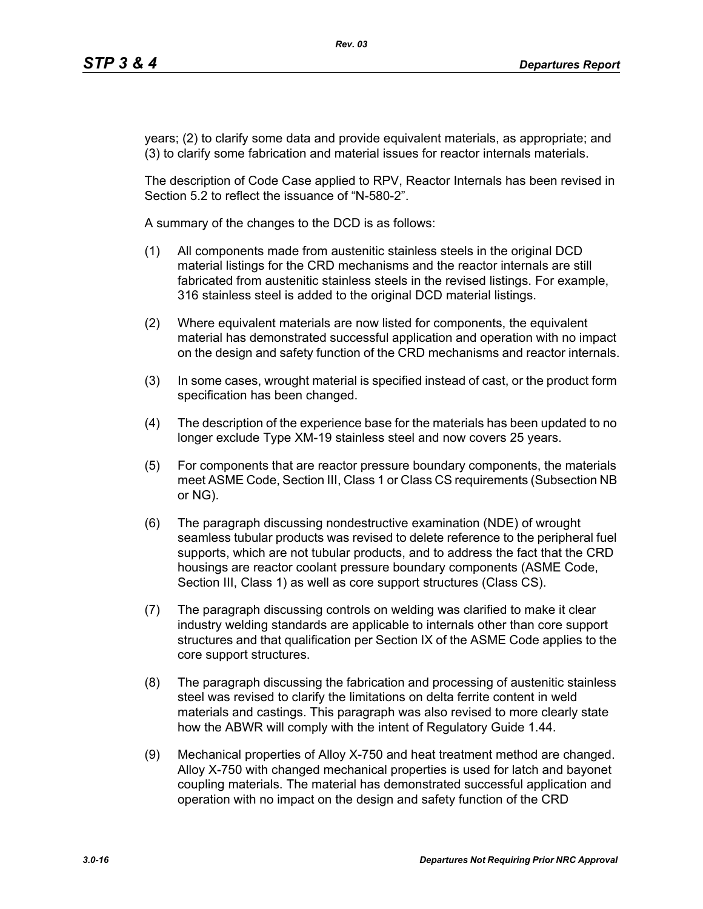years; (2) to clarify some data and provide equivalent materials, as appropriate; and (3) to clarify some fabrication and material issues for reactor internals materials.

The description of Code Case applied to RPV, Reactor Internals has been revised in Section 5.2 to reflect the issuance of "N-580-2".

A summary of the changes to the DCD is as follows:

- (1) All components made from austenitic stainless steels in the original DCD material listings for the CRD mechanisms and the reactor internals are still fabricated from austenitic stainless steels in the revised listings. For example, 316 stainless steel is added to the original DCD material listings.
- (2) Where equivalent materials are now listed for components, the equivalent material has demonstrated successful application and operation with no impact on the design and safety function of the CRD mechanisms and reactor internals.
- (3) In some cases, wrought material is specified instead of cast, or the product form specification has been changed.
- (4) The description of the experience base for the materials has been updated to no longer exclude Type XM-19 stainless steel and now covers 25 years.
- (5) For components that are reactor pressure boundary components, the materials meet ASME Code, Section III, Class 1 or Class CS requirements (Subsection NB or NG).
- (6) The paragraph discussing nondestructive examination (NDE) of wrought seamless tubular products was revised to delete reference to the peripheral fuel supports, which are not tubular products, and to address the fact that the CRD housings are reactor coolant pressure boundary components (ASME Code, Section III, Class 1) as well as core support structures (Class CS).
- (7) The paragraph discussing controls on welding was clarified to make it clear industry welding standards are applicable to internals other than core support structures and that qualification per Section IX of the ASME Code applies to the core support structures.
- (8) The paragraph discussing the fabrication and processing of austenitic stainless steel was revised to clarify the limitations on delta ferrite content in weld materials and castings. This paragraph was also revised to more clearly state how the ABWR will comply with the intent of Regulatory Guide 1.44.
- (9) Mechanical properties of Alloy X-750 and heat treatment method are changed. Alloy X-750 with changed mechanical properties is used for latch and bayonet coupling materials. The material has demonstrated successful application and operation with no impact on the design and safety function of the CRD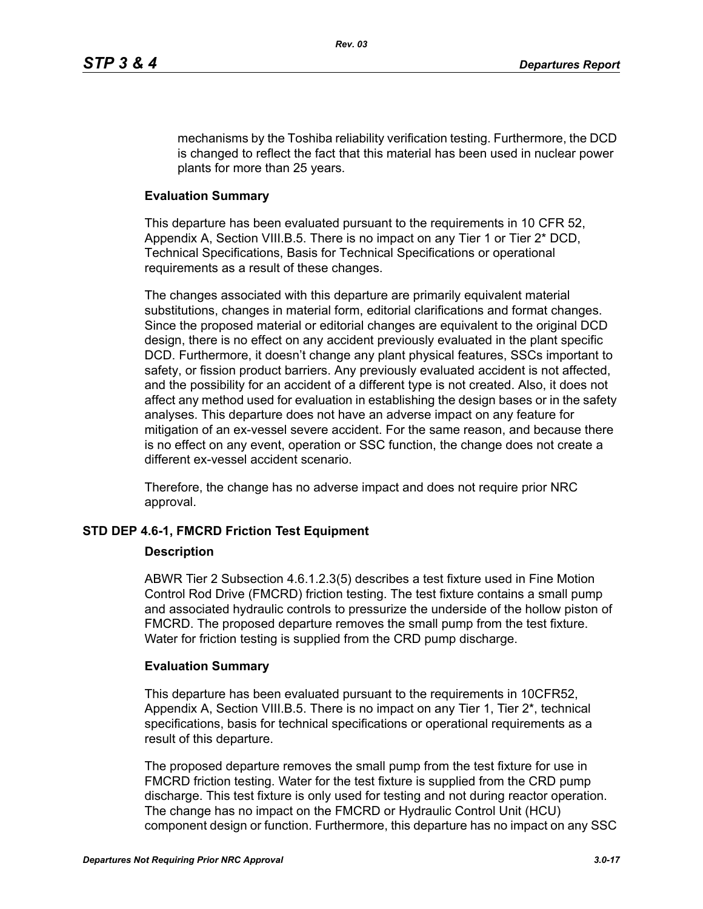mechanisms by the Toshiba reliability verification testing. Furthermore, the DCD is changed to reflect the fact that this material has been used in nuclear power plants for more than 25 years.

#### **Evaluation Summary**

This departure has been evaluated pursuant to the requirements in 10 CFR 52, Appendix A, Section VIII.B.5. There is no impact on any Tier 1 or Tier 2\* DCD, Technical Specifications, Basis for Technical Specifications or operational requirements as a result of these changes.

The changes associated with this departure are primarily equivalent material substitutions, changes in material form, editorial clarifications and format changes. Since the proposed material or editorial changes are equivalent to the original DCD design, there is no effect on any accident previously evaluated in the plant specific DCD. Furthermore, it doesn't change any plant physical features, SSCs important to safety, or fission product barriers. Any previously evaluated accident is not affected, and the possibility for an accident of a different type is not created. Also, it does not affect any method used for evaluation in establishing the design bases or in the safety analyses. This departure does not have an adverse impact on any feature for mitigation of an ex-vessel severe accident. For the same reason, and because there is no effect on any event, operation or SSC function, the change does not create a different ex-vessel accident scenario.

Therefore, the change has no adverse impact and does not require prior NRC approval.

#### **STD DEP 4.6-1, FMCRD Friction Test Equipment**

#### **Description**

ABWR Tier 2 Subsection 4.6.1.2.3(5) describes a test fixture used in Fine Motion Control Rod Drive (FMCRD) friction testing. The test fixture contains a small pump and associated hydraulic controls to pressurize the underside of the hollow piston of FMCRD. The proposed departure removes the small pump from the test fixture. Water for friction testing is supplied from the CRD pump discharge.

#### **Evaluation Summary**

This departure has been evaluated pursuant to the requirements in 10CFR52, Appendix A, Section VIII.B.5. There is no impact on any Tier 1, Tier 2\*, technical specifications, basis for technical specifications or operational requirements as a result of this departure.

The proposed departure removes the small pump from the test fixture for use in FMCRD friction testing. Water for the test fixture is supplied from the CRD pump discharge. This test fixture is only used for testing and not during reactor operation. The change has no impact on the FMCRD or Hydraulic Control Unit (HCU) component design or function. Furthermore, this departure has no impact on any SSC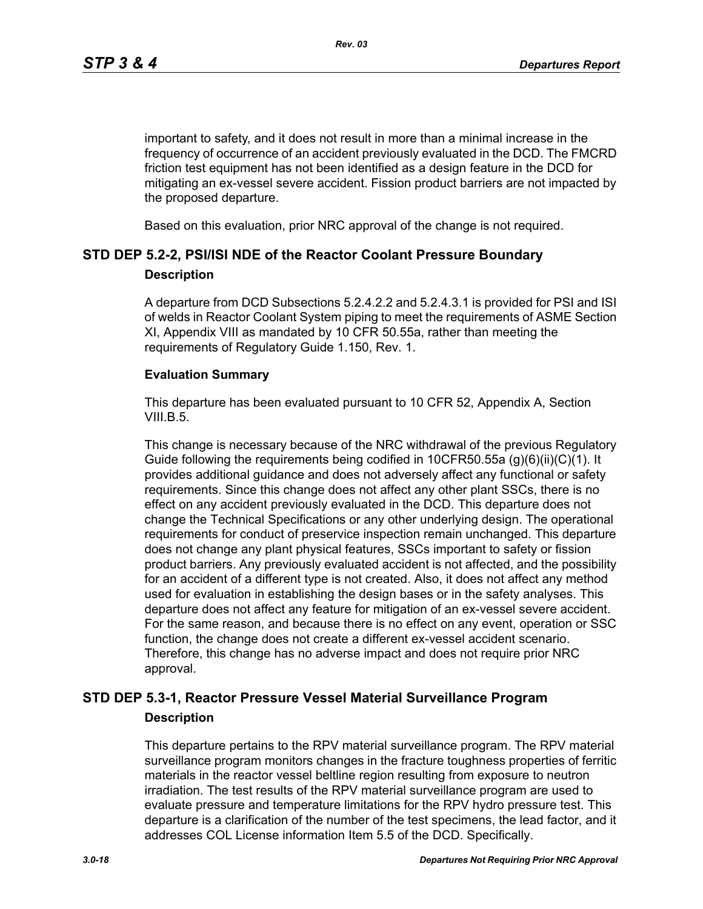important to safety, and it does not result in more than a minimal increase in the frequency of occurrence of an accident previously evaluated in the DCD. The FMCRD friction test equipment has not been identified as a design feature in the DCD for mitigating an ex-vessel severe accident. Fission product barriers are not impacted by the proposed departure.

Based on this evaluation, prior NRC approval of the change is not required.

## **STD DEP 5.2-2, PSI/ISI NDE of the Reactor Coolant Pressure Boundary**

#### **Description**

A departure from DCD Subsections 5.2.4.2.2 and 5.2.4.3.1 is provided for PSI and ISI of welds in Reactor Coolant System piping to meet the requirements of ASME Section XI, Appendix VIII as mandated by 10 CFR 50.55a, rather than meeting the requirements of Regulatory Guide 1.150, Rev. 1.

#### **Evaluation Summary**

This departure has been evaluated pursuant to 10 CFR 52, Appendix A, Section VIII.B.5.

This change is necessary because of the NRC withdrawal of the previous Regulatory Guide following the requirements being codified in 10CFR50.55a  $(q)(6)(ii)(C)(1)$ . It provides additional guidance and does not adversely affect any functional or safety requirements. Since this change does not affect any other plant SSCs, there is no effect on any accident previously evaluated in the DCD. This departure does not change the Technical Specifications or any other underlying design. The operational requirements for conduct of preservice inspection remain unchanged. This departure does not change any plant physical features, SSCs important to safety or fission product barriers. Any previously evaluated accident is not affected, and the possibility for an accident of a different type is not created. Also, it does not affect any method used for evaluation in establishing the design bases or in the safety analyses. This departure does not affect any feature for mitigation of an ex-vessel severe accident. For the same reason, and because there is no effect on any event, operation or SSC function, the change does not create a different ex-vessel accident scenario. Therefore, this change has no adverse impact and does not require prior NRC approval.

## **STD DEP 5.3-1, Reactor Pressure Vessel Material Surveillance Program Description**

This departure pertains to the RPV material surveillance program. The RPV material surveillance program monitors changes in the fracture toughness properties of ferritic materials in the reactor vessel beltline region resulting from exposure to neutron irradiation. The test results of the RPV material surveillance program are used to evaluate pressure and temperature limitations for the RPV hydro pressure test. This departure is a clarification of the number of the test specimens, the lead factor, and it addresses COL License information Item 5.5 of the DCD. Specifically.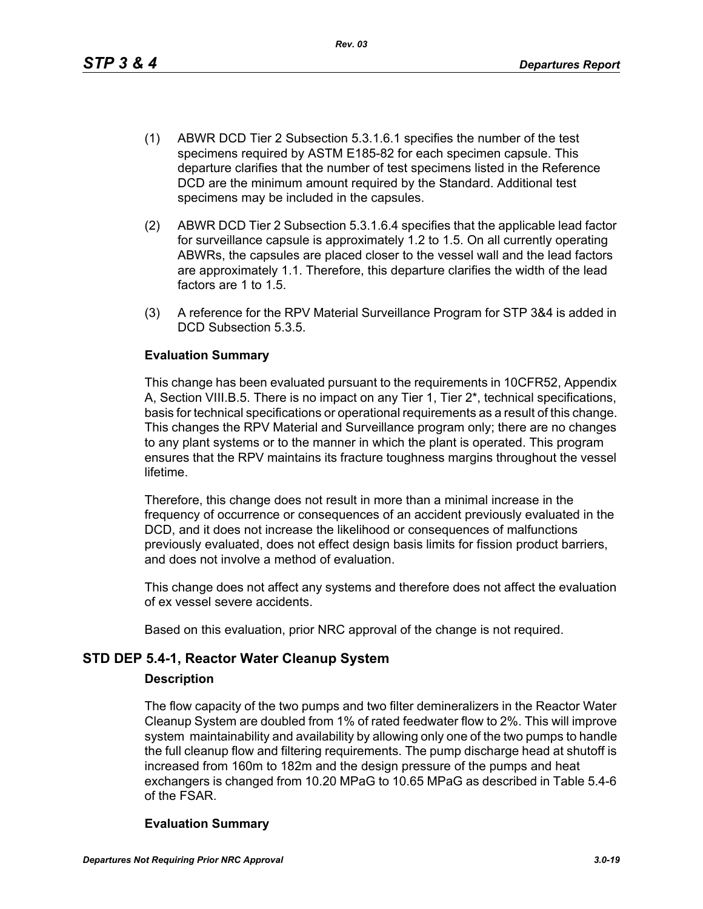This change has been evaluated pursuant to the requirements in 10CFR52, Appendix A, Section VIII.B.5. There is no impact on any Tier 1, Tier 2\*, technical specifications, basis for technical specifications or operational requirements as a result of this change. This changes the RPV Material and Surveillance program only; there are no changes to any plant systems or to the manner in which the plant is operated. This program ensures that the RPV maintains its fracture toughness margins throughout the vessel lifetime.

(1) ABWR DCD Tier 2 Subsection 5.3.1.6.1 specifies the number of the test specimens required by ASTM E185-82 for each specimen capsule. This departure clarifies that the number of test specimens listed in the Reference DCD are the minimum amount required by the Standard. Additional test

*Rev. 03*

(2) ABWR DCD Tier 2 Subsection 5.3.1.6.4 specifies that the applicable lead factor for surveillance capsule is approximately 1.2 to 1.5. On all currently operating ABWRs, the capsules are placed closer to the vessel wall and the lead factors are approximately 1.1. Therefore, this departure clarifies the width of the lead

(3) A reference for the RPV Material Surveillance Program for STP 3&4 is added in

specimens may be included in the capsules.

Therefore, this change does not result in more than a minimal increase in the frequency of occurrence or consequences of an accident previously evaluated in the DCD, and it does not increase the likelihood or consequences of malfunctions previously evaluated, does not effect design basis limits for fission product barriers, and does not involve a method of evaluation.

This change does not affect any systems and therefore does not affect the evaluation of ex vessel severe accidents.

Based on this evaluation, prior NRC approval of the change is not required.

## **STD DEP 5.4-1, Reactor Water Cleanup System**

factors are 1 to 1.5.

**Evaluation Summary**

DCD Subsection 5.3.5.

#### **Description**

The flow capacity of the two pumps and two filter demineralizers in the Reactor Water Cleanup System are doubled from 1% of rated feedwater flow to 2%. This will improve system maintainability and availability by allowing only one of the two pumps to handle the full cleanup flow and filtering requirements. The pump discharge head at shutoff is increased from 160m to 182m and the design pressure of the pumps and heat exchangers is changed from 10.20 MPaG to 10.65 MPaG as described in Table 5.4-6 of the FSAR.

## **Evaluation Summary**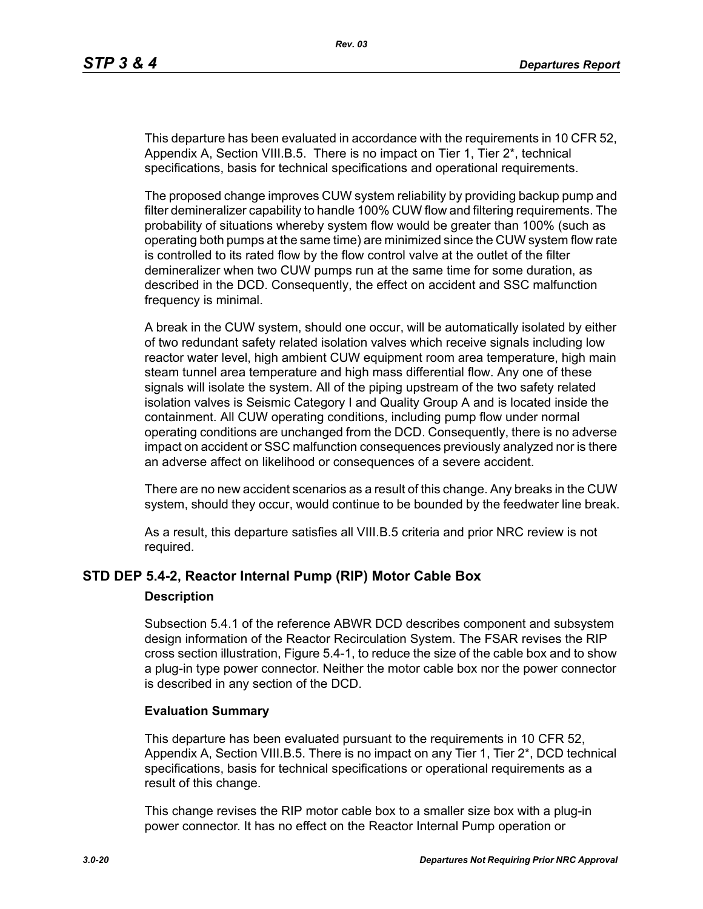This departure has been evaluated in accordance with the requirements in 10 CFR 52, Appendix A, Section VIII.B.5. There is no impact on Tier 1, Tier 2\*, technical specifications, basis for technical specifications and operational requirements.

The proposed change improves CUW system reliability by providing backup pump and filter demineralizer capability to handle 100% CUW flow and filtering requirements. The probability of situations whereby system flow would be greater than 100% (such as operating both pumps at the same time) are minimized since the CUW system flow rate is controlled to its rated flow by the flow control valve at the outlet of the filter demineralizer when two CUW pumps run at the same time for some duration, as described in the DCD. Consequently, the effect on accident and SSC malfunction frequency is minimal.

A break in the CUW system, should one occur, will be automatically isolated by either of two redundant safety related isolation valves which receive signals including low reactor water level, high ambient CUW equipment room area temperature, high main steam tunnel area temperature and high mass differential flow. Any one of these signals will isolate the system. All of the piping upstream of the two safety related isolation valves is Seismic Category I and Quality Group A and is located inside the containment. All CUW operating conditions, including pump flow under normal operating conditions are unchanged from the DCD. Consequently, there is no adverse impact on accident or SSC malfunction consequences previously analyzed nor is there an adverse affect on likelihood or consequences of a severe accident.

There are no new accident scenarios as a result of this change. Any breaks in the CUW system, should they occur, would continue to be bounded by the feedwater line break.

As a result, this departure satisfies all VIII.B.5 criteria and prior NRC review is not required.

## **STD DEP 5.4-2, Reactor Internal Pump (RIP) Motor Cable Box**

#### **Description**

Subsection 5.4.1 of the reference ABWR DCD describes component and subsystem design information of the Reactor Recirculation System. The FSAR revises the RIP cross section illustration, Figure 5.4-1, to reduce the size of the cable box and to show a plug-in type power connector. Neither the motor cable box nor the power connector is described in any section of the DCD.

#### **Evaluation Summary**

This departure has been evaluated pursuant to the requirements in 10 CFR 52, Appendix A, Section VIII.B.5. There is no impact on any Tier 1, Tier 2\*, DCD technical specifications, basis for technical specifications or operational requirements as a result of this change.

This change revises the RIP motor cable box to a smaller size box with a plug-in power connector. It has no effect on the Reactor Internal Pump operation or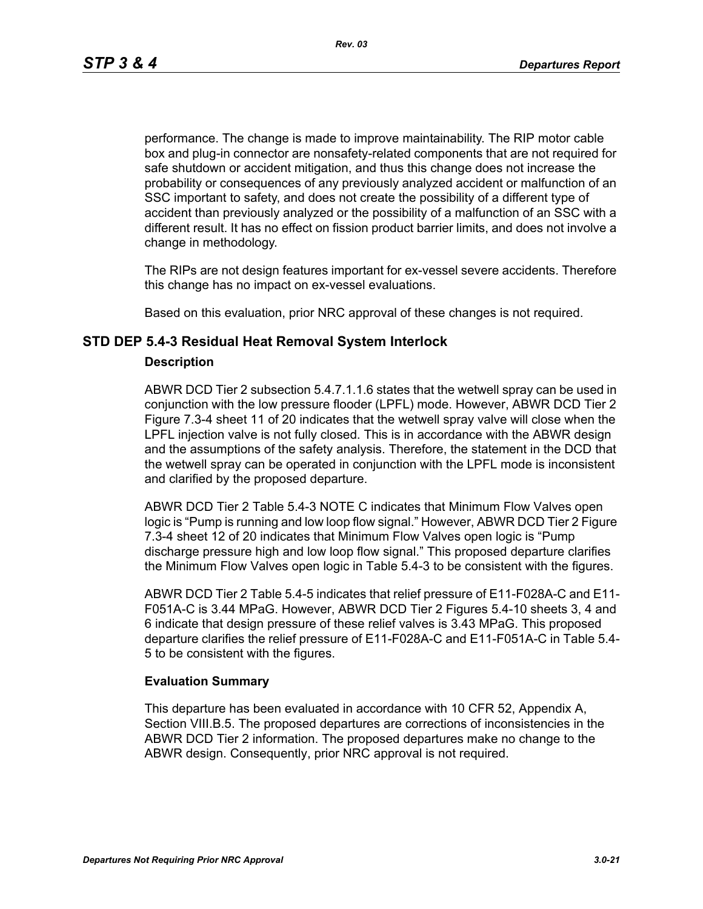performance. The change is made to improve maintainability. The RIP motor cable box and plug-in connector are nonsafety-related components that are not required for safe shutdown or accident mitigation, and thus this change does not increase the probability or consequences of any previously analyzed accident or malfunction of an SSC important to safety, and does not create the possibility of a different type of accident than previously analyzed or the possibility of a malfunction of an SSC with a different result. It has no effect on fission product barrier limits, and does not involve a change in methodology.

The RIPs are not design features important for ex-vessel severe accidents. Therefore this change has no impact on ex-vessel evaluations.

Based on this evaluation, prior NRC approval of these changes is not required.

### **STD DEP 5.4-3 Residual Heat Removal System Interlock**

#### **Description**

ABWR DCD Tier 2 subsection 5.4.7.1.1.6 states that the wetwell spray can be used in conjunction with the low pressure flooder (LPFL) mode. However, ABWR DCD Tier 2 Figure 7.3-4 sheet 11 of 20 indicates that the wetwell spray valve will close when the LPFL injection valve is not fully closed. This is in accordance with the ABWR design and the assumptions of the safety analysis. Therefore, the statement in the DCD that the wetwell spray can be operated in conjunction with the LPFL mode is inconsistent and clarified by the proposed departure.

ABWR DCD Tier 2 Table 5.4-3 NOTE C indicates that Minimum Flow Valves open logic is "Pump is running and low loop flow signal." However, ABWR DCD Tier 2 Figure 7.3-4 sheet 12 of 20 indicates that Minimum Flow Valves open logic is "Pump discharge pressure high and low loop flow signal." This proposed departure clarifies the Minimum Flow Valves open logic in Table 5.4-3 to be consistent with the figures.

ABWR DCD Tier 2 Table 5.4-5 indicates that relief pressure of E11-F028A-C and E11- F051A-C is 3.44 MPaG. However, ABWR DCD Tier 2 Figures 5.4-10 sheets 3, 4 and 6 indicate that design pressure of these relief valves is 3.43 MPaG. This proposed departure clarifies the relief pressure of E11-F028A-C and E11-F051A-C in Table 5.4- 5 to be consistent with the figures.

#### **Evaluation Summary**

This departure has been evaluated in accordance with 10 CFR 52, Appendix A, Section VIII.B.5. The proposed departures are corrections of inconsistencies in the ABWR DCD Tier 2 information. The proposed departures make no change to the ABWR design. Consequently, prior NRC approval is not required.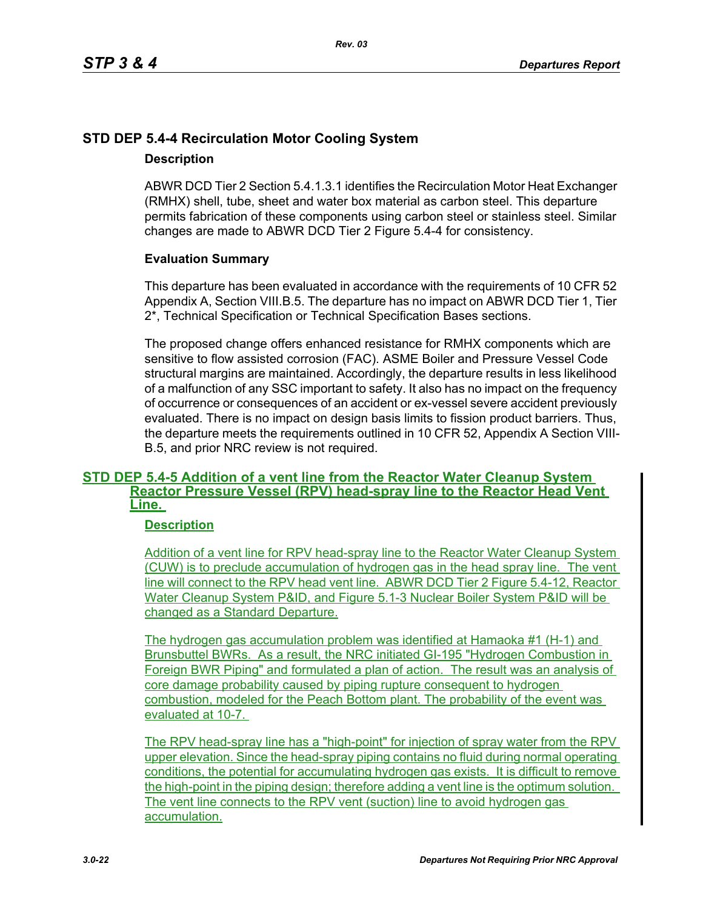## **STD DEP 5.4-4 Recirculation Motor Cooling System**

## **Description**

ABWR DCD Tier 2 Section 5.4.1.3.1 identifies the Recirculation Motor Heat Exchanger (RMHX) shell, tube, sheet and water box material as carbon steel. This departure permits fabrication of these components using carbon steel or stainless steel. Similar changes are made to ABWR DCD Tier 2 Figure 5.4-4 for consistency.

## **Evaluation Summary**

This departure has been evaluated in accordance with the requirements of 10 CFR 52 Appendix A, Section VIII.B.5. The departure has no impact on ABWR DCD Tier 1, Tier 2\*, Technical Specification or Technical Specification Bases sections.

The proposed change offers enhanced resistance for RMHX components which are sensitive to flow assisted corrosion (FAC). ASME Boiler and Pressure Vessel Code structural margins are maintained. Accordingly, the departure results in less likelihood of a malfunction of any SSC important to safety. It also has no impact on the frequency of occurrence or consequences of an accident or ex-vessel severe accident previously evaluated. There is no impact on design basis limits to fission product barriers. Thus, the departure meets the requirements outlined in 10 CFR 52, Appendix A Section VIII-B.5, and prior NRC review is not required.

#### **STD DEP 5.4-5 Addition of a vent line from the Reactor Water Cleanup System Reactor Pressure Vessel (RPV) head-spray line to the Reactor Head Vent Line.**

## **Description**

Addition of a vent line for RPV head-spray line to the Reactor Water Cleanup System (CUW) is to preclude accumulation of hydrogen gas in the head spray line. The vent line will connect to the RPV head vent line. ABWR DCD Tier 2 Figure 5.4-12, Reactor Water Cleanup System P&ID, and Figure 5.1-3 Nuclear Boiler System P&ID will be changed as a Standard Departure.

The hydrogen gas accumulation problem was identified at Hamaoka #1 (H-1) and Brunsbuttel BWRs. As a result, the NRC initiated GI-195 "Hydrogen Combustion in Foreign BWR Piping" and formulated a plan of action. The result was an analysis of core damage probability caused by piping rupture consequent to hydrogen combustion, modeled for the Peach Bottom plant. The probability of the event was evaluated at 10-7.

The RPV head-spray line has a "high-point" for injection of spray water from the RPV upper elevation. Since the head-spray piping contains no fluid during normal operating conditions, the potential for accumulating hydrogen gas exists. It is difficult to remove the high-point in the piping design; therefore adding a vent line is the optimum solution. The vent line connects to the RPV vent (suction) line to avoid hydrogen gas accumulation.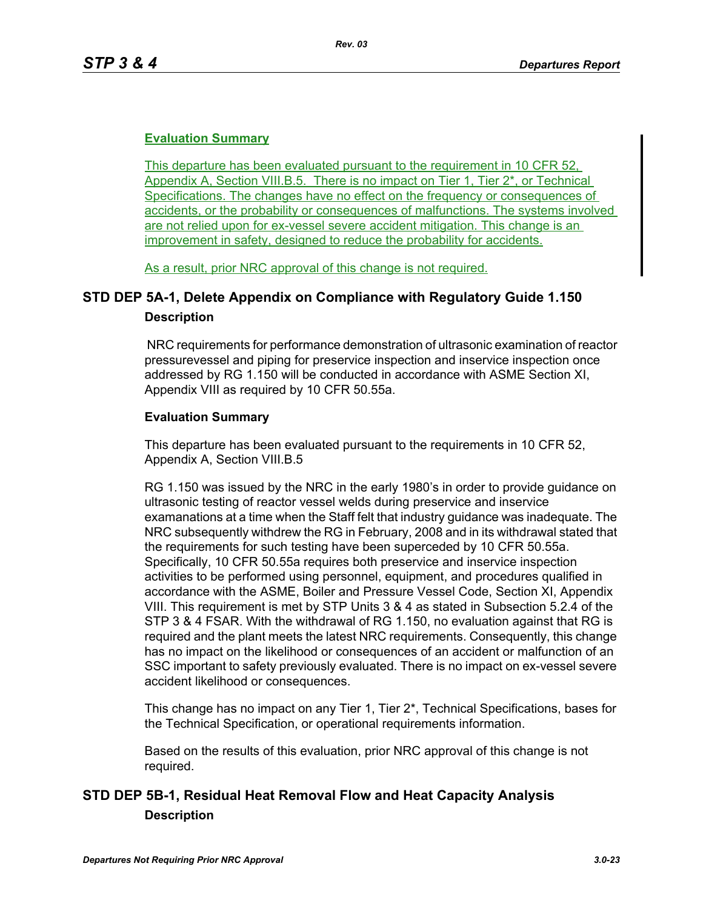## **Evaluation Summary**

This departure has been evaluated pursuant to the requirement in 10 CFR 52, Appendix A, Section VIII.B.5. There is no impact on Tier 1, Tier 2\*, or Technical Specifications. The changes have no effect on the frequency or consequences of accidents, or the probability or consequences of malfunctions. The systems involved are not relied upon for ex-vessel severe accident mitigation. This change is an improvement in safety, designed to reduce the probability for accidents.

As a result, prior NRC approval of this change is not required.

## **STD DEP 5A-1, Delete Appendix on Compliance with Regulatory Guide 1.150 Description**

 NRC requirements for performance demonstration of ultrasonic examination of reactor pressurevessel and piping for preservice inspection and inservice inspection once addressed by RG 1.150 will be conducted in accordance with ASME Section XI, Appendix VIII as required by 10 CFR 50.55a.

## **Evaluation Summary**

This departure has been evaluated pursuant to the requirements in 10 CFR 52, Appendix A, Section VIII.B.5

RG 1.150 was issued by the NRC in the early 1980's in order to provide guidance on ultrasonic testing of reactor vessel welds during preservice and inservice examanations at a time when the Staff felt that industry guidance was inadequate. The NRC subsequently withdrew the RG in February, 2008 and in its withdrawal stated that the requirements for such testing have been superceded by 10 CFR 50.55a. Specifically, 10 CFR 50.55a requires both preservice and inservice inspection activities to be performed using personnel, equipment, and procedures qualified in accordance with the ASME, Boiler and Pressure Vessel Code, Section XI, Appendix VIII. This requirement is met by STP Units 3 & 4 as stated in Subsection 5.2.4 of the STP 3 & 4 FSAR. With the withdrawal of RG 1.150, no evaluation against that RG is required and the plant meets the latest NRC requirements. Consequently, this change has no impact on the likelihood or consequences of an accident or malfunction of an SSC important to safety previously evaluated. There is no impact on ex-vessel severe accident likelihood or consequences.

This change has no impact on any Tier 1, Tier 2\*, Technical Specifications, bases for the Technical Specification, or operational requirements information.

Based on the results of this evaluation, prior NRC approval of this change is not required.

## **STD DEP 5B-1, Residual Heat Removal Flow and Heat Capacity Analysis Description**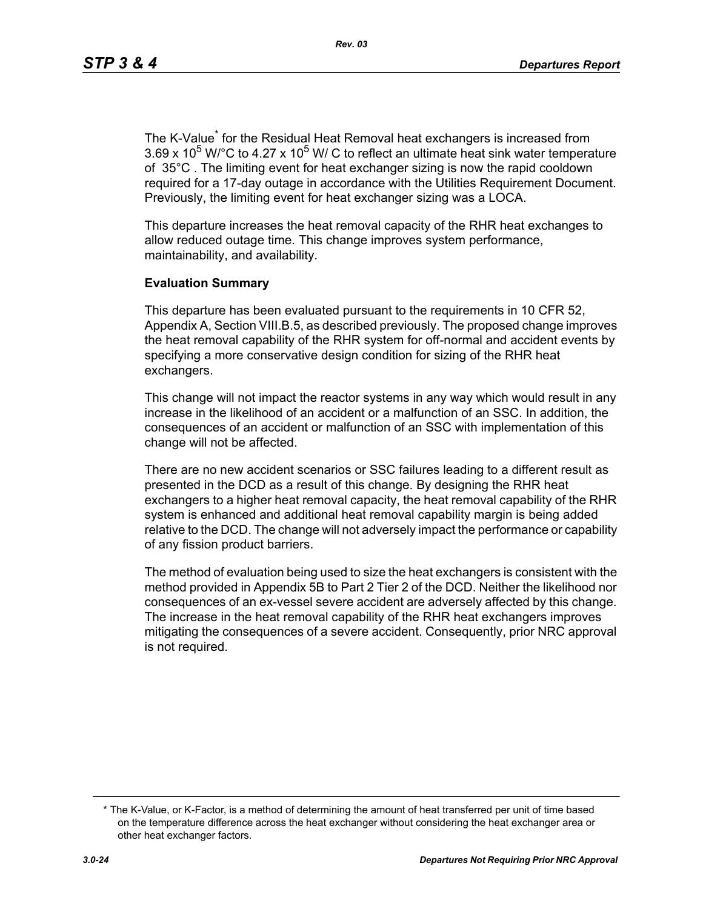The K-Value<sup>\*</sup> for the Residual Heat Removal heat exchangers is increased from  $3.69 \times 10^5$  W/°C to 4.27 x 10<sup>5</sup> W/ C to reflect an ultimate heat sink water temperature of 35°C . The limiting event for heat exchanger sizing is now the rapid cooldown required for a 17-day outage in accordance with the Utilities Requirement Document. Previously, the limiting event for heat exchanger sizing was a LOCA.

This departure increases the heat removal capacity of the RHR heat exchanges to allow reduced outage time. This change improves system performance, maintainability, and availability.

#### **Evaluation Summary**

This departure has been evaluated pursuant to the requirements in 10 CFR 52, Appendix A, Section VIII.B.5, as described previously. The proposed change improves the heat removal capability of the RHR system for off-normal and accident events by specifying a more conservative design condition for sizing of the RHR heat exchangers.

This change will not impact the reactor systems in any way which would result in any increase in the likelihood of an accident or a malfunction of an SSC. In addition, the consequences of an accident or malfunction of an SSC with implementation of this change will not be affected.

There are no new accident scenarios or SSC failures leading to a different result as presented in the DCD as a result of this change. By designing the RHR heat exchangers to a higher heat removal capacity, the heat removal capability of the RHR system is enhanced and additional heat removal capability margin is being added relative to the DCD. The change will not adversely impact the performance or capability of any fission product barriers.

The method of evaluation being used to size the heat exchangers is consistent with the method provided in Appendix 5B to Part 2 Tier 2 of the DCD. Neither the likelihood nor consequences of an ex-vessel severe accident are adversely affected by this change. The increase in the heat removal capability of the RHR heat exchangers improves mitigating the consequences of a severe accident. Consequently, prior NRC approval is not required.

<sup>\*</sup> The K-Value, or K-Factor, is a method of determining the amount of heat transferred per unit of time based on the temperature difference across the heat exchanger without considering the heat exchanger area or other heat exchanger factors.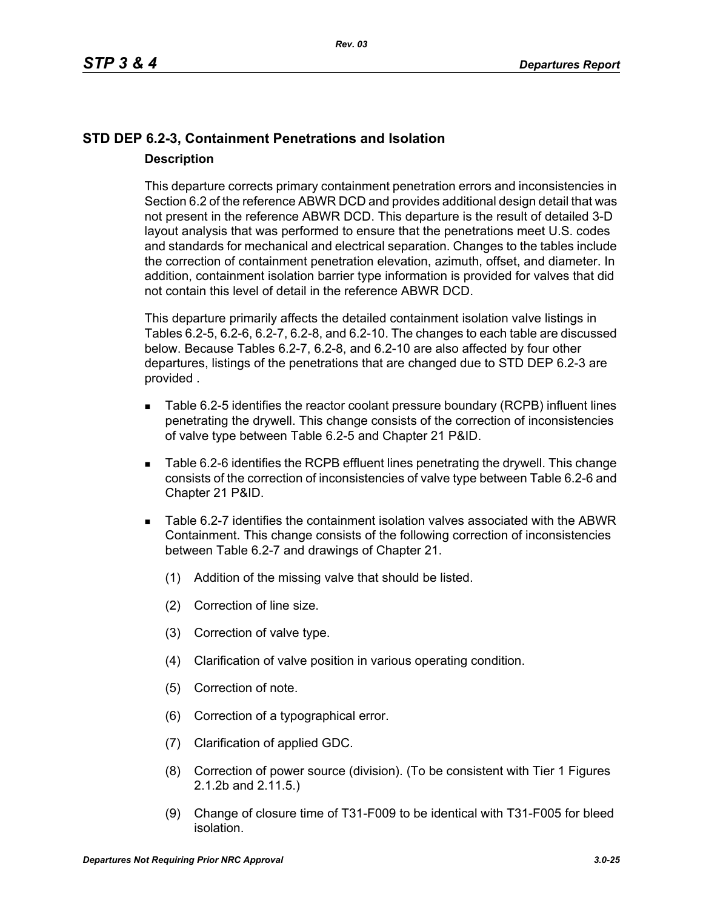## **STD DEP 6.2-3, Containment Penetrations and Isolation Description**

This departure corrects primary containment penetration errors and inconsistencies in Section 6.2 of the reference ABWR DCD and provides additional design detail that was not present in the reference ABWR DCD. This departure is the result of detailed 3-D layout analysis that was performed to ensure that the penetrations meet U.S. codes and standards for mechanical and electrical separation. Changes to the tables include the correction of containment penetration elevation, azimuth, offset, and diameter. In addition, containment isolation barrier type information is provided for valves that did not contain this level of detail in the reference ABWR DCD.

This departure primarily affects the detailed containment isolation valve listings in Tables 6.2-5, 6.2-6, 6.2-7, 6.2-8, and 6.2-10. The changes to each table are discussed below. Because Tables 6.2-7, 6.2-8, and 6.2-10 are also affected by four other departures, listings of the penetrations that are changed due to STD DEP 6.2-3 are provided .

- Table 6.2-5 identifies the reactor coolant pressure boundary (RCPB) influent lines penetrating the drywell. This change consists of the correction of inconsistencies of valve type between Table 6.2-5 and Chapter 21 P&ID.
- Table 6.2-6 identifies the RCPB effluent lines penetrating the drywell. This change consists of the correction of inconsistencies of valve type between Table 6.2-6 and Chapter 21 P&ID.
- Table 6.2-7 identifies the containment isolation valves associated with the ABWR Containment. This change consists of the following correction of inconsistencies between Table 6.2-7 and drawings of Chapter 21.
	- (1) Addition of the missing valve that should be listed.
	- (2) Correction of line size.
	- (3) Correction of valve type.
	- (4) Clarification of valve position in various operating condition.
	- (5) Correction of note.
	- (6) Correction of a typographical error.
	- (7) Clarification of applied GDC.
	- (8) Correction of power source (division). (To be consistent with Tier 1 Figures 2.1.2b and 2.11.5.)
	- (9) Change of closure time of T31-F009 to be identical with T31-F005 for bleed isolation.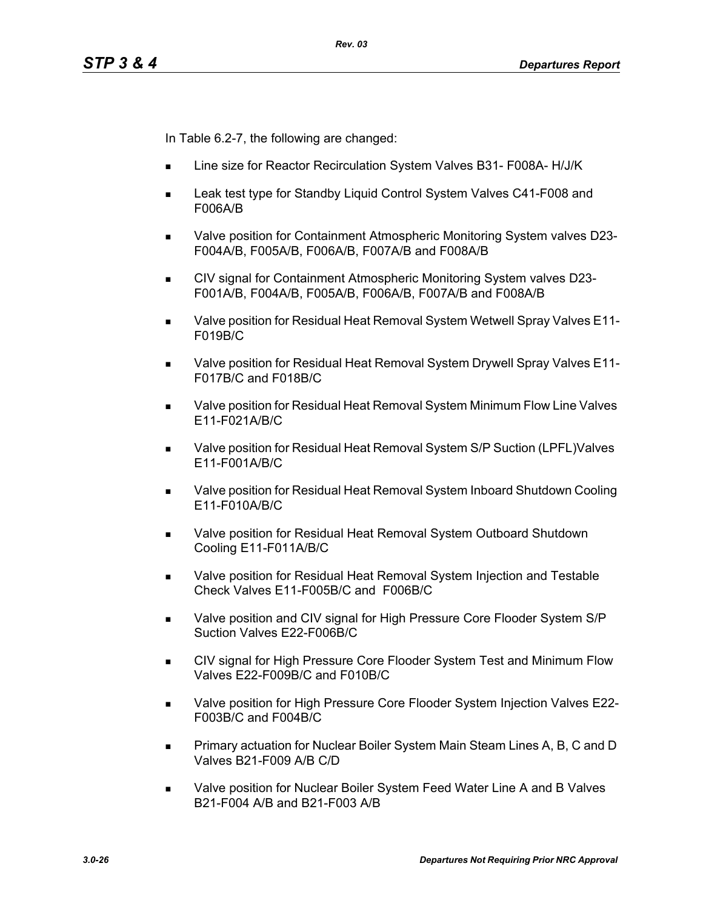In Table 6.2-7, the following are changed:

- Line size for Reactor Recirculation System Valves B31- F008A- H/J/K
- Leak test type for Standby Liquid Control System Valves C41-F008 and F006A/B
- Valve position for Containment Atmospheric Monitoring System valves D23- F004A/B, F005A/B, F006A/B, F007A/B and F008A/B
- CIV signal for Containment Atmospheric Monitoring System valves D23- F001A/B, F004A/B, F005A/B, F006A/B, F007A/B and F008A/B
- Valve position for Residual Heat Removal System Wetwell Spray Valves E11- F019B/C
- Valve position for Residual Heat Removal System Drywell Spray Valves E11- F017B/C and F018B/C
- Valve position for Residual Heat Removal System Minimum Flow Line Valves E11-F021A/B/C
- Valve position for Residual Heat Removal System S/P Suction (LPFL)Valves E11-F001A/B/C
- Valve position for Residual Heat Removal System Inboard Shutdown Cooling E11-F010A/B/C
- Valve position for Residual Heat Removal System Outboard Shutdown Cooling E11-F011A/B/C
- **Nalve position for Residual Heat Removal System Injection and Testable** Check Valves E11-F005B/C and F006B/C
- Valve position and CIV signal for High Pressure Core Flooder System S/P Suction Valves E22-F006B/C
- CIV signal for High Pressure Core Flooder System Test and Minimum Flow Valves E22-F009B/C and F010B/C
- Valve position for High Pressure Core Flooder System Injection Valves E22- F003B/C and F004B/C
- **Primary actuation for Nuclear Boiler System Main Steam Lines A, B, C and D** Valves B21-F009 A/B C/D
- Valve position for Nuclear Boiler System Feed Water Line A and B Valves B21-F004 A/B and B21-F003 A/B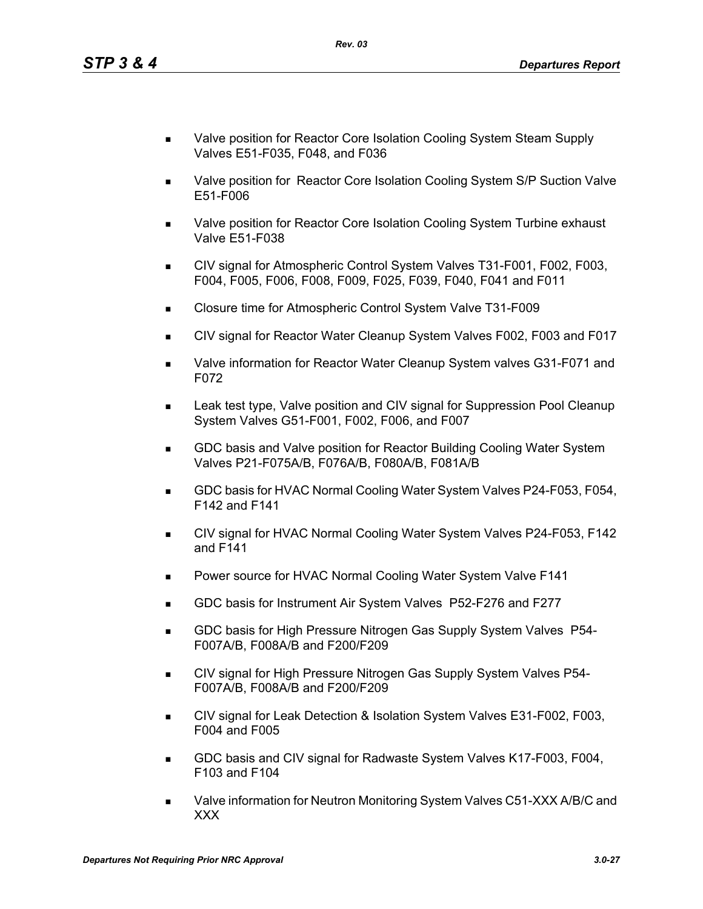- Valve position for Reactor Core Isolation Cooling System Steam Supply Valves E51-F035, F048, and F036
- **Nalve position for Reactor Core Isolation Cooling System S/P Suction Valve** E51-F006
- Valve position for Reactor Core Isolation Cooling System Turbine exhaust Valve E51-F038
- CIV signal for Atmospheric Control System Valves T31-F001, F002, F003, F004, F005, F006, F008, F009, F025, F039, F040, F041 and F011
- Closure time for Atmospheric Control System Valve T31-F009
- CIV signal for Reactor Water Cleanup System Valves F002, F003 and F017
- Valve information for Reactor Water Cleanup System valves G31-F071 and F072
- Leak test type, Valve position and CIV signal for Suppression Pool Cleanup System Valves G51-F001, F002, F006, and F007
- GDC basis and Valve position for Reactor Building Cooling Water System Valves P21-F075A/B, F076A/B, F080A/B, F081A/B
- GDC basis for HVAC Normal Cooling Water System Valves P24-F053, F054, F142 and F141
- CIV signal for HVAC Normal Cooling Water System Valves P24-F053, F142 and F141
- **Power source for HVAC Normal Cooling Water System Valve F141**
- GDC basis for Instrument Air System Valves P52-F276 and F277
- **GDC basis for High Pressure Nitrogen Gas Supply System Valves P54-**F007A/B, F008A/B and F200/F209
- **CIV signal for High Pressure Nitrogen Gas Supply System Valves P54-**F007A/B, F008A/B and F200/F209
- CIV signal for Leak Detection & Isolation System Valves E31-F002, F003, F004 and F005
- GDC basis and CIV signal for Radwaste System Valves K17-F003, F004, F103 and F104
- Valve information for Neutron Monitoring System Valves C51-XXX A/B/C and XXX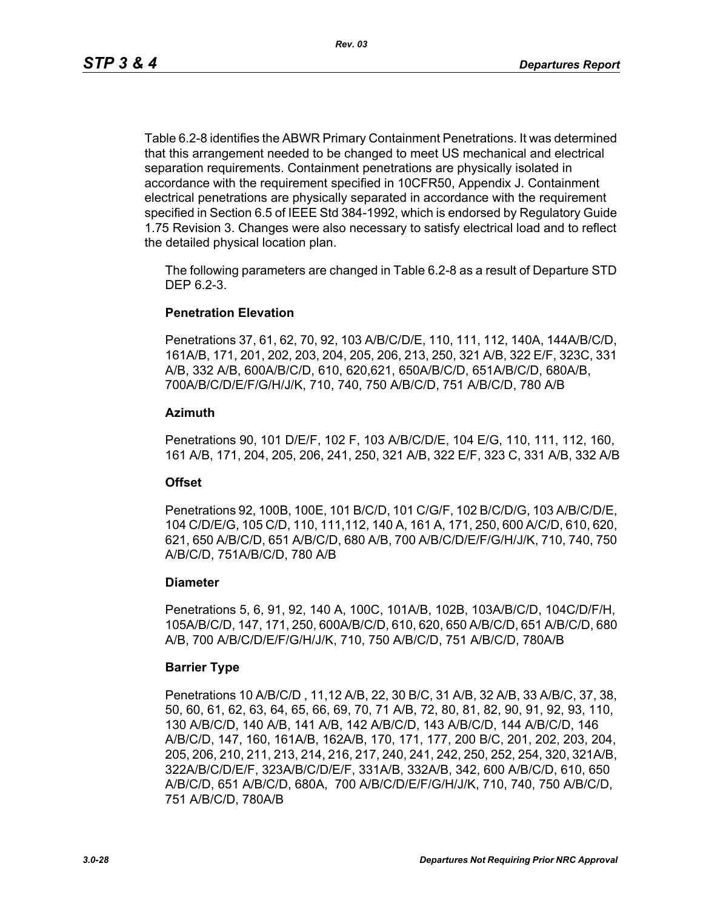Table 6.2-8 identifies the ABWR Primary Containment Penetrations. It was determined that this arrangement needed to be changed to meet US mechanical and electrical separation requirements. Containment penetrations are physically isolated in accordance with the requirement specified in 10CFR50, Appendix J. Containment electrical penetrations are physically separated in accordance with the requirement specified in Section 6.5 of IEEE Std 384-1992, which is endorsed by Regulatory Guide 1.75 Revision 3. Changes were also necessary to satisfy electrical load and to reflect the detailed physical location plan.

The following parameters are changed in Table 6.2-8 as a result of Departure STD DEP 6.2-3.

#### **Penetration Elevation**

Penetrations 37, 61, 62, 70, 92, 103 A/B/C/D/E, 110, 111, 112, 140A, 144A/B/C/D, 161A/B, 171, 201, 202, 203, 204, 205, 206, 213, 250, 321 A/B, 322 E/F, 323C, 331 A/B, 332 A/B, 600A/B/C/D, 610, 620,621, 650A/B/C/D, 651A/B/C/D, 680A/B, 700A/B/C/D/E/F/G/H/J/K, 710, 740, 750 A/B/C/D, 751 A/B/C/D, 780 A/B

#### **Azimuth**

Penetrations 90, 101 D/E/F, 102 F, 103 A/B/C/D/E, 104 E/G, 110, 111, 112, 160, 161 A/B, 171, 204, 205, 206, 241, 250, 321 A/B, 322 E/F, 323 C, 331 A/B, 332 A/B

#### **Offset**

Penetrations 92, 100B, 100E, 101 B/C/D, 101 C/G/F, 102 B/C/D/G, 103 A/B/C/D/E, 104 C/D/E/G, 105 C/D, 110, 111,112, 140 A, 161 A, 171, 250, 600 A/C/D, 610, 620, 621, 650 A/B/C/D, 651 A/B/C/D, 680 A/B, 700 A/B/C/D/E/F/G/H/J/K, 710, 740, 750 A/B/C/D, 751A/B/C/D, 780 A/B

#### **Diameter**

Penetrations 5, 6, 91, 92, 140 A, 100C, 101A/B, 102B, 103A/B/C/D, 104C/D/F/H, 105A/B/C/D, 147, 171, 250, 600A/B/C/D, 610, 620, 650 A/B/C/D, 651 A/B/C/D, 680 A/B, 700 A/B/C/D/E/F/G/H/J/K, 710, 750 A/B/C/D, 751 A/B/C/D, 780A/B

#### **Barrier Type**

Penetrations 10 A/B/C/D , 11,12 A/B, 22, 30 B/C, 31 A/B, 32 A/B, 33 A/B/C, 37, 38, 50, 60, 61, 62, 63, 64, 65, 66, 69, 70, 71 A/B, 72, 80, 81, 82, 90, 91, 92, 93, 110, 130 A/B/C/D, 140 A/B, 141 A/B, 142 A/B/C/D, 143 A/B/C/D, 144 A/B/C/D, 146 A/B/C/D, 147, 160, 161A/B, 162A/B, 170, 171, 177, 200 B/C, 201, 202, 203, 204, 205, 206, 210, 211, 213, 214, 216, 217, 240, 241, 242, 250, 252, 254, 320, 321A/B, 322A/B/C/D/E/F, 323A/B/C/D/E/F, 331A/B, 332A/B, 342, 600 A/B/C/D, 610, 650 A/B/C/D, 651 A/B/C/D, 680A, 700 A/B/C/D/E/F/G/H/J/K, 710, 740, 750 A/B/C/D, 751 A/B/C/D, 780A/B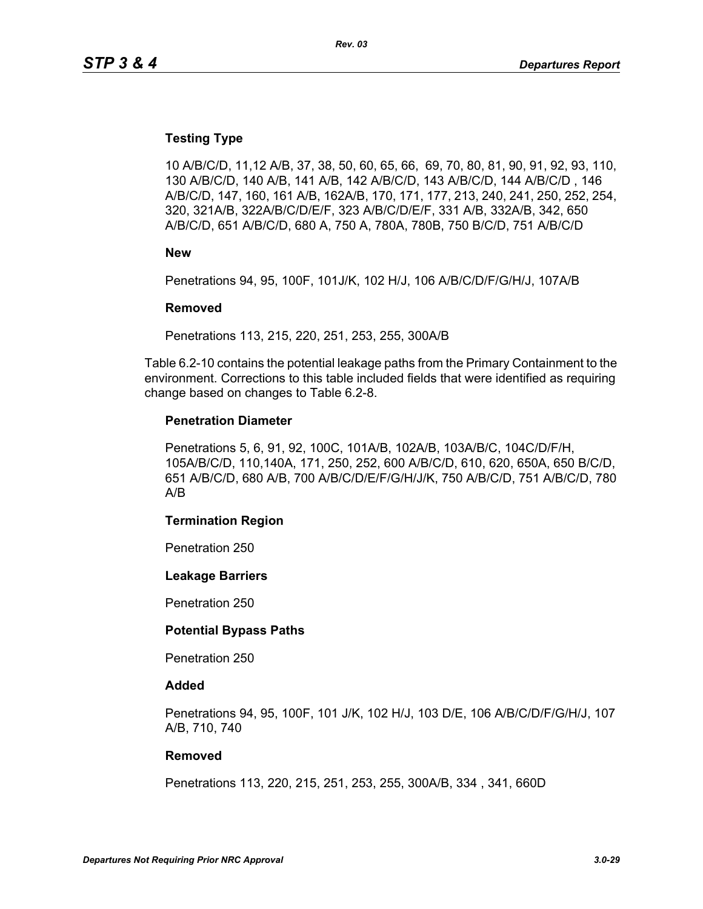### **Testing Type**

10 A/B/C/D, 11,12 A/B, 37, 38, 50, 60, 65, 66, 69, 70, 80, 81, 90, 91, 92, 93, 110, 130 A/B/C/D, 140 A/B, 141 A/B, 142 A/B/C/D, 143 A/B/C/D, 144 A/B/C/D , 146 A/B/C/D, 147, 160, 161 A/B, 162A/B, 170, 171, 177, 213, 240, 241, 250, 252, 254, 320, 321A/B, 322A/B/C/D/E/F, 323 A/B/C/D/E/F, 331 A/B, 332A/B, 342, 650 A/B/C/D, 651 A/B/C/D, 680 A, 750 A, 780A, 780B, 750 B/C/D, 751 A/B/C/D

**New**

Penetrations 94, 95, 100F, 101J/K, 102 H/J, 106 A/B/C/D/F/G/H/J, 107A/B

#### **Removed**

Penetrations 113, 215, 220, 251, 253, 255, 300A/B

Table 6.2-10 contains the potential leakage paths from the Primary Containment to the environment. Corrections to this table included fields that were identified as requiring change based on changes to Table 6.2-8.

#### **Penetration Diameter**

Penetrations 5, 6, 91, 92, 100C, 101A/B, 102A/B, 103A/B/C, 104C/D/F/H, 105A/B/C/D, 110,140A, 171, 250, 252, 600 A/B/C/D, 610, 620, 650A, 650 B/C/D, 651 A/B/C/D, 680 A/B, 700 A/B/C/D/E/F/G/H/J/K, 750 A/B/C/D, 751 A/B/C/D, 780 A/B

#### **Termination Region**

Penetration 250

#### **Leakage Barriers**

Penetration 250

#### **Potential Bypass Paths**

Penetration 250

#### **Added**

Penetrations 94, 95, 100F, 101 J/K, 102 H/J, 103 D/E, 106 A/B/C/D/F/G/H/J, 107 A/B, 710, 740

#### **Removed**

Penetrations 113, 220, 215, 251, 253, 255, 300A/B, 334 , 341, 660D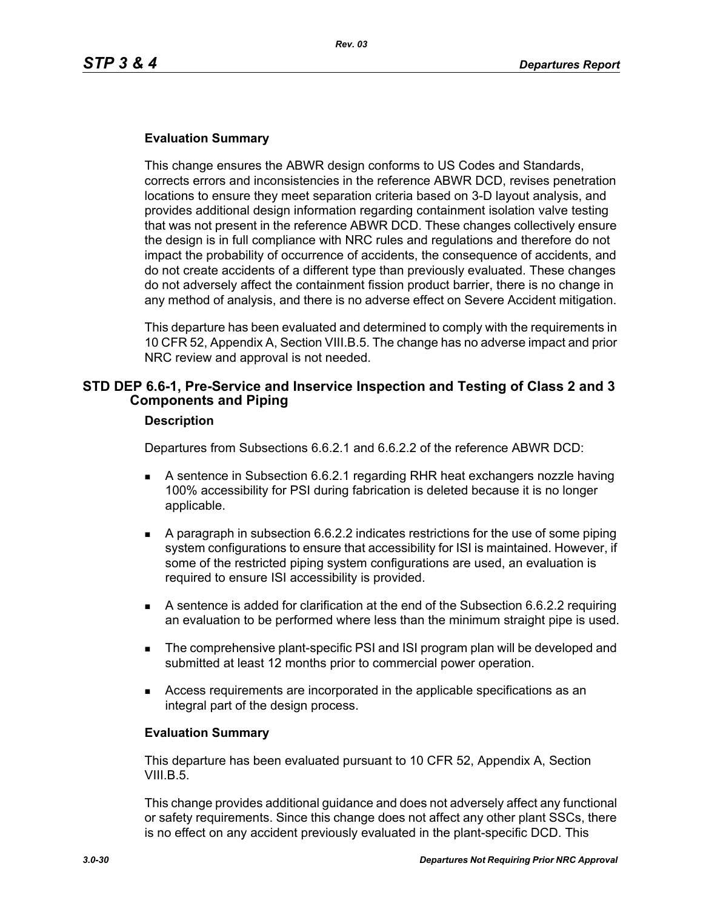#### **Evaluation Summary**

This change ensures the ABWR design conforms to US Codes and Standards, corrects errors and inconsistencies in the reference ABWR DCD, revises penetration locations to ensure they meet separation criteria based on 3-D layout analysis, and provides additional design information regarding containment isolation valve testing that was not present in the reference ABWR DCD. These changes collectively ensure the design is in full compliance with NRC rules and regulations and therefore do not impact the probability of occurrence of accidents, the consequence of accidents, and do not create accidents of a different type than previously evaluated. These changes do not adversely affect the containment fission product barrier, there is no change in any method of analysis, and there is no adverse effect on Severe Accident mitigation.

This departure has been evaluated and determined to comply with the requirements in 10 CFR 52, Appendix A, Section VIII.B.5. The change has no adverse impact and prior NRC review and approval is not needed.

## **STD DEP 6.6-1, Pre-Service and Inservice Inspection and Testing of Class 2 and 3 Components and Piping**

#### **Description**

Departures from Subsections 6.6.2.1 and 6.6.2.2 of the reference ABWR DCD:

- A sentence in Subsection 6.6.2.1 regarding RHR heat exchangers nozzle having 100% accessibility for PSI during fabrication is deleted because it is no longer applicable.
- A paragraph in subsection 6.6.2.2 indicates restrictions for the use of some piping system configurations to ensure that accessibility for ISI is maintained. However, if some of the restricted piping system configurations are used, an evaluation is required to ensure ISI accessibility is provided.
- A sentence is added for clarification at the end of the Subsection 6.6.2.2 requiring an evaluation to be performed where less than the minimum straight pipe is used.
- **The comprehensive plant-specific PSI and ISI program plan will be developed and** submitted at least 12 months prior to commercial power operation.
- Access requirements are incorporated in the applicable specifications as an integral part of the design process.

#### **Evaluation Summary**

This departure has been evaluated pursuant to 10 CFR 52, Appendix A, Section VIII.B.5.

This change provides additional guidance and does not adversely affect any functional or safety requirements. Since this change does not affect any other plant SSCs, there is no effect on any accident previously evaluated in the plant-specific DCD. This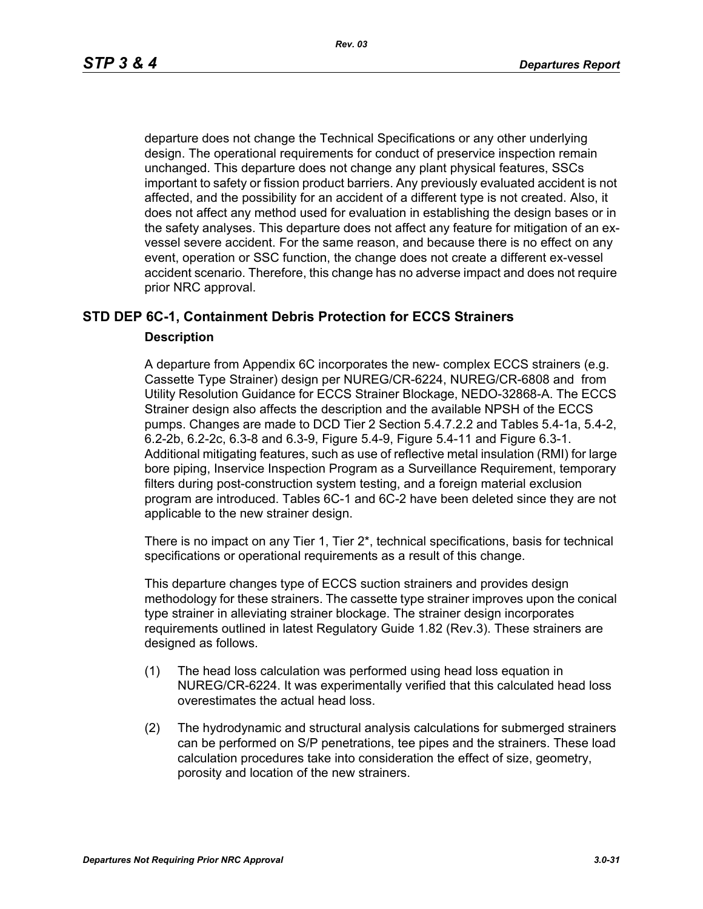departure does not change the Technical Specifications or any other underlying design. The operational requirements for conduct of preservice inspection remain unchanged. This departure does not change any plant physical features, SSCs important to safety or fission product barriers. Any previously evaluated accident is not affected, and the possibility for an accident of a different type is not created. Also, it does not affect any method used for evaluation in establishing the design bases or in the safety analyses. This departure does not affect any feature for mitigation of an exvessel severe accident. For the same reason, and because there is no effect on any event, operation or SSC function, the change does not create a different ex-vessel accident scenario. Therefore, this change has no adverse impact and does not require prior NRC approval.

## **STD DEP 6C-1, Containment Debris Protection for ECCS Strainers**

#### **Description**

A departure from Appendix 6C incorporates the new- complex ECCS strainers (e.g. Cassette Type Strainer) design per NUREG/CR-6224, NUREG/CR-6808 and from Utility Resolution Guidance for ECCS Strainer Blockage, NEDO-32868-A. The ECCS Strainer design also affects the description and the available NPSH of the ECCS pumps. Changes are made to DCD Tier 2 Section 5.4.7.2.2 and Tables 5.4-1a, 5.4-2, 6.2-2b, 6.2-2c, 6.3-8 and 6.3-9, Figure 5.4-9, Figure 5.4-11 and Figure 6.3-1. Additional mitigating features, such as use of reflective metal insulation (RMI) for large bore piping, Inservice Inspection Program as a Surveillance Requirement, temporary filters during post-construction system testing, and a foreign material exclusion program are introduced. Tables 6C-1 and 6C-2 have been deleted since they are not applicable to the new strainer design.

There is no impact on any Tier 1, Tier 2\*, technical specifications, basis for technical specifications or operational requirements as a result of this change.

This departure changes type of ECCS suction strainers and provides design methodology for these strainers. The cassette type strainer improves upon the conical type strainer in alleviating strainer blockage. The strainer design incorporates requirements outlined in latest Regulatory Guide 1.82 (Rev.3). These strainers are designed as follows.

- (1) The head loss calculation was performed using head loss equation in NUREG/CR-6224. It was experimentally verified that this calculated head loss overestimates the actual head loss.
- (2) The hydrodynamic and structural analysis calculations for submerged strainers can be performed on S/P penetrations, tee pipes and the strainers. These load calculation procedures take into consideration the effect of size, geometry, porosity and location of the new strainers.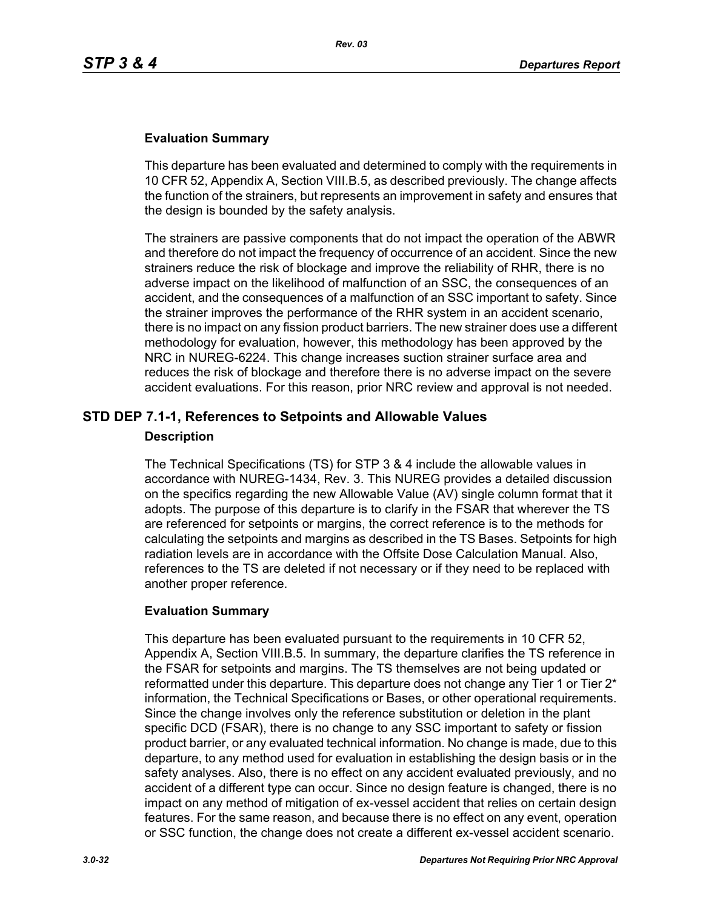### **Evaluation Summary**

This departure has been evaluated and determined to comply with the requirements in 10 CFR 52, Appendix A, Section VIII.B.5, as described previously. The change affects the function of the strainers, but represents an improvement in safety and ensures that the design is bounded by the safety analysis.

The strainers are passive components that do not impact the operation of the ABWR and therefore do not impact the frequency of occurrence of an accident. Since the new strainers reduce the risk of blockage and improve the reliability of RHR, there is no adverse impact on the likelihood of malfunction of an SSC, the consequences of an accident, and the consequences of a malfunction of an SSC important to safety. Since the strainer improves the performance of the RHR system in an accident scenario, there is no impact on any fission product barriers. The new strainer does use a different methodology for evaluation, however, this methodology has been approved by the NRC in NUREG-6224. This change increases suction strainer surface area and reduces the risk of blockage and therefore there is no adverse impact on the severe accident evaluations. For this reason, prior NRC review and approval is not needed.

## **STD DEP 7.1-1, References to Setpoints and Allowable Values**

#### **Description**

The Technical Specifications (TS) for STP 3 & 4 include the allowable values in accordance with NUREG-1434, Rev. 3. This NUREG provides a detailed discussion on the specifics regarding the new Allowable Value (AV) single column format that it adopts. The purpose of this departure is to clarify in the FSAR that wherever the TS are referenced for setpoints or margins, the correct reference is to the methods for calculating the setpoints and margins as described in the TS Bases. Setpoints for high radiation levels are in accordance with the Offsite Dose Calculation Manual. Also, references to the TS are deleted if not necessary or if they need to be replaced with another proper reference.

#### **Evaluation Summary**

This departure has been evaluated pursuant to the requirements in 10 CFR 52, Appendix A, Section VIII.B.5. In summary, the departure clarifies the TS reference in the FSAR for setpoints and margins. The TS themselves are not being updated or reformatted under this departure. This departure does not change any Tier 1 or Tier  $2^*$ information, the Technical Specifications or Bases, or other operational requirements. Since the change involves only the reference substitution or deletion in the plant specific DCD (FSAR), there is no change to any SSC important to safety or fission product barrier, or any evaluated technical information. No change is made, due to this departure, to any method used for evaluation in establishing the design basis or in the safety analyses. Also, there is no effect on any accident evaluated previously, and no accident of a different type can occur. Since no design feature is changed, there is no impact on any method of mitigation of ex-vessel accident that relies on certain design features. For the same reason, and because there is no effect on any event, operation or SSC function, the change does not create a different ex-vessel accident scenario.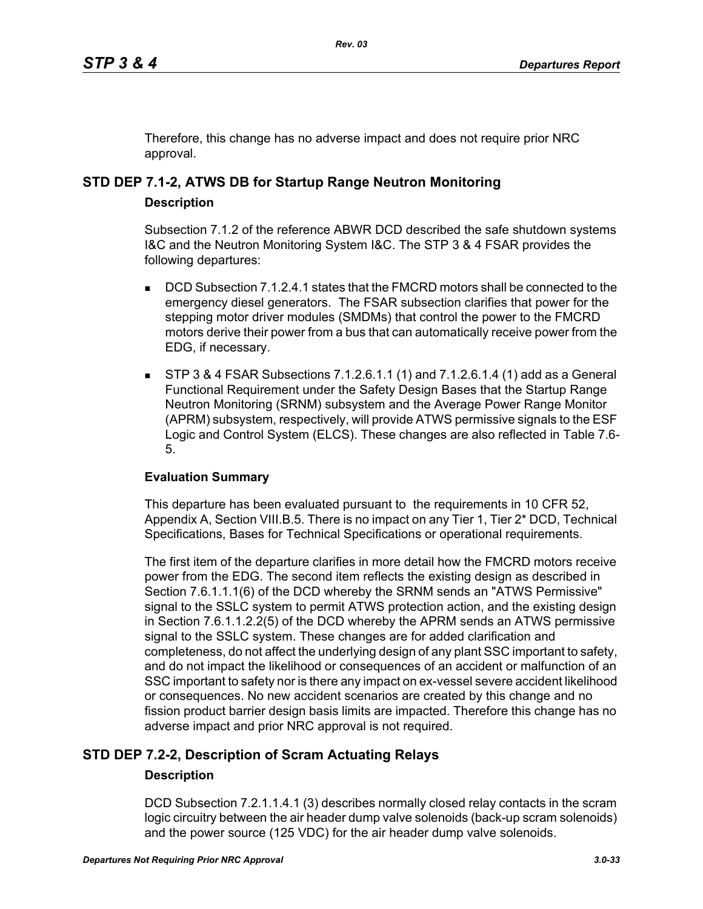Therefore, this change has no adverse impact and does not require prior NRC approval.

# **STD DEP 7.1-2, ATWS DB for Startup Range Neutron Monitoring**

## **Description**

Subsection 7.1.2 of the reference ABWR DCD described the safe shutdown systems I&C and the Neutron Monitoring System I&C. The STP 3 & 4 FSAR provides the following departures:

- DCD Subsection 7.1.2.4.1 states that the FMCRD motors shall be connected to the emergency diesel generators. The FSAR subsection clarifies that power for the stepping motor driver modules (SMDMs) that control the power to the FMCRD motors derive their power from a bus that can automatically receive power from the EDG, if necessary.
- STP 3 & 4 FSAR Subsections 7.1.2.6.1.1 (1) and 7.1.2.6.1.4 (1) add as a General Functional Requirement under the Safety Design Bases that the Startup Range Neutron Monitoring (SRNM) subsystem and the Average Power Range Monitor (APRM) subsystem, respectively, will provide ATWS permissive signals to the ESF Logic and Control System (ELCS). These changes are also reflected in Table 7.6- 5.

## **Evaluation Summary**

This departure has been evaluated pursuant to the requirements in 10 CFR 52, Appendix A, Section VIII.B.5. There is no impact on any Tier 1, Tier 2\* DCD, Technical Specifications, Bases for Technical Specifications or operational requirements.

The first item of the departure clarifies in more detail how the FMCRD motors receive power from the EDG. The second item reflects the existing design as described in Section 7.6.1.1.1(6) of the DCD whereby the SRNM sends an "ATWS Permissive" signal to the SSLC system to permit ATWS protection action, and the existing design in Section 7.6.1.1.2.2(5) of the DCD whereby the APRM sends an ATWS permissive signal to the SSLC system. These changes are for added clarification and completeness, do not affect the underlying design of any plant SSC important to safety, and do not impact the likelihood or consequences of an accident or malfunction of an SSC important to safety nor is there any impact on ex-vessel severe accident likelihood or consequences. No new accident scenarios are created by this change and no fission product barrier design basis limits are impacted. Therefore this change has no adverse impact and prior NRC approval is not required.

## **STD DEP 7.2-2, Description of Scram Actuating Relays**

## **Description**

DCD Subsection 7.2.1.1.4.1 (3) describes normally closed relay contacts in the scram logic circuitry between the air header dump valve solenoids (back-up scram solenoids) and the power source (125 VDC) for the air header dump valve solenoids.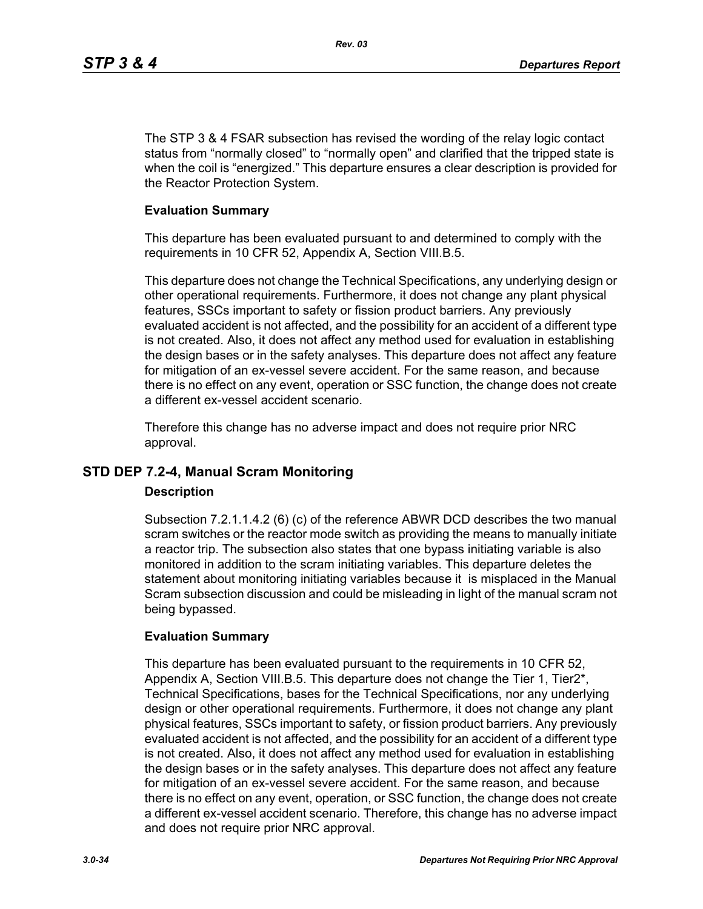The STP 3 & 4 FSAR subsection has revised the wording of the relay logic contact status from "normally closed" to "normally open" and clarified that the tripped state is when the coil is "energized." This departure ensures a clear description is provided for the Reactor Protection System.

#### **Evaluation Summary**

This departure has been evaluated pursuant to and determined to comply with the requirements in 10 CFR 52, Appendix A, Section VIII.B.5.

This departure does not change the Technical Specifications, any underlying design or other operational requirements. Furthermore, it does not change any plant physical features, SSCs important to safety or fission product barriers. Any previously evaluated accident is not affected, and the possibility for an accident of a different type is not created. Also, it does not affect any method used for evaluation in establishing the design bases or in the safety analyses. This departure does not affect any feature for mitigation of an ex-vessel severe accident. For the same reason, and because there is no effect on any event, operation or SSC function, the change does not create a different ex-vessel accident scenario.

Therefore this change has no adverse impact and does not require prior NRC approval.

## **STD DEP 7.2-4, Manual Scram Monitoring**

#### **Description**

Subsection 7.2.1.1.4.2 (6) (c) of the reference ABWR DCD describes the two manual scram switches or the reactor mode switch as providing the means to manually initiate a reactor trip. The subsection also states that one bypass initiating variable is also monitored in addition to the scram initiating variables. This departure deletes the statement about monitoring initiating variables because it is misplaced in the Manual Scram subsection discussion and could be misleading in light of the manual scram not being bypassed.

## **Evaluation Summary**

This departure has been evaluated pursuant to the requirements in 10 CFR 52, Appendix A, Section VIII.B.5. This departure does not change the Tier 1, Tier2\*, Technical Specifications, bases for the Technical Specifications, nor any underlying design or other operational requirements. Furthermore, it does not change any plant physical features, SSCs important to safety, or fission product barriers. Any previously evaluated accident is not affected, and the possibility for an accident of a different type is not created. Also, it does not affect any method used for evaluation in establishing the design bases or in the safety analyses. This departure does not affect any feature for mitigation of an ex-vessel severe accident. For the same reason, and because there is no effect on any event, operation, or SSC function, the change does not create a different ex-vessel accident scenario. Therefore, this change has no adverse impact and does not require prior NRC approval.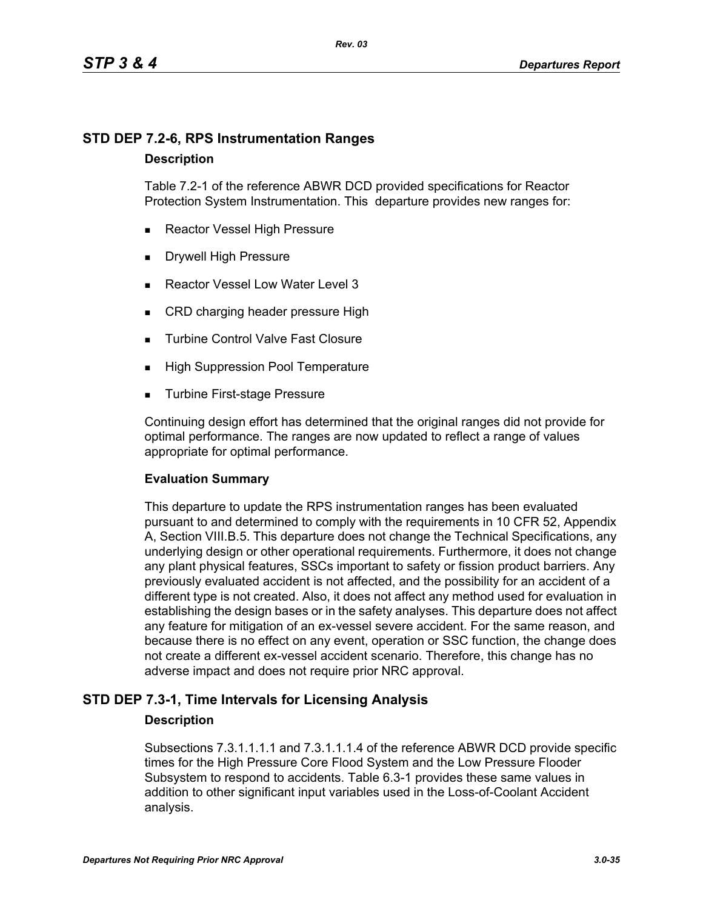## **STD DEP 7.2-6, RPS Instrumentation Ranges**

#### **Description**

Table 7.2-1 of the reference ABWR DCD provided specifications for Reactor Protection System Instrumentation. This departure provides new ranges for:

- Reactor Vessel High Pressure
- Drywell High Pressure
- Reactor Vessel Low Water Level 3
- CRD charging header pressure High
- **Turbine Control Valve Fast Closure**
- **High Suppression Pool Temperature**
- **Turbine First-stage Pressure**

Continuing design effort has determined that the original ranges did not provide for optimal performance. The ranges are now updated to reflect a range of values appropriate for optimal performance.

## **Evaluation Summary**

This departure to update the RPS instrumentation ranges has been evaluated pursuant to and determined to comply with the requirements in 10 CFR 52, Appendix A, Section VIII.B.5. This departure does not change the Technical Specifications, any underlying design or other operational requirements. Furthermore, it does not change any plant physical features, SSCs important to safety or fission product barriers. Any previously evaluated accident is not affected, and the possibility for an accident of a different type is not created. Also, it does not affect any method used for evaluation in establishing the design bases or in the safety analyses. This departure does not affect any feature for mitigation of an ex-vessel severe accident. For the same reason, and because there is no effect on any event, operation or SSC function, the change does not create a different ex-vessel accident scenario. Therefore, this change has no adverse impact and does not require prior NRC approval.

## **STD DEP 7.3-1, Time Intervals for Licensing Analysis**

## **Description**

Subsections 7.3.1.1.1.1 and 7.3.1.1.1.4 of the reference ABWR DCD provide specific times for the High Pressure Core Flood System and the Low Pressure Flooder Subsystem to respond to accidents. Table 6.3-1 provides these same values in addition to other significant input variables used in the Loss-of-Coolant Accident analysis.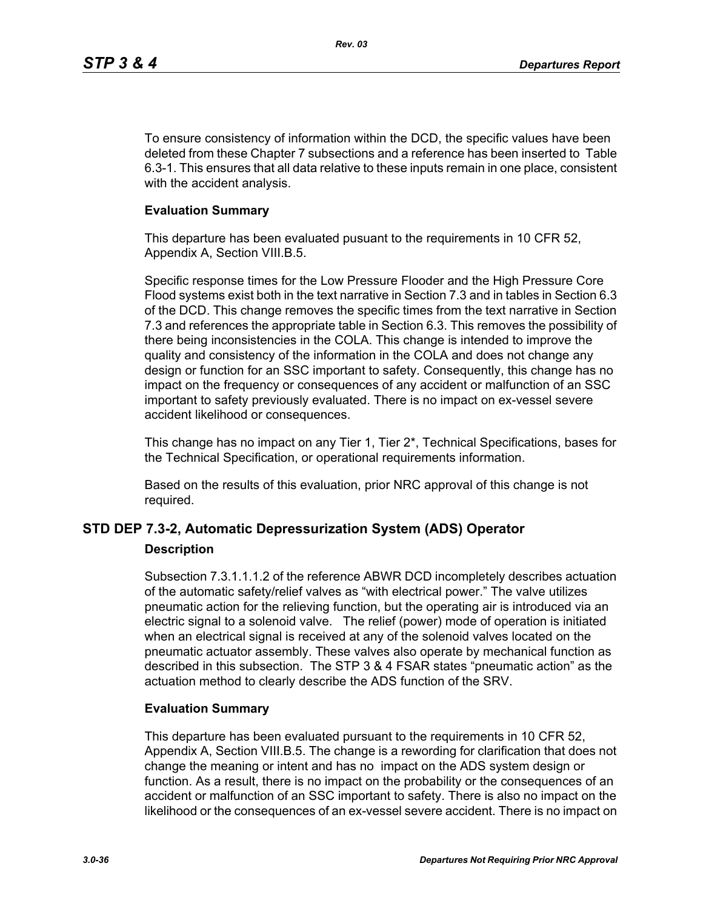To ensure consistency of information within the DCD, the specific values have been deleted from these Chapter 7 subsections and a reference has been inserted to Table 6.3-1. This ensures that all data relative to these inputs remain in one place, consistent with the accident analysis.

#### **Evaluation Summary**

This departure has been evaluated pusuant to the requirements in 10 CFR 52, Appendix A, Section VIII.B.5.

Specific response times for the Low Pressure Flooder and the High Pressure Core Flood systems exist both in the text narrative in Section 7.3 and in tables in Section 6.3 of the DCD. This change removes the specific times from the text narrative in Section 7.3 and references the appropriate table in Section 6.3. This removes the possibility of there being inconsistencies in the COLA. This change is intended to improve the quality and consistency of the information in the COLA and does not change any design or function for an SSC important to safety. Consequently, this change has no impact on the frequency or consequences of any accident or malfunction of an SSC important to safety previously evaluated. There is no impact on ex-vessel severe accident likelihood or consequences.

This change has no impact on any Tier 1, Tier 2\*, Technical Specifications, bases for the Technical Specification, or operational requirements information.

Based on the results of this evaluation, prior NRC approval of this change is not required.

## **STD DEP 7.3-2, Automatic Depressurization System (ADS) Operator**

#### **Description**

Subsection 7.3.1.1.1.2 of the reference ABWR DCD incompletely describes actuation of the automatic safety/relief valves as "with electrical power." The valve utilizes pneumatic action for the relieving function, but the operating air is introduced via an electric signal to a solenoid valve. The relief (power) mode of operation is initiated when an electrical signal is received at any of the solenoid valves located on the pneumatic actuator assembly. These valves also operate by mechanical function as described in this subsection. The STP 3 & 4 FSAR states "pneumatic action" as the actuation method to clearly describe the ADS function of the SRV.

#### **Evaluation Summary**

This departure has been evaluated pursuant to the requirements in 10 CFR 52, Appendix A, Section VIII.B.5. The change is a rewording for clarification that does not change the meaning or intent and has no impact on the ADS system design or function. As a result, there is no impact on the probability or the consequences of an accident or malfunction of an SSC important to safety. There is also no impact on the likelihood or the consequences of an ex-vessel severe accident. There is no impact on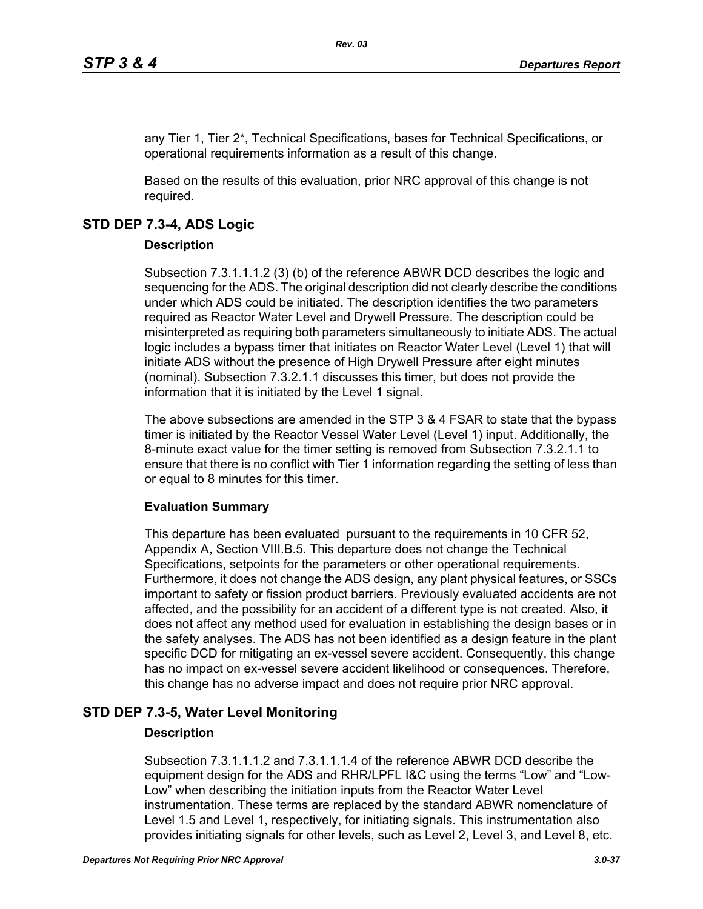any Tier 1, Tier 2\*, Technical Specifications, bases for Technical Specifications, or operational requirements information as a result of this change.

Based on the results of this evaluation, prior NRC approval of this change is not required.

## **STD DEP 7.3-4, ADS Logic**

## **Description**

Subsection 7.3.1.1.1.2 (3) (b) of the reference ABWR DCD describes the logic and sequencing for the ADS. The original description did not clearly describe the conditions under which ADS could be initiated. The description identifies the two parameters required as Reactor Water Level and Drywell Pressure. The description could be misinterpreted as requiring both parameters simultaneously to initiate ADS. The actual logic includes a bypass timer that initiates on Reactor Water Level (Level 1) that will initiate ADS without the presence of High Drywell Pressure after eight minutes (nominal). Subsection 7.3.2.1.1 discusses this timer, but does not provide the information that it is initiated by the Level 1 signal.

The above subsections are amended in the STP 3 & 4 FSAR to state that the bypass timer is initiated by the Reactor Vessel Water Level (Level 1) input. Additionally, the 8-minute exact value for the timer setting is removed from Subsection 7.3.2.1.1 to ensure that there is no conflict with Tier 1 information regarding the setting of less than or equal to 8 minutes for this timer.

## **Evaluation Summary**

This departure has been evaluated pursuant to the requirements in 10 CFR 52, Appendix A, Section VIII.B.5. This departure does not change the Technical Specifications, setpoints for the parameters or other operational requirements. Furthermore, it does not change the ADS design, any plant physical features, or SSCs important to safety or fission product barriers. Previously evaluated accidents are not affected, and the possibility for an accident of a different type is not created. Also, it does not affect any method used for evaluation in establishing the design bases or in the safety analyses. The ADS has not been identified as a design feature in the plant specific DCD for mitigating an ex-vessel severe accident. Consequently, this change has no impact on ex-vessel severe accident likelihood or consequences. Therefore, this change has no adverse impact and does not require prior NRC approval.

## **STD DEP 7.3-5, Water Level Monitoring**

## **Description**

Subsection 7.3.1.1.1.2 and 7.3.1.1.1.4 of the reference ABWR DCD describe the equipment design for the ADS and RHR/LPFL I&C using the terms "Low" and "Low-Low" when describing the initiation inputs from the Reactor Water Level instrumentation. These terms are replaced by the standard ABWR nomenclature of Level 1.5 and Level 1, respectively, for initiating signals. This instrumentation also provides initiating signals for other levels, such as Level 2, Level 3, and Level 8, etc.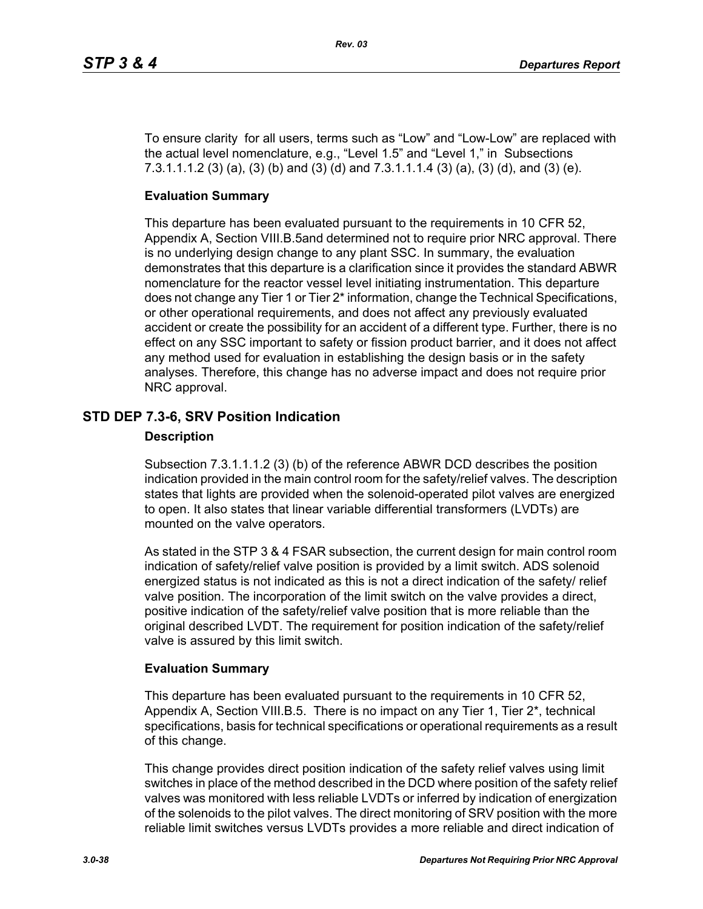To ensure clarity for all users, terms such as "Low" and "Low-Low" are replaced with the actual level nomenclature, e.g., "Level 1.5" and "Level 1," in Subsections 7.3.1.1.1.2 (3) (a), (3) (b) and (3) (d) and 7.3.1.1.1.4 (3) (a), (3) (d), and (3) (e).

## **Evaluation Summary**

This departure has been evaluated pursuant to the requirements in 10 CFR 52, Appendix A, Section VIII.B.5and determined not to require prior NRC approval. There is no underlying design change to any plant SSC. In summary, the evaluation demonstrates that this departure is a clarification since it provides the standard ABWR nomenclature for the reactor vessel level initiating instrumentation. This departure does not change any Tier 1 or Tier 2\* information, change the Technical Specifications, or other operational requirements, and does not affect any previously evaluated accident or create the possibility for an accident of a different type. Further, there is no effect on any SSC important to safety or fission product barrier, and it does not affect any method used for evaluation in establishing the design basis or in the safety analyses. Therefore, this change has no adverse impact and does not require prior NRC approval.

## **STD DEP 7.3-6, SRV Position Indication**

#### **Description**

Subsection 7.3.1.1.1.2 (3) (b) of the reference ABWR DCD describes the position indication provided in the main control room for the safety/relief valves. The description states that lights are provided when the solenoid-operated pilot valves are energized to open. It also states that linear variable differential transformers (LVDTs) are mounted on the valve operators.

As stated in the STP 3 & 4 FSAR subsection, the current design for main control room indication of safety/relief valve position is provided by a limit switch. ADS solenoid energized status is not indicated as this is not a direct indication of the safety/ relief valve position. The incorporation of the limit switch on the valve provides a direct, positive indication of the safety/relief valve position that is more reliable than the original described LVDT. The requirement for position indication of the safety/relief valve is assured by this limit switch.

## **Evaluation Summary**

This departure has been evaluated pursuant to the requirements in 10 CFR 52, Appendix A, Section VIII.B.5. There is no impact on any Tier 1, Tier 2\*, technical specifications, basis for technical specifications or operational requirements as a result of this change.

This change provides direct position indication of the safety relief valves using limit switches in place of the method described in the DCD where position of the safety relief valves was monitored with less reliable LVDTs or inferred by indication of energization of the solenoids to the pilot valves. The direct monitoring of SRV position with the more reliable limit switches versus LVDTs provides a more reliable and direct indication of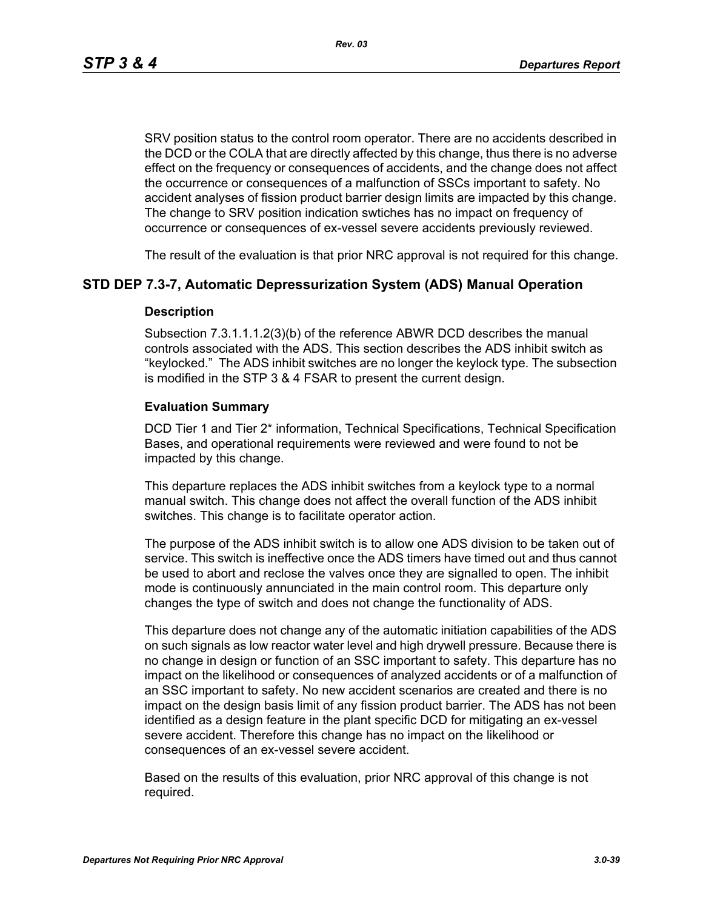SRV position status to the control room operator. There are no accidents described in the DCD or the COLA that are directly affected by this change, thus there is no adverse effect on the frequency or consequences of accidents, and the change does not affect the occurrence or consequences of a malfunction of SSCs important to safety. No accident analyses of fission product barrier design limits are impacted by this change. The change to SRV position indication swtiches has no impact on frequency of occurrence or consequences of ex-vessel severe accidents previously reviewed.

The result of the evaluation is that prior NRC approval is not required for this change.

## **STD DEP 7.3-7, Automatic Depressurization System (ADS) Manual Operation**

#### **Description**

Subsection 7.3.1.1.1.2(3)(b) of the reference ABWR DCD describes the manual controls associated with the ADS. This section describes the ADS inhibit switch as "keylocked." The ADS inhibit switches are no longer the keylock type. The subsection is modified in the STP 3 & 4 FSAR to present the current design.

#### **Evaluation Summary**

DCD Tier 1 and Tier 2\* information, Technical Specifications, Technical Specification Bases, and operational requirements were reviewed and were found to not be impacted by this change.

This departure replaces the ADS inhibit switches from a keylock type to a normal manual switch. This change does not affect the overall function of the ADS inhibit switches. This change is to facilitate operator action.

The purpose of the ADS inhibit switch is to allow one ADS division to be taken out of service. This switch is ineffective once the ADS timers have timed out and thus cannot be used to abort and reclose the valves once they are signalled to open. The inhibit mode is continuously annunciated in the main control room. This departure only changes the type of switch and does not change the functionality of ADS.

This departure does not change any of the automatic initiation capabilities of the ADS on such signals as low reactor water level and high drywell pressure. Because there is no change in design or function of an SSC important to safety. This departure has no impact on the likelihood or consequences of analyzed accidents or of a malfunction of an SSC important to safety. No new accident scenarios are created and there is no impact on the design basis limit of any fission product barrier. The ADS has not been identified as a design feature in the plant specific DCD for mitigating an ex-vessel severe accident. Therefore this change has no impact on the likelihood or consequences of an ex-vessel severe accident.

Based on the results of this evaluation, prior NRC approval of this change is not required.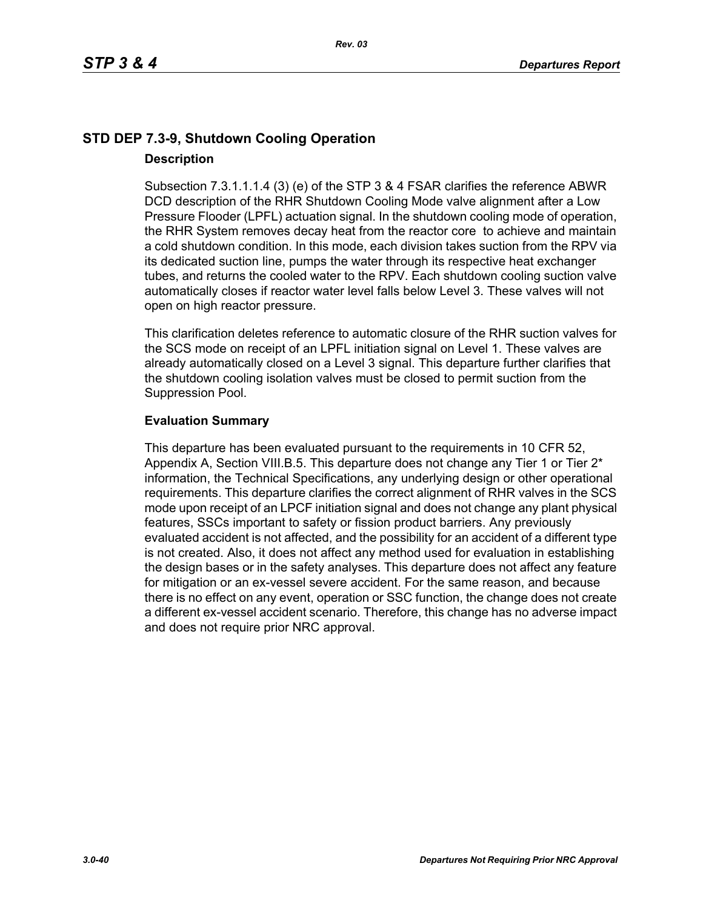## **STD DEP 7.3-9, Shutdown Cooling Operation Description**

Subsection 7.3.1.1.1.4 (3) (e) of the STP 3 & 4 FSAR clarifies the reference ABWR DCD description of the RHR Shutdown Cooling Mode valve alignment after a Low Pressure Flooder (LPFL) actuation signal. In the shutdown cooling mode of operation, the RHR System removes decay heat from the reactor core to achieve and maintain a cold shutdown condition. In this mode, each division takes suction from the RPV via its dedicated suction line, pumps the water through its respective heat exchanger tubes, and returns the cooled water to the RPV. Each shutdown cooling suction valve automatically closes if reactor water level falls below Level 3. These valves will not open on high reactor pressure.

This clarification deletes reference to automatic closure of the RHR suction valves for the SCS mode on receipt of an LPFL initiation signal on Level 1. These valves are already automatically closed on a Level 3 signal. This departure further clarifies that the shutdown cooling isolation valves must be closed to permit suction from the Suppression Pool.

## **Evaluation Summary**

This departure has been evaluated pursuant to the requirements in 10 CFR 52, Appendix A, Section VIII.B.5. This departure does not change any Tier 1 or Tier  $2^*$ information, the Technical Specifications, any underlying design or other operational requirements. This departure clarifies the correct alignment of RHR valves in the SCS mode upon receipt of an LPCF initiation signal and does not change any plant physical features, SSCs important to safety or fission product barriers. Any previously evaluated accident is not affected, and the possibility for an accident of a different type is not created. Also, it does not affect any method used for evaluation in establishing the design bases or in the safety analyses. This departure does not affect any feature for mitigation or an ex-vessel severe accident. For the same reason, and because there is no effect on any event, operation or SSC function, the change does not create a different ex-vessel accident scenario. Therefore, this change has no adverse impact and does not require prior NRC approval.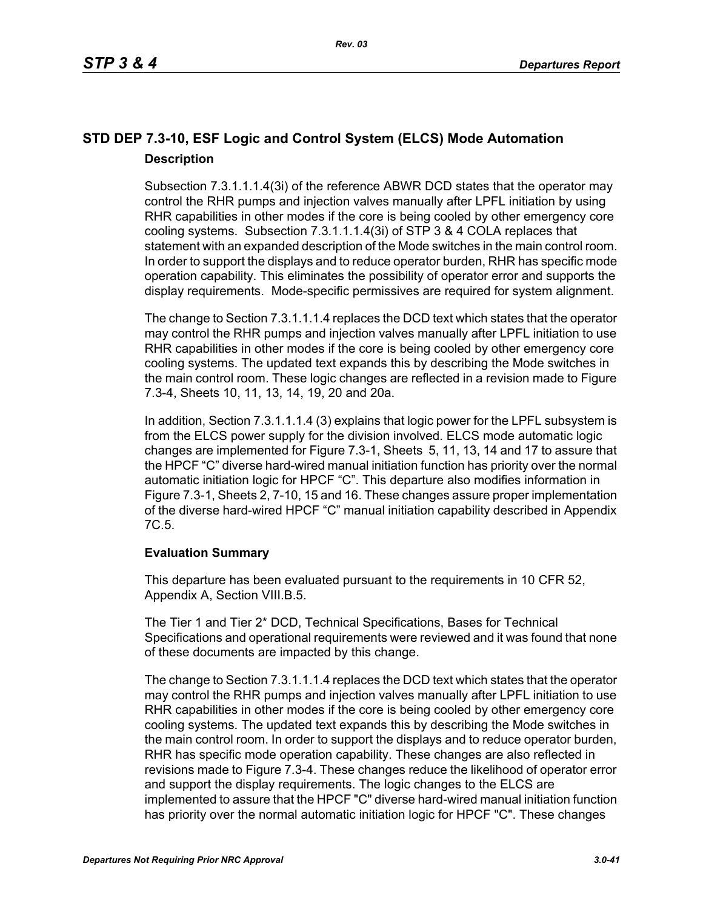## **STD DEP 7.3-10, ESF Logic and Control System (ELCS) Mode Automation Description**

Subsection 7.3.1.1.1.4(3i) of the reference ABWR DCD states that the operator may control the RHR pumps and injection valves manually after LPFL initiation by using RHR capabilities in other modes if the core is being cooled by other emergency core cooling systems. Subsection 7.3.1.1.1.4(3i) of STP 3 & 4 COLA replaces that statement with an expanded description of the Mode switches in the main control room. In order to support the displays and to reduce operator burden, RHR has specific mode operation capability. This eliminates the possibility of operator error and supports the display requirements. Mode-specific permissives are required for system alignment.

The change to Section 7.3.1.1.1.4 replaces the DCD text which states that the operator may control the RHR pumps and injection valves manually after LPFL initiation to use RHR capabilities in other modes if the core is being cooled by other emergency core cooling systems. The updated text expands this by describing the Mode switches in the main control room. These logic changes are reflected in a revision made to Figure 7.3-4, Sheets 10, 11, 13, 14, 19, 20 and 20a.

In addition, Section 7.3.1.1.1.4 (3) explains that logic power for the LPFL subsystem is from the ELCS power supply for the division involved. ELCS mode automatic logic changes are implemented for Figure 7.3-1, Sheets 5, 11, 13, 14 and 17 to assure that the HPCF "C" diverse hard-wired manual initiation function has priority over the normal automatic initiation logic for HPCF "C". This departure also modifies information in Figure 7.3-1, Sheets 2, 7-10, 15 and 16. These changes assure proper implementation of the diverse hard-wired HPCF "C" manual initiation capability described in Appendix 7C.5.

## **Evaluation Summary**

This departure has been evaluated pursuant to the requirements in 10 CFR 52, Appendix A, Section VIII.B.5.

The Tier 1 and Tier 2\* DCD, Technical Specifications, Bases for Technical Specifications and operational requirements were reviewed and it was found that none of these documents are impacted by this change.

The change to Section 7.3.1.1.1.4 replaces the DCD text which states that the operator may control the RHR pumps and injection valves manually after LPFL initiation to use RHR capabilities in other modes if the core is being cooled by other emergency core cooling systems. The updated text expands this by describing the Mode switches in the main control room. In order to support the displays and to reduce operator burden, RHR has specific mode operation capability. These changes are also reflected in revisions made to Figure 7.3-4. These changes reduce the likelihood of operator error and support the display requirements. The logic changes to the ELCS are implemented to assure that the HPCF "C" diverse hard-wired manual initiation function has priority over the normal automatic initiation logic for HPCF "C". These changes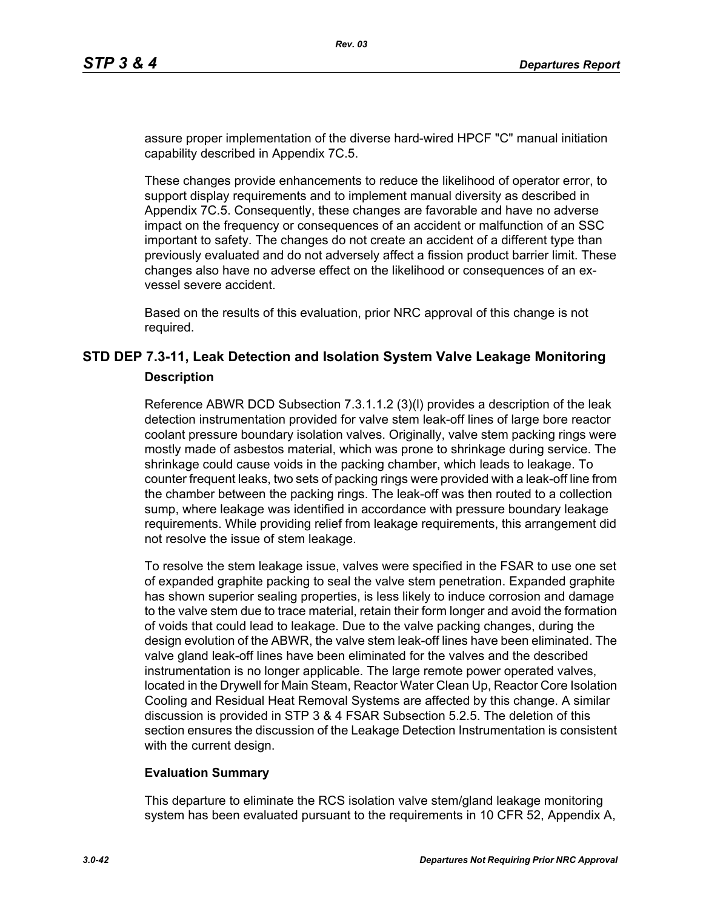assure proper implementation of the diverse hard-wired HPCF "C" manual initiation capability described in Appendix 7C.5.

These changes provide enhancements to reduce the likelihood of operator error, to support display requirements and to implement manual diversity as described in Appendix 7C.5. Consequently, these changes are favorable and have no adverse impact on the frequency or consequences of an accident or malfunction of an SSC important to safety. The changes do not create an accident of a different type than previously evaluated and do not adversely affect a fission product barrier limit. These changes also have no adverse effect on the likelihood or consequences of an exvessel severe accident.

Based on the results of this evaluation, prior NRC approval of this change is not required.

## **STD DEP 7.3-11, Leak Detection and Isolation System Valve Leakage Monitoring Description**

Reference ABWR DCD Subsection 7.3.1.1.2 (3)(l) provides a description of the leak detection instrumentation provided for valve stem leak-off lines of large bore reactor coolant pressure boundary isolation valves. Originally, valve stem packing rings were mostly made of asbestos material, which was prone to shrinkage during service. The shrinkage could cause voids in the packing chamber, which leads to leakage. To counter frequent leaks, two sets of packing rings were provided with a leak-off line from the chamber between the packing rings. The leak-off was then routed to a collection sump, where leakage was identified in accordance with pressure boundary leakage requirements. While providing relief from leakage requirements, this arrangement did not resolve the issue of stem leakage.

To resolve the stem leakage issue, valves were specified in the FSAR to use one set of expanded graphite packing to seal the valve stem penetration. Expanded graphite has shown superior sealing properties, is less likely to induce corrosion and damage to the valve stem due to trace material, retain their form longer and avoid the formation of voids that could lead to leakage. Due to the valve packing changes, during the design evolution of the ABWR, the valve stem leak-off lines have been eliminated. The valve gland leak-off lines have been eliminated for the valves and the described instrumentation is no longer applicable. The large remote power operated valves, located in the Drywell for Main Steam, Reactor Water Clean Up, Reactor Core Isolation Cooling and Residual Heat Removal Systems are affected by this change. A similar discussion is provided in STP 3 & 4 FSAR Subsection 5.2.5. The deletion of this section ensures the discussion of the Leakage Detection Instrumentation is consistent with the current design.

## **Evaluation Summary**

This departure to eliminate the RCS isolation valve stem/gland leakage monitoring system has been evaluated pursuant to the requirements in 10 CFR 52, Appendix A,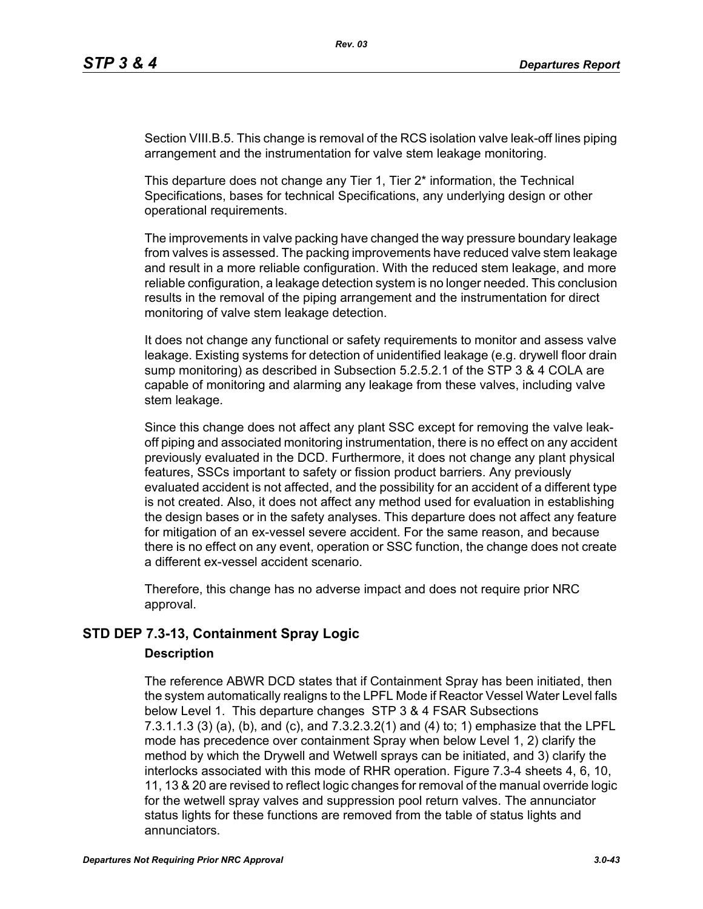Section VIII.B.5. This change is removal of the RCS isolation valve leak-off lines piping arrangement and the instrumentation for valve stem leakage monitoring.

This departure does not change any Tier 1, Tier 2<sup>\*</sup> information, the Technical Specifications, bases for technical Specifications, any underlying design or other operational requirements.

The improvements in valve packing have changed the way pressure boundary leakage from valves is assessed. The packing improvements have reduced valve stem leakage and result in a more reliable configuration. With the reduced stem leakage, and more reliable configuration, a leakage detection system is no longer needed. This conclusion results in the removal of the piping arrangement and the instrumentation for direct monitoring of valve stem leakage detection.

It does not change any functional or safety requirements to monitor and assess valve leakage. Existing systems for detection of unidentified leakage (e.g. drywell floor drain sump monitoring) as described in Subsection 5.2.5.2.1 of the STP 3 & 4 COLA are capable of monitoring and alarming any leakage from these valves, including valve stem leakage.

Since this change does not affect any plant SSC except for removing the valve leakoff piping and associated monitoring instrumentation, there is no effect on any accident previously evaluated in the DCD. Furthermore, it does not change any plant physical features, SSCs important to safety or fission product barriers. Any previously evaluated accident is not affected, and the possibility for an accident of a different type is not created. Also, it does not affect any method used for evaluation in establishing the design bases or in the safety analyses. This departure does not affect any feature for mitigation of an ex-vessel severe accident. For the same reason, and because there is no effect on any event, operation or SSC function, the change does not create a different ex-vessel accident scenario.

Therefore, this change has no adverse impact and does not require prior NRC approval.

## **STD DEP 7.3-13, Containment Spray Logic**

#### **Description**

The reference ABWR DCD states that if Containment Spray has been initiated, then the system automatically realigns to the LPFL Mode if Reactor Vessel Water Level falls below Level 1. This departure changes STP 3 & 4 FSAR Subsections 7.3.1.1.3 (3) (a), (b), and (c), and 7.3.2.3.2(1) and (4) to; 1) emphasize that the LPFL mode has precedence over containment Spray when below Level 1, 2) clarify the method by which the Drywell and Wetwell sprays can be initiated, and 3) clarify the interlocks associated with this mode of RHR operation. Figure 7.3-4 sheets 4, 6, 10, 11, 13 & 20 are revised to reflect logic changes for removal of the manual override logic for the wetwell spray valves and suppression pool return valves. The annunciator status lights for these functions are removed from the table of status lights and annunciators.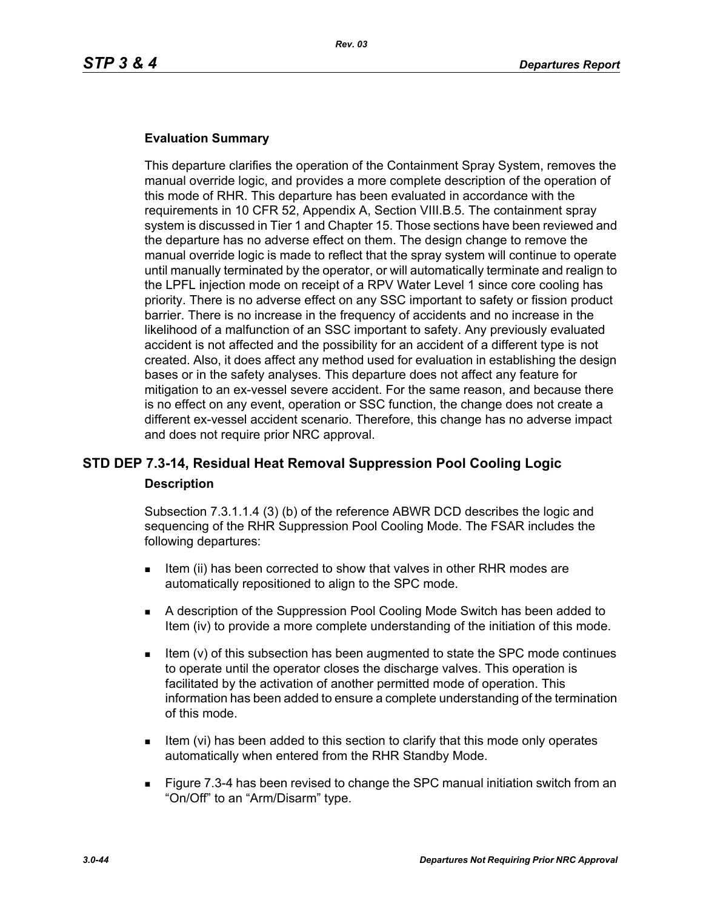#### **Evaluation Summary**

This departure clarifies the operation of the Containment Spray System, removes the manual override logic, and provides a more complete description of the operation of this mode of RHR. This departure has been evaluated in accordance with the requirements in 10 CFR 52, Appendix A, Section VIII.B.5. The containment spray system is discussed in Tier 1 and Chapter 15. Those sections have been reviewed and the departure has no adverse effect on them. The design change to remove the manual override logic is made to reflect that the spray system will continue to operate until manually terminated by the operator, or will automatically terminate and realign to the LPFL injection mode on receipt of a RPV Water Level 1 since core cooling has priority. There is no adverse effect on any SSC important to safety or fission product barrier. There is no increase in the frequency of accidents and no increase in the likelihood of a malfunction of an SSC important to safety. Any previously evaluated accident is not affected and the possibility for an accident of a different type is not created. Also, it does affect any method used for evaluation in establishing the design bases or in the safety analyses. This departure does not affect any feature for mitigation to an ex-vessel severe accident. For the same reason, and because there is no effect on any event, operation or SSC function, the change does not create a different ex-vessel accident scenario. Therefore, this change has no adverse impact and does not require prior NRC approval.

## **STD DEP 7.3-14, Residual Heat Removal Suppression Pool Cooling Logic Description**

Subsection 7.3.1.1.4 (3) (b) of the reference ABWR DCD describes the logic and sequencing of the RHR Suppression Pool Cooling Mode. The FSAR includes the following departures:

- Item (ii) has been corrected to show that valves in other RHR modes are automatically repositioned to align to the SPC mode.
- A description of the Suppression Pool Cooling Mode Switch has been added to Item (iv) to provide a more complete understanding of the initiation of this mode.
- Item (v) of this subsection has been augmented to state the SPC mode continues to operate until the operator closes the discharge valves. This operation is facilitated by the activation of another permitted mode of operation. This information has been added to ensure a complete understanding of the termination of this mode.
- Item (vi) has been added to this section to clarify that this mode only operates automatically when entered from the RHR Standby Mode.
- Figure 7.3-4 has been revised to change the SPC manual initiation switch from an "On/Off" to an "Arm/Disarm" type.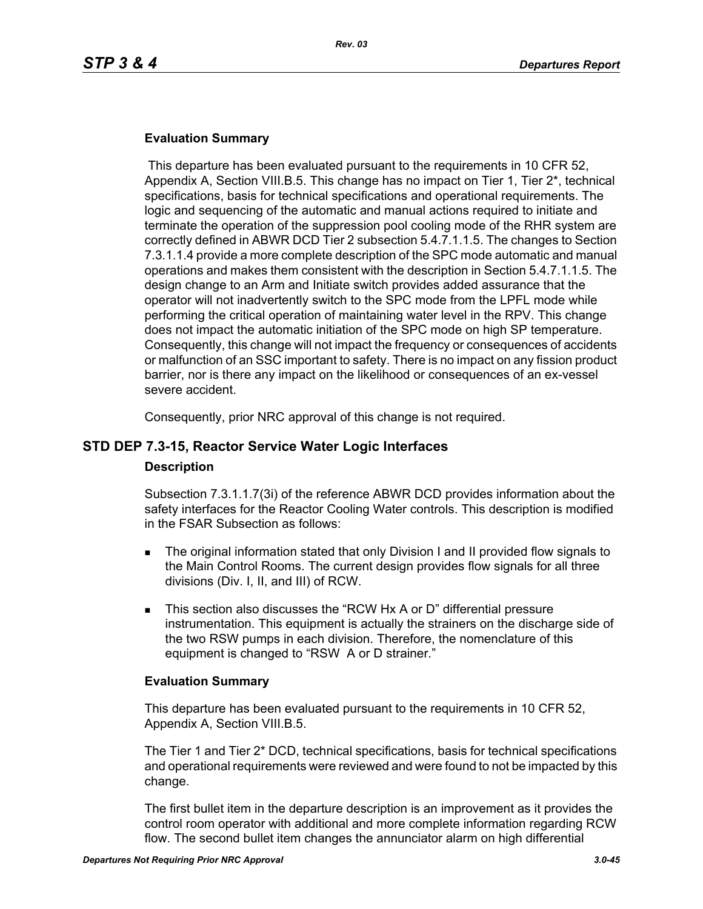### **Evaluation Summary**

 This departure has been evaluated pursuant to the requirements in 10 CFR 52, Appendix A, Section VIII.B.5. This change has no impact on Tier 1, Tier 2\*, technical specifications, basis for technical specifications and operational requirements. The logic and sequencing of the automatic and manual actions required to initiate and terminate the operation of the suppression pool cooling mode of the RHR system are correctly defined in ABWR DCD Tier 2 subsection 5.4.7.1.1.5. The changes to Section 7.3.1.1.4 provide a more complete description of the SPC mode automatic and manual operations and makes them consistent with the description in Section 5.4.7.1.1.5. The design change to an Arm and Initiate switch provides added assurance that the operator will not inadvertently switch to the SPC mode from the LPFL mode while performing the critical operation of maintaining water level in the RPV. This change does not impact the automatic initiation of the SPC mode on high SP temperature. Consequently, this change will not impact the frequency or consequences of accidents or malfunction of an SSC important to safety. There is no impact on any fission product barrier, nor is there any impact on the likelihood or consequences of an ex-vessel severe accident.

Consequently, prior NRC approval of this change is not required.

## **STD DEP 7.3-15, Reactor Service Water Logic Interfaces**

#### **Description**

Subsection 7.3.1.1.7(3i) of the reference ABWR DCD provides information about the safety interfaces for the Reactor Cooling Water controls. This description is modified in the FSAR Subsection as follows:

- The original information stated that only Division I and II provided flow signals to the Main Control Rooms. The current design provides flow signals for all three divisions (Div. I, II, and III) of RCW.
- This section also discusses the "RCW Hx A or D" differential pressure instrumentation. This equipment is actually the strainers on the discharge side of the two RSW pumps in each division. Therefore, the nomenclature of this equipment is changed to "RSW A or D strainer."

#### **Evaluation Summary**

This departure has been evaluated pursuant to the requirements in 10 CFR 52, Appendix A, Section VIII.B.5.

The Tier 1 and Tier 2\* DCD, technical specifications, basis for technical specifications and operational requirements were reviewed and were found to not be impacted by this change.

The first bullet item in the departure description is an improvement as it provides the control room operator with additional and more complete information regarding RCW flow. The second bullet item changes the annunciator alarm on high differential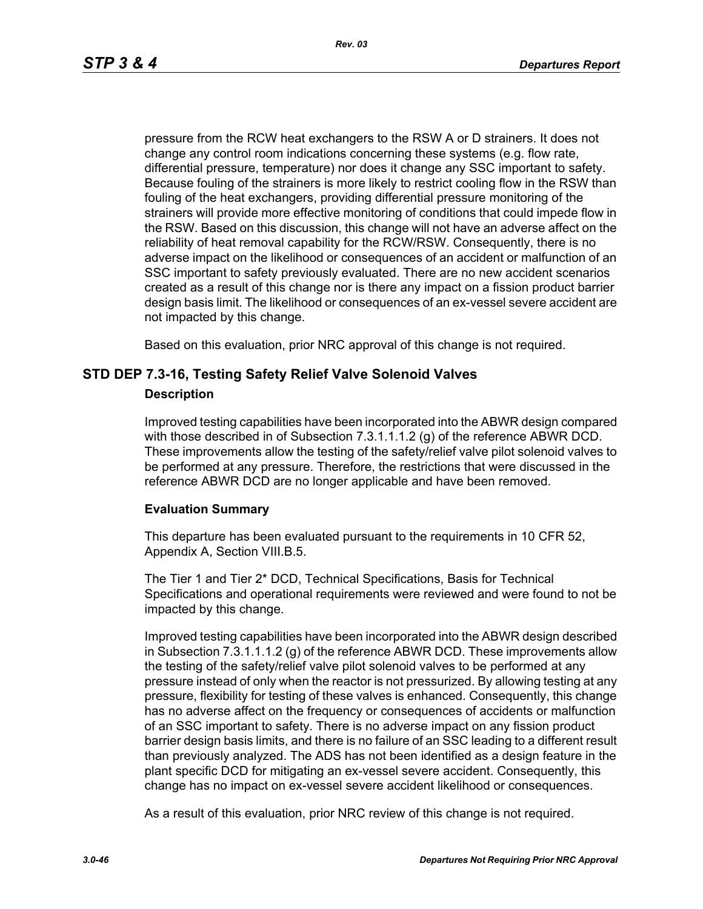*Rev. 03*

pressure from the RCW heat exchangers to the RSW A or D strainers. It does not change any control room indications concerning these systems (e.g. flow rate, differential pressure, temperature) nor does it change any SSC important to safety. Because fouling of the strainers is more likely to restrict cooling flow in the RSW than fouling of the heat exchangers, providing differential pressure monitoring of the strainers will provide more effective monitoring of conditions that could impede flow in the RSW. Based on this discussion, this change will not have an adverse affect on the reliability of heat removal capability for the RCW/RSW. Consequently, there is no adverse impact on the likelihood or consequences of an accident or malfunction of an SSC important to safety previously evaluated. There are no new accident scenarios created as a result of this change nor is there any impact on a fission product barrier design basis limit. The likelihood or consequences of an ex-vessel severe accident are not impacted by this change.

Based on this evaluation, prior NRC approval of this change is not required.

## **STD DEP 7.3-16, Testing Safety Relief Valve Solenoid Valves**

#### **Description**

Improved testing capabilities have been incorporated into the ABWR design compared with those described in of Subsection 7.3.1.1.1.2 (g) of the reference ABWR DCD. These improvements allow the testing of the safety/relief valve pilot solenoid valves to be performed at any pressure. Therefore, the restrictions that were discussed in the reference ABWR DCD are no longer applicable and have been removed.

## **Evaluation Summary**

This departure has been evaluated pursuant to the requirements in 10 CFR 52, Appendix A, Section VIII.B.5.

The Tier 1 and Tier 2\* DCD, Technical Specifications, Basis for Technical Specifications and operational requirements were reviewed and were found to not be impacted by this change.

Improved testing capabilities have been incorporated into the ABWR design described in Subsection 7.3.1.1.1.2 (g) of the reference ABWR DCD. These improvements allow the testing of the safety/relief valve pilot solenoid valves to be performed at any pressure instead of only when the reactor is not pressurized. By allowing testing at any pressure, flexibility for testing of these valves is enhanced. Consequently, this change has no adverse affect on the frequency or consequences of accidents or malfunction of an SSC important to safety. There is no adverse impact on any fission product barrier design basis limits, and there is no failure of an SSC leading to a different result than previously analyzed. The ADS has not been identified as a design feature in the plant specific DCD for mitigating an ex-vessel severe accident. Consequently, this change has no impact on ex-vessel severe accident likelihood or consequences.

As a result of this evaluation, prior NRC review of this change is not required.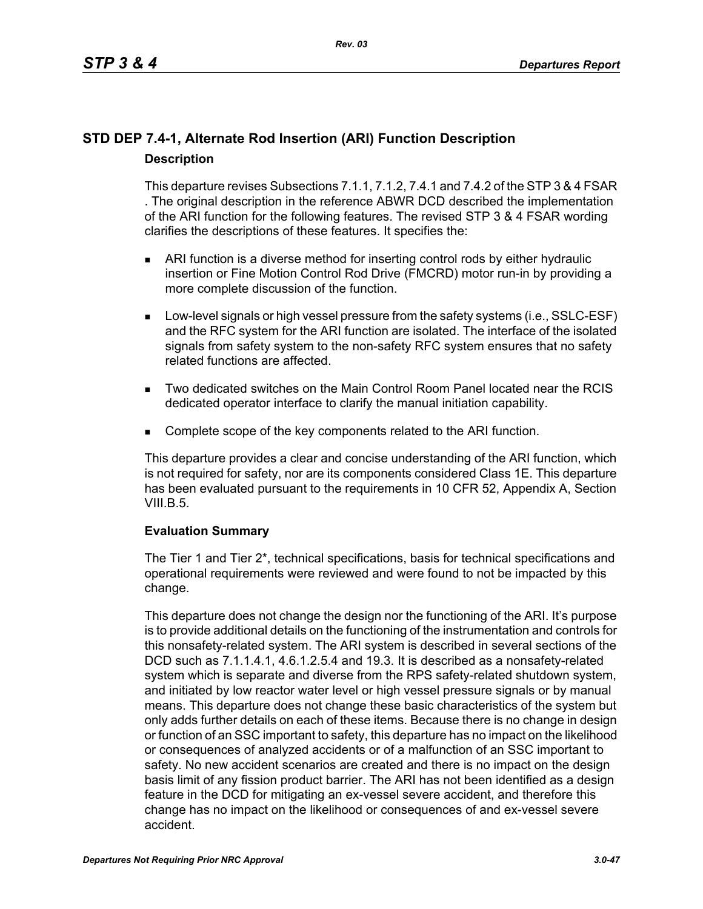## **STD DEP 7.4-1, Alternate Rod Insertion (ARI) Function Description Description**

This departure revises Subsections 7.1.1, 7.1.2, 7.4.1 and 7.4.2 of the STP 3 & 4 FSAR . The original description in the reference ABWR DCD described the implementation of the ARI function for the following features. The revised STP 3 & 4 FSAR wording clarifies the descriptions of these features. It specifies the:

- ARI function is a diverse method for inserting control rods by either hydraulic insertion or Fine Motion Control Rod Drive (FMCRD) motor run-in by providing a more complete discussion of the function.
- **Low-level signals or high vessel pressure from the safety systems (i.e., SSLC-ESF)** and the RFC system for the ARI function are isolated. The interface of the isolated signals from safety system to the non-safety RFC system ensures that no safety related functions are affected.
- Two dedicated switches on the Main Control Room Panel located near the RCIS dedicated operator interface to clarify the manual initiation capability.
- **Complete scope of the key components related to the ARI function.**

This departure provides a clear and concise understanding of the ARI function, which is not required for safety, nor are its components considered Class 1E. This departure has been evaluated pursuant to the requirements in 10 CFR 52, Appendix A, Section VIII.B.5.

## **Evaluation Summary**

The Tier 1 and Tier 2\*, technical specifications, basis for technical specifications and operational requirements were reviewed and were found to not be impacted by this change.

This departure does not change the design nor the functioning of the ARI. It's purpose is to provide additional details on the functioning of the instrumentation and controls for this nonsafety-related system. The ARI system is described in several sections of the DCD such as 7.1.1.4.1, 4.6.1.2.5.4 and 19.3. It is described as a nonsafety-related system which is separate and diverse from the RPS safety-related shutdown system, and initiated by low reactor water level or high vessel pressure signals or by manual means. This departure does not change these basic characteristics of the system but only adds further details on each of these items. Because there is no change in design or function of an SSC important to safety, this departure has no impact on the likelihood or consequences of analyzed accidents or of a malfunction of an SSC important to safety. No new accident scenarios are created and there is no impact on the design basis limit of any fission product barrier. The ARI has not been identified as a design feature in the DCD for mitigating an ex-vessel severe accident, and therefore this change has no impact on the likelihood or consequences of and ex-vessel severe accident.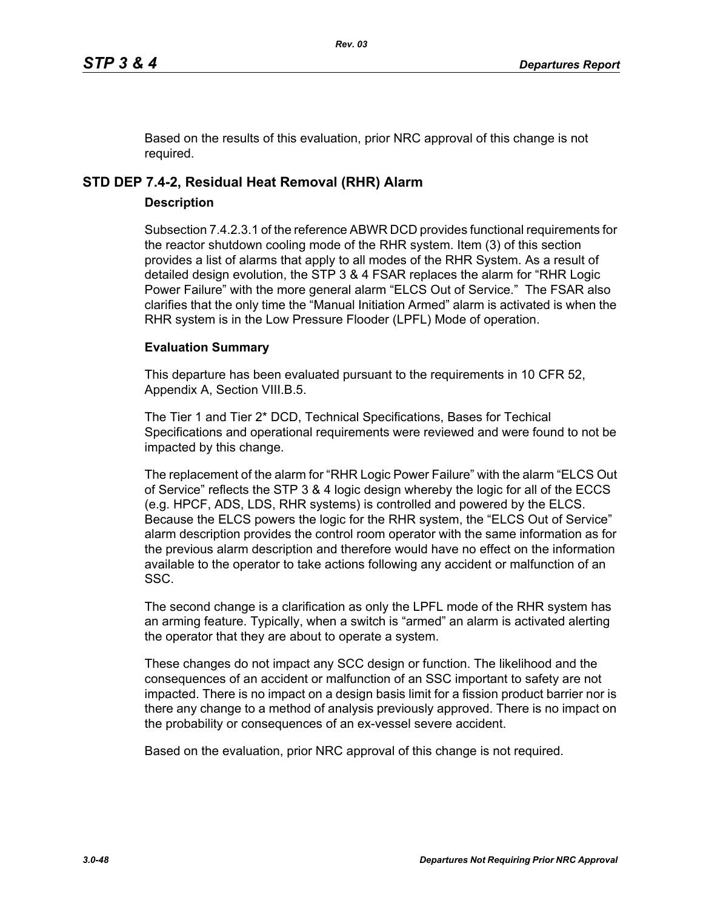Based on the results of this evaluation, prior NRC approval of this change is not required.

## **STD DEP 7.4-2, Residual Heat Removal (RHR) Alarm**

## **Description**

Subsection 7.4.2.3.1 of the reference ABWR DCD provides functional requirements for the reactor shutdown cooling mode of the RHR system. Item (3) of this section provides a list of alarms that apply to all modes of the RHR System. As a result of detailed design evolution, the STP 3 & 4 FSAR replaces the alarm for "RHR Logic Power Failure" with the more general alarm "ELCS Out of Service." The FSAR also clarifies that the only time the "Manual Initiation Armed" alarm is activated is when the RHR system is in the Low Pressure Flooder (LPFL) Mode of operation.

## **Evaluation Summary**

This departure has been evaluated pursuant to the requirements in 10 CFR 52, Appendix A, Section VIII.B.5.

The Tier 1 and Tier 2\* DCD, Technical Specifications, Bases for Techical Specifications and operational requirements were reviewed and were found to not be impacted by this change.

The replacement of the alarm for "RHR Logic Power Failure" with the alarm "ELCS Out of Service" reflects the STP 3 & 4 logic design whereby the logic for all of the ECCS (e.g. HPCF, ADS, LDS, RHR systems) is controlled and powered by the ELCS. Because the ELCS powers the logic for the RHR system, the "ELCS Out of Service" alarm description provides the control room operator with the same information as for the previous alarm description and therefore would have no effect on the information available to the operator to take actions following any accident or malfunction of an SSC.

The second change is a clarification as only the LPFL mode of the RHR system has an arming feature. Typically, when a switch is "armed" an alarm is activated alerting the operator that they are about to operate a system.

These changes do not impact any SCC design or function. The likelihood and the consequences of an accident or malfunction of an SSC important to safety are not impacted. There is no impact on a design basis limit for a fission product barrier nor is there any change to a method of analysis previously approved. There is no impact on the probability or consequences of an ex-vessel severe accident.

Based on the evaluation, prior NRC approval of this change is not required.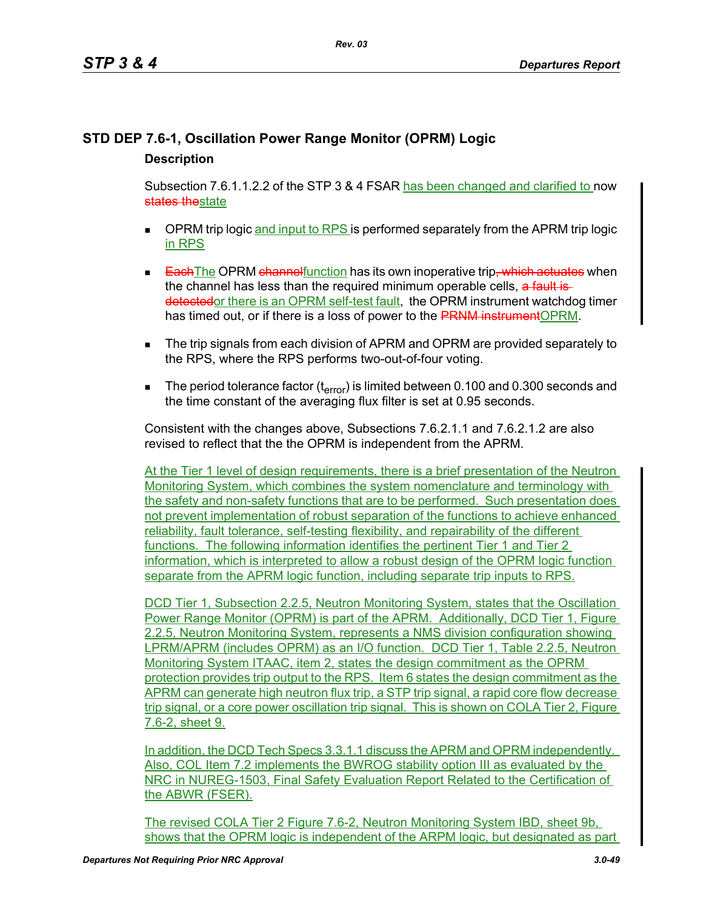## **STD DEP 7.6-1, Oscillation Power Range Monitor (OPRM) Logic Description**

Subsection 7.6.1.1.2.2 of the STP 3 & 4 FSAR has been changed and clarified to now states thestate

- $\blacksquare$  OPRM trip logic and input to RPS is performed separately from the APRM trip logic in RPS
- **Each The OPRM channel** function has its own inoperative trip, which actuates when the channel has less than the required minimum operable cells, a fault isdetectedor there is an OPRM self-test fault, the OPRM instrument watchdog timer has timed out, or if there is a loss of power to the PRNM instrument OPRM.
- The trip signals from each division of APRM and OPRM are provided separately to the RPS, where the RPS performs two-out-of-four voting.
- The period tolerance factor ( $t_{error}$ ) is limited between 0.100 and 0.300 seconds and the time constant of the averaging flux filter is set at 0.95 seconds.

Consistent with the changes above, Subsections 7.6.2.1.1 and 7.6.2.1.2 are also revised to reflect that the the OPRM is independent from the APRM.

At the Tier 1 level of design requirements, there is a brief presentation of the Neutron Monitoring System, which combines the system nomenclature and terminology with the safety and non-safety functions that are to be performed. Such presentation does not prevent implementation of robust separation of the functions to achieve enhanced reliability, fault tolerance, self-testing flexibility, and repairability of the different functions. The following information identifies the pertinent Tier 1 and Tier 2 information, which is interpreted to allow a robust design of the OPRM logic function separate from the APRM logic function, including separate trip inputs to RPS.

DCD Tier 1, Subsection 2.2.5, Neutron Monitoring System, states that the Oscillation Power Range Monitor (OPRM) is part of the APRM. Additionally, DCD Tier 1, Figure 2.2.5, Neutron Monitoring System, represents a NMS division configuration showing LPRM/APRM (includes OPRM) as an I/O function. DCD Tier 1, Table 2.2.5, Neutron Monitoring System ITAAC, item 2, states the design commitment as the OPRM protection provides trip output to the RPS. Item 6 states the design commitment as the APRM can generate high neutron flux trip, a STP trip signal, a rapid core flow decrease trip signal, or a core power oscillation trip signal. This is shown on COLA Tier 2, Figure 7.6-2, sheet 9.

In addition, the DCD Tech Specs 3.3.1.1 discuss the APRM and OPRM independently. Also, COL Item 7.2 implements the BWROG stability option III as evaluated by the NRC in NUREG-1503, Final Safety Evaluation Report Related to the Certification of the ABWR (FSER).

The revised COLA Tier 2 Figure 7.6-2, Neutron Monitoring System IBD, sheet 9b, shows that the OPRM logic is independent of the ARPM logic, but designated as part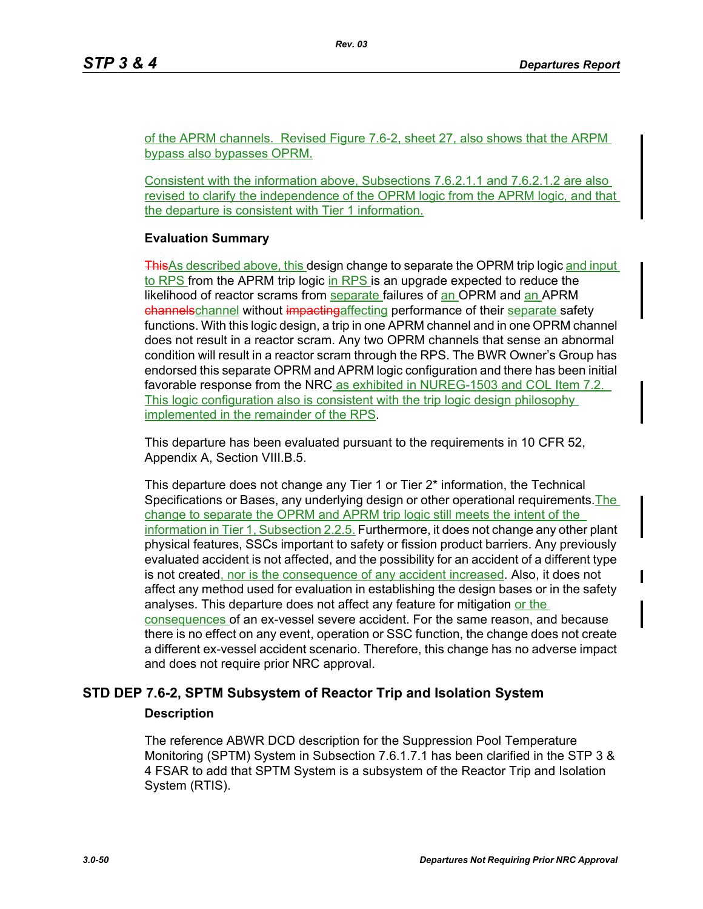of the APRM channels. Revised Figure 7.6-2, sheet 27, also shows that the ARPM bypass also bypasses OPRM.

Consistent with the information above, Subsections 7.6.2.1.1 and 7.6.2.1.2 are also revised to clarify the independence of the OPRM logic from the APRM logic, and that the departure is consistent with Tier 1 information.

#### **Evaluation Summary**

ThisAs described above, this design change to separate the OPRM trip logic and input to RPS from the APRM trip logic in RPS is an upgrade expected to reduce the likelihood of reactor scrams from separate failures of an OPRM and an APRM channels channel without impactingaffecting performance of their separate safety functions. With this logic design, a trip in one APRM channel and in one OPRM channel does not result in a reactor scram. Any two OPRM channels that sense an abnormal condition will result in a reactor scram through the RPS. The BWR Owner's Group has endorsed this separate OPRM and APRM logic configuration and there has been initial favorable response from the NRC as exhibited in NUREG-1503 and COL Item 7.2. This logic configuration also is consistent with the trip logic design philosophy implemented in the remainder of the RPS.

This departure has been evaluated pursuant to the requirements in 10 CFR 52, Appendix A, Section VIII.B.5.

This departure does not change any Tier 1 or Tier 2\* information, the Technical Specifications or Bases, any underlying design or other operational requirements. The change to separate the OPRM and APRM trip logic still meets the intent of the information in Tier 1, Subsection 2.2.5. Furthermore, it does not change any other plant physical features, SSCs important to safety or fission product barriers. Any previously evaluated accident is not affected, and the possibility for an accident of a different type is not created, nor is the consequence of any accident increased. Also, it does not affect any method used for evaluation in establishing the design bases or in the safety analyses. This departure does not affect any feature for mitigation or the consequences of an ex-vessel severe accident. For the same reason, and because there is no effect on any event, operation or SSC function, the change does not create a different ex-vessel accident scenario. Therefore, this change has no adverse impact and does not require prior NRC approval.

## **STD DEP 7.6-2, SPTM Subsystem of Reactor Trip and Isolation System**

#### **Description**

The reference ABWR DCD description for the Suppression Pool Temperature Monitoring (SPTM) System in Subsection 7.6.1.7.1 has been clarified in the STP 3 & 4 FSAR to add that SPTM System is a subsystem of the Reactor Trip and Isolation System (RTIS).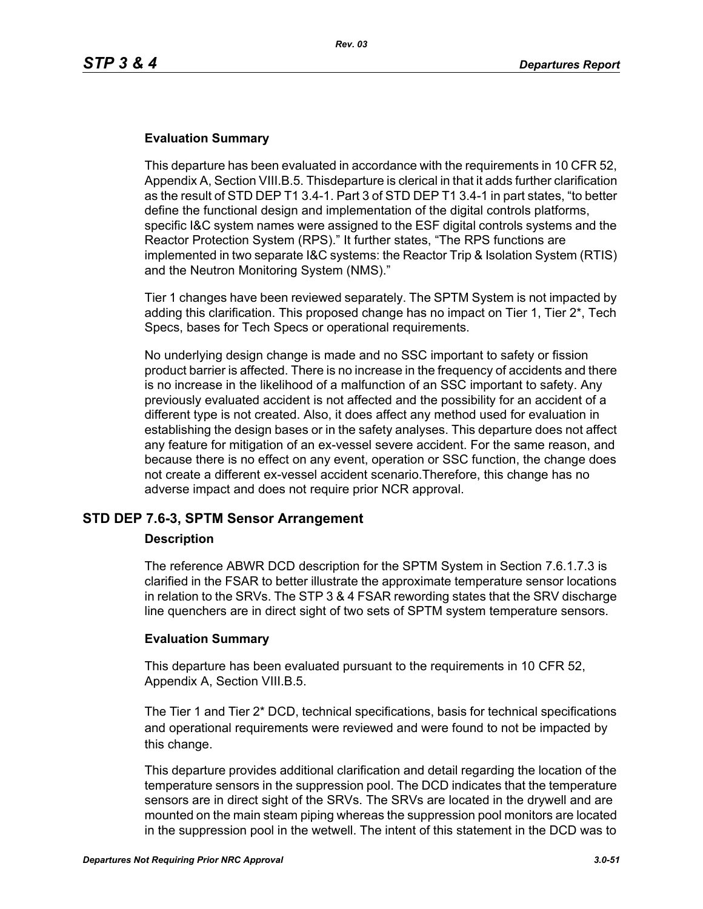## **Evaluation Summary**

This departure has been evaluated in accordance with the requirements in 10 CFR 52, Appendix A, Section VIII.B.5. Thisdeparture is clerical in that it adds further clarification as the result of STD DEP T1 3.4-1. Part 3 of STD DEP T1 3.4-1 in part states, "to better define the functional design and implementation of the digital controls platforms, specific I&C system names were assigned to the ESF digital controls systems and the Reactor Protection System (RPS)." It further states, "The RPS functions are implemented in two separate I&C systems: the Reactor Trip & Isolation System (RTIS) and the Neutron Monitoring System (NMS)."

Tier 1 changes have been reviewed separately. The SPTM System is not impacted by adding this clarification. This proposed change has no impact on Tier 1, Tier 2\*, Tech Specs, bases for Tech Specs or operational requirements.

No underlying design change is made and no SSC important to safety or fission product barrier is affected. There is no increase in the frequency of accidents and there is no increase in the likelihood of a malfunction of an SSC important to safety. Any previously evaluated accident is not affected and the possibility for an accident of a different type is not created. Also, it does affect any method used for evaluation in establishing the design bases or in the safety analyses. This departure does not affect any feature for mitigation of an ex-vessel severe accident. For the same reason, and because there is no effect on any event, operation or SSC function, the change does not create a different ex-vessel accident scenario.Therefore, this change has no adverse impact and does not require prior NCR approval.

## **STD DEP 7.6-3, SPTM Sensor Arrangement**

#### **Description**

The reference ABWR DCD description for the SPTM System in Section 7.6.1.7.3 is clarified in the FSAR to better illustrate the approximate temperature sensor locations in relation to the SRVs. The STP 3 & 4 FSAR rewording states that the SRV discharge line quenchers are in direct sight of two sets of SPTM system temperature sensors.

## **Evaluation Summary**

This departure has been evaluated pursuant to the requirements in 10 CFR 52, Appendix A, Section VIII.B.5.

The Tier 1 and Tier 2\* DCD, technical specifications, basis for technical specifications and operational requirements were reviewed and were found to not be impacted by this change.

This departure provides additional clarification and detail regarding the location of the temperature sensors in the suppression pool. The DCD indicates that the temperature sensors are in direct sight of the SRVs. The SRVs are located in the drywell and are mounted on the main steam piping whereas the suppression pool monitors are located in the suppression pool in the wetwell. The intent of this statement in the DCD was to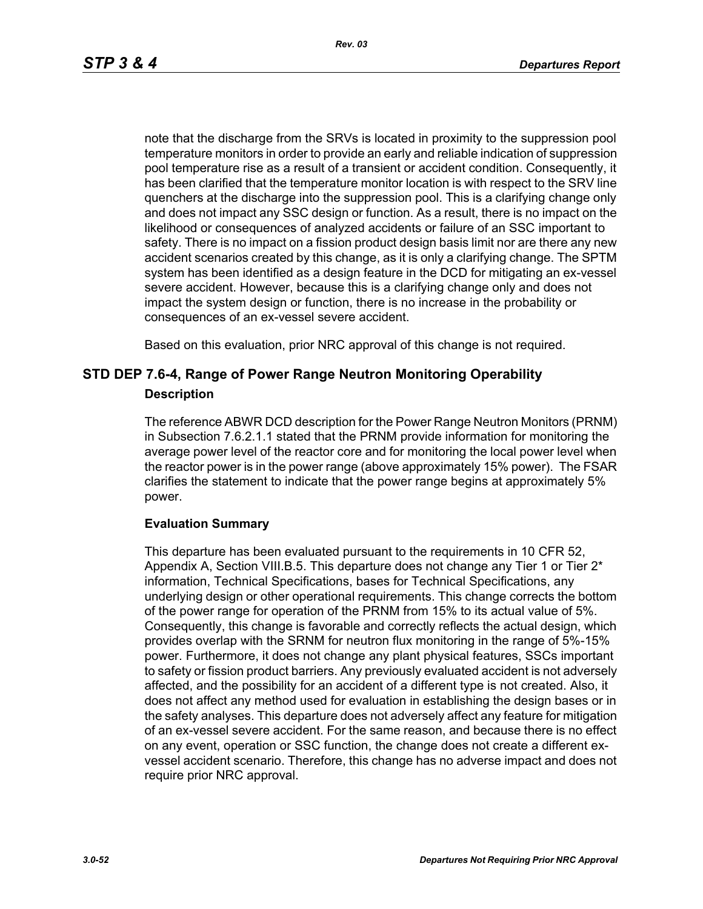*Rev. 03*

note that the discharge from the SRVs is located in proximity to the suppression pool temperature monitors in order to provide an early and reliable indication of suppression pool temperature rise as a result of a transient or accident condition. Consequently, it has been clarified that the temperature monitor location is with respect to the SRV line quenchers at the discharge into the suppression pool. This is a clarifying change only and does not impact any SSC design or function. As a result, there is no impact on the likelihood or consequences of analyzed accidents or failure of an SSC important to safety. There is no impact on a fission product design basis limit nor are there any new accident scenarios created by this change, as it is only a clarifying change. The SPTM system has been identified as a design feature in the DCD for mitigating an ex-vessel severe accident. However, because this is a clarifying change only and does not impact the system design or function, there is no increase in the probability or consequences of an ex-vessel severe accident.

Based on this evaluation, prior NRC approval of this change is not required.

## **STD DEP 7.6-4, Range of Power Range Neutron Monitoring Operability Description**

The reference ABWR DCD description for the Power Range Neutron Monitors (PRNM) in Subsection 7.6.2.1.1 stated that the PRNM provide information for monitoring the average power level of the reactor core and for monitoring the local power level when the reactor power is in the power range (above approximately 15% power). The FSAR clarifies the statement to indicate that the power range begins at approximately 5% power.

## **Evaluation Summary**

This departure has been evaluated pursuant to the requirements in 10 CFR 52, Appendix A, Section VIII.B.5. This departure does not change any Tier 1 or Tier 2\* information, Technical Specifications, bases for Technical Specifications, any underlying design or other operational requirements. This change corrects the bottom of the power range for operation of the PRNM from 15% to its actual value of 5%. Consequently, this change is favorable and correctly reflects the actual design, which provides overlap with the SRNM for neutron flux monitoring in the range of 5%-15% power. Furthermore, it does not change any plant physical features, SSCs important to safety or fission product barriers. Any previously evaluated accident is not adversely affected, and the possibility for an accident of a different type is not created. Also, it does not affect any method used for evaluation in establishing the design bases or in the safety analyses. This departure does not adversely affect any feature for mitigation of an ex-vessel severe accident. For the same reason, and because there is no effect on any event, operation or SSC function, the change does not create a different exvessel accident scenario. Therefore, this change has no adverse impact and does not require prior NRC approval.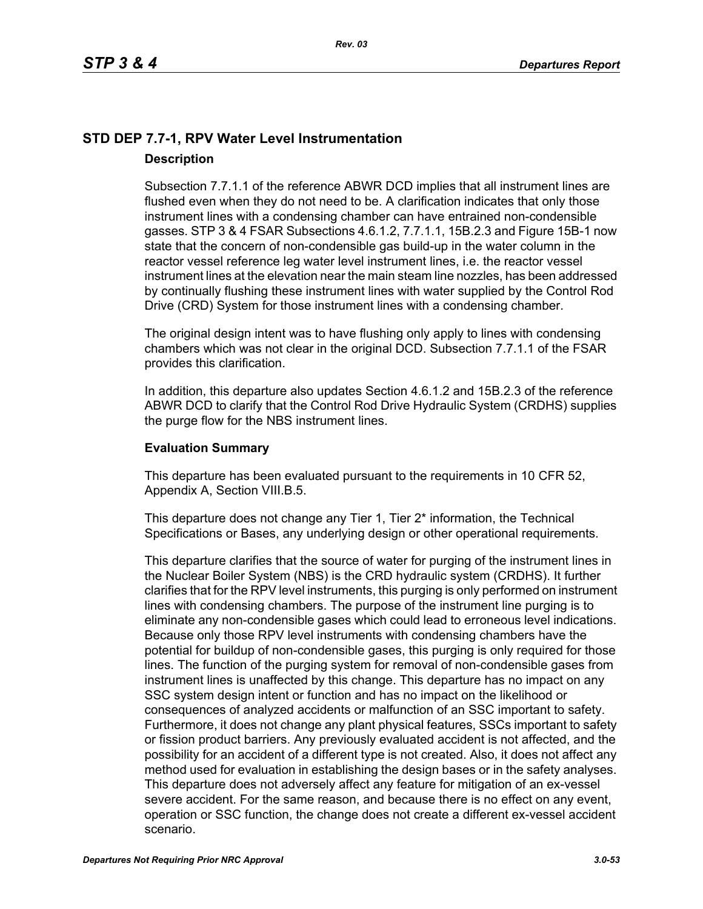## **STD DEP 7.7-1, RPV Water Level Instrumentation Description**

Subsection 7.7.1.1 of the reference ABWR DCD implies that all instrument lines are flushed even when they do not need to be. A clarification indicates that only those instrument lines with a condensing chamber can have entrained non-condensible gasses. STP 3 & 4 FSAR Subsections 4.6.1.2, 7.7.1.1, 15B.2.3 and Figure 15B-1 now state that the concern of non-condensible gas build-up in the water column in the reactor vessel reference leg water level instrument lines, i.e. the reactor vessel instrument lines at the elevation near the main steam line nozzles, has been addressed by continually flushing these instrument lines with water supplied by the Control Rod Drive (CRD) System for those instrument lines with a condensing chamber.

The original design intent was to have flushing only apply to lines with condensing chambers which was not clear in the original DCD. Subsection 7.7.1.1 of the FSAR provides this clarification.

In addition, this departure also updates Section 4.6.1.2 and 15B.2.3 of the reference ABWR DCD to clarify that the Control Rod Drive Hydraulic System (CRDHS) supplies the purge flow for the NBS instrument lines.

## **Evaluation Summary**

This departure has been evaluated pursuant to the requirements in 10 CFR 52, Appendix A, Section VIII.B.5.

This departure does not change any Tier 1, Tier 2<sup>\*</sup> information, the Technical Specifications or Bases, any underlying design or other operational requirements.

This departure clarifies that the source of water for purging of the instrument lines in the Nuclear Boiler System (NBS) is the CRD hydraulic system (CRDHS). It further clarifies that for the RPV level instruments, this purging is only performed on instrument lines with condensing chambers. The purpose of the instrument line purging is to eliminate any non-condensible gases which could lead to erroneous level indications. Because only those RPV level instruments with condensing chambers have the potential for buildup of non-condensible gases, this purging is only required for those lines. The function of the purging system for removal of non-condensible gases from instrument lines is unaffected by this change. This departure has no impact on any SSC system design intent or function and has no impact on the likelihood or consequences of analyzed accidents or malfunction of an SSC important to safety. Furthermore, it does not change any plant physical features, SSCs important to safety or fission product barriers. Any previously evaluated accident is not affected, and the possibility for an accident of a different type is not created. Also, it does not affect any method used for evaluation in establishing the design bases or in the safety analyses. This departure does not adversely affect any feature for mitigation of an ex-vessel severe accident. For the same reason, and because there is no effect on any event, operation or SSC function, the change does not create a different ex-vessel accident scenario.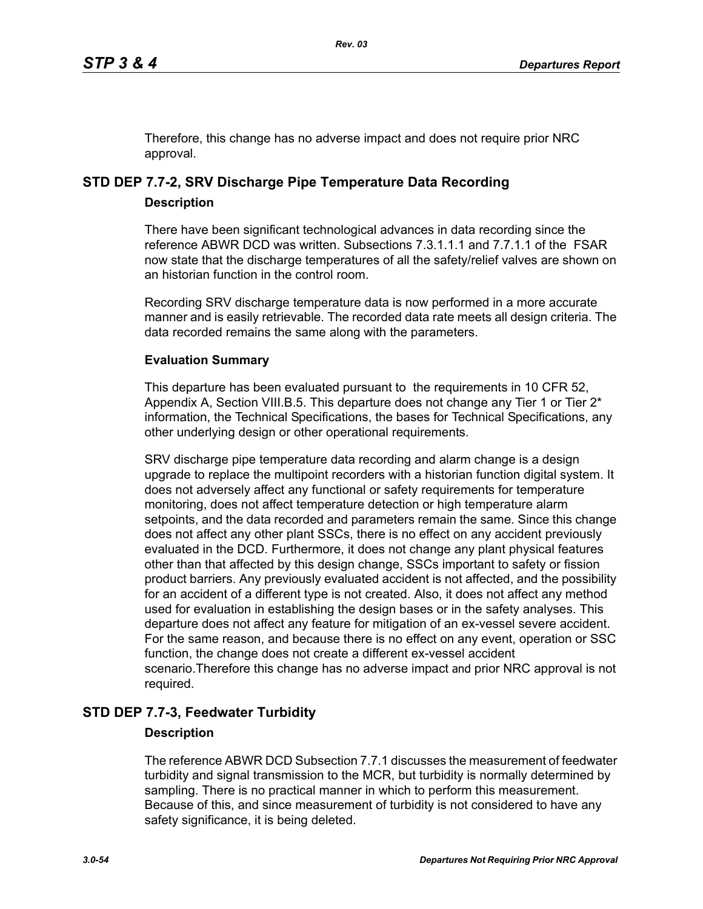Therefore, this change has no adverse impact and does not require prior NRC approval.

# **STD DEP 7.7-2, SRV Discharge Pipe Temperature Data Recording**

## **Description**

There have been significant technological advances in data recording since the reference ABWR DCD was written. Subsections 7.3.1.1.1 and 7.7.1.1 of the FSAR now state that the discharge temperatures of all the safety/relief valves are shown on an historian function in the control room.

Recording SRV discharge temperature data is now performed in a more accurate manner and is easily retrievable. The recorded data rate meets all design criteria. The data recorded remains the same along with the parameters.

## **Evaluation Summary**

This departure has been evaluated pursuant to the requirements in 10 CFR 52, Appendix A, Section VIII.B.5. This departure does not change any Tier 1 or Tier  $2^*$ information, the Technical Specifications, the bases for Technical Specifications, any other underlying design or other operational requirements.

SRV discharge pipe temperature data recording and alarm change is a design upgrade to replace the multipoint recorders with a historian function digital system. It does not adversely affect any functional or safety requirements for temperature monitoring, does not affect temperature detection or high temperature alarm setpoints, and the data recorded and parameters remain the same. Since this change does not affect any other plant SSCs, there is no effect on any accident previously evaluated in the DCD. Furthermore, it does not change any plant physical features other than that affected by this design change, SSCs important to safety or fission product barriers. Any previously evaluated accident is not affected, and the possibility for an accident of a different type is not created. Also, it does not affect any method used for evaluation in establishing the design bases or in the safety analyses. This departure does not affect any feature for mitigation of an ex-vessel severe accident. For the same reason, and because there is no effect on any event, operation or SSC function, the change does not create a different ex-vessel accident scenario.Therefore this change has no adverse impact and prior NRC approval is not required.

## **STD DEP 7.7-3, Feedwater Turbidity**

## **Description**

The reference ABWR DCD Subsection 7.7.1 discusses the measurement of feedwater turbidity and signal transmission to the MCR, but turbidity is normally determined by sampling. There is no practical manner in which to perform this measurement. Because of this, and since measurement of turbidity is not considered to have any safety significance, it is being deleted.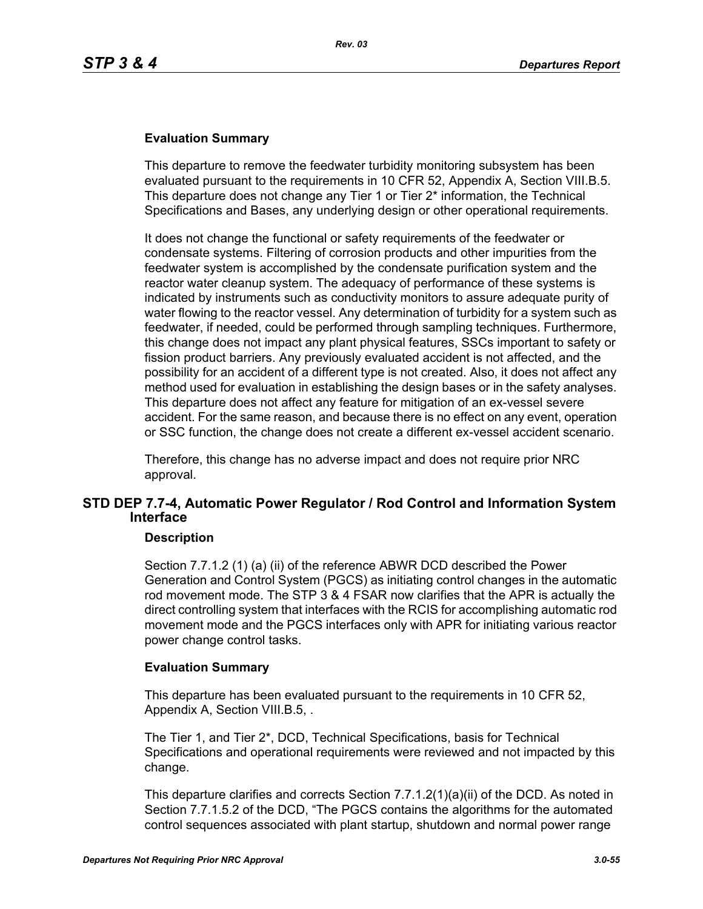### **Evaluation Summary**

This departure to remove the feedwater turbidity monitoring subsystem has been evaluated pursuant to the requirements in 10 CFR 52, Appendix A, Section VIII.B.5. This departure does not change any Tier 1 or Tier 2\* information, the Technical Specifications and Bases, any underlying design or other operational requirements.

It does not change the functional or safety requirements of the feedwater or condensate systems. Filtering of corrosion products and other impurities from the feedwater system is accomplished by the condensate purification system and the reactor water cleanup system. The adequacy of performance of these systems is indicated by instruments such as conductivity monitors to assure adequate purity of water flowing to the reactor vessel. Any determination of turbidity for a system such as feedwater, if needed, could be performed through sampling techniques. Furthermore, this change does not impact any plant physical features, SSCs important to safety or fission product barriers. Any previously evaluated accident is not affected, and the possibility for an accident of a different type is not created. Also, it does not affect any method used for evaluation in establishing the design bases or in the safety analyses. This departure does not affect any feature for mitigation of an ex-vessel severe accident. For the same reason, and because there is no effect on any event, operation or SSC function, the change does not create a different ex-vessel accident scenario.

Therefore, this change has no adverse impact and does not require prior NRC approval.

## **STD DEP 7.7-4, Automatic Power Regulator / Rod Control and Information System Interface**

#### **Description**

Section 7.7.1.2 (1) (a) (ii) of the reference ABWR DCD described the Power Generation and Control System (PGCS) as initiating control changes in the automatic rod movement mode. The STP 3 & 4 FSAR now clarifies that the APR is actually the direct controlling system that interfaces with the RCIS for accomplishing automatic rod movement mode and the PGCS interfaces only with APR for initiating various reactor power change control tasks.

#### **Evaluation Summary**

This departure has been evaluated pursuant to the requirements in 10 CFR 52, Appendix A, Section VIII.B.5, .

The Tier 1, and Tier 2\*, DCD, Technical Specifications, basis for Technical Specifications and operational requirements were reviewed and not impacted by this change.

This departure clarifies and corrects Section 7.7.1.2(1)(a)(ii) of the DCD. As noted in Section 7.7.1.5.2 of the DCD, "The PGCS contains the algorithms for the automated control sequences associated with plant startup, shutdown and normal power range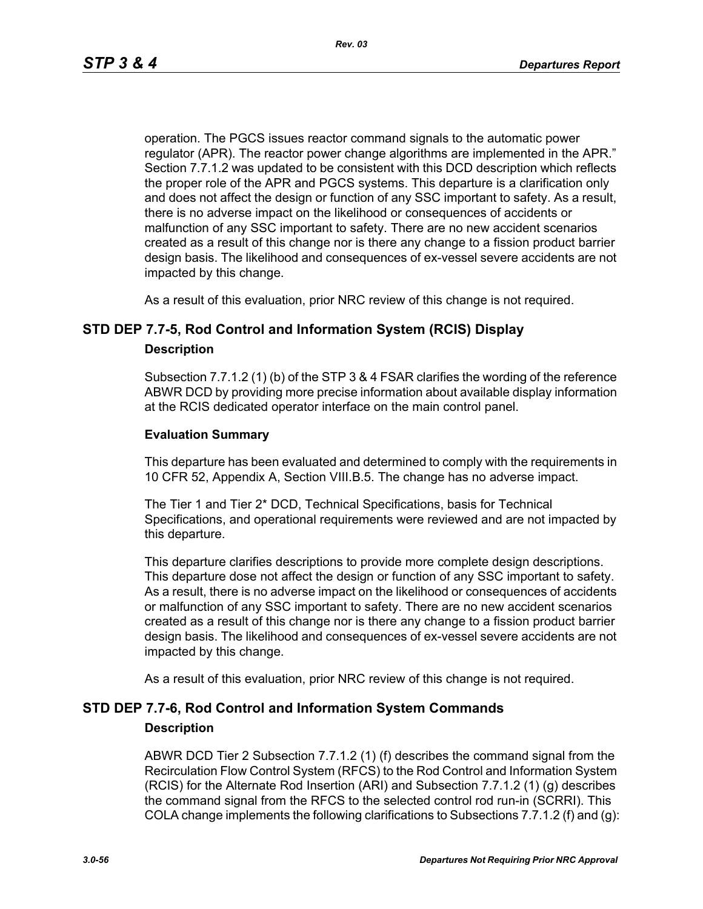operation. The PGCS issues reactor command signals to the automatic power regulator (APR). The reactor power change algorithms are implemented in the APR." Section 7.7.1.2 was updated to be consistent with this DCD description which reflects the proper role of the APR and PGCS systems. This departure is a clarification only and does not affect the design or function of any SSC important to safety. As a result, there is no adverse impact on the likelihood or consequences of accidents or malfunction of any SSC important to safety. There are no new accident scenarios created as a result of this change nor is there any change to a fission product barrier design basis. The likelihood and consequences of ex-vessel severe accidents are not impacted by this change.

As a result of this evaluation, prior NRC review of this change is not required.

## **STD DEP 7.7-5, Rod Control and Information System (RCIS) Display**

#### **Description**

Subsection 7.7.1.2 (1) (b) of the STP 3 & 4 FSAR clarifies the wording of the reference ABWR DCD by providing more precise information about available display information at the RCIS dedicated operator interface on the main control panel.

#### **Evaluation Summary**

This departure has been evaluated and determined to comply with the requirements in 10 CFR 52, Appendix A, Section VIII.B.5. The change has no adverse impact.

The Tier 1 and Tier 2\* DCD, Technical Specifications, basis for Technical Specifications, and operational requirements were reviewed and are not impacted by this departure.

This departure clarifies descriptions to provide more complete design descriptions. This departure dose not affect the design or function of any SSC important to safety. As a result, there is no adverse impact on the likelihood or consequences of accidents or malfunction of any SSC important to safety. There are no new accident scenarios created as a result of this change nor is there any change to a fission product barrier design basis. The likelihood and consequences of ex-vessel severe accidents are not impacted by this change.

As a result of this evaluation, prior NRC review of this change is not required.

## **STD DEP 7.7-6, Rod Control and Information System Commands**

#### **Description**

ABWR DCD Tier 2 Subsection 7.7.1.2 (1) (f) describes the command signal from the Recirculation Flow Control System (RFCS) to the Rod Control and Information System (RCIS) for the Alternate Rod Insertion (ARI) and Subsection 7.7.1.2 (1) (g) describes the command signal from the RFCS to the selected control rod run-in (SCRRI). This COLA change implements the following clarifications to Subsections 7.7.1.2 (f) and (g):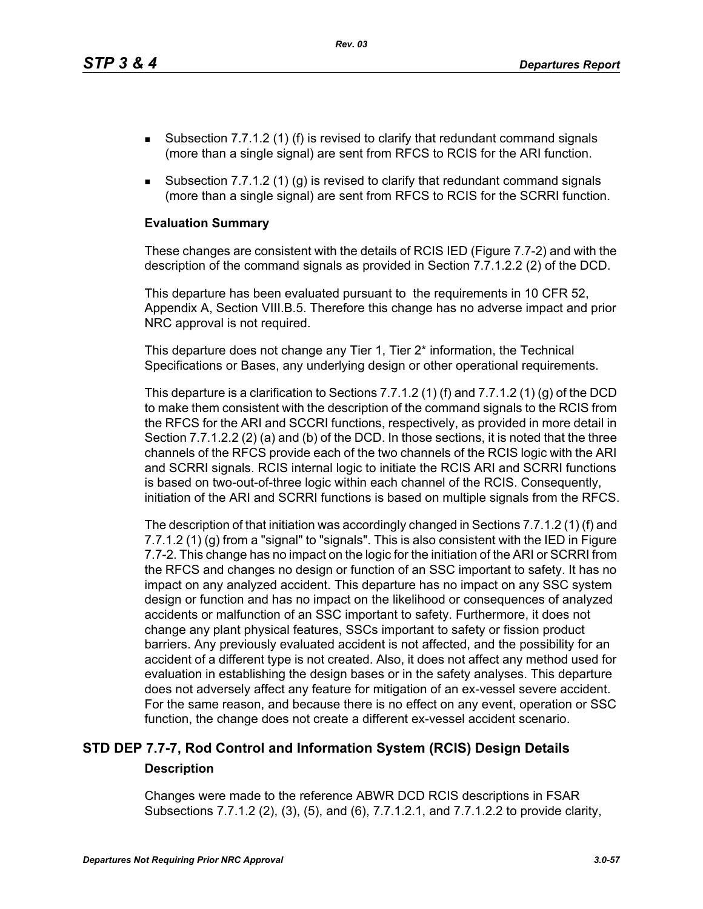*Rev. 03*

- **Subsection 7.7.1.2 (1) (f) is revised to clarify that redundant command signals** (more than a single signal) are sent from RFCS to RCIS for the ARI function.
- Subsection 7.7.1.2 (1) (g) is revised to clarify that redundant command signals (more than a single signal) are sent from RFCS to RCIS for the SCRRI function.

#### **Evaluation Summary**

These changes are consistent with the details of RCIS IED (Figure 7.7-2) and with the description of the command signals as provided in Section 7.7.1.2.2 (2) of the DCD.

This departure has been evaluated pursuant to the requirements in 10 CFR 52, Appendix A, Section VIII.B.5. Therefore this change has no adverse impact and prior NRC approval is not required.

This departure does not change any Tier 1, Tier 2<sup>\*</sup> information, the Technical Specifications or Bases, any underlying design or other operational requirements.

This departure is a clarification to Sections 7.7.1.2 (1) (f) and 7.7.1.2 (1) (g) of the DCD to make them consistent with the description of the command signals to the RCIS from the RFCS for the ARI and SCCRI functions, respectively, as provided in more detail in Section 7.7.1.2.2 (2) (a) and (b) of the DCD. In those sections, it is noted that the three channels of the RFCS provide each of the two channels of the RCIS logic with the ARI and SCRRI signals. RCIS internal logic to initiate the RCIS ARI and SCRRI functions is based on two-out-of-three logic within each channel of the RCIS. Consequently, initiation of the ARI and SCRRI functions is based on multiple signals from the RFCS.

The description of that initiation was accordingly changed in Sections 7.7.1.2 (1) (f) and 7.7.1.2 (1) (g) from a "signal" to "signals". This is also consistent with the IED in Figure 7.7-2. This change has no impact on the logic for the initiation of the ARI or SCRRI from the RFCS and changes no design or function of an SSC important to safety. It has no impact on any analyzed accident. This departure has no impact on any SSC system design or function and has no impact on the likelihood or consequences of analyzed accidents or malfunction of an SSC important to safety. Furthermore, it does not change any plant physical features, SSCs important to safety or fission product barriers. Any previously evaluated accident is not affected, and the possibility for an accident of a different type is not created. Also, it does not affect any method used for evaluation in establishing the design bases or in the safety analyses. This departure does not adversely affect any feature for mitigation of an ex-vessel severe accident. For the same reason, and because there is no effect on any event, operation or SSC function, the change does not create a different ex-vessel accident scenario.

## **STD DEP 7.7-7, Rod Control and Information System (RCIS) Design Details Description**

Changes were made to the reference ABWR DCD RCIS descriptions in FSAR Subsections 7.7.1.2 (2), (3), (5), and (6), 7.7.1.2.1, and 7.7.1.2.2 to provide clarity,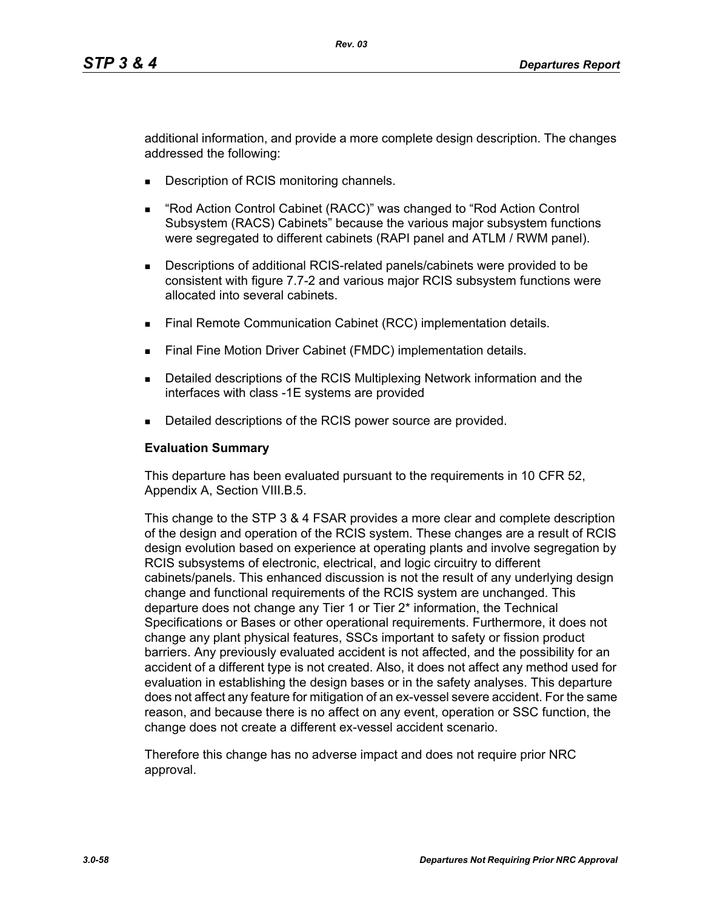additional information, and provide a more complete design description. The changes addressed the following:

- **Description of RCIS monitoring channels.**
- "Rod Action Control Cabinet (RACC)" was changed to "Rod Action Control Subsystem (RACS) Cabinets" because the various major subsystem functions were segregated to different cabinets (RAPI panel and ATLM / RWM panel).
- Descriptions of additional RCIS-related panels/cabinets were provided to be consistent with figure 7.7-2 and various major RCIS subsystem functions were allocated into several cabinets.
- **Final Remote Communication Cabinet (RCC) implementation details.**
- Final Fine Motion Driver Cabinet (FMDC) implementation details.
- **Detailed descriptions of the RCIS Multiplexing Network information and the** interfaces with class -1E systems are provided
- Detailed descriptions of the RCIS power source are provided.

#### **Evaluation Summary**

This departure has been evaluated pursuant to the requirements in 10 CFR 52, Appendix A, Section VIII.B.5.

This change to the STP 3 & 4 FSAR provides a more clear and complete description of the design and operation of the RCIS system. These changes are a result of RCIS design evolution based on experience at operating plants and involve segregation by RCIS subsystems of electronic, electrical, and logic circuitry to different cabinets/panels. This enhanced discussion is not the result of any underlying design change and functional requirements of the RCIS system are unchanged. This departure does not change any Tier 1 or Tier 2\* information, the Technical Specifications or Bases or other operational requirements. Furthermore, it does not change any plant physical features, SSCs important to safety or fission product barriers. Any previously evaluated accident is not affected, and the possibility for an accident of a different type is not created. Also, it does not affect any method used for evaluation in establishing the design bases or in the safety analyses. This departure does not affect any feature for mitigation of an ex-vessel severe accident. For the same reason, and because there is no affect on any event, operation or SSC function, the change does not create a different ex-vessel accident scenario.

Therefore this change has no adverse impact and does not require prior NRC approval.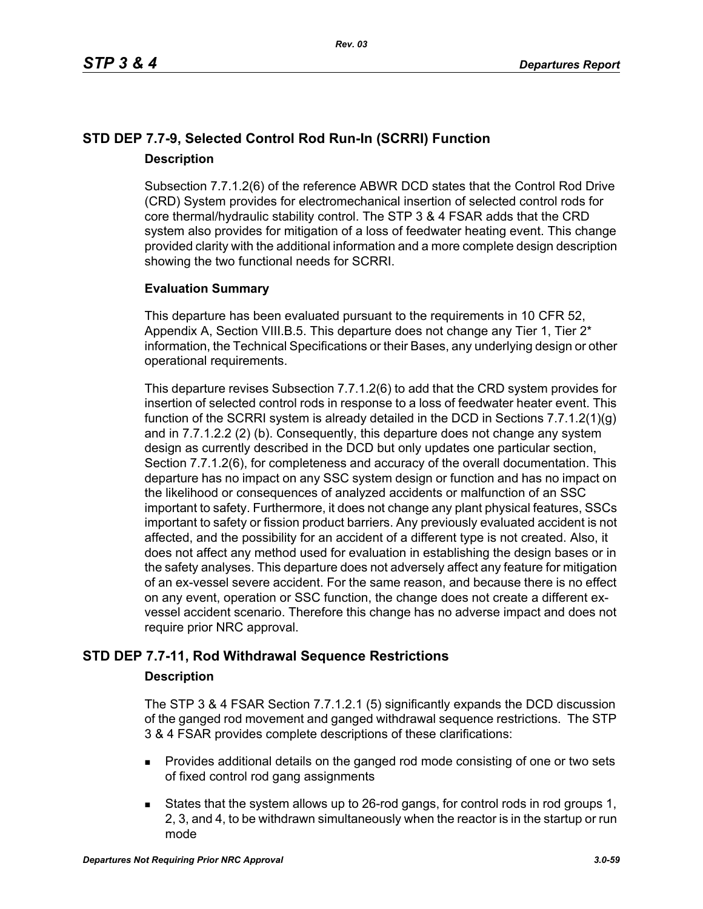## **STD DEP 7.7-9, Selected Control Rod Run-In (SCRRI) Function Description**

Subsection 7.7.1.2(6) of the reference ABWR DCD states that the Control Rod Drive (CRD) System provides for electromechanical insertion of selected control rods for core thermal/hydraulic stability control. The STP 3 & 4 FSAR adds that the CRD system also provides for mitigation of a loss of feedwater heating event. This change provided clarity with the additional information and a more complete design description showing the two functional needs for SCRRI.

## **Evaluation Summary**

This departure has been evaluated pursuant to the requirements in 10 CFR 52, Appendix A, Section VIII.B.5. This departure does not change any Tier 1, Tier  $2^*$ information, the Technical Specifications or their Bases, any underlying design or other operational requirements.

This departure revises Subsection 7.7.1.2(6) to add that the CRD system provides for insertion of selected control rods in response to a loss of feedwater heater event. This function of the SCRRI system is already detailed in the DCD in Sections 7.7.1.2(1)(g) and in 7.7.1.2.2 (2) (b). Consequently, this departure does not change any system design as currently described in the DCD but only updates one particular section, Section 7.7.1.2(6), for completeness and accuracy of the overall documentation. This departure has no impact on any SSC system design or function and has no impact on the likelihood or consequences of analyzed accidents or malfunction of an SSC important to safety. Furthermore, it does not change any plant physical features, SSCs important to safety or fission product barriers. Any previously evaluated accident is not affected, and the possibility for an accident of a different type is not created. Also, it does not affect any method used for evaluation in establishing the design bases or in the safety analyses. This departure does not adversely affect any feature for mitigation of an ex-vessel severe accident. For the same reason, and because there is no effect on any event, operation or SSC function, the change does not create a different exvessel accident scenario. Therefore this change has no adverse impact and does not require prior NRC approval.

## **STD DEP 7.7-11, Rod Withdrawal Sequence Restrictions**

## **Description**

The STP 3 & 4 FSAR Section 7.7.1.2.1 (5) significantly expands the DCD discussion of the ganged rod movement and ganged withdrawal sequence restrictions. The STP 3 & 4 FSAR provides complete descriptions of these clarifications:

- **Provides additional details on the ganged rod mode consisting of one or two sets** of fixed control rod gang assignments
- States that the system allows up to 26-rod gangs, for control rods in rod groups 1, 2, 3, and 4, to be withdrawn simultaneously when the reactor is in the startup or run mode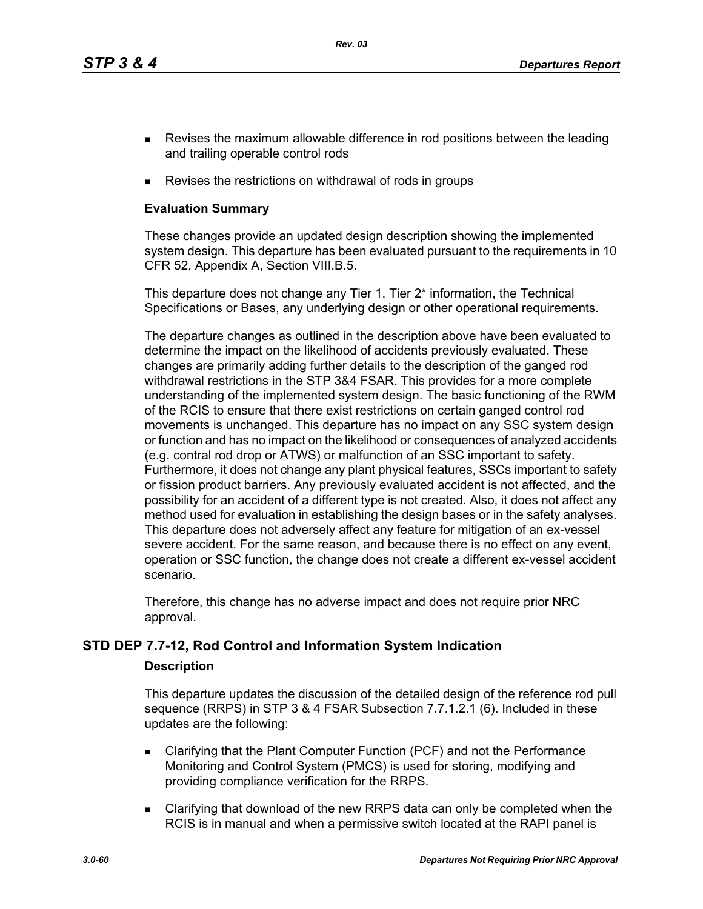*Rev. 03*

- **Revises the maximum allowable difference in rod positions between the leading** and trailing operable control rods
- Revises the restrictions on withdrawal of rods in groups

## **Evaluation Summary**

These changes provide an updated design description showing the implemented system design. This departure has been evaluated pursuant to the requirements in 10 CFR 52, Appendix A, Section VIII.B.5.

This departure does not change any Tier 1, Tier 2<sup>\*</sup> information, the Technical Specifications or Bases, any underlying design or other operational requirements.

The departure changes as outlined in the description above have been evaluated to determine the impact on the likelihood of accidents previously evaluated. These changes are primarily adding further details to the description of the ganged rod withdrawal restrictions in the STP 3&4 FSAR. This provides for a more complete understanding of the implemented system design. The basic functioning of the RWM of the RCIS to ensure that there exist restrictions on certain ganged control rod movements is unchanged. This departure has no impact on any SSC system design or function and has no impact on the likelihood or consequences of analyzed accidents (e.g. contral rod drop or ATWS) or malfunction of an SSC important to safety. Furthermore, it does not change any plant physical features, SSCs important to safety or fission product barriers. Any previously evaluated accident is not affected, and the possibility for an accident of a different type is not created. Also, it does not affect any method used for evaluation in establishing the design bases or in the safety analyses. This departure does not adversely affect any feature for mitigation of an ex-vessel severe accident. For the same reason, and because there is no effect on any event, operation or SSC function, the change does not create a different ex-vessel accident scenario.

Therefore, this change has no adverse impact and does not require prior NRC approval.

## **STD DEP 7.7-12, Rod Control and Information System Indication**

## **Description**

This departure updates the discussion of the detailed design of the reference rod pull sequence (RRPS) in STP 3 & 4 FSAR Subsection 7.7.1.2.1 (6). Included in these updates are the following:

- Clarifying that the Plant Computer Function (PCF) and not the Performance Monitoring and Control System (PMCS) is used for storing, modifying and providing compliance verification for the RRPS.
- Clarifying that download of the new RRPS data can only be completed when the RCIS is in manual and when a permissive switch located at the RAPI panel is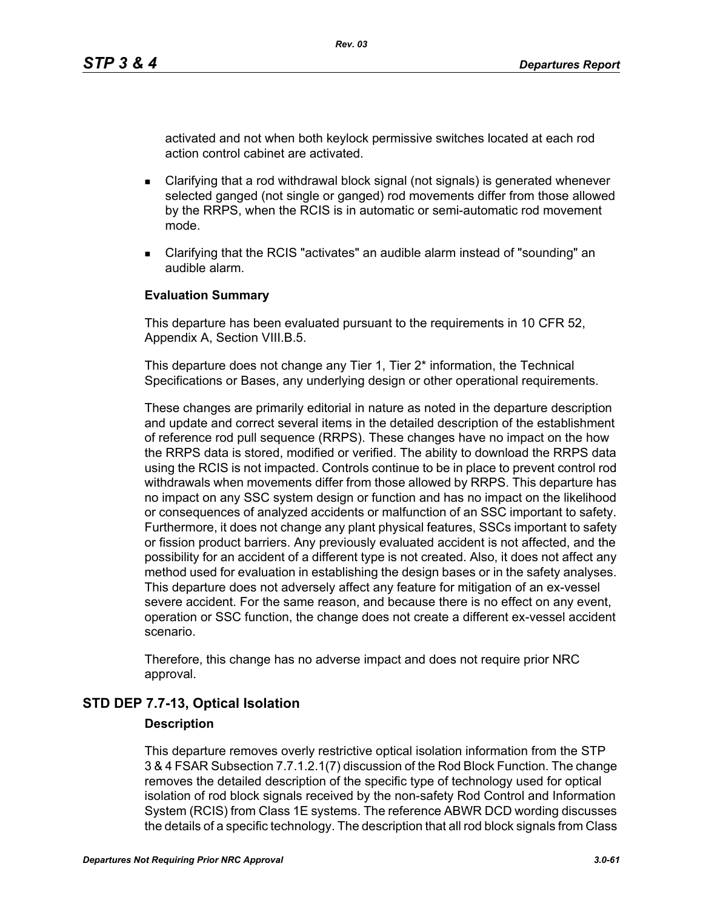activated and not when both keylock permissive switches located at each rod action control cabinet are activated.

- Clarifying that a rod withdrawal block signal (not signals) is generated whenever selected ganged (not single or ganged) rod movements differ from those allowed by the RRPS, when the RCIS is in automatic or semi-automatic rod movement mode.
- Clarifying that the RCIS "activates" an audible alarm instead of "sounding" an audible alarm.

#### **Evaluation Summary**

This departure has been evaluated pursuant to the requirements in 10 CFR 52, Appendix A, Section VIII.B.5.

This departure does not change any Tier 1, Tier 2<sup>\*</sup> information, the Technical Specifications or Bases, any underlying design or other operational requirements.

These changes are primarily editorial in nature as noted in the departure description and update and correct several items in the detailed description of the establishment of reference rod pull sequence (RRPS). These changes have no impact on the how the RRPS data is stored, modified or verified. The ability to download the RRPS data using the RCIS is not impacted. Controls continue to be in place to prevent control rod withdrawals when movements differ from those allowed by RRPS. This departure has no impact on any SSC system design or function and has no impact on the likelihood or consequences of analyzed accidents or malfunction of an SSC important to safety. Furthermore, it does not change any plant physical features, SSCs important to safety or fission product barriers. Any previously evaluated accident is not affected, and the possibility for an accident of a different type is not created. Also, it does not affect any method used for evaluation in establishing the design bases or in the safety analyses. This departure does not adversely affect any feature for mitigation of an ex-vessel severe accident. For the same reason, and because there is no effect on any event, operation or SSC function, the change does not create a different ex-vessel accident scenario.

Therefore, this change has no adverse impact and does not require prior NRC approval.

## **STD DEP 7.7-13, Optical Isolation**

#### **Description**

This departure removes overly restrictive optical isolation information from the STP 3 & 4 FSAR Subsection 7.7.1.2.1(7) discussion of the Rod Block Function. The change removes the detailed description of the specific type of technology used for optical isolation of rod block signals received by the non-safety Rod Control and Information System (RCIS) from Class 1E systems. The reference ABWR DCD wording discusses the details of a specific technology. The description that all rod block signals from Class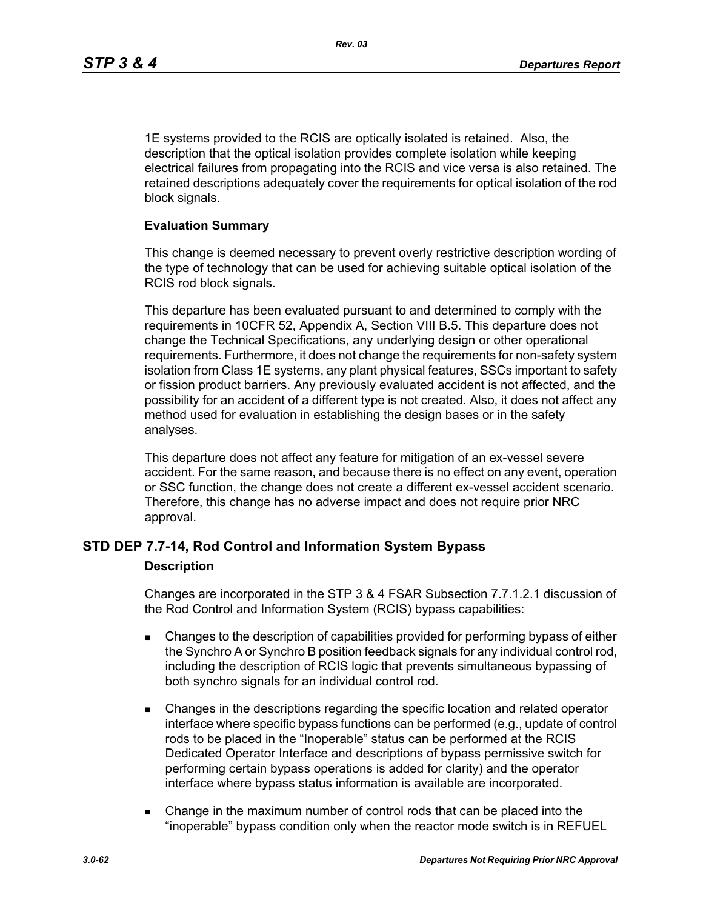1E systems provided to the RCIS are optically isolated is retained. Also, the description that the optical isolation provides complete isolation while keeping electrical failures from propagating into the RCIS and vice versa is also retained. The retained descriptions adequately cover the requirements for optical isolation of the rod block signals.

#### **Evaluation Summary**

This change is deemed necessary to prevent overly restrictive description wording of the type of technology that can be used for achieving suitable optical isolation of the RCIS rod block signals.

This departure has been evaluated pursuant to and determined to comply with the requirements in 10CFR 52, Appendix A, Section VIII B.5. This departure does not change the Technical Specifications, any underlying design or other operational requirements. Furthermore, it does not change the requirements for non-safety system isolation from Class 1E systems, any plant physical features, SSCs important to safety or fission product barriers. Any previously evaluated accident is not affected, and the possibility for an accident of a different type is not created. Also, it does not affect any method used for evaluation in establishing the design bases or in the safety analyses.

This departure does not affect any feature for mitigation of an ex-vessel severe accident. For the same reason, and because there is no effect on any event, operation or SSC function, the change does not create a different ex-vessel accident scenario. Therefore, this change has no adverse impact and does not require prior NRC approval.

## **STD DEP 7.7-14, Rod Control and Information System Bypass**

#### **Description**

Changes are incorporated in the STP 3 & 4 FSAR Subsection 7.7.1.2.1 discussion of the Rod Control and Information System (RCIS) bypass capabilities:

- Changes to the description of capabilities provided for performing bypass of either the Synchro A or Synchro B position feedback signals for any individual control rod, including the description of RCIS logic that prevents simultaneous bypassing of both synchro signals for an individual control rod.
- Changes in the descriptions regarding the specific location and related operator interface where specific bypass functions can be performed (e.g., update of control rods to be placed in the "Inoperable" status can be performed at the RCIS Dedicated Operator Interface and descriptions of bypass permissive switch for performing certain bypass operations is added for clarity) and the operator interface where bypass status information is available are incorporated.
- Change in the maximum number of control rods that can be placed into the "inoperable" bypass condition only when the reactor mode switch is in REFUEL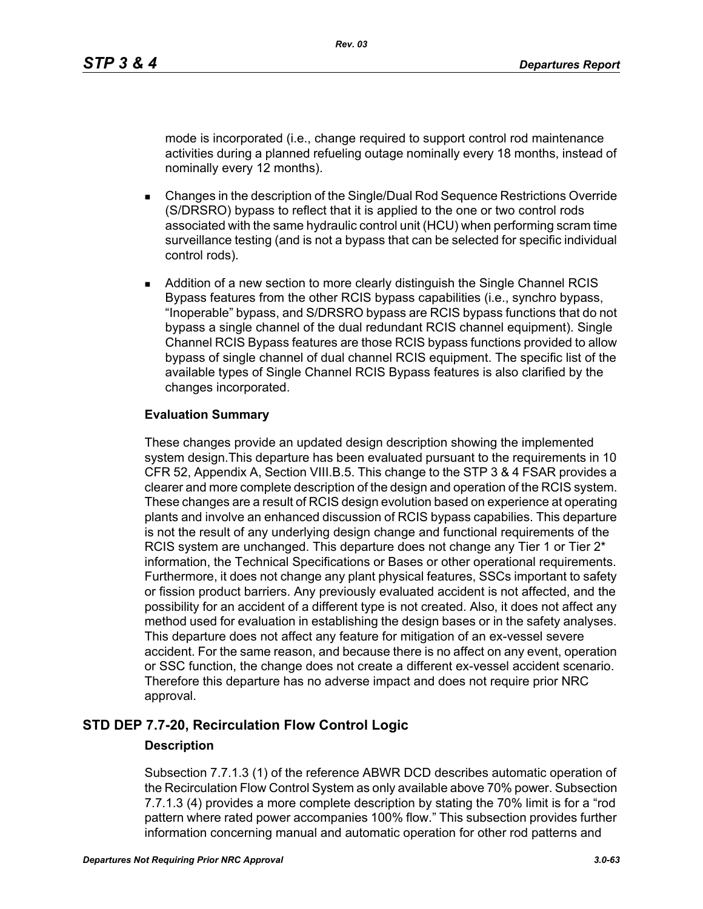mode is incorporated (i.e., change required to support control rod maintenance activities during a planned refueling outage nominally every 18 months, instead of nominally every 12 months).

- Changes in the description of the Single/Dual Rod Sequence Restrictions Override (S/DRSRO) bypass to reflect that it is applied to the one or two control rods associated with the same hydraulic control unit (HCU) when performing scram time surveillance testing (and is not a bypass that can be selected for specific individual control rods).
- **Addition of a new section to more clearly distinguish the Single Channel RCIS** Bypass features from the other RCIS bypass capabilities (i.e., synchro bypass, "Inoperable" bypass, and S/DRSRO bypass are RCIS bypass functions that do not bypass a single channel of the dual redundant RCIS channel equipment). Single Channel RCIS Bypass features are those RCIS bypass functions provided to allow bypass of single channel of dual channel RCIS equipment. The specific list of the available types of Single Channel RCIS Bypass features is also clarified by the changes incorporated.

## **Evaluation Summary**

These changes provide an updated design description showing the implemented system design.This departure has been evaluated pursuant to the requirements in 10 CFR 52, Appendix A, Section VIII.B.5. This change to the STP 3 & 4 FSAR provides a clearer and more complete description of the design and operation of the RCIS system. These changes are a result of RCIS design evolution based on experience at operating plants and involve an enhanced discussion of RCIS bypass capabilies. This departure is not the result of any underlying design change and functional requirements of the RCIS system are unchanged. This departure does not change any Tier 1 or Tier  $2^*$ information, the Technical Specifications or Bases or other operational requirements. Furthermore, it does not change any plant physical features, SSCs important to safety or fission product barriers. Any previously evaluated accident is not affected, and the possibility for an accident of a different type is not created. Also, it does not affect any method used for evaluation in establishing the design bases or in the safety analyses. This departure does not affect any feature for mitigation of an ex-vessel severe accident. For the same reason, and because there is no affect on any event, operation or SSC function, the change does not create a different ex-vessel accident scenario. Therefore this departure has no adverse impact and does not require prior NRC approval.

## **STD DEP 7.7-20, Recirculation Flow Control Logic**

## **Description**

Subsection 7.7.1.3 (1) of the reference ABWR DCD describes automatic operation of the Recirculation Flow Control System as only available above 70% power. Subsection 7.7.1.3 (4) provides a more complete description by stating the 70% limit is for a "rod pattern where rated power accompanies 100% flow." This subsection provides further information concerning manual and automatic operation for other rod patterns and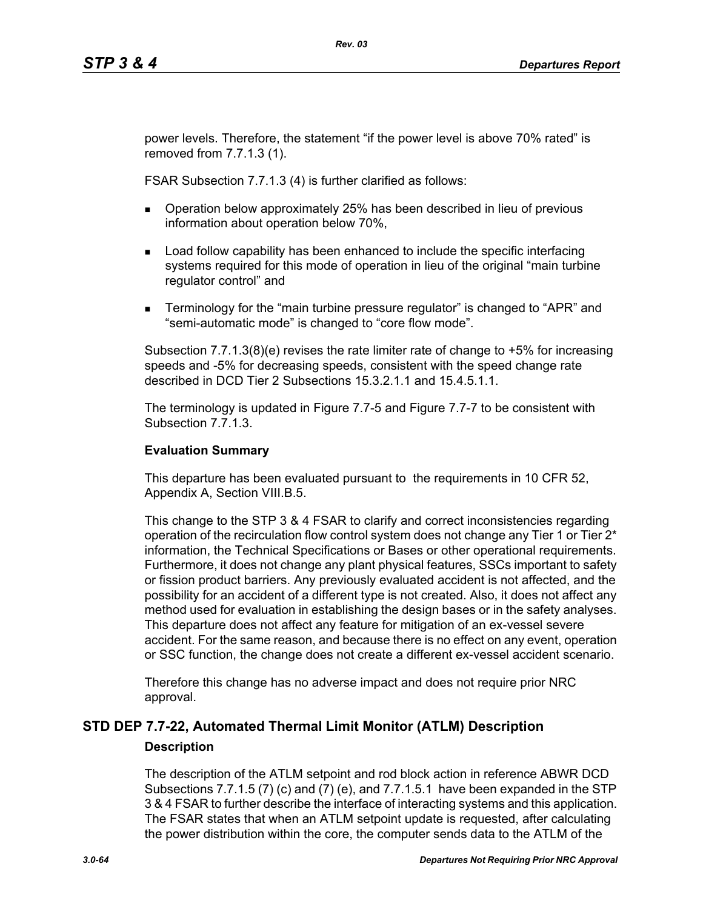power levels. Therefore, the statement "if the power level is above 70% rated" is removed from 7.7.1.3 (1).

FSAR Subsection 7.7.1.3 (4) is further clarified as follows:

- **Dearation below approximately 25% has been described in lieu of previous** information about operation below 70%,
- **Load follow capability has been enhanced to include the specific interfacing** systems required for this mode of operation in lieu of the original "main turbine regulator control" and
- **Terminology for the "main turbine pressure regulator" is changed to "APR" and** "semi-automatic mode" is changed to "core flow mode".

Subsection 7.7.1.3(8)(e) revises the rate limiter rate of change to +5% for increasing speeds and -5% for decreasing speeds, consistent with the speed change rate described in DCD Tier 2 Subsections 15.3.2.1.1 and 15.4.5.1.1.

The terminology is updated in Figure 7.7-5 and Figure 7.7-7 to be consistent with Subsection 7.7.1.3.

## **Evaluation Summary**

This departure has been evaluated pursuant to the requirements in 10 CFR 52, Appendix A, Section VIII.B.5.

This change to the STP 3 & 4 FSAR to clarify and correct inconsistencies regarding operation of the recirculation flow control system does not change any Tier 1 or Tier  $2^*$ information, the Technical Specifications or Bases or other operational requirements. Furthermore, it does not change any plant physical features, SSCs important to safety or fission product barriers. Any previously evaluated accident is not affected, and the possibility for an accident of a different type is not created. Also, it does not affect any method used for evaluation in establishing the design bases or in the safety analyses. This departure does not affect any feature for mitigation of an ex-vessel severe accident. For the same reason, and because there is no effect on any event, operation or SSC function, the change does not create a different ex-vessel accident scenario.

Therefore this change has no adverse impact and does not require prior NRC approval.

## **STD DEP 7.7-22, Automated Thermal Limit Monitor (ATLM) Description Description**

The description of the ATLM setpoint and rod block action in reference ABWR DCD Subsections 7.7.1.5 (7) (c) and (7) (e), and 7.7.1.5.1 have been expanded in the STP 3 & 4 FSAR to further describe the interface of interacting systems and this application. The FSAR states that when an ATLM setpoint update is requested, after calculating the power distribution within the core, the computer sends data to the ATLM of the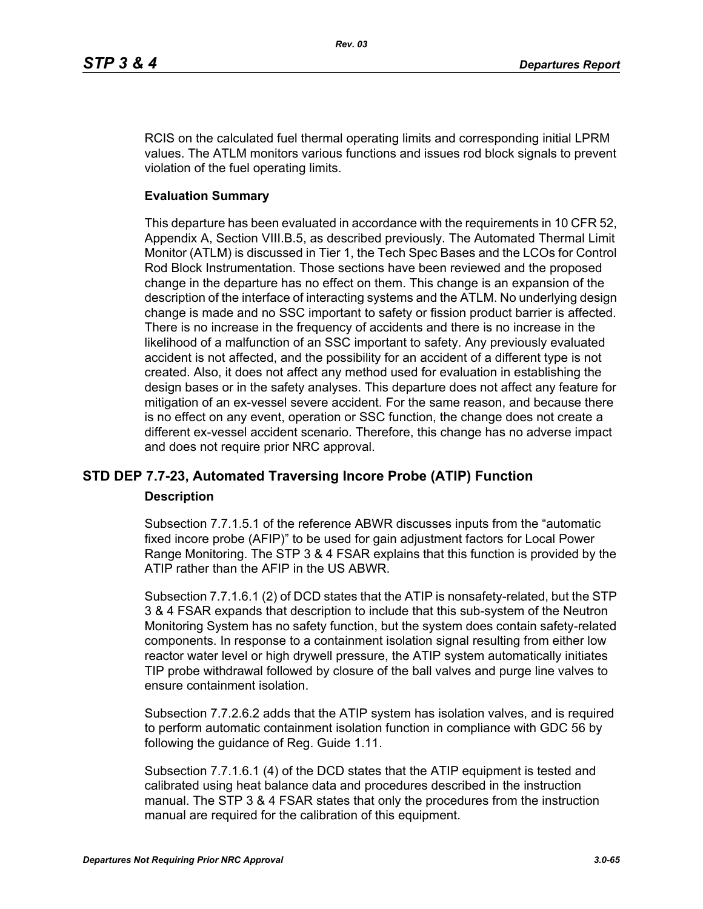RCIS on the calculated fuel thermal operating limits and corresponding initial LPRM values. The ATLM monitors various functions and issues rod block signals to prevent violation of the fuel operating limits.

#### **Evaluation Summary**

This departure has been evaluated in accordance with the requirements in 10 CFR 52, Appendix A, Section VIII.B.5, as described previously. The Automated Thermal Limit Monitor (ATLM) is discussed in Tier 1, the Tech Spec Bases and the LCOs for Control Rod Block Instrumentation. Those sections have been reviewed and the proposed change in the departure has no effect on them. This change is an expansion of the description of the interface of interacting systems and the ATLM. No underlying design change is made and no SSC important to safety or fission product barrier is affected. There is no increase in the frequency of accidents and there is no increase in the likelihood of a malfunction of an SSC important to safety. Any previously evaluated accident is not affected, and the possibility for an accident of a different type is not created. Also, it does not affect any method used for evaluation in establishing the design bases or in the safety analyses. This departure does not affect any feature for mitigation of an ex-vessel severe accident. For the same reason, and because there is no effect on any event, operation or SSC function, the change does not create a different ex-vessel accident scenario. Therefore, this change has no adverse impact and does not require prior NRC approval.

## **STD DEP 7.7-23, Automated Traversing Incore Probe (ATIP) Function**

#### **Description**

Subsection 7.7.1.5.1 of the reference ABWR discusses inputs from the "automatic fixed incore probe (AFIP)" to be used for gain adjustment factors for Local Power Range Monitoring. The STP 3 & 4 FSAR explains that this function is provided by the ATIP rather than the AFIP in the US ABWR.

Subsection 7.7.1.6.1 (2) of DCD states that the ATIP is nonsafety-related, but the STP 3 & 4 FSAR expands that description to include that this sub-system of the Neutron Monitoring System has no safety function, but the system does contain safety-related components. In response to a containment isolation signal resulting from either low reactor water level or high drywell pressure, the ATIP system automatically initiates TIP probe withdrawal followed by closure of the ball valves and purge line valves to ensure containment isolation.

Subsection 7.7.2.6.2 adds that the ATIP system has isolation valves, and is required to perform automatic containment isolation function in compliance with GDC 56 by following the guidance of Reg. Guide 1.11.

Subsection 7.7.1.6.1 (4) of the DCD states that the ATIP equipment is tested and calibrated using heat balance data and procedures described in the instruction manual. The STP 3 & 4 FSAR states that only the procedures from the instruction manual are required for the calibration of this equipment.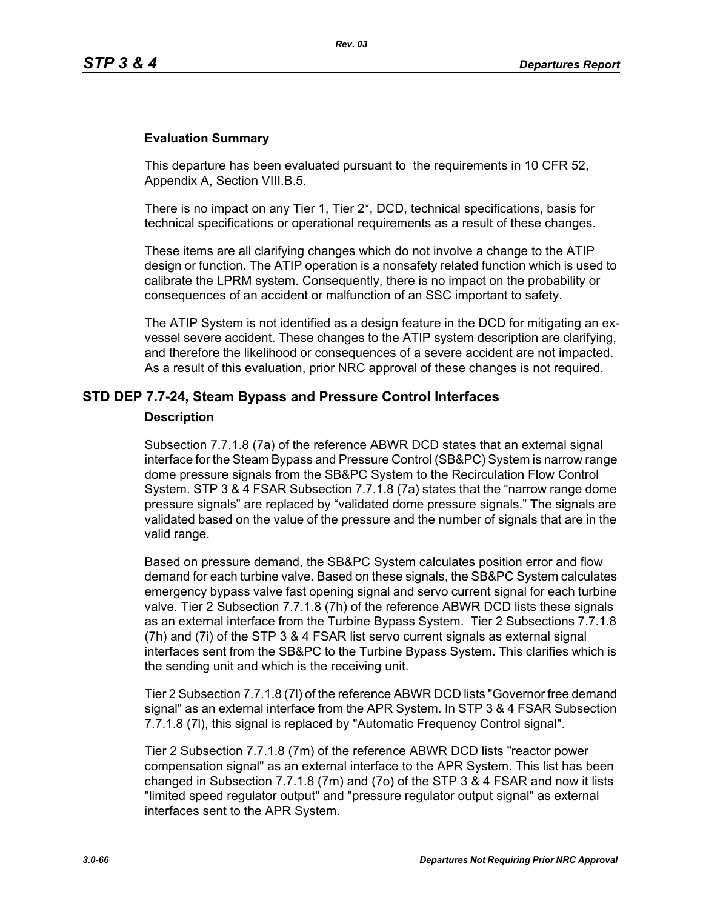#### **Evaluation Summary**

This departure has been evaluated pursuant to the requirements in 10 CFR 52, Appendix A, Section VIII.B.5.

There is no impact on any Tier 1, Tier 2\*, DCD, technical specifications, basis for technical specifications or operational requirements as a result of these changes.

These items are all clarifying changes which do not involve a change to the ATIP design or function. The ATIP operation is a nonsafety related function which is used to calibrate the LPRM system. Consequently, there is no impact on the probability or consequences of an accident or malfunction of an SSC important to safety.

The ATIP System is not identified as a design feature in the DCD for mitigating an exvessel severe accident. These changes to the ATIP system description are clarifying, and therefore the likelihood or consequences of a severe accident are not impacted. As a result of this evaluation, prior NRC approval of these changes is not required.

#### **STD DEP 7.7-24, Steam Bypass and Pressure Control Interfaces**

#### **Description**

Subsection 7.7.1.8 (7a) of the reference ABWR DCD states that an external signal interface for the Steam Bypass and Pressure Control (SB&PC) System is narrow range dome pressure signals from the SB&PC System to the Recirculation Flow Control System. STP 3 & 4 FSAR Subsection 7.7.1.8 (7a) states that the "narrow range dome pressure signals" are replaced by "validated dome pressure signals." The signals are validated based on the value of the pressure and the number of signals that are in the valid range.

Based on pressure demand, the SB&PC System calculates position error and flow demand for each turbine valve. Based on these signals, the SB&PC System calculates emergency bypass valve fast opening signal and servo current signal for each turbine valve. Tier 2 Subsection 7.7.1.8 (7h) of the reference ABWR DCD lists these signals as an external interface from the Turbine Bypass System. Tier 2 Subsections 7.7.1.8 (7h) and (7i) of the STP 3 & 4 FSAR list servo current signals as external signal interfaces sent from the SB&PC to the Turbine Bypass System. This clarifies which is the sending unit and which is the receiving unit.

Tier 2 Subsection 7.7.1.8 (7l) of the reference ABWR DCD lists "Governor free demand signal" as an external interface from the APR System. In STP 3 & 4 FSAR Subsection 7.7.1.8 (7l), this signal is replaced by "Automatic Frequency Control signal".

Tier 2 Subsection 7.7.1.8 (7m) of the reference ABWR DCD lists "reactor power compensation signal" as an external interface to the APR System. This list has been changed in Subsection 7.7.1.8 (7m) and (7o) of the STP 3 & 4 FSAR and now it lists "limited speed regulator output" and "pressure regulator output signal" as external interfaces sent to the APR System.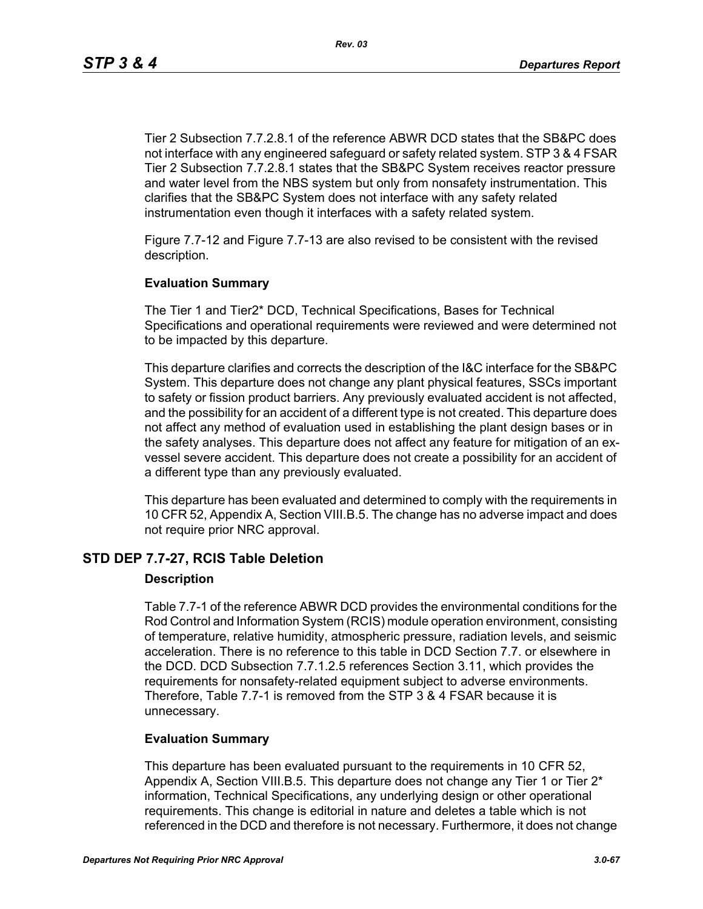Tier 2 Subsection 7.7.2.8.1 of the reference ABWR DCD states that the SB&PC does not interface with any engineered safeguard or safety related system. STP 3 & 4 FSAR Tier 2 Subsection 7.7.2.8.1 states that the SB&PC System receives reactor pressure and water level from the NBS system but only from nonsafety instrumentation. This clarifies that the SB&PC System does not interface with any safety related instrumentation even though it interfaces with a safety related system.

Figure 7.7-12 and Figure 7.7-13 are also revised to be consistent with the revised description.

#### **Evaluation Summary**

The Tier 1 and Tier2\* DCD, Technical Specifications, Bases for Technical Specifications and operational requirements were reviewed and were determined not to be impacted by this departure.

This departure clarifies and corrects the description of the I&C interface for the SB&PC System. This departure does not change any plant physical features, SSCs important to safety or fission product barriers. Any previously evaluated accident is not affected, and the possibility for an accident of a different type is not created. This departure does not affect any method of evaluation used in establishing the plant design bases or in the safety analyses. This departure does not affect any feature for mitigation of an exvessel severe accident. This departure does not create a possibility for an accident of a different type than any previously evaluated.

This departure has been evaluated and determined to comply with the requirements in 10 CFR 52, Appendix A, Section VIII.B.5. The change has no adverse impact and does not require prior NRC approval.

## **STD DEP 7.7-27, RCIS Table Deletion**

#### **Description**

Table 7.7-1 of the reference ABWR DCD provides the environmental conditions for the Rod Control and Information System (RCIS) module operation environment, consisting of temperature, relative humidity, atmospheric pressure, radiation levels, and seismic acceleration. There is no reference to this table in DCD Section 7.7. or elsewhere in the DCD. DCD Subsection 7.7.1.2.5 references Section 3.11, which provides the requirements for nonsafety-related equipment subject to adverse environments. Therefore, Table 7.7-1 is removed from the STP 3 & 4 FSAR because it is unnecessary.

#### **Evaluation Summary**

This departure has been evaluated pursuant to the requirements in 10 CFR 52, Appendix A, Section VIII.B.5. This departure does not change any Tier 1 or Tier 2\* information, Technical Specifications, any underlying design or other operational requirements. This change is editorial in nature and deletes a table which is not referenced in the DCD and therefore is not necessary. Furthermore, it does not change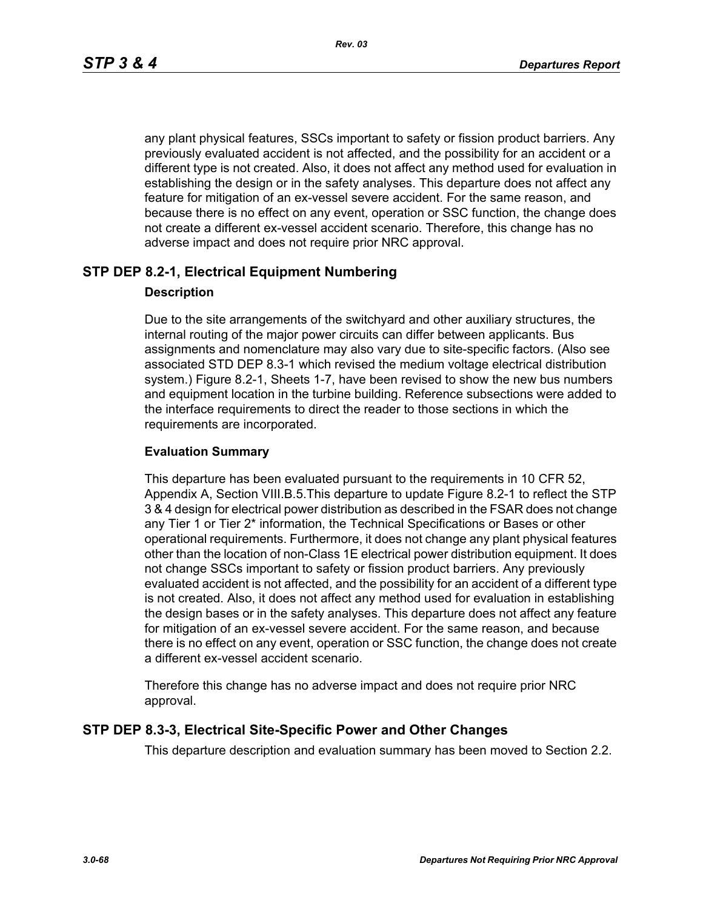any plant physical features, SSCs important to safety or fission product barriers. Any previously evaluated accident is not affected, and the possibility for an accident or a different type is not created. Also, it does not affect any method used for evaluation in establishing the design or in the safety analyses. This departure does not affect any feature for mitigation of an ex-vessel severe accident. For the same reason, and because there is no effect on any event, operation or SSC function, the change does not create a different ex-vessel accident scenario. Therefore, this change has no adverse impact and does not require prior NRC approval.

## **STP DEP 8.2-1, Electrical Equipment Numbering**

#### **Description**

Due to the site arrangements of the switchyard and other auxiliary structures, the internal routing of the major power circuits can differ between applicants. Bus assignments and nomenclature may also vary due to site-specific factors. (Also see associated STD DEP 8.3-1 which revised the medium voltage electrical distribution system.) Figure 8.2-1, Sheets 1-7, have been revised to show the new bus numbers and equipment location in the turbine building. Reference subsections were added to the interface requirements to direct the reader to those sections in which the requirements are incorporated.

#### **Evaluation Summary**

This departure has been evaluated pursuant to the requirements in 10 CFR 52, Appendix A, Section VIII.B.5.This departure to update Figure 8.2-1 to reflect the STP 3 & 4 design for electrical power distribution as described in the FSAR does not change any Tier 1 or Tier 2\* information, the Technical Specifications or Bases or other operational requirements. Furthermore, it does not change any plant physical features other than the location of non-Class 1E electrical power distribution equipment. It does not change SSCs important to safety or fission product barriers. Any previously evaluated accident is not affected, and the possibility for an accident of a different type is not created. Also, it does not affect any method used for evaluation in establishing the design bases or in the safety analyses. This departure does not affect any feature for mitigation of an ex-vessel severe accident. For the same reason, and because there is no effect on any event, operation or SSC function, the change does not create a different ex-vessel accident scenario.

Therefore this change has no adverse impact and does not require prior NRC approval.

#### **STP DEP 8.3-3, Electrical Site-Specific Power and Other Changes**

This departure description and evaluation summary has been moved to Section 2.2.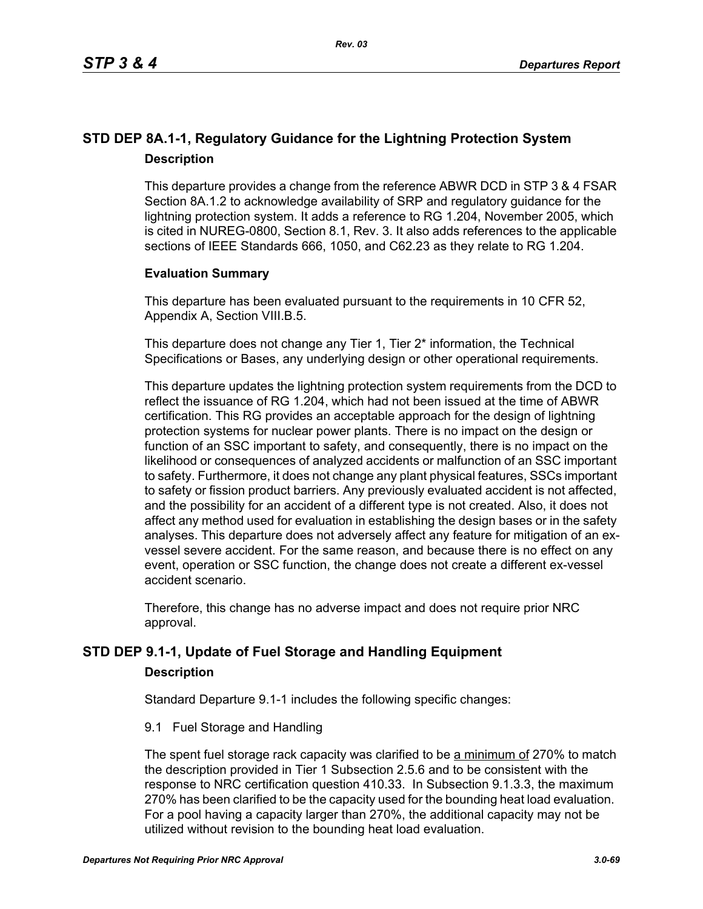## **STD DEP 8A.1-1, Regulatory Guidance for the Lightning Protection System Description**

This departure provides a change from the reference ABWR DCD in STP 3 & 4 FSAR Section 8A.1.2 to acknowledge availability of SRP and regulatory guidance for the lightning protection system. It adds a reference to RG 1.204, November 2005, which is cited in NUREG-0800, Section 8.1, Rev. 3. It also adds references to the applicable sections of IEEE Standards 666, 1050, and C62.23 as they relate to RG 1.204.

## **Evaluation Summary**

This departure has been evaluated pursuant to the requirements in 10 CFR 52, Appendix A, Section VIII.B.5.

This departure does not change any Tier 1, Tier 2<sup>\*</sup> information, the Technical Specifications or Bases, any underlying design or other operational requirements.

This departure updates the lightning protection system requirements from the DCD to reflect the issuance of RG 1.204, which had not been issued at the time of ABWR certification. This RG provides an acceptable approach for the design of lightning protection systems for nuclear power plants. There is no impact on the design or function of an SSC important to safety, and consequently, there is no impact on the likelihood or consequences of analyzed accidents or malfunction of an SSC important to safety. Furthermore, it does not change any plant physical features, SSCs important to safety or fission product barriers. Any previously evaluated accident is not affected, and the possibility for an accident of a different type is not created. Also, it does not affect any method used for evaluation in establishing the design bases or in the safety analyses. This departure does not adversely affect any feature for mitigation of an exvessel severe accident. For the same reason, and because there is no effect on any event, operation or SSC function, the change does not create a different ex-vessel accident scenario.

Therefore, this change has no adverse impact and does not require prior NRC approval.

## **STD DEP 9.1-1, Update of Fuel Storage and Handling Equipment**

## **Description**

Standard Departure 9.1-1 includes the following specific changes:

9.1 Fuel Storage and Handling

The spent fuel storage rack capacity was clarified to be a minimum of 270% to match the description provided in Tier 1 Subsection 2.5.6 and to be consistent with the response to NRC certification question 410.33. In Subsection 9.1.3.3, the maximum 270% has been clarified to be the capacity used for the bounding heat load evaluation. For a pool having a capacity larger than 270%, the additional capacity may not be utilized without revision to the bounding heat load evaluation.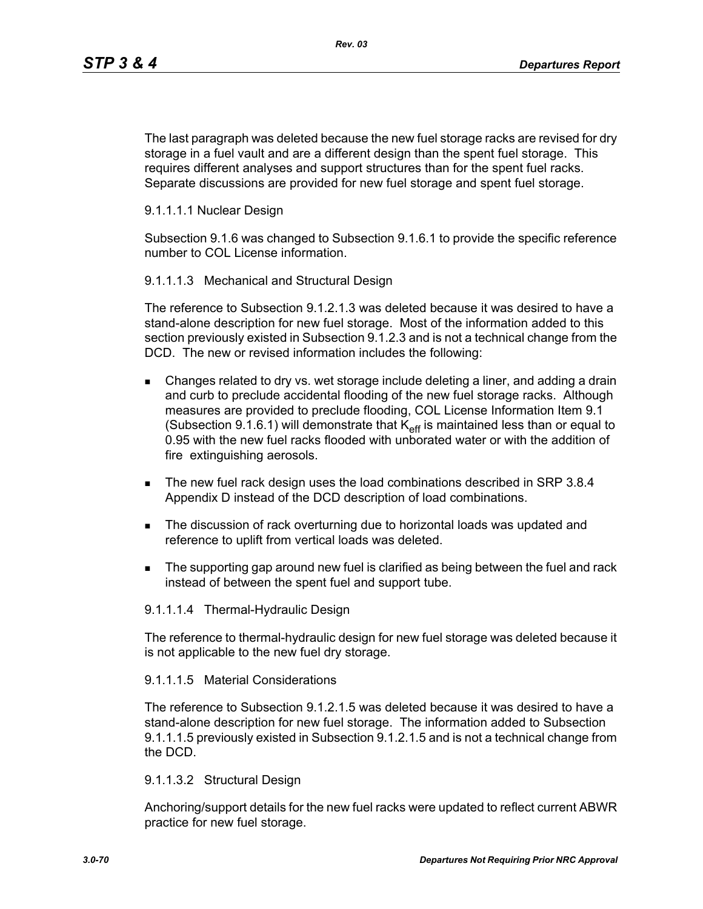The last paragraph was deleted because the new fuel storage racks are revised for dry storage in a fuel vault and are a different design than the spent fuel storage. This requires different analyses and support structures than for the spent fuel racks. Separate discussions are provided for new fuel storage and spent fuel storage.

#### 9.1.1.1.1 Nuclear Design

Subsection 9.1.6 was changed to Subsection 9.1.6.1 to provide the specific reference number to COL License information.

#### 9.1.1.1.3 Mechanical and Structural Design

The reference to Subsection 9.1.2.1.3 was deleted because it was desired to have a stand-alone description for new fuel storage. Most of the information added to this section previously existed in Subsection 9.1.2.3 and is not a technical change from the DCD. The new or revised information includes the following:

- Changes related to dry vs. wet storage include deleting a liner, and adding a drain and curb to preclude accidental flooding of the new fuel storage racks. Although measures are provided to preclude flooding, COL License Information Item 9.1 (Subsection 9.1.6.1) will demonstrate that  $K_{\text{eff}}$  is maintained less than or equal to 0.95 with the new fuel racks flooded with unborated water or with the addition of fire extinguishing aerosols.
- The new fuel rack design uses the load combinations described in SRP 3.8.4 Appendix D instead of the DCD description of load combinations.
- The discussion of rack overturning due to horizontal loads was updated and reference to uplift from vertical loads was deleted.
- The supporting gap around new fuel is clarified as being between the fuel and rack instead of between the spent fuel and support tube.

#### 9.1.1.1.4 Thermal-Hydraulic Design

The reference to thermal-hydraulic design for new fuel storage was deleted because it is not applicable to the new fuel dry storage.

#### 9.1.1.1.5 Material Considerations

The reference to Subsection 9.1.2.1.5 was deleted because it was desired to have a stand-alone description for new fuel storage. The information added to Subsection 9.1.1.1.5 previously existed in Subsection 9.1.2.1.5 and is not a technical change from the DCD.

#### 9.1.1.3.2 Structural Design

Anchoring/support details for the new fuel racks were updated to reflect current ABWR practice for new fuel storage.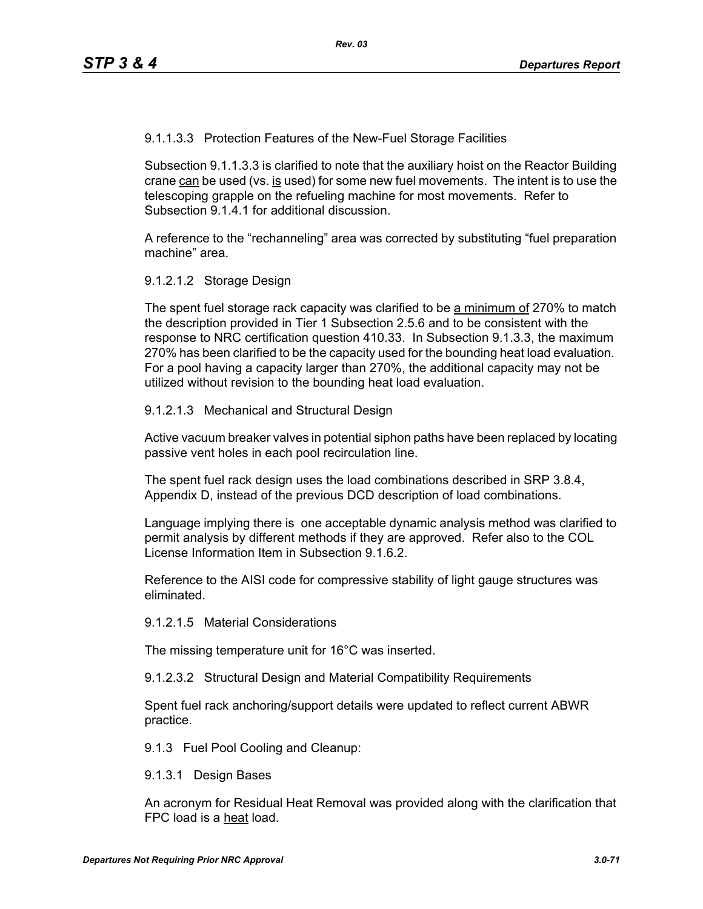9.1.1.3.3 Protection Features of the New-Fuel Storage Facilities

Subsection 9.1.1.3.3 is clarified to note that the auxiliary hoist on the Reactor Building crane can be used (vs. is used) for some new fuel movements. The intent is to use the telescoping grapple on the refueling machine for most movements. Refer to Subsection 9.1.4.1 for additional discussion.

A reference to the "rechanneling" area was corrected by substituting "fuel preparation machine" area.

9.1.2.1.2 Storage Design

The spent fuel storage rack capacity was clarified to be a minimum of 270% to match the description provided in Tier 1 Subsection 2.5.6 and to be consistent with the response to NRC certification question 410.33. In Subsection 9.1.3.3, the maximum 270% has been clarified to be the capacity used for the bounding heat load evaluation. For a pool having a capacity larger than 270%, the additional capacity may not be utilized without revision to the bounding heat load evaluation.

9.1.2.1.3 Mechanical and Structural Design

Active vacuum breaker valves in potential siphon paths have been replaced by locating passive vent holes in each pool recirculation line.

The spent fuel rack design uses the load combinations described in SRP 3.8.4, Appendix D, instead of the previous DCD description of load combinations.

Language implying there is one acceptable dynamic analysis method was clarified to permit analysis by different methods if they are approved. Refer also to the COL License Information Item in Subsection 9.1.6.2

Reference to the AISI code for compressive stability of light gauge structures was eliminated.

9.1.2.1.5 Material Considerations

The missing temperature unit for 16°C was inserted.

9.1.2.3.2 Structural Design and Material Compatibility Requirements

Spent fuel rack anchoring/support details were updated to reflect current ABWR practice.

9.1.3 Fuel Pool Cooling and Cleanup:

9.1.3.1 Design Bases

An acronym for Residual Heat Removal was provided along with the clarification that FPC load is a heat load.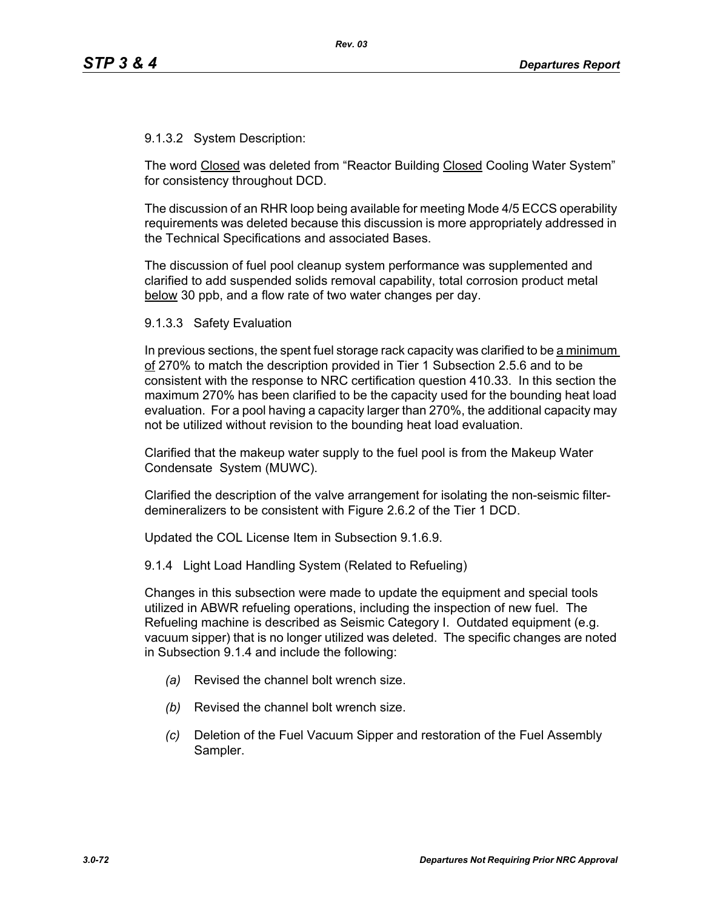9.1.3.2 System Description:

The word Closed was deleted from "Reactor Building Closed Cooling Water System" for consistency throughout DCD.

The discussion of an RHR loop being available for meeting Mode 4/5 ECCS operability requirements was deleted because this discussion is more appropriately addressed in the Technical Specifications and associated Bases.

The discussion of fuel pool cleanup system performance was supplemented and clarified to add suspended solids removal capability, total corrosion product metal below 30 ppb, and a flow rate of two water changes per day.

9.1.3.3 Safety Evaluation

In previous sections, the spent fuel storage rack capacity was clarified to be a minimum of 270% to match the description provided in Tier 1 Subsection 2.5.6 and to be consistent with the response to NRC certification question 410.33. In this section the maximum 270% has been clarified to be the capacity used for the bounding heat load evaluation. For a pool having a capacity larger than 270%, the additional capacity may not be utilized without revision to the bounding heat load evaluation.

Clarified that the makeup water supply to the fuel pool is from the Makeup Water Condensate System (MUWC).

Clarified the description of the valve arrangement for isolating the non-seismic filterdemineralizers to be consistent with Figure 2.6.2 of the Tier 1 DCD.

Updated the COL License Item in Subsection 9.1.6.9.

9.1.4 Light Load Handling System (Related to Refueling)

Changes in this subsection were made to update the equipment and special tools utilized in ABWR refueling operations, including the inspection of new fuel. The Refueling machine is described as Seismic Category I. Outdated equipment (e.g. vacuum sipper) that is no longer utilized was deleted. The specific changes are noted in Subsection 9.1.4 and include the following:

- *(a)* Revised the channel bolt wrench size.
- *(b)* Revised the channel bolt wrench size.
- *(c)* Deletion of the Fuel Vacuum Sipper and restoration of the Fuel Assembly Sampler.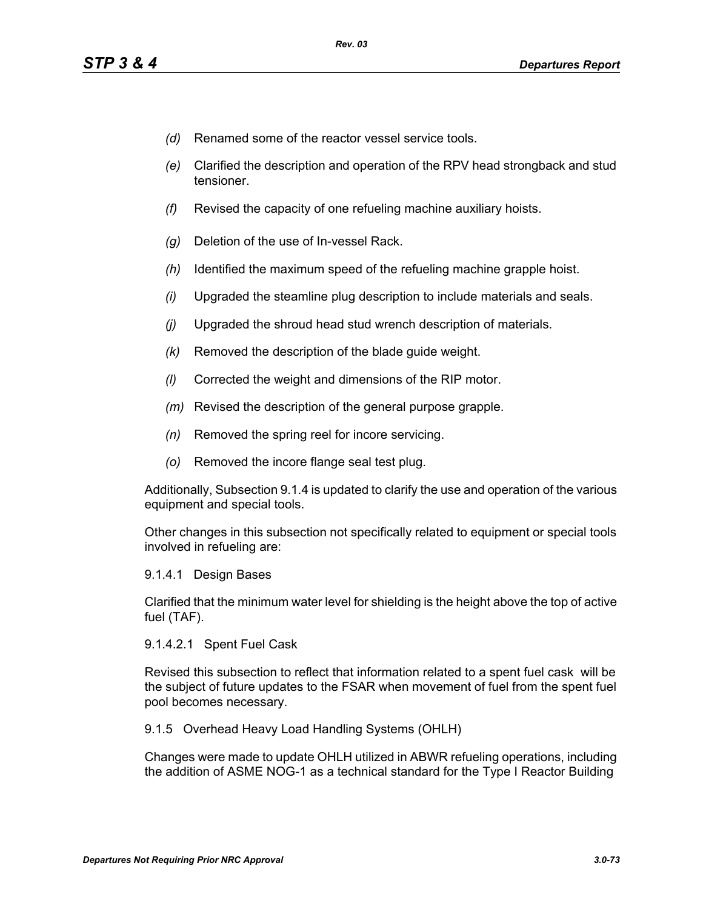- *(d)* Renamed some of the reactor vessel service tools.
- *(e)* Clarified the description and operation of the RPV head strongback and stud tensioner.
- *(f)* Revised the capacity of one refueling machine auxiliary hoists.
- *(g)* Deletion of the use of In-vessel Rack.
- *(h)* Identified the maximum speed of the refueling machine grapple hoist.
- *(i)* Upgraded the steamline plug description to include materials and seals.
- *(j)* Upgraded the shroud head stud wrench description of materials.
- *(k)* Removed the description of the blade guide weight.
- *(l)* Corrected the weight and dimensions of the RIP motor.
- *(m)* Revised the description of the general purpose grapple.
- *(n)* Removed the spring reel for incore servicing.
- *(o)* Removed the incore flange seal test plug.

Additionally, Subsection 9.1.4 is updated to clarify the use and operation of the various equipment and special tools.

Other changes in this subsection not specifically related to equipment or special tools involved in refueling are:

9.1.4.1 Design Bases

Clarified that the minimum water level for shielding is the height above the top of active fuel (TAF).

9.1.4.2.1 Spent Fuel Cask

Revised this subsection to reflect that information related to a spent fuel cask will be the subject of future updates to the FSAR when movement of fuel from the spent fuel pool becomes necessary.

9.1.5 Overhead Heavy Load Handling Systems (OHLH)

Changes were made to update OHLH utilized in ABWR refueling operations, including the addition of ASME NOG-1 as a technical standard for the Type I Reactor Building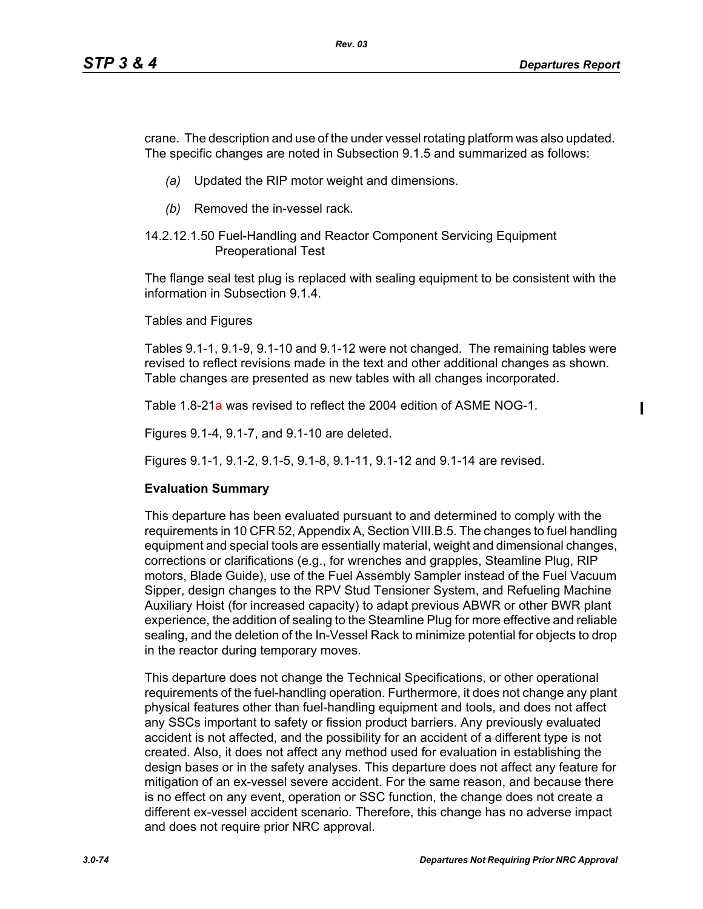$\mathbf I$ 

crane. The description and use of the under vessel rotating platform was also updated. The specific changes are noted in Subsection 9.1.5 and summarized as follows:

- *(a)* Updated the RIP motor weight and dimensions.
- *(b)* Removed the in-vessel rack.

## 14.2.12.1.50 Fuel-Handling and Reactor Component Servicing Equipment Preoperational Test

The flange seal test plug is replaced with sealing equipment to be consistent with the information in Subsection 9.1.4.

Tables and Figures

Tables 9.1-1, 9.1-9, 9.1-10 and 9.1-12 were not changed. The remaining tables were revised to reflect revisions made in the text and other additional changes as shown. Table changes are presented as new tables with all changes incorporated.

Table 1.8-21a was revised to reflect the 2004 edition of ASME NOG-1.

Figures 9.1-4, 9.1-7, and 9.1-10 are deleted.

Figures 9.1-1, 9.1-2, 9.1-5, 9.1-8, 9.1-11, 9.1-12 and 9.1-14 are revised.

## **Evaluation Summary**

This departure has been evaluated pursuant to and determined to comply with the requirements in 10 CFR 52, Appendix A, Section VIII.B.5. The changes to fuel handling equipment and special tools are essentially material, weight and dimensional changes, corrections or clarifications (e.g., for wrenches and grapples, Steamline Plug, RIP motors, Blade Guide), use of the Fuel Assembly Sampler instead of the Fuel Vacuum Sipper, design changes to the RPV Stud Tensioner System, and Refueling Machine Auxiliary Hoist (for increased capacity) to adapt previous ABWR or other BWR plant experience, the addition of sealing to the Steamline Plug for more effective and reliable sealing, and the deletion of the In-Vessel Rack to minimize potential for objects to drop in the reactor during temporary moves.

This departure does not change the Technical Specifications, or other operational requirements of the fuel-handling operation. Furthermore, it does not change any plant physical features other than fuel-handling equipment and tools, and does not affect any SSCs important to safety or fission product barriers. Any previously evaluated accident is not affected, and the possibility for an accident of a different type is not created. Also, it does not affect any method used for evaluation in establishing the design bases or in the safety analyses. This departure does not affect any feature for mitigation of an ex-vessel severe accident. For the same reason, and because there is no effect on any event, operation or SSC function, the change does not create a different ex-vessel accident scenario. Therefore, this change has no adverse impact and does not require prior NRC approval.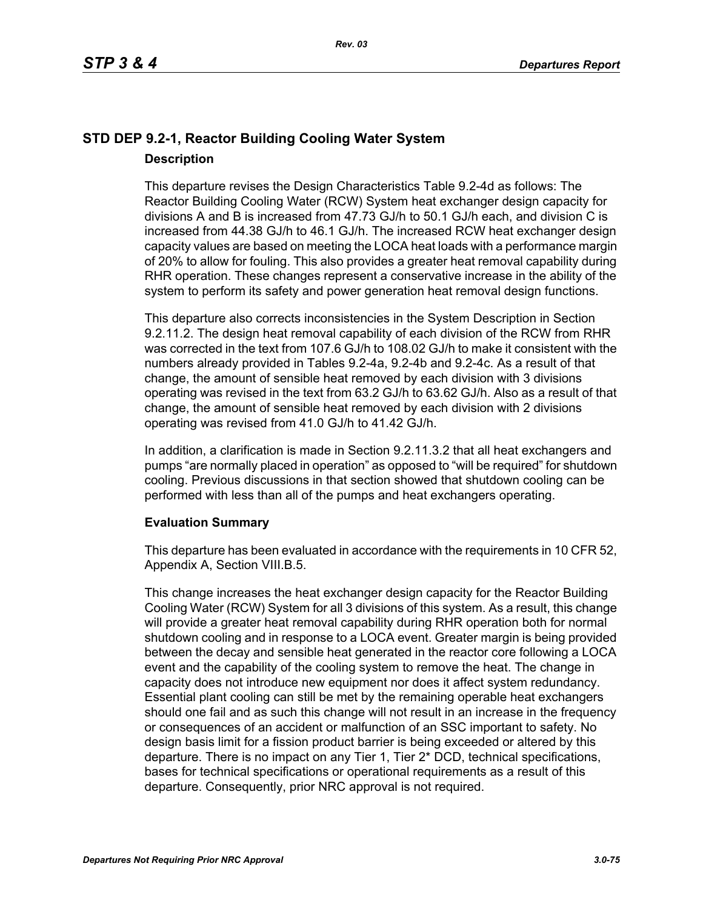# **STD DEP 9.2-1, Reactor Building Cooling Water System Description**

This departure revises the Design Characteristics Table 9.2-4d as follows: The Reactor Building Cooling Water (RCW) System heat exchanger design capacity for divisions A and B is increased from 47.73 GJ/h to 50.1 GJ/h each, and division C is increased from 44.38 GJ/h to 46.1 GJ/h. The increased RCW heat exchanger design capacity values are based on meeting the LOCA heat loads with a performance margin of 20% to allow for fouling. This also provides a greater heat removal capability during RHR operation. These changes represent a conservative increase in the ability of the system to perform its safety and power generation heat removal design functions.

This departure also corrects inconsistencies in the System Description in Section 9.2.11.2. The design heat removal capability of each division of the RCW from RHR was corrected in the text from 107.6 GJ/h to 108.02 GJ/h to make it consistent with the numbers already provided in Tables 9.2-4a, 9.2-4b and 9.2-4c. As a result of that change, the amount of sensible heat removed by each division with 3 divisions operating was revised in the text from 63.2 GJ/h to 63.62 GJ/h. Also as a result of that change, the amount of sensible heat removed by each division with 2 divisions operating was revised from 41.0 GJ/h to 41.42 GJ/h.

In addition, a clarification is made in Section 9.2.11.3.2 that all heat exchangers and pumps "are normally placed in operation" as opposed to "will be required" for shutdown cooling. Previous discussions in that section showed that shutdown cooling can be performed with less than all of the pumps and heat exchangers operating.

## **Evaluation Summary**

This departure has been evaluated in accordance with the requirements in 10 CFR 52, Appendix A, Section VIII.B.5.

This change increases the heat exchanger design capacity for the Reactor Building Cooling Water (RCW) System for all 3 divisions of this system. As a result, this change will provide a greater heat removal capability during RHR operation both for normal shutdown cooling and in response to a LOCA event. Greater margin is being provided between the decay and sensible heat generated in the reactor core following a LOCA event and the capability of the cooling system to remove the heat. The change in capacity does not introduce new equipment nor does it affect system redundancy. Essential plant cooling can still be met by the remaining operable heat exchangers should one fail and as such this change will not result in an increase in the frequency or consequences of an accident or malfunction of an SSC important to safety. No design basis limit for a fission product barrier is being exceeded or altered by this departure. There is no impact on any Tier 1, Tier 2\* DCD, technical specifications, bases for technical specifications or operational requirements as a result of this departure. Consequently, prior NRC approval is not required.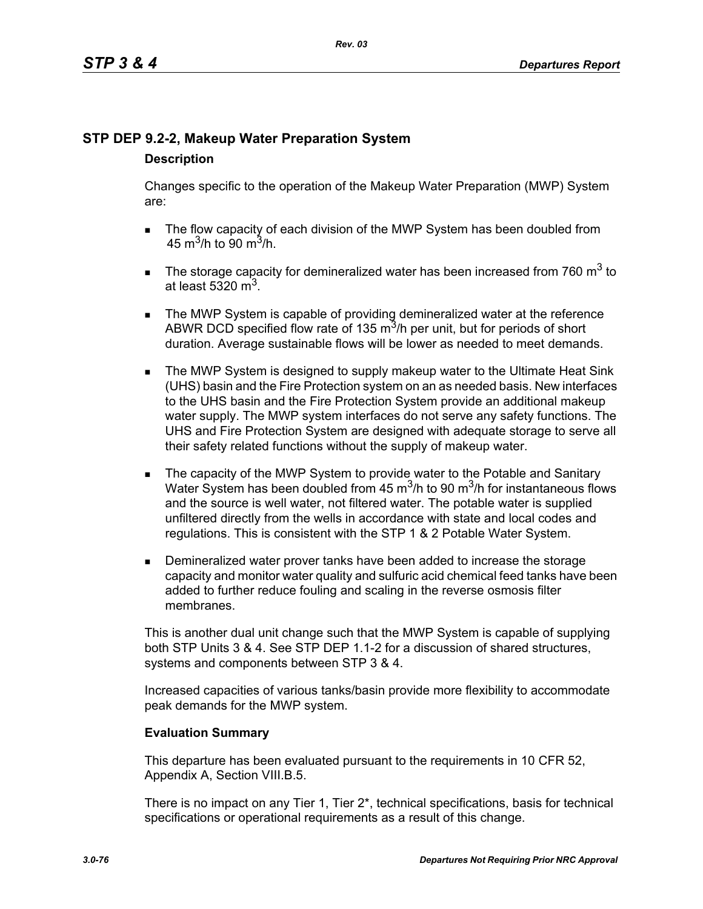# **STP DEP 9.2-2, Makeup Water Preparation System**

## **Description**

Changes specific to the operation of the Makeup Water Preparation (MWP) System are:

- The flow capacity of each division of the MWP System has been doubled from 45 m<sup>3</sup>/h to 90 m<sup>3</sup>/h.
- The storage capacity for demineralized water has been increased from 760  $m^3$  to at least 5320  $m<sup>3</sup>$ .
- **The MWP System is capable of providing demineralized water at the reference** ABWR DCD specified flow rate of 135  $\mathrm{m}^3$ /h per unit, but for periods of short duration. Average sustainable flows will be lower as needed to meet demands.
- **The MWP System is designed to supply makeup water to the Ultimate Heat Sink** (UHS) basin and the Fire Protection system on an as needed basis. New interfaces to the UHS basin and the Fire Protection System provide an additional makeup water supply. The MWP system interfaces do not serve any safety functions. The UHS and Fire Protection System are designed with adequate storage to serve all their safety related functions without the supply of makeup water.
- The capacity of the MWP System to provide water to the Potable and Sanitary Water System has been doubled from 45  $\mathrm{m}^3$ /h to 90  $\mathrm{m}^3$ /h for instantaneous flows and the source is well water, not filtered water. The potable water is supplied unfiltered directly from the wells in accordance with state and local codes and regulations. This is consistent with the STP 1 & 2 Potable Water System.
- **Demineralized water prover tanks have been added to increase the storage** capacity and monitor water quality and sulfuric acid chemical feed tanks have been added to further reduce fouling and scaling in the reverse osmosis filter membranes.

This is another dual unit change such that the MWP System is capable of supplying both STP Units 3 & 4. See STP DEP 1.1-2 for a discussion of shared structures, systems and components between STP 3 & 4.

Increased capacities of various tanks/basin provide more flexibility to accommodate peak demands for the MWP system.

# **Evaluation Summary**

This departure has been evaluated pursuant to the requirements in 10 CFR 52, Appendix A, Section VIII.B.5.

There is no impact on any Tier 1, Tier 2\*, technical specifications, basis for technical specifications or operational requirements as a result of this change.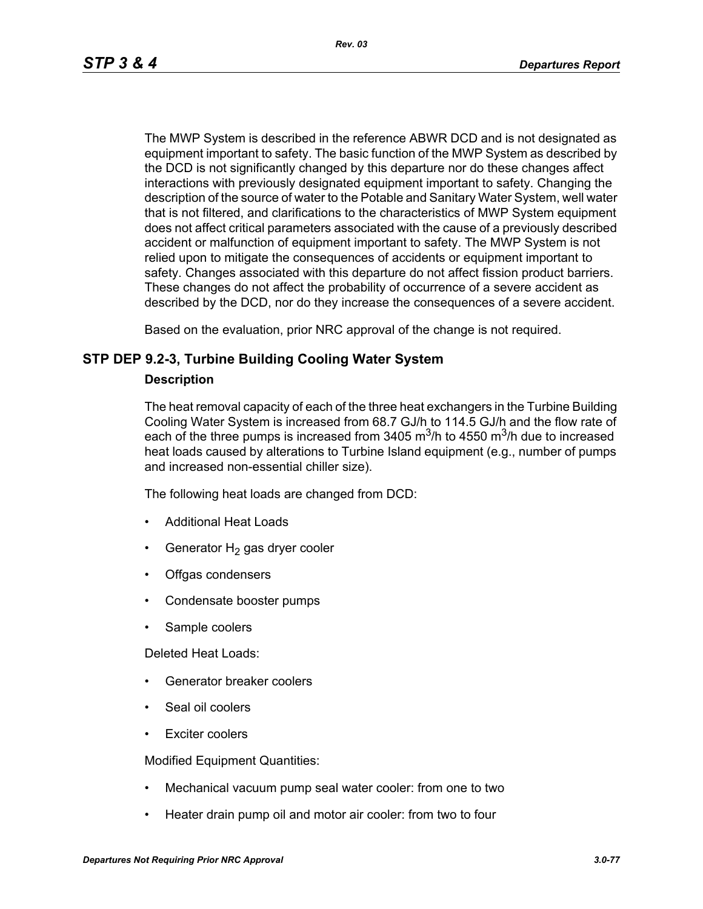The MWP System is described in the reference ABWR DCD and is not designated as equipment important to safety. The basic function of the MWP System as described by the DCD is not significantly changed by this departure nor do these changes affect interactions with previously designated equipment important to safety. Changing the description of the source of water to the Potable and Sanitary Water System, well water that is not filtered, and clarifications to the characteristics of MWP System equipment does not affect critical parameters associated with the cause of a previously described accident or malfunction of equipment important to safety. The MWP System is not relied upon to mitigate the consequences of accidents or equipment important to safety. Changes associated with this departure do not affect fission product barriers. These changes do not affect the probability of occurrence of a severe accident as described by the DCD, nor do they increase the consequences of a severe accident.

Based on the evaluation, prior NRC approval of the change is not required.

## **STP DEP 9.2-3, Turbine Building Cooling Water System**

### **Description**

The heat removal capacity of each of the three heat exchangers in the Turbine Building Cooling Water System is increased from 68.7 GJ/h to 114.5 GJ/h and the flow rate of each of the three pumps is increased from 3405  $\mathrm{m}^3$ /h to 4550  $\mathrm{m}^3$ /h due to increased heat loads caused by alterations to Turbine Island equipment (e.g., number of pumps and increased non-essential chiller size).

The following heat loads are changed from DCD:

- Additional Heat Loads
- Generator  $H_2$  gas dryer cooler
- Offgas condensers
- Condensate booster pumps
- Sample coolers

Deleted Heat Loads:

- Generator breaker coolers
- Seal oil coolers
- Exciter coolers

Modified Equipment Quantities:

- Mechanical vacuum pump seal water cooler: from one to two
- Heater drain pump oil and motor air cooler: from two to four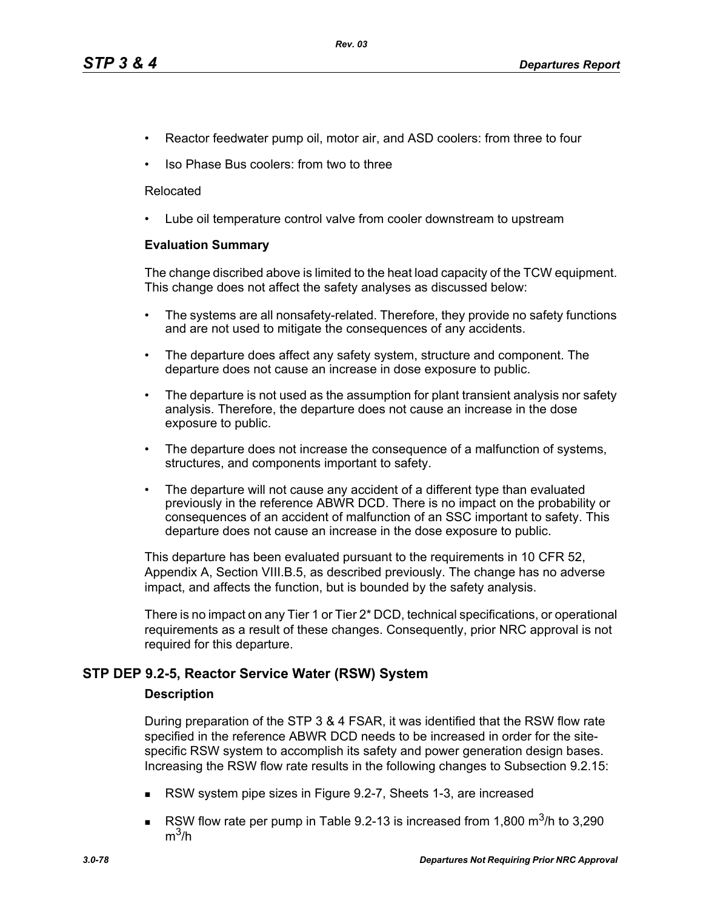- Reactor feedwater pump oil, motor air, and ASD coolers: from three to four
- Iso Phase Bus coolers: from two to three

### Relocated

• Lube oil temperature control valve from cooler downstream to upstream

## **Evaluation Summary**

The change discribed above is limited to the heat load capacity of the TCW equipment. This change does not affect the safety analyses as discussed below:

- The systems are all nonsafety-related. Therefore, they provide no safety functions and are not used to mitigate the consequences of any accidents.
- The departure does affect any safety system, structure and component. The departure does not cause an increase in dose exposure to public.
- The departure is not used as the assumption for plant transient analysis nor safety analysis. Therefore, the departure does not cause an increase in the dose exposure to public.
- The departure does not increase the consequence of a malfunction of systems, structures, and components important to safety.
- The departure will not cause any accident of a different type than evaluated previously in the reference ABWR DCD. There is no impact on the probability or consequences of an accident of malfunction of an SSC important to safety. This departure does not cause an increase in the dose exposure to public.

This departure has been evaluated pursuant to the requirements in 10 CFR 52, Appendix A, Section VIII.B.5, as described previously. The change has no adverse impact, and affects the function, but is bounded by the safety analysis.

There is no impact on any Tier 1 or Tier 2\* DCD, technical specifications, or operational requirements as a result of these changes. Consequently, prior NRC approval is not required for this departure.

## **STP DEP 9.2-5, Reactor Service Water (RSW) System**

### **Description**

During preparation of the STP 3 & 4 FSAR, it was identified that the RSW flow rate specified in the reference ABWR DCD needs to be increased in order for the sitespecific RSW system to accomplish its safety and power generation design bases. Increasing the RSW flow rate results in the following changes to Subsection 9.2.15:

- RSW system pipe sizes in Figure 9.2-7, Sheets 1-3, are increased
- RSW flow rate per pump in Table 9.2-13 is increased from 1,800  $\text{m}^3$ /h to 3,290  $m^3/h$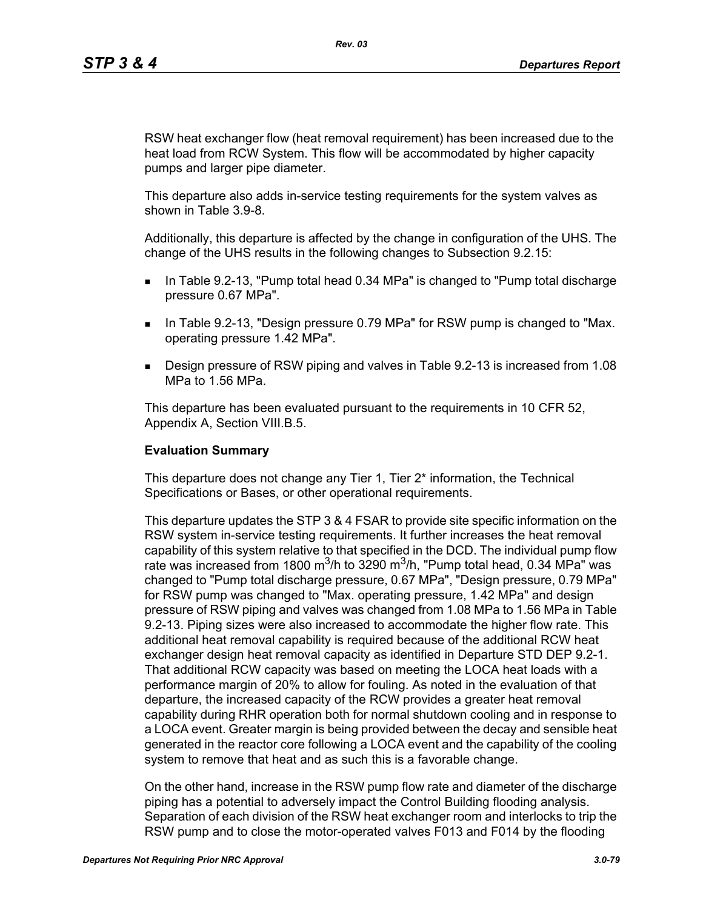RSW heat exchanger flow (heat removal requirement) has been increased due to the heat load from RCW System. This flow will be accommodated by higher capacity pumps and larger pipe diameter.

This departure also adds in-service testing requirements for the system valves as shown in Table 3.9-8.

Additionally, this departure is affected by the change in configuration of the UHS. The change of the UHS results in the following changes to Subsection 9.2.15:

- In Table 9.2-13, "Pump total head 0.34 MPa" is changed to "Pump total discharge pressure 0.67 MPa".
- **IF IN Table 9.2-13, "Design pressure 0.79 MPa" for RSW pump is changed to "Max.** operating pressure 1.42 MPa".
- Design pressure of RSW piping and valves in Table 9.2-13 is increased from 1.08 MPa to 1.56 MPa.

This departure has been evaluated pursuant to the requirements in 10 CFR 52, Appendix A, Section VIII.B.5.

### **Evaluation Summary**

This departure does not change any Tier 1, Tier 2\* information, the Technical Specifications or Bases, or other operational requirements.

This departure updates the STP 3 & 4 FSAR to provide site specific information on the RSW system in-service testing requirements. It further increases the heat removal capability of this system relative to that specified in the DCD. The individual pump flow rate was increased from 1800 m<sup>3</sup>/h to 3290 m<sup>3</sup>/h, "Pump total head, 0.34 MPa" was changed to "Pump total discharge pressure, 0.67 MPa", "Design pressure, 0.79 MPa" for RSW pump was changed to "Max. operating pressure, 1.42 MPa" and design pressure of RSW piping and valves was changed from 1.08 MPa to 1.56 MPa in Table 9.2-13. Piping sizes were also increased to accommodate the higher flow rate. This additional heat removal capability is required because of the additional RCW heat exchanger design heat removal capacity as identified in Departure STD DEP 9.2-1. That additional RCW capacity was based on meeting the LOCA heat loads with a performance margin of 20% to allow for fouling. As noted in the evaluation of that departure, the increased capacity of the RCW provides a greater heat removal capability during RHR operation both for normal shutdown cooling and in response to a LOCA event. Greater margin is being provided between the decay and sensible heat generated in the reactor core following a LOCA event and the capability of the cooling system to remove that heat and as such this is a favorable change.

On the other hand, increase in the RSW pump flow rate and diameter of the discharge piping has a potential to adversely impact the Control Building flooding analysis. Separation of each division of the RSW heat exchanger room and interlocks to trip the RSW pump and to close the motor-operated valves F013 and F014 by the flooding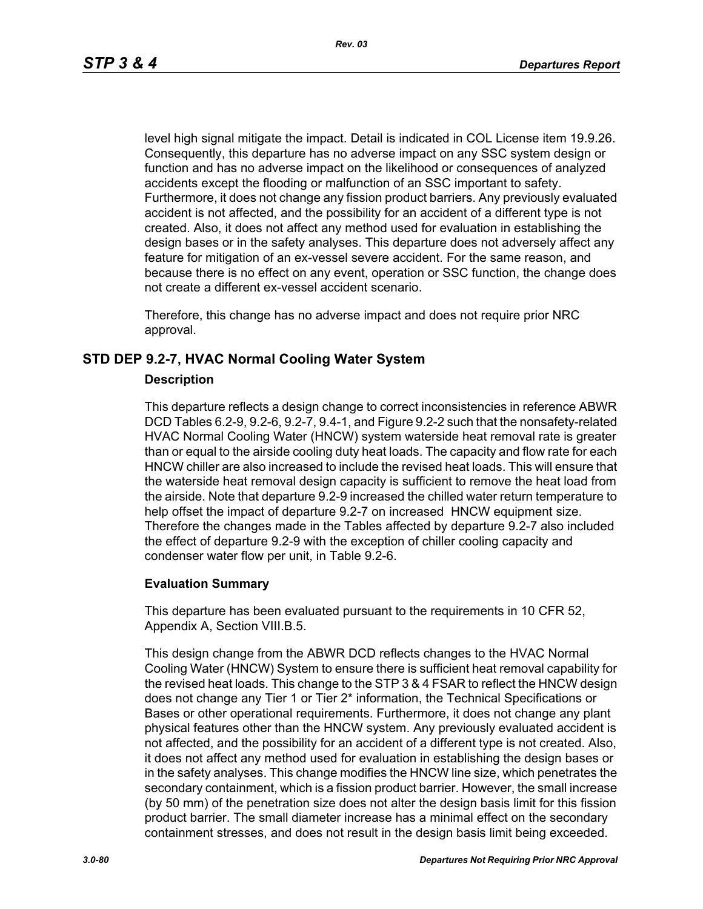level high signal mitigate the impact. Detail is indicated in COL License item 19.9.26. Consequently, this departure has no adverse impact on any SSC system design or function and has no adverse impact on the likelihood or consequences of analyzed accidents except the flooding or malfunction of an SSC important to safety. Furthermore, it does not change any fission product barriers. Any previously evaluated accident is not affected, and the possibility for an accident of a different type is not created. Also, it does not affect any method used for evaluation in establishing the design bases or in the safety analyses. This departure does not adversely affect any feature for mitigation of an ex-vessel severe accident. For the same reason, and because there is no effect on any event, operation or SSC function, the change does not create a different ex-vessel accident scenario.

Therefore, this change has no adverse impact and does not require prior NRC approval.

## **STD DEP 9.2-7, HVAC Normal Cooling Water System**

### **Description**

This departure reflects a design change to correct inconsistencies in reference ABWR DCD Tables 6.2-9, 9.2-6, 9.2-7, 9.4-1, and Figure 9.2-2 such that the nonsafety-related HVAC Normal Cooling Water (HNCW) system waterside heat removal rate is greater than or equal to the airside cooling duty heat loads. The capacity and flow rate for each HNCW chiller are also increased to include the revised heat loads. This will ensure that the waterside heat removal design capacity is sufficient to remove the heat load from the airside. Note that departure 9.2-9 increased the chilled water return temperature to help offset the impact of departure 9.2-7 on increased HNCW equipment size. Therefore the changes made in the Tables affected by departure 9.2-7 also included the effect of departure 9.2-9 with the exception of chiller cooling capacity and condenser water flow per unit, in Table 9.2-6.

### **Evaluation Summary**

This departure has been evaluated pursuant to the requirements in 10 CFR 52, Appendix A, Section VIII.B.5.

This design change from the ABWR DCD reflects changes to the HVAC Normal Cooling Water (HNCW) System to ensure there is sufficient heat removal capability for the revised heat loads. This change to the STP 3 & 4 FSAR to reflect the HNCW design does not change any Tier 1 or Tier 2\* information, the Technical Specifications or Bases or other operational requirements. Furthermore, it does not change any plant physical features other than the HNCW system. Any previously evaluated accident is not affected, and the possibility for an accident of a different type is not created. Also, it does not affect any method used for evaluation in establishing the design bases or in the safety analyses. This change modifies the HNCW line size, which penetrates the secondary containment, which is a fission product barrier. However, the small increase (by 50 mm) of the penetration size does not alter the design basis limit for this fission product barrier. The small diameter increase has a minimal effect on the secondary containment stresses, and does not result in the design basis limit being exceeded.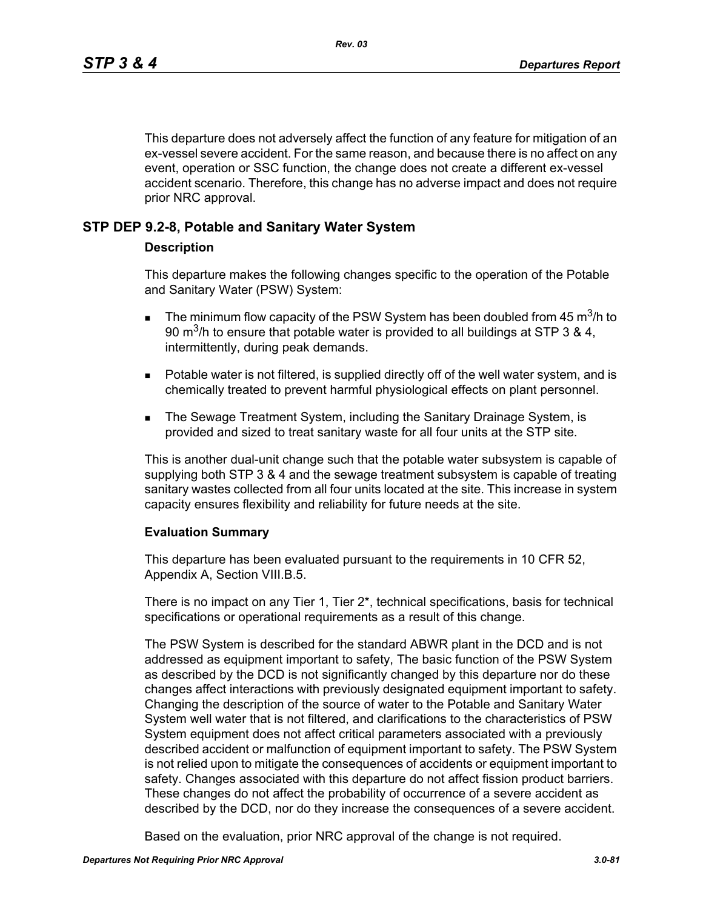This departure does not adversely affect the function of any feature for mitigation of an ex-vessel severe accident. For the same reason, and because there is no affect on any event, operation or SSC function, the change does not create a different ex-vessel accident scenario. Therefore, this change has no adverse impact and does not require prior NRC approval.

## **STP DEP 9.2-8, Potable and Sanitary Water System**

## **Description**

This departure makes the following changes specific to the operation of the Potable and Sanitary Water (PSW) System:

- **The minimum flow capacity of the PSW System has been doubled from 45 m<sup>3</sup>/h to** 90 m<sup>3</sup>/h to ensure that potable water is provided to all buildings at STP 3 & 4, intermittently, during peak demands.
- **Potable water is not filtered, is supplied directly off of the well water system, and is** chemically treated to prevent harmful physiological effects on plant personnel.
- **The Sewage Treatment System, including the Sanitary Drainage System, is** provided and sized to treat sanitary waste for all four units at the STP site.

This is another dual-unit change such that the potable water subsystem is capable of supplying both STP 3 & 4 and the sewage treatment subsystem is capable of treating sanitary wastes collected from all four units located at the site. This increase in system capacity ensures flexibility and reliability for future needs at the site.

### **Evaluation Summary**

This departure has been evaluated pursuant to the requirements in 10 CFR 52, Appendix A, Section VIII.B.5.

There is no impact on any Tier 1, Tier 2\*, technical specifications, basis for technical specifications or operational requirements as a result of this change.

The PSW System is described for the standard ABWR plant in the DCD and is not addressed as equipment important to safety, The basic function of the PSW System as described by the DCD is not significantly changed by this departure nor do these changes affect interactions with previously designated equipment important to safety. Changing the description of the source of water to the Potable and Sanitary Water System well water that is not filtered, and clarifications to the characteristics of PSW System equipment does not affect critical parameters associated with a previously described accident or malfunction of equipment important to safety. The PSW System is not relied upon to mitigate the consequences of accidents or equipment important to safety. Changes associated with this departure do not affect fission product barriers. These changes do not affect the probability of occurrence of a severe accident as described by the DCD, nor do they increase the consequences of a severe accident.

Based on the evaluation, prior NRC approval of the change is not required.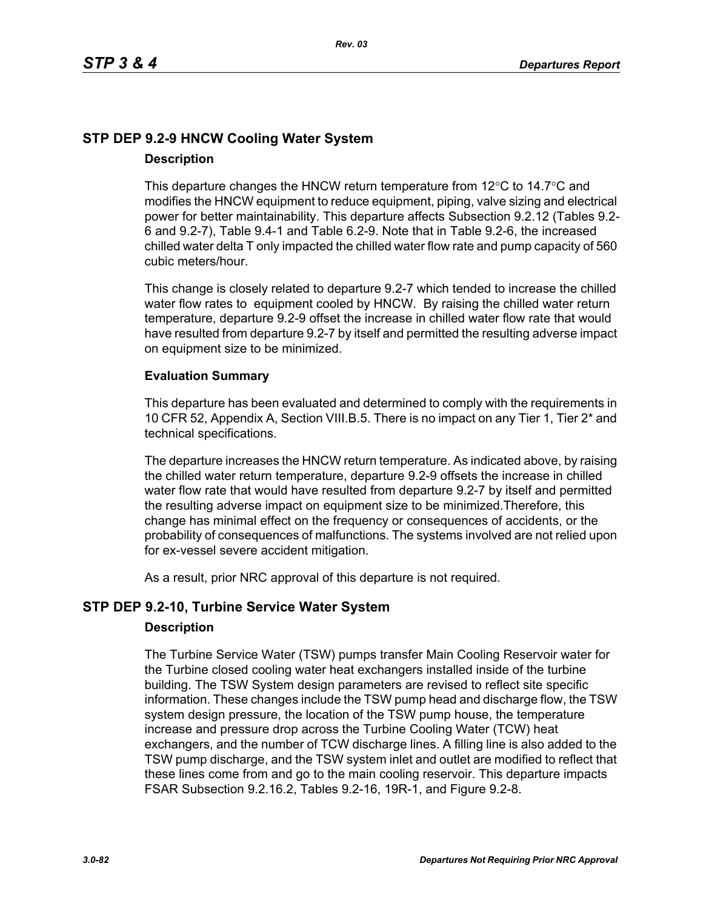# **STP DEP 9.2-9 HNCW Cooling Water System Description**

This departure changes the HNCW return temperature from  $12^{\circ}$ C to  $14.7^{\circ}$ C and modifies the HNCW equipment to reduce equipment, piping, valve sizing and electrical power for better maintainability. This departure affects Subsection 9.2.12 (Tables 9.2- 6 and 9.2-7), Table 9.4-1 and Table 6.2-9. Note that in Table 9.2-6, the increased chilled water delta T only impacted the chilled water flow rate and pump capacity of 560 cubic meters/hour.

This change is closely related to departure 9.2-7 which tended to increase the chilled water flow rates to equipment cooled by HNCW. By raising the chilled water return temperature, departure 9.2-9 offset the increase in chilled water flow rate that would have resulted from departure 9.2-7 by itself and permitted the resulting adverse impact on equipment size to be minimized.

# **Evaluation Summary**

This departure has been evaluated and determined to comply with the requirements in 10 CFR 52, Appendix A, Section VIII.B.5. There is no impact on any Tier 1, Tier 2\* and technical specifications.

The departure increases the HNCW return temperature. As indicated above, by raising the chilled water return temperature, departure 9.2-9 offsets the increase in chilled water flow rate that would have resulted from departure 9.2-7 by itself and permitted the resulting adverse impact on equipment size to be minimized.Therefore, this change has minimal effect on the frequency or consequences of accidents, or the probability of consequences of malfunctions. The systems involved are not relied upon for ex-vessel severe accident mitigation.

As a result, prior NRC approval of this departure is not required.

# **STP DEP 9.2-10, Turbine Service Water System**

## **Description**

The Turbine Service Water (TSW) pumps transfer Main Cooling Reservoir water for the Turbine closed cooling water heat exchangers installed inside of the turbine building. The TSW System design parameters are revised to reflect site specific information. These changes include the TSW pump head and discharge flow, the TSW system design pressure, the location of the TSW pump house, the temperature increase and pressure drop across the Turbine Cooling Water (TCW) heat exchangers, and the number of TCW discharge lines. A filling line is also added to the TSW pump discharge, and the TSW system inlet and outlet are modified to reflect that these lines come from and go to the main cooling reservoir. This departure impacts FSAR Subsection 9.2.16.2, Tables 9.2-16, 19R-1, and Figure 9.2-8.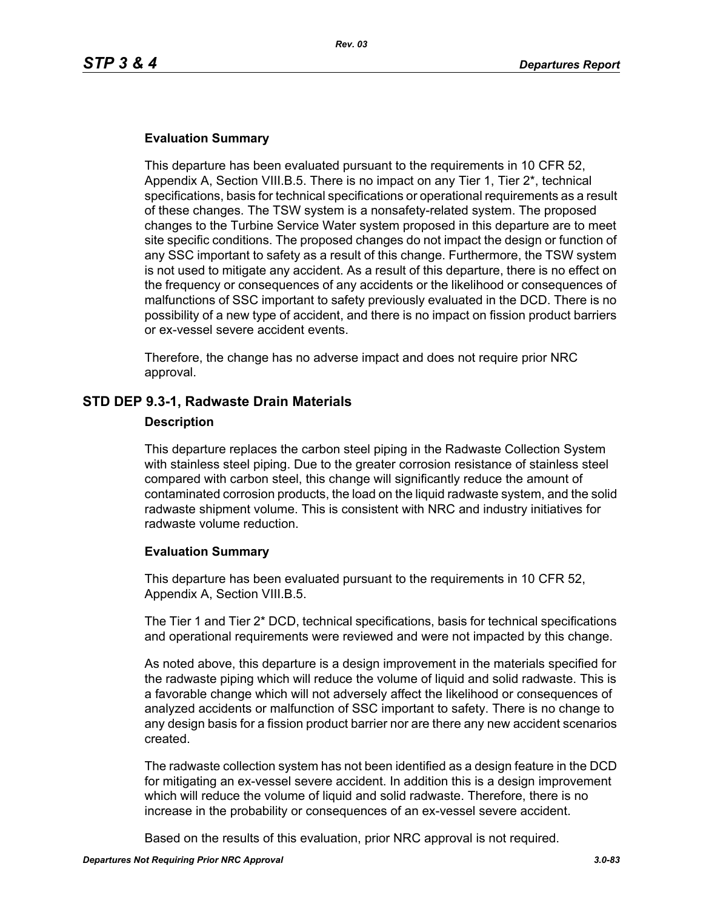## **Evaluation Summary**

This departure has been evaluated pursuant to the requirements in 10 CFR 52, Appendix A, Section VIII.B.5. There is no impact on any Tier 1, Tier 2\*, technical specifications, basis for technical specifications or operational requirements as a result of these changes. The TSW system is a nonsafety-related system. The proposed changes to the Turbine Service Water system proposed in this departure are to meet site specific conditions. The proposed changes do not impact the design or function of any SSC important to safety as a result of this change. Furthermore, the TSW system is not used to mitigate any accident. As a result of this departure, there is no effect on the frequency or consequences of any accidents or the likelihood or consequences of malfunctions of SSC important to safety previously evaluated in the DCD. There is no possibility of a new type of accident, and there is no impact on fission product barriers or ex-vessel severe accident events.

Therefore, the change has no adverse impact and does not require prior NRC approval.

## **STD DEP 9.3-1, Radwaste Drain Materials**

#### **Description**

This departure replaces the carbon steel piping in the Radwaste Collection System with stainless steel piping. Due to the greater corrosion resistance of stainless steel compared with carbon steel, this change will significantly reduce the amount of contaminated corrosion products, the load on the liquid radwaste system, and the solid radwaste shipment volume. This is consistent with NRC and industry initiatives for radwaste volume reduction.

### **Evaluation Summary**

This departure has been evaluated pursuant to the requirements in 10 CFR 52, Appendix A, Section VIII.B.5.

The Tier 1 and Tier 2\* DCD, technical specifications, basis for technical specifications and operational requirements were reviewed and were not impacted by this change.

As noted above, this departure is a design improvement in the materials specified for the radwaste piping which will reduce the volume of liquid and solid radwaste. This is a favorable change which will not adversely affect the likelihood or consequences of analyzed accidents or malfunction of SSC important to safety. There is no change to any design basis for a fission product barrier nor are there any new accident scenarios created.

The radwaste collection system has not been identified as a design feature in the DCD for mitigating an ex-vessel severe accident. In addition this is a design improvement which will reduce the volume of liquid and solid radwaste. Therefore, there is no increase in the probability or consequences of an ex-vessel severe accident.

Based on the results of this evaluation, prior NRC approval is not required.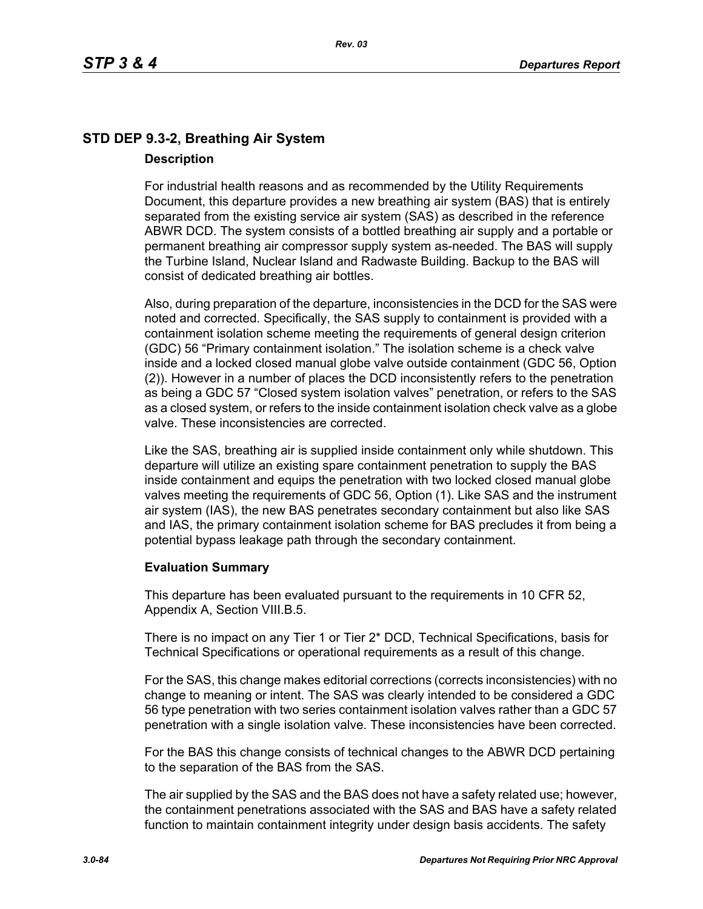# **STD DEP 9.3-2, Breathing Air System Description**

For industrial health reasons and as recommended by the Utility Requirements Document, this departure provides a new breathing air system (BAS) that is entirely separated from the existing service air system (SAS) as described in the reference ABWR DCD. The system consists of a bottled breathing air supply and a portable or permanent breathing air compressor supply system as-needed. The BAS will supply the Turbine Island, Nuclear Island and Radwaste Building. Backup to the BAS will consist of dedicated breathing air bottles.

Also, during preparation of the departure, inconsistencies in the DCD for the SAS were noted and corrected. Specifically, the SAS supply to containment is provided with a containment isolation scheme meeting the requirements of general design criterion (GDC) 56 "Primary containment isolation." The isolation scheme is a check valve inside and a locked closed manual globe valve outside containment (GDC 56, Option (2)). However in a number of places the DCD inconsistently refers to the penetration as being a GDC 57 "Closed system isolation valves" penetration, or refers to the SAS as a closed system, or refers to the inside containment isolation check valve as a globe valve. These inconsistencies are corrected.

Like the SAS, breathing air is supplied inside containment only while shutdown. This departure will utilize an existing spare containment penetration to supply the BAS inside containment and equips the penetration with two locked closed manual globe valves meeting the requirements of GDC 56, Option (1). Like SAS and the instrument air system (IAS), the new BAS penetrates secondary containment but also like SAS and IAS, the primary containment isolation scheme for BAS precludes it from being a potential bypass leakage path through the secondary containment.

## **Evaluation Summary**

This departure has been evaluated pursuant to the requirements in 10 CFR 52, Appendix A, Section VIII.B.5.

There is no impact on any Tier 1 or Tier 2\* DCD, Technical Specifications, basis for Technical Specifications or operational requirements as a result of this change.

For the SAS, this change makes editorial corrections (corrects inconsistencies) with no change to meaning or intent. The SAS was clearly intended to be considered a GDC 56 type penetration with two series containment isolation valves rather than a GDC 57 penetration with a single isolation valve. These inconsistencies have been corrected.

For the BAS this change consists of technical changes to the ABWR DCD pertaining to the separation of the BAS from the SAS.

The air supplied by the SAS and the BAS does not have a safety related use; however, the containment penetrations associated with the SAS and BAS have a safety related function to maintain containment integrity under design basis accidents. The safety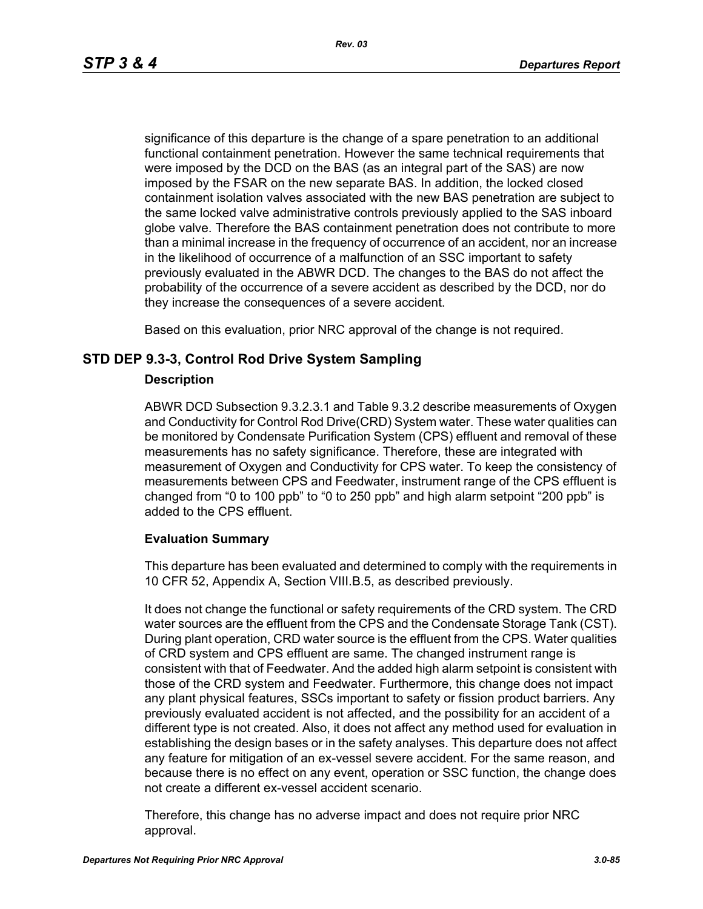significance of this departure is the change of a spare penetration to an additional functional containment penetration. However the same technical requirements that were imposed by the DCD on the BAS (as an integral part of the SAS) are now imposed by the FSAR on the new separate BAS. In addition, the locked closed containment isolation valves associated with the new BAS penetration are subject to the same locked valve administrative controls previously applied to the SAS inboard globe valve. Therefore the BAS containment penetration does not contribute to more than a minimal increase in the frequency of occurrence of an accident, nor an increase in the likelihood of occurrence of a malfunction of an SSC important to safety previously evaluated in the ABWR DCD. The changes to the BAS do not affect the probability of the occurrence of a severe accident as described by the DCD, nor do they increase the consequences of a severe accident.

Based on this evaluation, prior NRC approval of the change is not required.

## **STD DEP 9.3-3, Control Rod Drive System Sampling**

## **Description**

ABWR DCD Subsection 9.3.2.3.1 and Table 9.3.2 describe measurements of Oxygen and Conductivity for Control Rod Drive(CRD) System water. These water qualities can be monitored by Condensate Purification System (CPS) effluent and removal of these measurements has no safety significance. Therefore, these are integrated with measurement of Oxygen and Conductivity for CPS water. To keep the consistency of measurements between CPS and Feedwater, instrument range of the CPS effluent is changed from "0 to 100 ppb" to "0 to 250 ppb" and high alarm setpoint "200 ppb" is added to the CPS effluent.

## **Evaluation Summary**

This departure has been evaluated and determined to comply with the requirements in 10 CFR 52, Appendix A, Section VIII.B.5, as described previously.

It does not change the functional or safety requirements of the CRD system. The CRD water sources are the effluent from the CPS and the Condensate Storage Tank (CST). During plant operation, CRD water source is the effluent from the CPS. Water qualities of CRD system and CPS effluent are same. The changed instrument range is consistent with that of Feedwater. And the added high alarm setpoint is consistent with those of the CRD system and Feedwater. Furthermore, this change does not impact any plant physical features, SSCs important to safety or fission product barriers. Any previously evaluated accident is not affected, and the possibility for an accident of a different type is not created. Also, it does not affect any method used for evaluation in establishing the design bases or in the safety analyses. This departure does not affect any feature for mitigation of an ex-vessel severe accident. For the same reason, and because there is no effect on any event, operation or SSC function, the change does not create a different ex-vessel accident scenario.

Therefore, this change has no adverse impact and does not require prior NRC approval.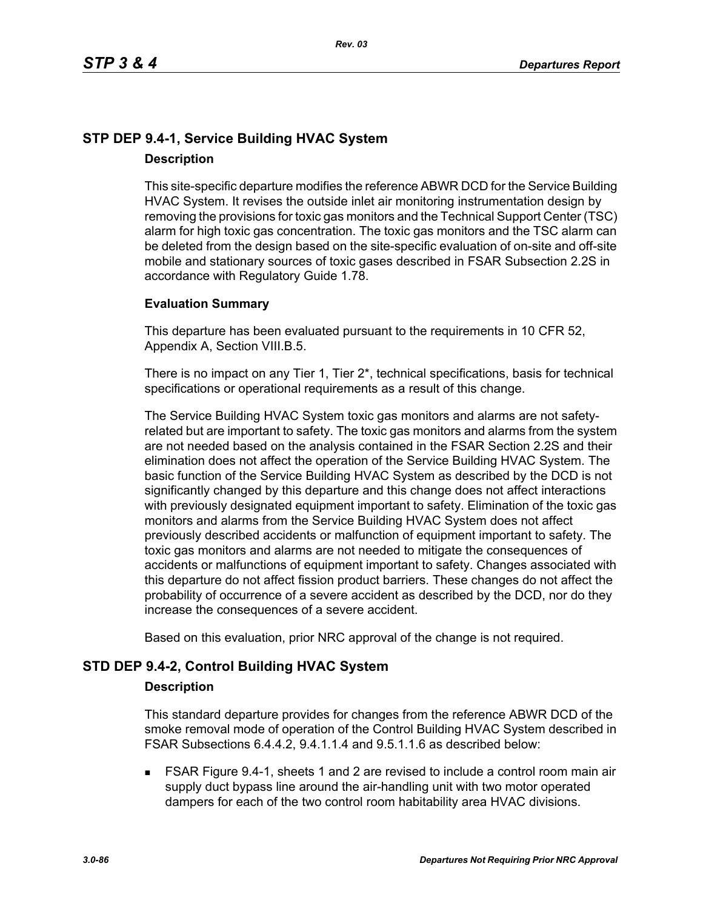# **STP DEP 9.4-1, Service Building HVAC System Description**

This site-specific departure modifies the reference ABWR DCD for the Service Building HVAC System. It revises the outside inlet air monitoring instrumentation design by removing the provisions for toxic gas monitors and the Technical Support Center (TSC) alarm for high toxic gas concentration. The toxic gas monitors and the TSC alarm can be deleted from the design based on the site-specific evaluation of on-site and off-site mobile and stationary sources of toxic gases described in FSAR Subsection 2.2S in accordance with Regulatory Guide 1.78.

## **Evaluation Summary**

This departure has been evaluated pursuant to the requirements in 10 CFR 52, Appendix A, Section VIII.B.5.

There is no impact on any Tier 1, Tier 2\*, technical specifications, basis for technical specifications or operational requirements as a result of this change.

The Service Building HVAC System toxic gas monitors and alarms are not safetyrelated but are important to safety. The toxic gas monitors and alarms from the system are not needed based on the analysis contained in the FSAR Section 2.2S and their elimination does not affect the operation of the Service Building HVAC System. The basic function of the Service Building HVAC System as described by the DCD is not significantly changed by this departure and this change does not affect interactions with previously designated equipment important to safety. Elimination of the toxic gas monitors and alarms from the Service Building HVAC System does not affect previously described accidents or malfunction of equipment important to safety. The toxic gas monitors and alarms are not needed to mitigate the consequences of accidents or malfunctions of equipment important to safety. Changes associated with this departure do not affect fission product barriers. These changes do not affect the probability of occurrence of a severe accident as described by the DCD, nor do they increase the consequences of a severe accident.

Based on this evaluation, prior NRC approval of the change is not required.

# **STD DEP 9.4-2, Control Building HVAC System**

### **Description**

This standard departure provides for changes from the reference ABWR DCD of the smoke removal mode of operation of the Control Building HVAC System described in FSAR Subsections 6.4.4.2, 9.4.1.1.4 and 9.5.1.1.6 as described below:

 FSAR Figure 9.4-1, sheets 1 and 2 are revised to include a control room main air supply duct bypass line around the air-handling unit with two motor operated dampers for each of the two control room habitability area HVAC divisions.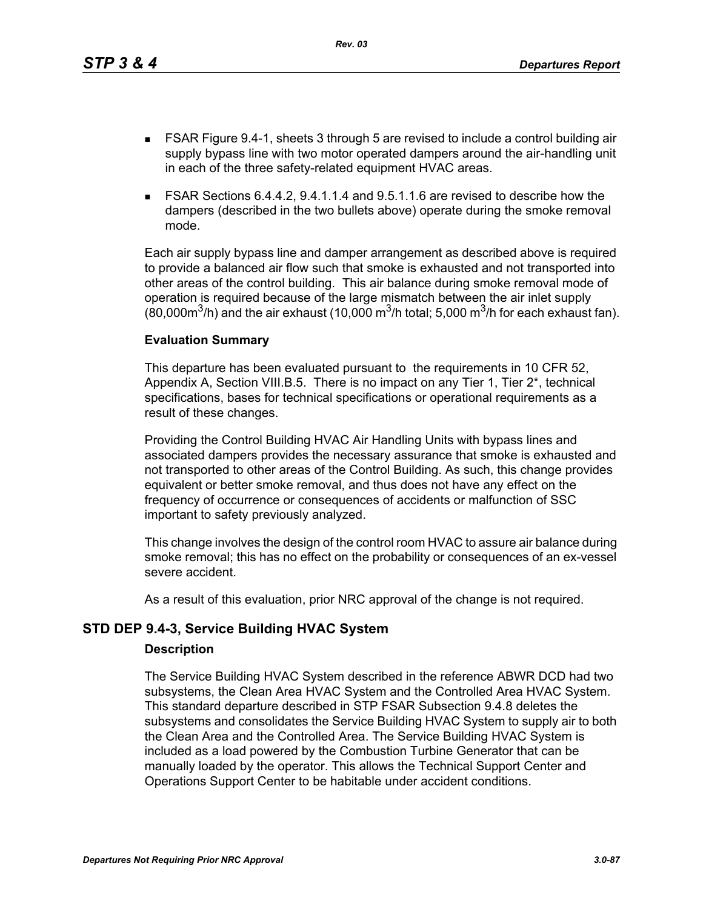This departure has been evaluated pursuant to the requirements in 10 CFR 52, Appendix A, Section VIII.B.5. There is no impact on any Tier 1, Tier 2\*, technical specifications, bases for technical specifications or operational requirements as a result of these changes.

Providing the Control Building HVAC Air Handling Units with bypass lines and associated dampers provides the necessary assurance that smoke is exhausted and not transported to other areas of the Control Building. As such, this change provides equivalent or better smoke removal, and thus does not have any effect on the frequency of occurrence or consequences of accidents or malfunction of SSC important to safety previously analyzed.

This change involves the design of the control room HVAC to assure air balance during smoke removal; this has no effect on the probability or consequences of an ex-vessel severe accident.

As a result of this evaluation, prior NRC approval of the change is not required.

# **STD DEP 9.4-3, Service Building HVAC System**

**Evaluation Summary**

## **Description**

The Service Building HVAC System described in the reference ABWR DCD had two subsystems, the Clean Area HVAC System and the Controlled Area HVAC System. This standard departure described in STP FSAR Subsection 9.4.8 deletes the subsystems and consolidates the Service Building HVAC System to supply air to both the Clean Area and the Controlled Area. The Service Building HVAC System is included as a load powered by the Combustion Turbine Generator that can be manually loaded by the operator. This allows the Technical Support Center and Operations Support Center to be habitable under accident conditions.

- FSAR Figure 9.4-1, sheets 3 through 5 are revised to include a control building air supply bypass line with two motor operated dampers around the air-handling unit in each of the three safety-related equipment HVAC areas.
- FSAR Sections 6.4.4.2, 9.4.1.1.4 and 9.5.1.1.6 are revised to describe how the dampers (described in the two bullets above) operate during the smoke removal mode.

Each air supply bypass line and damper arrangement as described above is required

to provide a balanced air flow such that smoke is exhausted and not transported into other areas of the control building. This air balance during smoke removal mode of operation is required because of the large mismatch between the air inlet supply (80,000 $\mathrm{m}^3$ /h) and the air exhaust (10,000  $\mathrm{m}^3$ /h total; 5,000  $\mathrm{m}^3$ /h for each exhaust fan).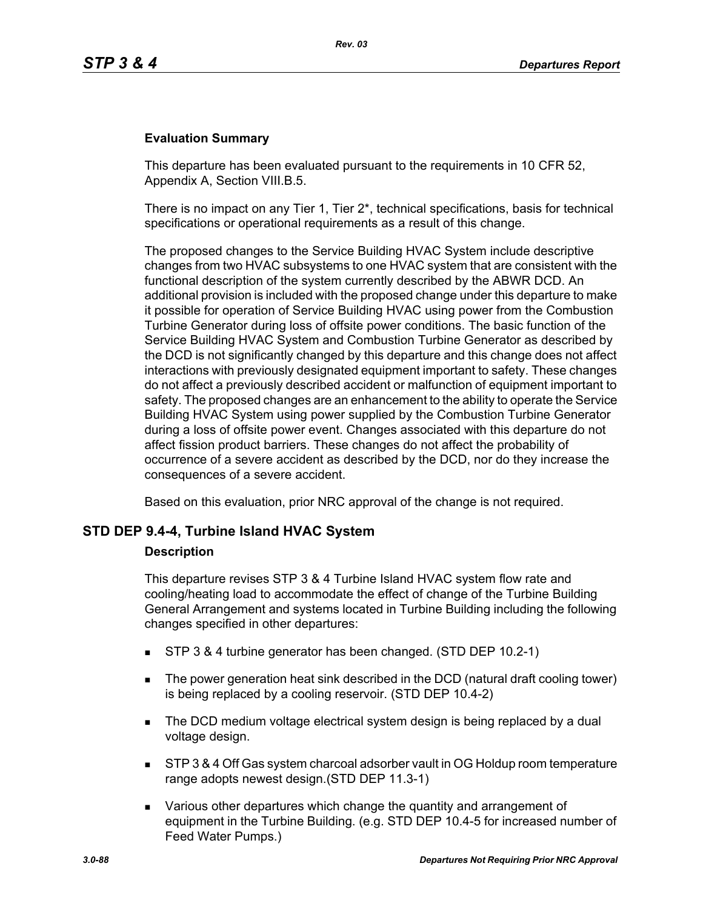## **Evaluation Summary**

This departure has been evaluated pursuant to the requirements in 10 CFR 52, Appendix A, Section VIII.B.5.

There is no impact on any Tier 1, Tier  $2^*$ , technical specifications, basis for technical specifications or operational requirements as a result of this change.

The proposed changes to the Service Building HVAC System include descriptive changes from two HVAC subsystems to one HVAC system that are consistent with the functional description of the system currently described by the ABWR DCD. An additional provision is included with the proposed change under this departure to make it possible for operation of Service Building HVAC using power from the Combustion Turbine Generator during loss of offsite power conditions. The basic function of the Service Building HVAC System and Combustion Turbine Generator as described by the DCD is not significantly changed by this departure and this change does not affect interactions with previously designated equipment important to safety. These changes do not affect a previously described accident or malfunction of equipment important to safety. The proposed changes are an enhancement to the ability to operate the Service Building HVAC System using power supplied by the Combustion Turbine Generator during a loss of offsite power event. Changes associated with this departure do not affect fission product barriers. These changes do not affect the probability of occurrence of a severe accident as described by the DCD, nor do they increase the consequences of a severe accident.

Based on this evaluation, prior NRC approval of the change is not required.

### **STD DEP 9.4-4, Turbine Island HVAC System**

### **Description**

This departure revises STP 3 & 4 Turbine Island HVAC system flow rate and cooling/heating load to accommodate the effect of change of the Turbine Building General Arrangement and systems located in Turbine Building including the following changes specified in other departures:

- STP 3 & 4 turbine generator has been changed. (STD DEP 10.2-1)
- The power generation heat sink described in the DCD (natural draft cooling tower) is being replaced by a cooling reservoir. (STD DEP 10.4-2)
- The DCD medium voltage electrical system design is being replaced by a dual voltage design.
- STP 3 & 4 Off Gas system charcoal adsorber vault in OG Holdup room temperature range adopts newest design.(STD DEP 11.3-1)
- **EXECT** Various other departures which change the quantity and arrangement of equipment in the Turbine Building. (e.g. STD DEP 10.4-5 for increased number of Feed Water Pumps.)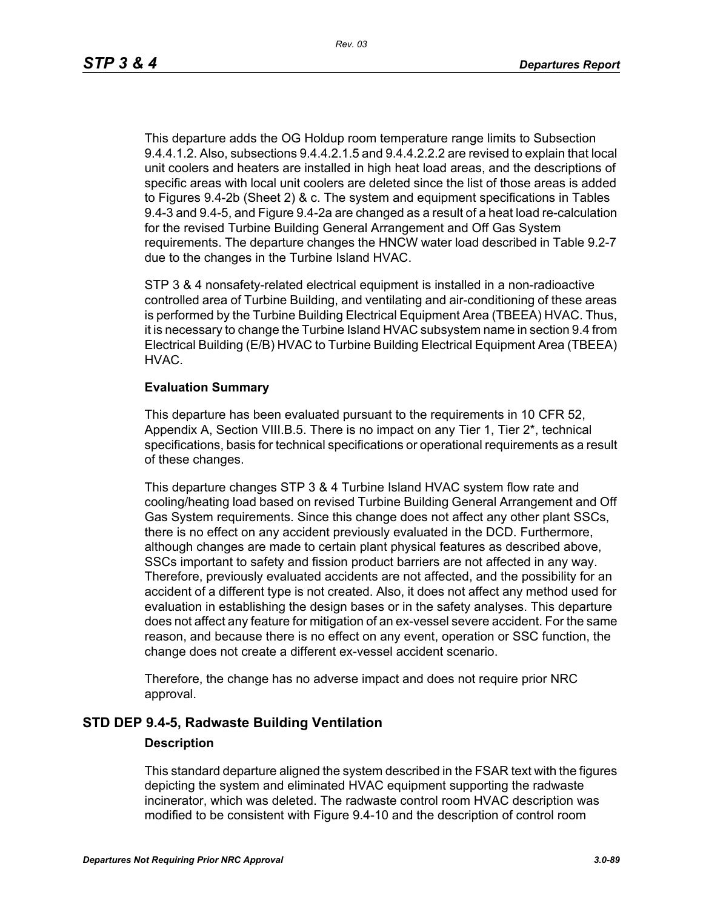This departure adds the OG Holdup room temperature range limits to Subsection 9.4.4.1.2. Also, subsections 9.4.4.2.1.5 and 9.4.4.2.2.2 are revised to explain that local unit coolers and heaters are installed in high heat load areas, and the descriptions of specific areas with local unit coolers are deleted since the list of those areas is added to Figures 9.4-2b (Sheet 2) & c. The system and equipment specifications in Tables 9.4-3 and 9.4-5, and Figure 9.4-2a are changed as a result of a heat load re-calculation for the revised Turbine Building General Arrangement and Off Gas System requirements. The departure changes the HNCW water load described in Table 9.2-7 due to the changes in the Turbine Island HVAC.

STP 3 & 4 nonsafety-related electrical equipment is installed in a non-radioactive controlled area of Turbine Building, and ventilating and air-conditioning of these areas is performed by the Turbine Building Electrical Equipment Area (TBEEA) HVAC. Thus, it is necessary to change the Turbine Island HVAC subsystem name in section 9.4 from Electrical Building (E/B) HVAC to Turbine Building Electrical Equipment Area (TBEEA) HVAC.

#### **Evaluation Summary**

This departure has been evaluated pursuant to the requirements in 10 CFR 52, Appendix A, Section VIII.B.5. There is no impact on any Tier 1, Tier 2<sup>\*</sup>, technical specifications, basis for technical specifications or operational requirements as a result of these changes.

This departure changes STP 3 & 4 Turbine Island HVAC system flow rate and cooling/heating load based on revised Turbine Building General Arrangement and Off Gas System requirements. Since this change does not affect any other plant SSCs, there is no effect on any accident previously evaluated in the DCD. Furthermore, although changes are made to certain plant physical features as described above, SSCs important to safety and fission product barriers are not affected in any way. Therefore, previously evaluated accidents are not affected, and the possibility for an accident of a different type is not created. Also, it does not affect any method used for evaluation in establishing the design bases or in the safety analyses. This departure does not affect any feature for mitigation of an ex-vessel severe accident. For the same reason, and because there is no effect on any event, operation or SSC function, the change does not create a different ex-vessel accident scenario.

Therefore, the change has no adverse impact and does not require prior NRC approval.

### **STD DEP 9.4-5, Radwaste Building Ventilation**

#### **Description**

This standard departure aligned the system described in the FSAR text with the figures depicting the system and eliminated HVAC equipment supporting the radwaste incinerator, which was deleted. The radwaste control room HVAC description was modified to be consistent with Figure 9.4-10 and the description of control room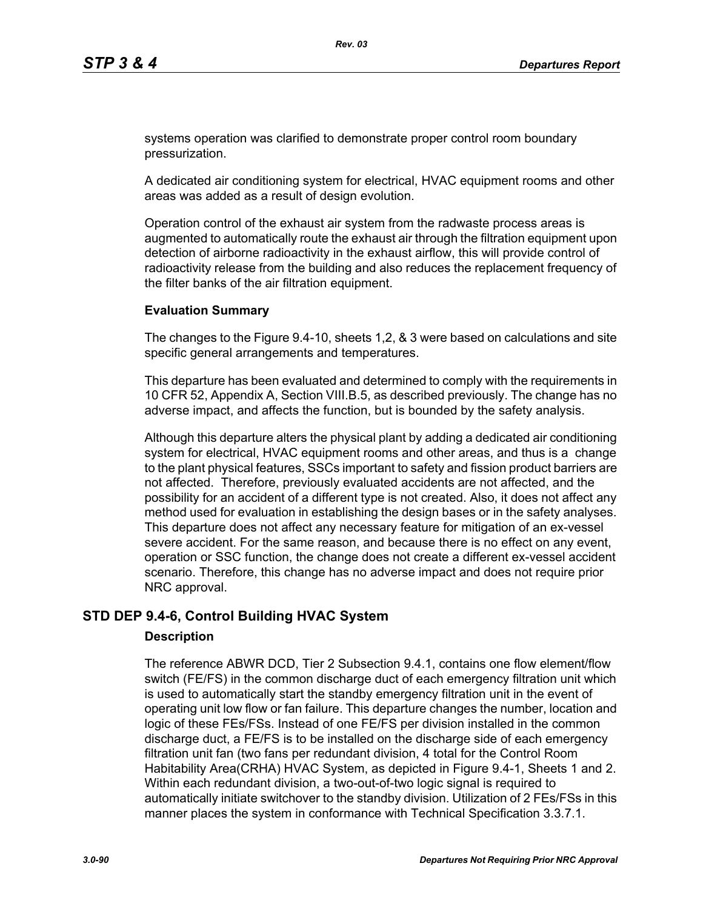systems operation was clarified to demonstrate proper control room boundary pressurization.

A dedicated air conditioning system for electrical, HVAC equipment rooms and other areas was added as a result of design evolution.

Operation control of the exhaust air system from the radwaste process areas is augmented to automatically route the exhaust air through the filtration equipment upon detection of airborne radioactivity in the exhaust airflow, this will provide control of radioactivity release from the building and also reduces the replacement frequency of the filter banks of the air filtration equipment.

### **Evaluation Summary**

The changes to the Figure 9.4-10, sheets 1,2, & 3 were based on calculations and site specific general arrangements and temperatures.

This departure has been evaluated and determined to comply with the requirements in 10 CFR 52, Appendix A, Section VIII.B.5, as described previously. The change has no adverse impact, and affects the function, but is bounded by the safety analysis.

Although this departure alters the physical plant by adding a dedicated air conditioning system for electrical, HVAC equipment rooms and other areas, and thus is a change to the plant physical features, SSCs important to safety and fission product barriers are not affected. Therefore, previously evaluated accidents are not affected, and the possibility for an accident of a different type is not created. Also, it does not affect any method used for evaluation in establishing the design bases or in the safety analyses. This departure does not affect any necessary feature for mitigation of an ex-vessel severe accident. For the same reason, and because there is no effect on any event, operation or SSC function, the change does not create a different ex-vessel accident scenario. Therefore, this change has no adverse impact and does not require prior NRC approval.

## **STD DEP 9.4-6, Control Building HVAC System**

### **Description**

The reference ABWR DCD, Tier 2 Subsection 9.4.1, contains one flow element/flow switch (FE/FS) in the common discharge duct of each emergency filtration unit which is used to automatically start the standby emergency filtration unit in the event of operating unit low flow or fan failure. This departure changes the number, location and logic of these FEs/FSs. Instead of one FE/FS per division installed in the common discharge duct, a FE/FS is to be installed on the discharge side of each emergency filtration unit fan (two fans per redundant division, 4 total for the Control Room Habitability Area(CRHA) HVAC System, as depicted in Figure 9.4-1, Sheets 1 and 2. Within each redundant division, a two-out-of-two logic signal is required to automatically initiate switchover to the standby division. Utilization of 2 FEs/FSs in this manner places the system in conformance with Technical Specification 3.3.7.1.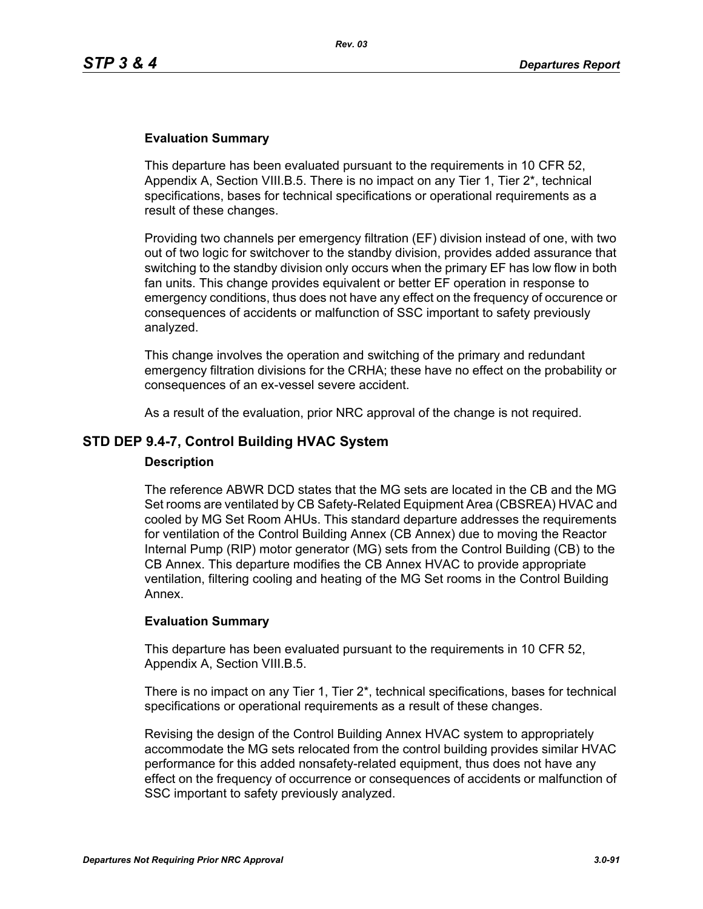## **Evaluation Summary**

This departure has been evaluated pursuant to the requirements in 10 CFR 52, Appendix A, Section VIII.B.5. There is no impact on any Tier 1, Tier 2\*, technical specifications, bases for technical specifications or operational requirements as a result of these changes.

Providing two channels per emergency filtration (EF) division instead of one, with two out of two logic for switchover to the standby division, provides added assurance that switching to the standby division only occurs when the primary EF has low flow in both fan units. This change provides equivalent or better EF operation in response to emergency conditions, thus does not have any effect on the frequency of occurence or consequences of accidents or malfunction of SSC important to safety previously analyzed.

This change involves the operation and switching of the primary and redundant emergency filtration divisions for the CRHA; these have no effect on the probability or consequences of an ex-vessel severe accident.

As a result of the evaluation, prior NRC approval of the change is not required.

## **STD DEP 9.4-7, Control Building HVAC System**

#### **Description**

The reference ABWR DCD states that the MG sets are located in the CB and the MG Set rooms are ventilated by CB Safety-Related Equipment Area (CBSREA) HVAC and cooled by MG Set Room AHUs. This standard departure addresses the requirements for ventilation of the Control Building Annex (CB Annex) due to moving the Reactor Internal Pump (RIP) motor generator (MG) sets from the Control Building (CB) to the CB Annex. This departure modifies the CB Annex HVAC to provide appropriate ventilation, filtering cooling and heating of the MG Set rooms in the Control Building Annex.

### **Evaluation Summary**

This departure has been evaluated pursuant to the requirements in 10 CFR 52, Appendix A, Section VIII.B.5.

There is no impact on any Tier 1, Tier 2\*, technical specifications, bases for technical specifications or operational requirements as a result of these changes.

Revising the design of the Control Building Annex HVAC system to appropriately accommodate the MG sets relocated from the control building provides similar HVAC performance for this added nonsafety-related equipment, thus does not have any effect on the frequency of occurrence or consequences of accidents or malfunction of SSC important to safety previously analyzed.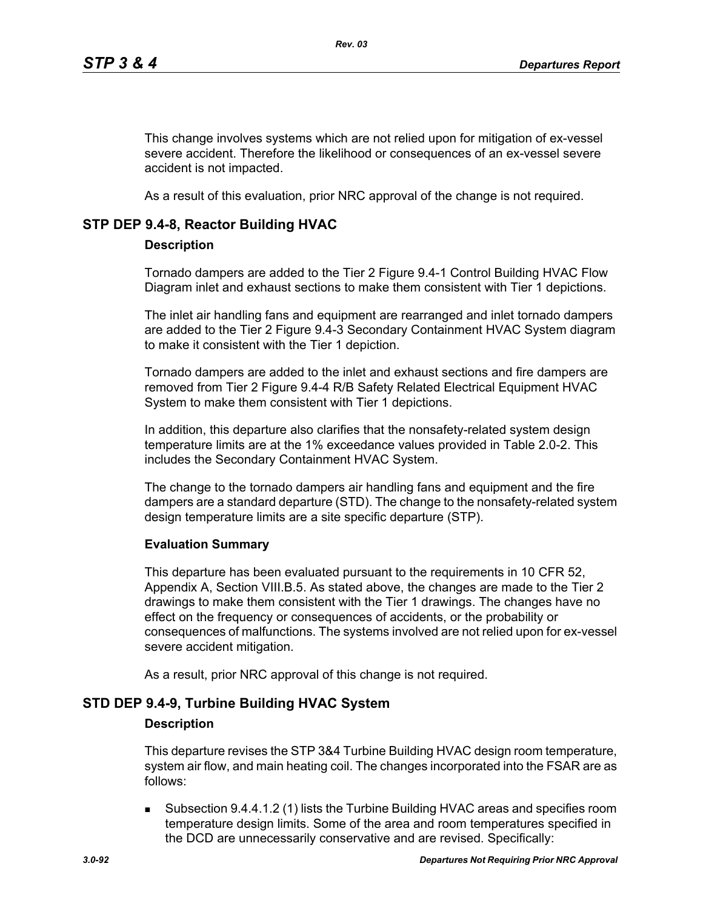This change involves systems which are not relied upon for mitigation of ex-vessel severe accident. Therefore the likelihood or consequences of an ex-vessel severe accident is not impacted.

As a result of this evaluation, prior NRC approval of the change is not required.

## **STP DEP 9.4-8, Reactor Building HVAC**

### **Description**

Tornado dampers are added to the Tier 2 Figure 9.4-1 Control Building HVAC Flow Diagram inlet and exhaust sections to make them consistent with Tier 1 depictions.

The inlet air handling fans and equipment are rearranged and inlet tornado dampers are added to the Tier 2 Figure 9.4-3 Secondary Containment HVAC System diagram to make it consistent with the Tier 1 depiction.

Tornado dampers are added to the inlet and exhaust sections and fire dampers are removed from Tier 2 Figure 9.4-4 R/B Safety Related Electrical Equipment HVAC System to make them consistent with Tier 1 depictions.

In addition, this departure also clarifies that the nonsafety-related system design temperature limits are at the 1% exceedance values provided in Table 2.0-2. This includes the Secondary Containment HVAC System.

The change to the tornado dampers air handling fans and equipment and the fire dampers are a standard departure (STD). The change to the nonsafety-related system design temperature limits are a site specific departure (STP).

### **Evaluation Summary**

This departure has been evaluated pursuant to the requirements in 10 CFR 52, Appendix A, Section VIII.B.5. As stated above, the changes are made to the Tier 2 drawings to make them consistent with the Tier 1 drawings. The changes have no effect on the frequency or consequences of accidents, or the probability or consequences of malfunctions. The systems involved are not relied upon for ex-vessel severe accident mitigation.

As a result, prior NRC approval of this change is not required.

## **STD DEP 9.4-9, Turbine Building HVAC System**

### **Description**

This departure revises the STP 3&4 Turbine Building HVAC design room temperature, system air flow, and main heating coil. The changes incorporated into the FSAR are as follows:

 Subsection 9.4.4.1.2 (1) lists the Turbine Building HVAC areas and specifies room temperature design limits. Some of the area and room temperatures specified in the DCD are unnecessarily conservative and are revised. Specifically: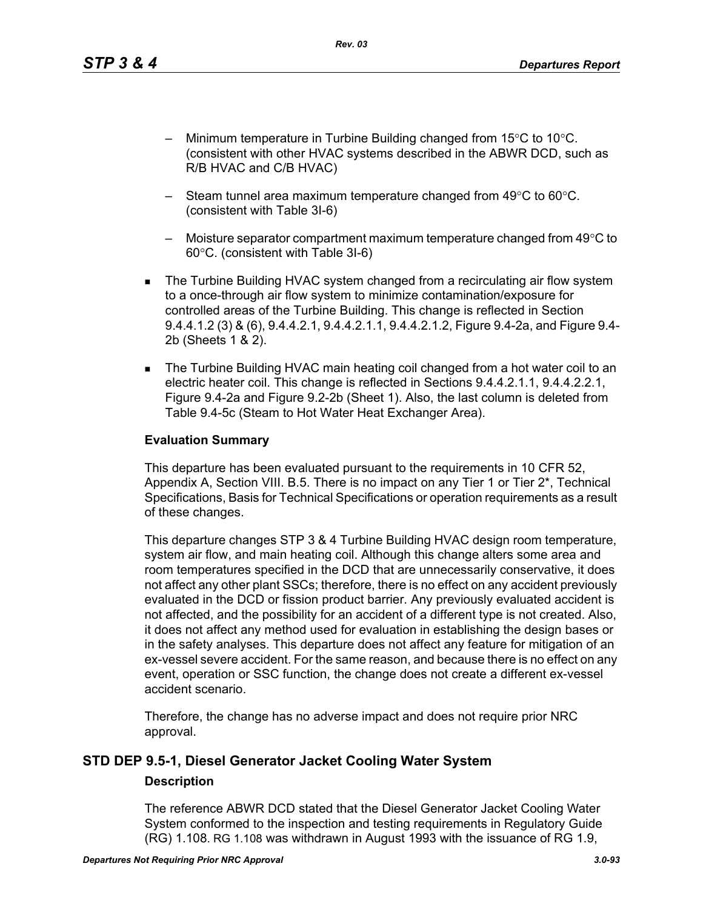*Rev. 03*

- Minimum temperature in Turbine Building changed from  $15^{\circ}$ C to  $10^{\circ}$ C. (consistent with other HVAC systems described in the ABWR DCD, such as R/B HVAC and C/B HVAC)
- Steam tunnel area maximum temperature changed from 49°C to 60°C. (consistent with Table 3I-6)
- $-$  Moisture separator compartment maximum temperature changed from 49 $\degree$ C to 60°C. (consistent with Table 3I-6)
- The Turbine Building HVAC system changed from a recirculating air flow system to a once-through air flow system to minimize contamination/exposure for controlled areas of the Turbine Building. This change is reflected in Section 9.4.4.1.2 (3) & (6), 9.4.4.2.1, 9.4.4.2.1.1, 9.4.4.2.1.2, Figure 9.4-2a, and Figure 9.4- 2b (Sheets 1 & 2).
- The Turbine Building HVAC main heating coil changed from a hot water coil to an electric heater coil. This change is reflected in Sections 9.4.4.2.1.1, 9.4.4.2.2.1, Figure 9.4-2a and Figure 9.2-2b (Sheet 1). Also, the last column is deleted from Table 9.4-5c (Steam to Hot Water Heat Exchanger Area).

## **Evaluation Summary**

This departure has been evaluated pursuant to the requirements in 10 CFR 52, Appendix A, Section VIII. B.5. There is no impact on any Tier 1 or Tier 2<sup>\*</sup>, Technical Specifications, Basis for Technical Specifications or operation requirements as a result of these changes.

This departure changes STP 3 & 4 Turbine Building HVAC design room temperature, system air flow, and main heating coil. Although this change alters some area and room temperatures specified in the DCD that are unnecessarily conservative, it does not affect any other plant SSCs; therefore, there is no effect on any accident previously evaluated in the DCD or fission product barrier. Any previously evaluated accident is not affected, and the possibility for an accident of a different type is not created. Also, it does not affect any method used for evaluation in establishing the design bases or in the safety analyses. This departure does not affect any feature for mitigation of an ex-vessel severe accident. For the same reason, and because there is no effect on any event, operation or SSC function, the change does not create a different ex-vessel accident scenario.

Therefore, the change has no adverse impact and does not require prior NRC approval.

# **STD DEP 9.5-1, Diesel Generator Jacket Cooling Water System Description**

The reference ABWR DCD stated that the Diesel Generator Jacket Cooling Water System conformed to the inspection and testing requirements in Regulatory Guide (RG) 1.108. RG 1.108 was withdrawn in August 1993 with the issuance of RG 1.9,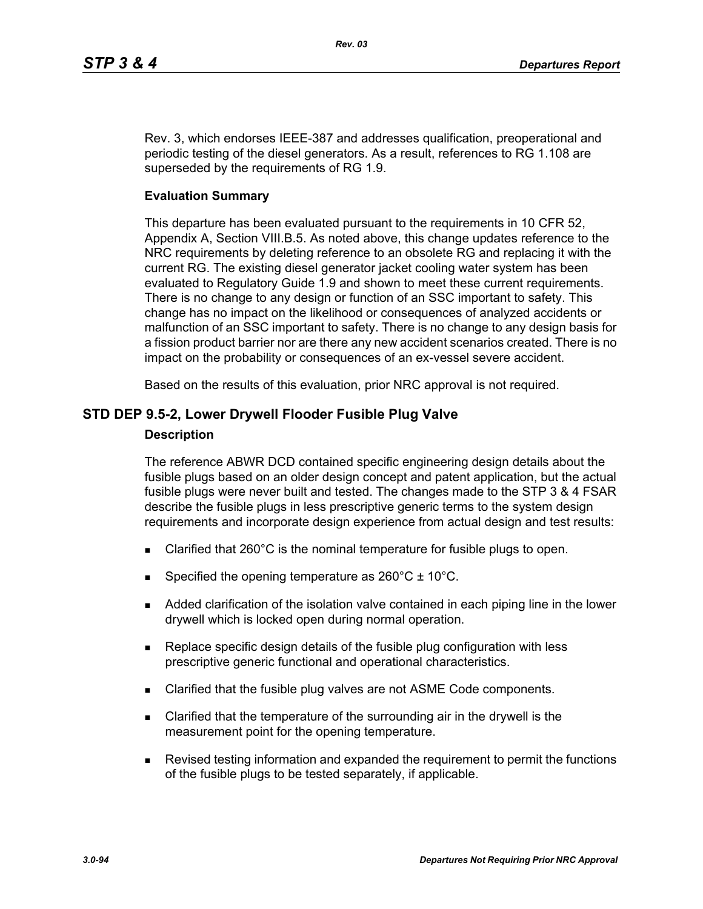Rev. 3, which endorses IEEE-387 and addresses qualification, preoperational and periodic testing of the diesel generators. As a result, references to RG 1.108 are superseded by the requirements of RG 1.9.

### **Evaluation Summary**

This departure has been evaluated pursuant to the requirements in 10 CFR 52, Appendix A, Section VIII.B.5. As noted above, this change updates reference to the NRC requirements by deleting reference to an obsolete RG and replacing it with the current RG. The existing diesel generator jacket cooling water system has been evaluated to Regulatory Guide 1.9 and shown to meet these current requirements. There is no change to any design or function of an SSC important to safety. This change has no impact on the likelihood or consequences of analyzed accidents or malfunction of an SSC important to safety. There is no change to any design basis for a fission product barrier nor are there any new accident scenarios created. There is no impact on the probability or consequences of an ex-vessel severe accident.

Based on the results of this evaluation, prior NRC approval is not required.

## **STD DEP 9.5-2, Lower Drywell Flooder Fusible Plug Valve**

### **Description**

The reference ABWR DCD contained specific engineering design details about the fusible plugs based on an older design concept and patent application, but the actual fusible plugs were never built and tested. The changes made to the STP 3 & 4 FSAR describe the fusible plugs in less prescriptive generic terms to the system design requirements and incorporate design experience from actual design and test results:

- Clarified that 260°C is the nominal temperature for fusible plugs to open.
- Specified the opening temperature as  $260^{\circ}$ C  $\pm$  10<sup>o</sup>C.
- Added clarification of the isolation valve contained in each piping line in the lower drywell which is locked open during normal operation.
- Replace specific design details of the fusible plug configuration with less prescriptive generic functional and operational characteristics.
- Clarified that the fusible plug valves are not ASME Code components.
- **EXEC** Clarified that the temperature of the surrounding air in the drywell is the measurement point for the opening temperature.
- Revised testing information and expanded the requirement to permit the functions of the fusible plugs to be tested separately, if applicable.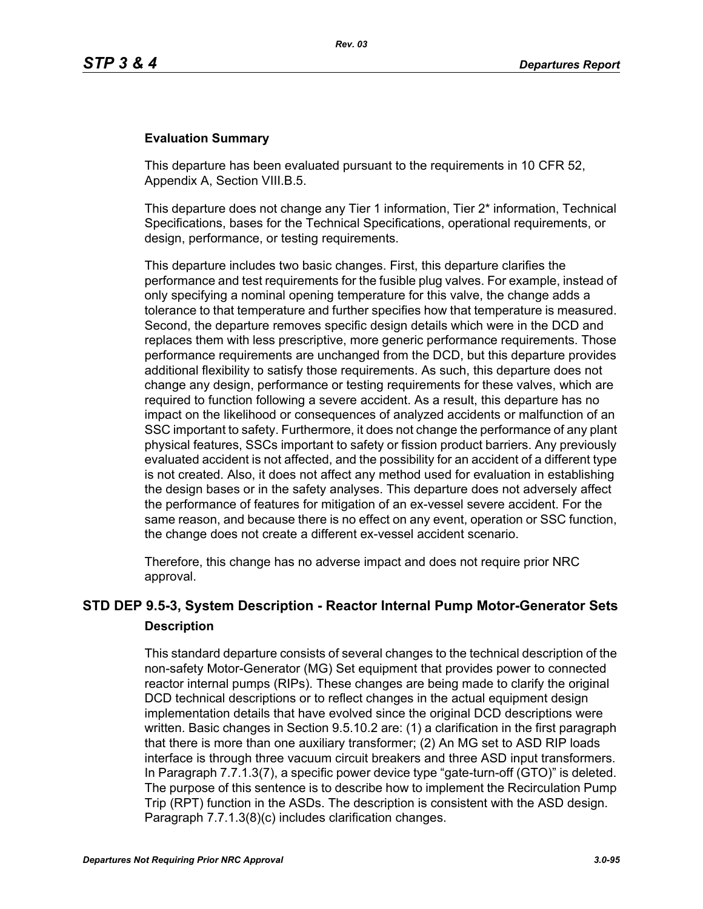## **Evaluation Summary**

This departure has been evaluated pursuant to the requirements in 10 CFR 52, Appendix A, Section VIII.B.5.

This departure does not change any Tier 1 information, Tier 2\* information, Technical Specifications, bases for the Technical Specifications, operational requirements, or design, performance, or testing requirements.

This departure includes two basic changes. First, this departure clarifies the performance and test requirements for the fusible plug valves. For example, instead of only specifying a nominal opening temperature for this valve, the change adds a tolerance to that temperature and further specifies how that temperature is measured. Second, the departure removes specific design details which were in the DCD and replaces them with less prescriptive, more generic performance requirements. Those performance requirements are unchanged from the DCD, but this departure provides additional flexibility to satisfy those requirements. As such, this departure does not change any design, performance or testing requirements for these valves, which are required to function following a severe accident. As a result, this departure has no impact on the likelihood or consequences of analyzed accidents or malfunction of an SSC important to safety. Furthermore, it does not change the performance of any plant physical features, SSCs important to safety or fission product barriers. Any previously evaluated accident is not affected, and the possibility for an accident of a different type is not created. Also, it does not affect any method used for evaluation in establishing the design bases or in the safety analyses. This departure does not adversely affect the performance of features for mitigation of an ex-vessel severe accident. For the same reason, and because there is no effect on any event, operation or SSC function, the change does not create a different ex-vessel accident scenario.

Therefore, this change has no adverse impact and does not require prior NRC approval.

# **STD DEP 9.5-3, System Description - Reactor Internal Pump Motor-Generator Sets Description**

This standard departure consists of several changes to the technical description of the non-safety Motor-Generator (MG) Set equipment that provides power to connected reactor internal pumps (RIPs). These changes are being made to clarify the original DCD technical descriptions or to reflect changes in the actual equipment design implementation details that have evolved since the original DCD descriptions were written. Basic changes in Section 9.5.10.2 are: (1) a clarification in the first paragraph that there is more than one auxiliary transformer; (2) An MG set to ASD RIP loads interface is through three vacuum circuit breakers and three ASD input transformers. In Paragraph 7.7.1.3(7), a specific power device type "gate-turn-off (GTO)" is deleted. The purpose of this sentence is to describe how to implement the Recirculation Pump Trip (RPT) function in the ASDs. The description is consistent with the ASD design. Paragraph 7.7.1.3(8)(c) includes clarification changes.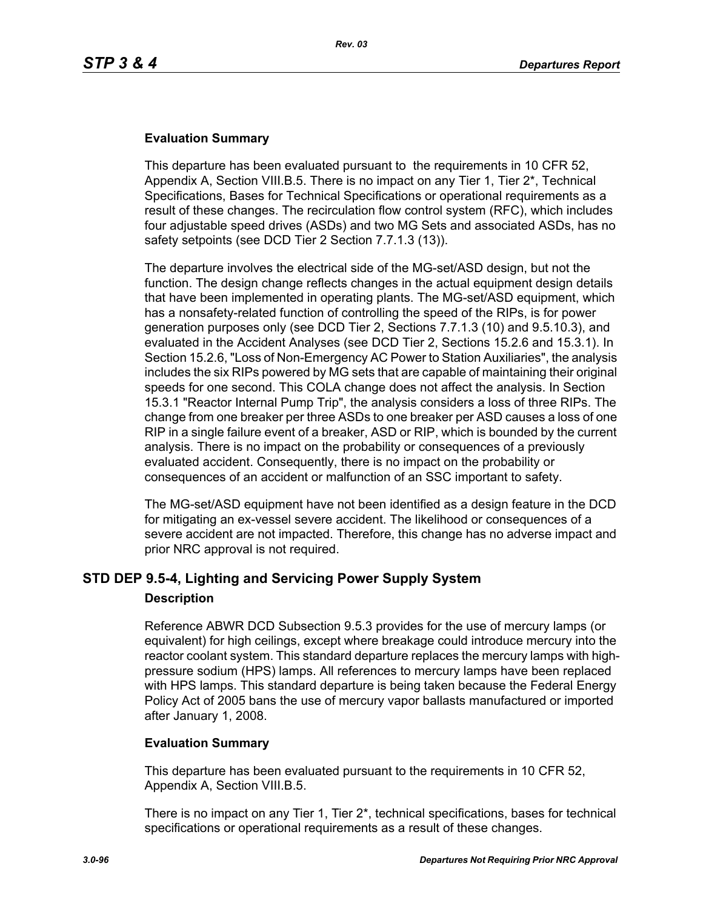## **Evaluation Summary**

This departure has been evaluated pursuant to the requirements in 10 CFR 52, Appendix A, Section VIII.B.5. There is no impact on any Tier 1, Tier 2\*, Technical Specifications, Bases for Technical Specifications or operational requirements as a result of these changes. The recirculation flow control system (RFC), which includes four adjustable speed drives (ASDs) and two MG Sets and associated ASDs, has no safety setpoints (see DCD Tier 2 Section 7.7.1.3 (13)).

The departure involves the electrical side of the MG-set/ASD design, but not the function. The design change reflects changes in the actual equipment design details that have been implemented in operating plants. The MG-set/ASD equipment, which has a nonsafety-related function of controlling the speed of the RIPs, is for power generation purposes only (see DCD Tier 2, Sections 7.7.1.3 (10) and 9.5.10.3), and evaluated in the Accident Analyses (see DCD Tier 2, Sections 15.2.6 and 15.3.1). In Section 15.2.6, "Loss of Non-Emergency AC Power to Station Auxiliaries", the analysis includes the six RIPs powered by MG sets that are capable of maintaining their original speeds for one second. This COLA change does not affect the analysis. In Section 15.3.1 "Reactor Internal Pump Trip", the analysis considers a loss of three RIPs. The change from one breaker per three ASDs to one breaker per ASD causes a loss of one RIP in a single failure event of a breaker, ASD or RIP, which is bounded by the current analysis. There is no impact on the probability or consequences of a previously evaluated accident. Consequently, there is no impact on the probability or consequences of an accident or malfunction of an SSC important to safety.

The MG-set/ASD equipment have not been identified as a design feature in the DCD for mitigating an ex-vessel severe accident. The likelihood or consequences of a severe accident are not impacted. Therefore, this change has no adverse impact and prior NRC approval is not required.

## **STD DEP 9.5-4, Lighting and Servicing Power Supply System**

### **Description**

Reference ABWR DCD Subsection 9.5.3 provides for the use of mercury lamps (or equivalent) for high ceilings, except where breakage could introduce mercury into the reactor coolant system. This standard departure replaces the mercury lamps with highpressure sodium (HPS) lamps. All references to mercury lamps have been replaced with HPS lamps. This standard departure is being taken because the Federal Energy Policy Act of 2005 bans the use of mercury vapor ballasts manufactured or imported after January 1, 2008.

### **Evaluation Summary**

This departure has been evaluated pursuant to the requirements in 10 CFR 52, Appendix A, Section VIII.B.5.

There is no impact on any Tier 1, Tier 2\*, technical specifications, bases for technical specifications or operational requirements as a result of these changes.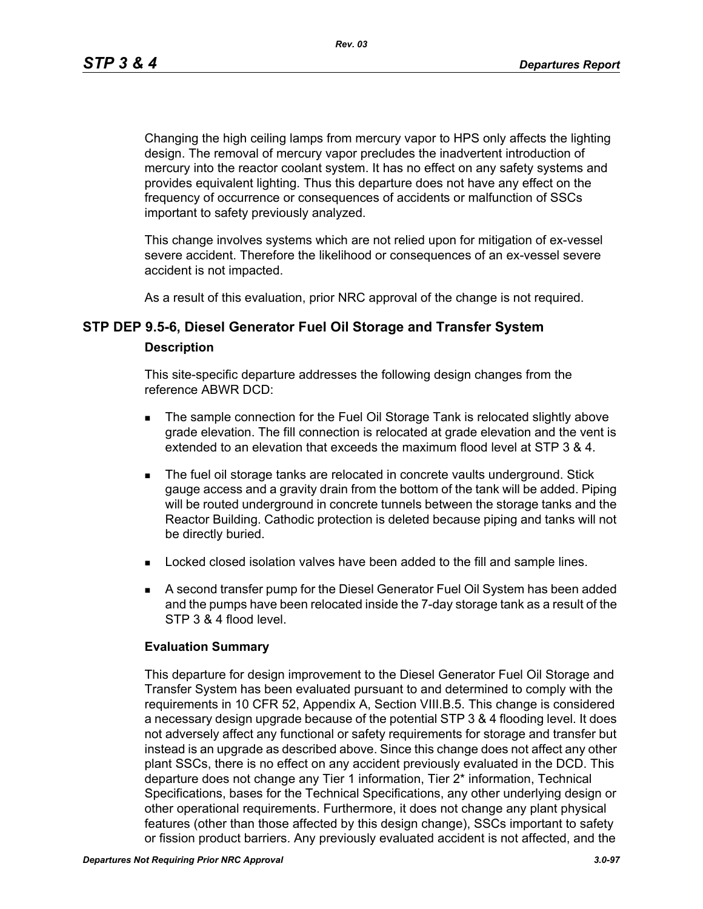*Rev. 03*

Changing the high ceiling lamps from mercury vapor to HPS only affects the lighting design. The removal of mercury vapor precludes the inadvertent introduction of mercury into the reactor coolant system. It has no effect on any safety systems and provides equivalent lighting. Thus this departure does not have any effect on the frequency of occurrence or consequences of accidents or malfunction of SSCs important to safety previously analyzed.

This change involves systems which are not relied upon for mitigation of ex-vessel severe accident. Therefore the likelihood or consequences of an ex-vessel severe accident is not impacted.

As a result of this evaluation, prior NRC approval of the change is not required.

# **STP DEP 9.5-6, Diesel Generator Fuel Oil Storage and Transfer System Description**

This site-specific departure addresses the following design changes from the reference ABWR DCD:

- The sample connection for the Fuel Oil Storage Tank is relocated slightly above grade elevation. The fill connection is relocated at grade elevation and the vent is extended to an elevation that exceeds the maximum flood level at STP 3 & 4.
- The fuel oil storage tanks are relocated in concrete vaults underground. Stick gauge access and a gravity drain from the bottom of the tank will be added. Piping will be routed underground in concrete tunnels between the storage tanks and the Reactor Building. Cathodic protection is deleted because piping and tanks will not be directly buried.
- **Locked closed isolation valves have been added to the fill and sample lines.**
- A second transfer pump for the Diesel Generator Fuel Oil System has been added and the pumps have been relocated inside the 7-day storage tank as a result of the STP 3 & 4 flood level.

## **Evaluation Summary**

This departure for design improvement to the Diesel Generator Fuel Oil Storage and Transfer System has been evaluated pursuant to and determined to comply with the requirements in 10 CFR 52, Appendix A, Section VIII.B.5. This change is considered a necessary design upgrade because of the potential STP 3 & 4 flooding level. It does not adversely affect any functional or safety requirements for storage and transfer but instead is an upgrade as described above. Since this change does not affect any other plant SSCs, there is no effect on any accident previously evaluated in the DCD. This departure does not change any Tier 1 information, Tier 2\* information, Technical Specifications, bases for the Technical Specifications, any other underlying design or other operational requirements. Furthermore, it does not change any plant physical features (other than those affected by this design change), SSCs important to safety or fission product barriers. Any previously evaluated accident is not affected, and the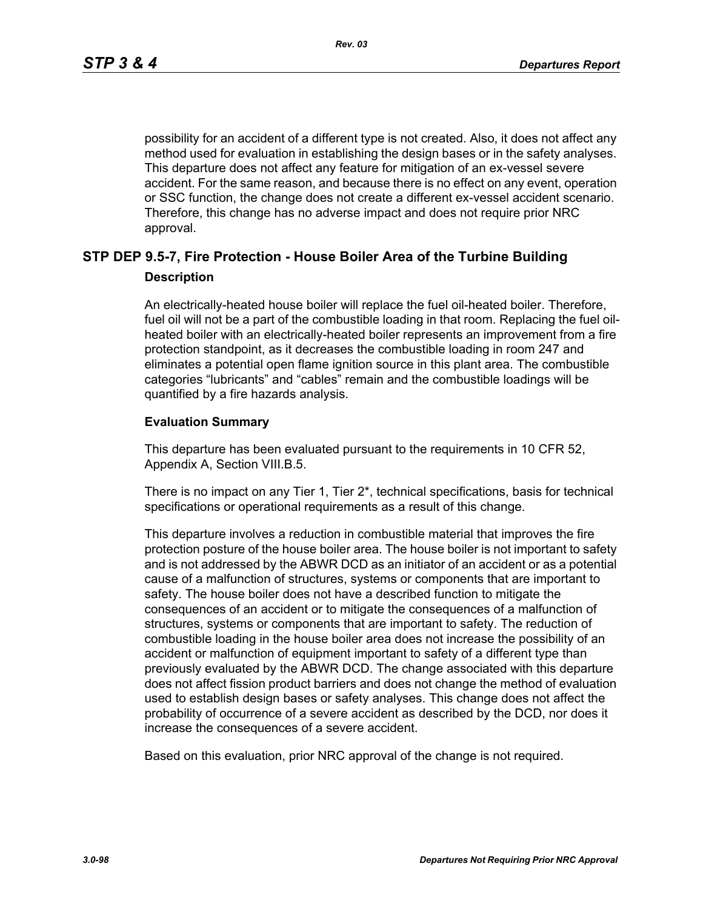possibility for an accident of a different type is not created. Also, it does not affect any method used for evaluation in establishing the design bases or in the safety analyses. This departure does not affect any feature for mitigation of an ex-vessel severe accident. For the same reason, and because there is no effect on any event, operation or SSC function, the change does not create a different ex-vessel accident scenario. Therefore, this change has no adverse impact and does not require prior NRC approval.

# **STP DEP 9.5-7, Fire Protection - House Boiler Area of the Turbine Building Description**

An electrically-heated house boiler will replace the fuel oil-heated boiler. Therefore, fuel oil will not be a part of the combustible loading in that room. Replacing the fuel oilheated boiler with an electrically-heated boiler represents an improvement from a fire protection standpoint, as it decreases the combustible loading in room 247 and eliminates a potential open flame ignition source in this plant area. The combustible categories "lubricants" and "cables" remain and the combustible loadings will be quantified by a fire hazards analysis.

## **Evaluation Summary**

This departure has been evaluated pursuant to the requirements in 10 CFR 52, Appendix A, Section VIII.B.5.

There is no impact on any Tier 1, Tier 2\*, technical specifications, basis for technical specifications or operational requirements as a result of this change.

This departure involves a reduction in combustible material that improves the fire protection posture of the house boiler area. The house boiler is not important to safety and is not addressed by the ABWR DCD as an initiator of an accident or as a potential cause of a malfunction of structures, systems or components that are important to safety. The house boiler does not have a described function to mitigate the consequences of an accident or to mitigate the consequences of a malfunction of structures, systems or components that are important to safety. The reduction of combustible loading in the house boiler area does not increase the possibility of an accident or malfunction of equipment important to safety of a different type than previously evaluated by the ABWR DCD. The change associated with this departure does not affect fission product barriers and does not change the method of evaluation used to establish design bases or safety analyses. This change does not affect the probability of occurrence of a severe accident as described by the DCD, nor does it increase the consequences of a severe accident.

Based on this evaluation, prior NRC approval of the change is not required.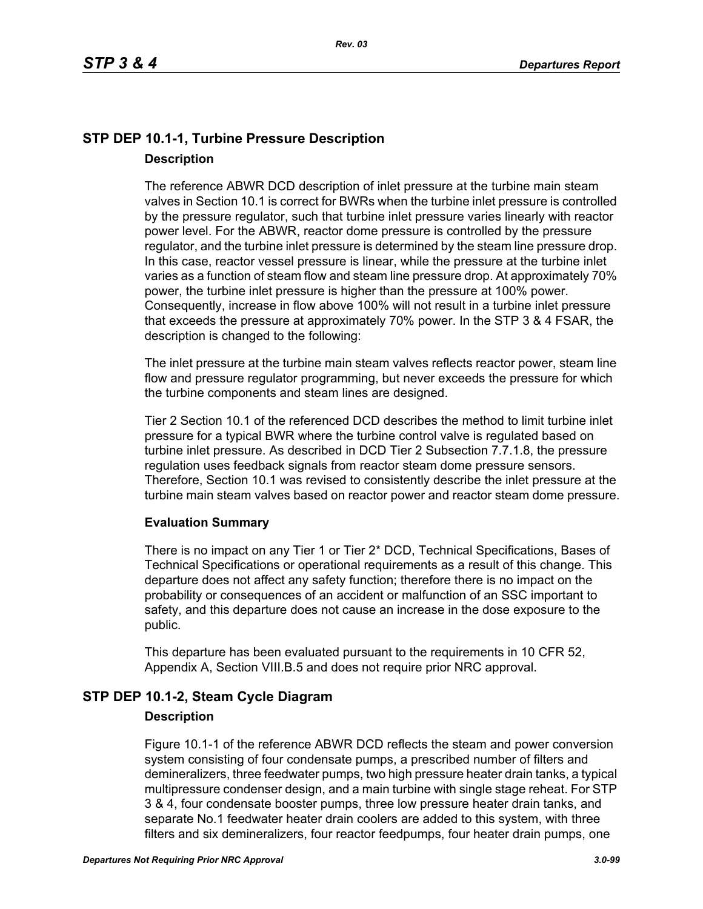# **STP DEP 10.1-1, Turbine Pressure Description Description**

The reference ABWR DCD description of inlet pressure at the turbine main steam valves in Section 10.1 is correct for BWRs when the turbine inlet pressure is controlled by the pressure regulator, such that turbine inlet pressure varies linearly with reactor power level. For the ABWR, reactor dome pressure is controlled by the pressure regulator, and the turbine inlet pressure is determined by the steam line pressure drop. In this case, reactor vessel pressure is linear, while the pressure at the turbine inlet varies as a function of steam flow and steam line pressure drop. At approximately 70% power, the turbine inlet pressure is higher than the pressure at 100% power. Consequently, increase in flow above 100% will not result in a turbine inlet pressure that exceeds the pressure at approximately 70% power. In the STP 3 & 4 FSAR, the description is changed to the following:

The inlet pressure at the turbine main steam valves reflects reactor power, steam line flow and pressure regulator programming, but never exceeds the pressure for which the turbine components and steam lines are designed.

Tier 2 Section 10.1 of the referenced DCD describes the method to limit turbine inlet pressure for a typical BWR where the turbine control valve is regulated based on turbine inlet pressure. As described in DCD Tier 2 Subsection 7.7.1.8, the pressure regulation uses feedback signals from reactor steam dome pressure sensors. Therefore, Section 10.1 was revised to consistently describe the inlet pressure at the turbine main steam valves based on reactor power and reactor steam dome pressure.

## **Evaluation Summary**

There is no impact on any Tier 1 or Tier 2\* DCD, Technical Specifications, Bases of Technical Specifications or operational requirements as a result of this change. This departure does not affect any safety function; therefore there is no impact on the probability or consequences of an accident or malfunction of an SSC important to safety, and this departure does not cause an increase in the dose exposure to the public.

This departure has been evaluated pursuant to the requirements in 10 CFR 52, Appendix A, Section VIII.B.5 and does not require prior NRC approval.

# **STP DEP 10.1-2, Steam Cycle Diagram**

### **Description**

Figure 10.1-1 of the reference ABWR DCD reflects the steam and power conversion system consisting of four condensate pumps, a prescribed number of filters and demineralizers, three feedwater pumps, two high pressure heater drain tanks, a typical multipressure condenser design, and a main turbine with single stage reheat. For STP 3 & 4, four condensate booster pumps, three low pressure heater drain tanks, and separate No.1 feedwater heater drain coolers are added to this system, with three filters and six demineralizers, four reactor feedpumps, four heater drain pumps, one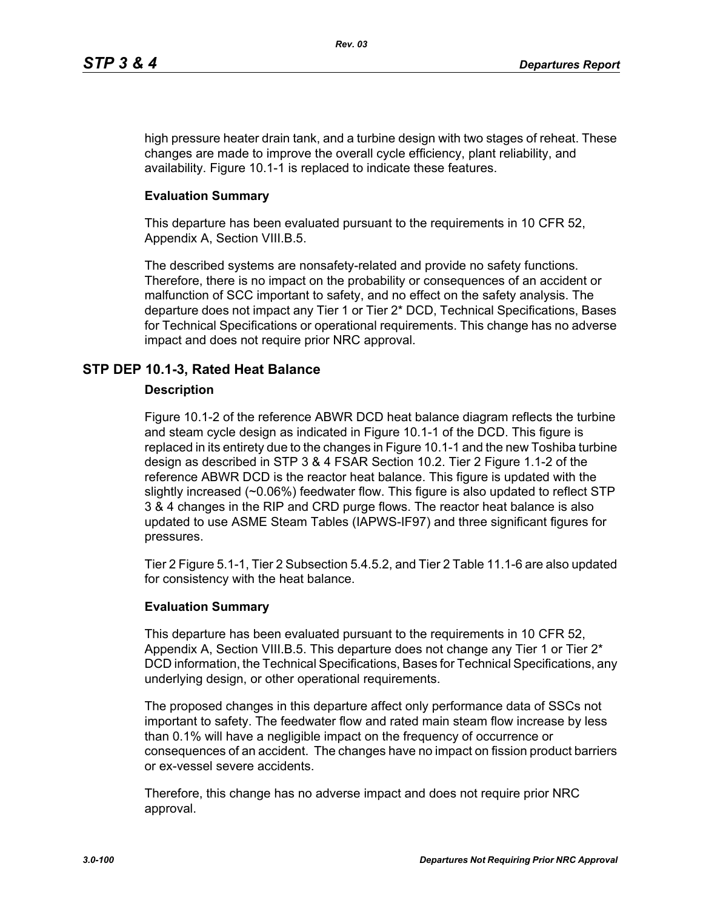high pressure heater drain tank, and a turbine design with two stages of reheat. These changes are made to improve the overall cycle efficiency, plant reliability, and availability. Figure 10.1-1 is replaced to indicate these features.

## **Evaluation Summary**

This departure has been evaluated pursuant to the requirements in 10 CFR 52, Appendix A, Section VIII.B.5.

The described systems are nonsafety-related and provide no safety functions. Therefore, there is no impact on the probability or consequences of an accident or malfunction of SCC important to safety, and no effect on the safety analysis. The departure does not impact any Tier 1 or Tier 2\* DCD, Technical Specifications, Bases for Technical Specifications or operational requirements. This change has no adverse impact and does not require prior NRC approval.

# **STP DEP 10.1-3, Rated Heat Balance**

## **Description**

Figure 10.1-2 of the reference ABWR DCD heat balance diagram reflects the turbine and steam cycle design as indicated in Figure 10.1-1 of the DCD. This figure is replaced in its entirety due to the changes in Figure 10.1-1 and the new Toshiba turbine design as described in STP 3 & 4 FSAR Section 10.2. Tier 2 Figure 1.1-2 of the reference ABWR DCD is the reactor heat balance. This figure is updated with the slightly increased (~0.06%) feedwater flow. This figure is also updated to reflect STP 3 & 4 changes in the RIP and CRD purge flows. The reactor heat balance is also updated to use ASME Steam Tables (IAPWS-IF97) and three significant figures for pressures.

Tier 2 Figure 5.1-1, Tier 2 Subsection 5.4.5.2, and Tier 2 Table 11.1-6 are also updated for consistency with the heat balance.

## **Evaluation Summary**

This departure has been evaluated pursuant to the requirements in 10 CFR 52, Appendix A, Section VIII.B.5. This departure does not change any Tier 1 or Tier 2<sup>\*</sup> DCD information, the Technical Specifications, Bases for Technical Specifications, any underlying design, or other operational requirements.

The proposed changes in this departure affect only performance data of SSCs not important to safety. The feedwater flow and rated main steam flow increase by less than 0.1% will have a negligible impact on the frequency of occurrence or consequences of an accident. The changes have no impact on fission product barriers or ex-vessel severe accidents.

Therefore, this change has no adverse impact and does not require prior NRC approval.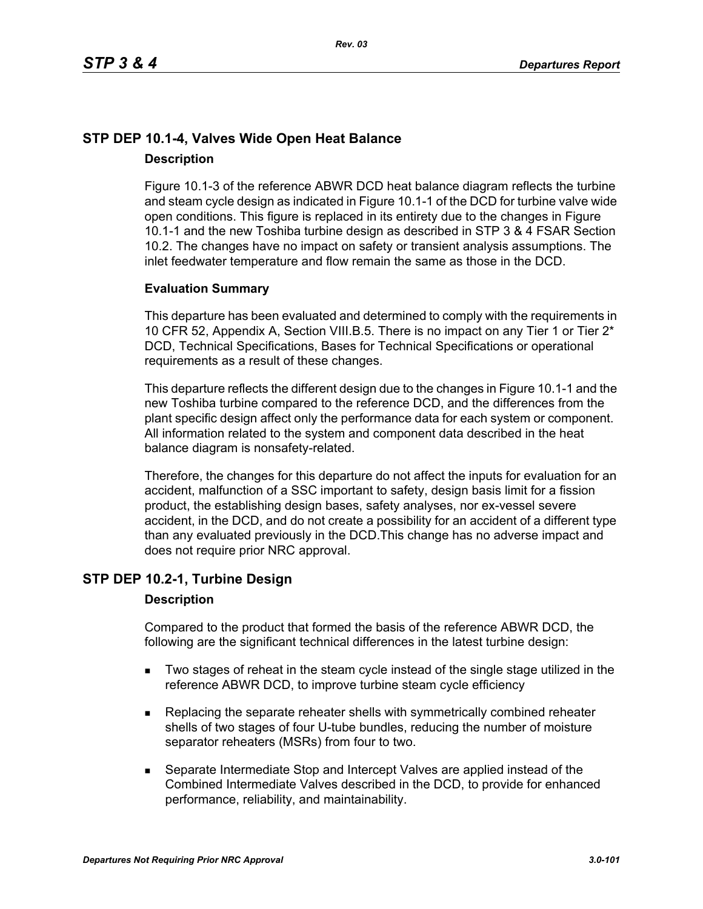# **STP DEP 10.1-4, Valves Wide Open Heat Balance Description**

Figure 10.1-3 of the reference ABWR DCD heat balance diagram reflects the turbine and steam cycle design as indicated in Figure 10.1-1 of the DCD for turbine valve wide open conditions. This figure is replaced in its entirety due to the changes in Figure 10.1-1 and the new Toshiba turbine design as described in STP 3 & 4 FSAR Section 10.2. The changes have no impact on safety or transient analysis assumptions. The inlet feedwater temperature and flow remain the same as those in the DCD.

## **Evaluation Summary**

This departure has been evaluated and determined to comply with the requirements in 10 CFR 52, Appendix A, Section VIII.B.5. There is no impact on any Tier 1 or Tier 2\* DCD, Technical Specifications, Bases for Technical Specifications or operational requirements as a result of these changes.

This departure reflects the different design due to the changes in Figure 10.1-1 and the new Toshiba turbine compared to the reference DCD, and the differences from the plant specific design affect only the performance data for each system or component. All information related to the system and component data described in the heat balance diagram is nonsafety-related.

Therefore, the changes for this departure do not affect the inputs for evaluation for an accident, malfunction of a SSC important to safety, design basis limit for a fission product, the establishing design bases, safety analyses, nor ex-vessel severe accident, in the DCD, and do not create a possibility for an accident of a different type than any evaluated previously in the DCD.This change has no adverse impact and does not require prior NRC approval.

# **STP DEP 10.2-1, Turbine Design**

### **Description**

Compared to the product that formed the basis of the reference ABWR DCD, the following are the significant technical differences in the latest turbine design:

- Two stages of reheat in the steam cycle instead of the single stage utilized in the reference ABWR DCD, to improve turbine steam cycle efficiency
- **Replacing the separate reheater shells with symmetrically combined reheater** shells of two stages of four U-tube bundles, reducing the number of moisture separator reheaters (MSRs) from four to two.
- Separate Intermediate Stop and Intercept Valves are applied instead of the Combined Intermediate Valves described in the DCD, to provide for enhanced performance, reliability, and maintainability.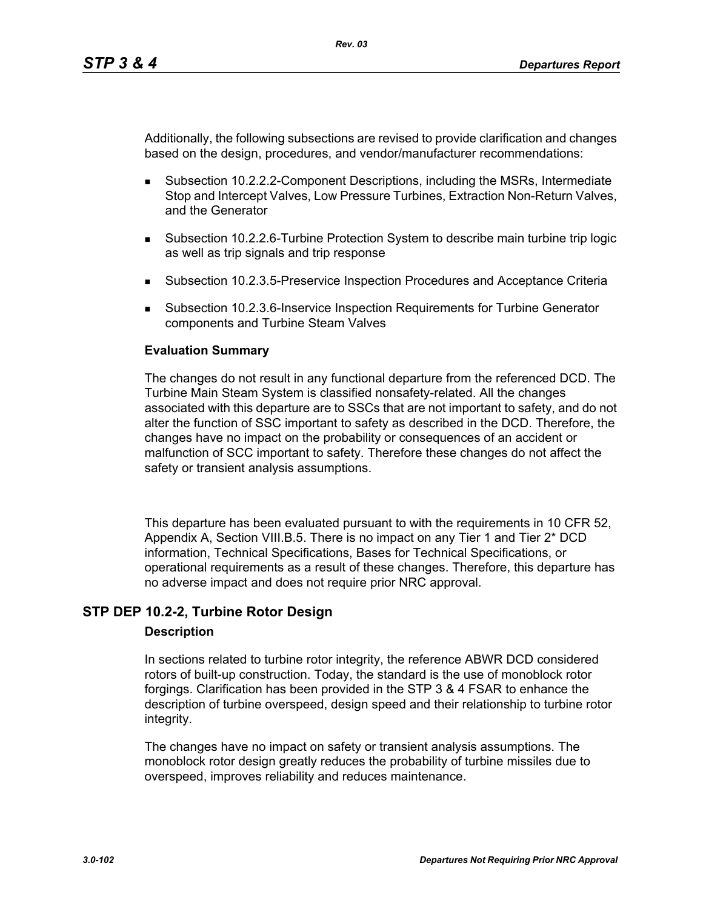Additionally, the following subsections are revised to provide clarification and changes based on the design, procedures, and vendor/manufacturer recommendations:

- Subsection 10.2.2.2-Component Descriptions, including the MSRs, Intermediate Stop and Intercept Valves, Low Pressure Turbines, Extraction Non-Return Valves, and the Generator
- Subsection 10.2.2.6-Turbine Protection System to describe main turbine trip logic as well as trip signals and trip response
- Subsection 10.2.3.5-Preservice Inspection Procedures and Acceptance Criteria
- Subsection 10.2.3.6-Inservice Inspection Requirements for Turbine Generator components and Turbine Steam Valves

## **Evaluation Summary**

The changes do not result in any functional departure from the referenced DCD. The Turbine Main Steam System is classified nonsafety-related. All the changes associated with this departure are to SSCs that are not important to safety, and do not alter the function of SSC important to safety as described in the DCD. Therefore, the changes have no impact on the probability or consequences of an accident or malfunction of SCC important to safety. Therefore these changes do not affect the safety or transient analysis assumptions.

This departure has been evaluated pursuant to with the requirements in 10 CFR 52, Appendix A, Section VIII.B.5. There is no impact on any Tier 1 and Tier 2\* DCD information, Technical Specifications, Bases for Technical Specifications, or operational requirements as a result of these changes. Therefore, this departure has no adverse impact and does not require prior NRC approval.

## **STP DEP 10.2-2, Turbine Rotor Design**

### **Description**

In sections related to turbine rotor integrity, the reference ABWR DCD considered rotors of built-up construction. Today, the standard is the use of monoblock rotor forgings. Clarification has been provided in the STP 3 & 4 FSAR to enhance the description of turbine overspeed, design speed and their relationship to turbine rotor integrity.

The changes have no impact on safety or transient analysis assumptions. The monoblock rotor design greatly reduces the probability of turbine missiles due to overspeed, improves reliability and reduces maintenance.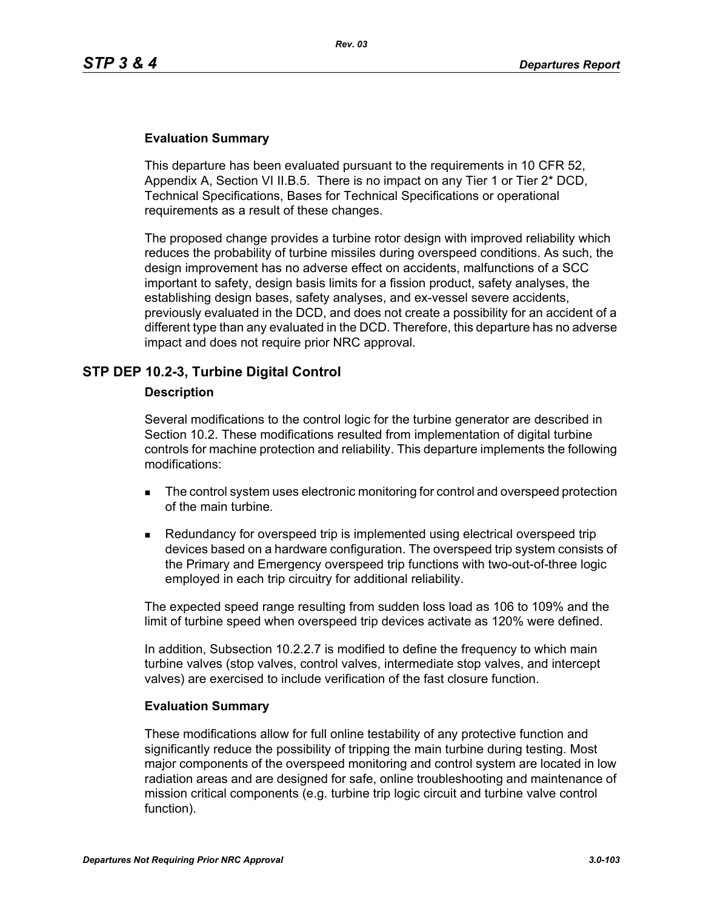## **Evaluation Summary**

This departure has been evaluated pursuant to the requirements in 10 CFR 52, Appendix A, Section VI II.B.5. There is no impact on any Tier 1 or Tier 2\* DCD, Technical Specifications, Bases for Technical Specifications or operational requirements as a result of these changes.

The proposed change provides a turbine rotor design with improved reliability which reduces the probability of turbine missiles during overspeed conditions. As such, the design improvement has no adverse effect on accidents, malfunctions of a SCC important to safety, design basis limits for a fission product, safety analyses, the establishing design bases, safety analyses, and ex-vessel severe accidents, previously evaluated in the DCD, and does not create a possibility for an accident of a different type than any evaluated in the DCD. Therefore, this departure has no adverse impact and does not require prior NRC approval.

# **STP DEP 10.2-3, Turbine Digital Control**

### **Description**

Several modifications to the control logic for the turbine generator are described in Section 10.2. These modifications resulted from implementation of digital turbine controls for machine protection and reliability. This departure implements the following modifications:

- The control system uses electronic monitoring for control and overspeed protection of the main turbine.
- **Redundancy for overspeed trip is implemented using electrical overspeed trip** devices based on a hardware configuration. The overspeed trip system consists of the Primary and Emergency overspeed trip functions with two-out-of-three logic employed in each trip circuitry for additional reliability.

The expected speed range resulting from sudden loss load as 106 to 109% and the limit of turbine speed when overspeed trip devices activate as 120% were defined.

In addition, Subsection 10.2.2.7 is modified to define the frequency to which main turbine valves (stop valves, control valves, intermediate stop valves, and intercept valves) are exercised to include verification of the fast closure function.

### **Evaluation Summary**

These modifications allow for full online testability of any protective function and significantly reduce the possibility of tripping the main turbine during testing. Most major components of the overspeed monitoring and control system are located in low radiation areas and are designed for safe, online troubleshooting and maintenance of mission critical components (e.g. turbine trip logic circuit and turbine valve control function).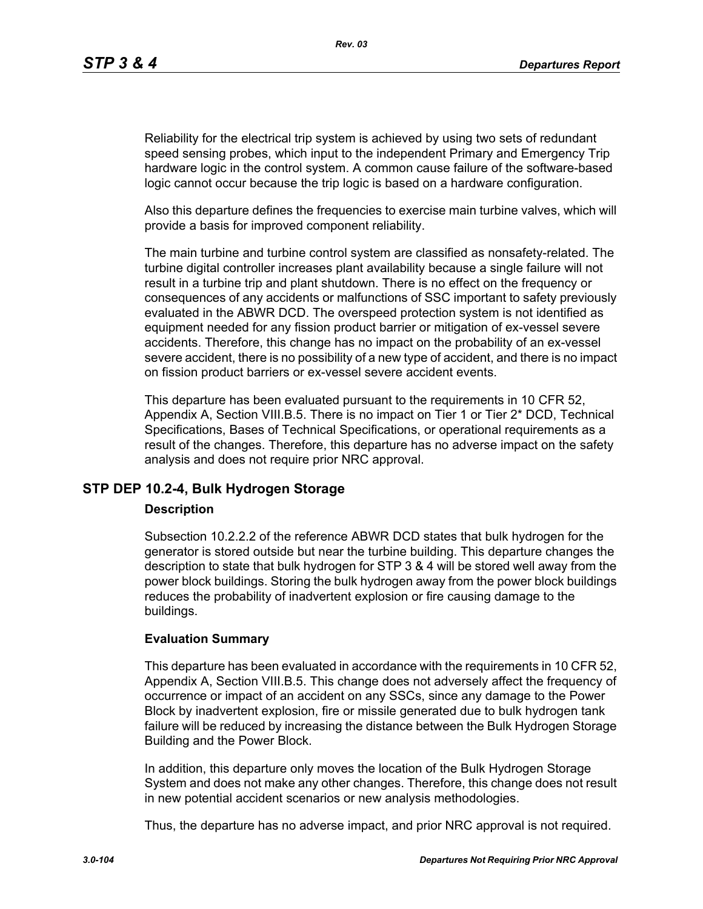Reliability for the electrical trip system is achieved by using two sets of redundant speed sensing probes, which input to the independent Primary and Emergency Trip hardware logic in the control system. A common cause failure of the software-based logic cannot occur because the trip logic is based on a hardware configuration.

Also this departure defines the frequencies to exercise main turbine valves, which will provide a basis for improved component reliability.

The main turbine and turbine control system are classified as nonsafety-related. The turbine digital controller increases plant availability because a single failure will not result in a turbine trip and plant shutdown. There is no effect on the frequency or consequences of any accidents or malfunctions of SSC important to safety previously evaluated in the ABWR DCD. The overspeed protection system is not identified as equipment needed for any fission product barrier or mitigation of ex-vessel severe accidents. Therefore, this change has no impact on the probability of an ex-vessel severe accident, there is no possibility of a new type of accident, and there is no impact on fission product barriers or ex-vessel severe accident events.

This departure has been evaluated pursuant to the requirements in 10 CFR 52, Appendix A, Section VIII.B.5. There is no impact on Tier 1 or Tier 2\* DCD, Technical Specifications, Bases of Technical Specifications, or operational requirements as a result of the changes. Therefore, this departure has no adverse impact on the safety analysis and does not require prior NRC approval.

## **STP DEP 10.2-4, Bulk Hydrogen Storage**

### **Description**

Subsection 10.2.2.2 of the reference ABWR DCD states that bulk hydrogen for the generator is stored outside but near the turbine building. This departure changes the description to state that bulk hydrogen for STP 3 & 4 will be stored well away from the power block buildings. Storing the bulk hydrogen away from the power block buildings reduces the probability of inadvertent explosion or fire causing damage to the buildings.

## **Evaluation Summary**

This departure has been evaluated in accordance with the requirements in 10 CFR 52, Appendix A, Section VIII.B.5. This change does not adversely affect the frequency of occurrence or impact of an accident on any SSCs, since any damage to the Power Block by inadvertent explosion, fire or missile generated due to bulk hydrogen tank failure will be reduced by increasing the distance between the Bulk Hydrogen Storage Building and the Power Block.

In addition, this departure only moves the location of the Bulk Hydrogen Storage System and does not make any other changes. Therefore, this change does not result in new potential accident scenarios or new analysis methodologies.

Thus, the departure has no adverse impact, and prior NRC approval is not required.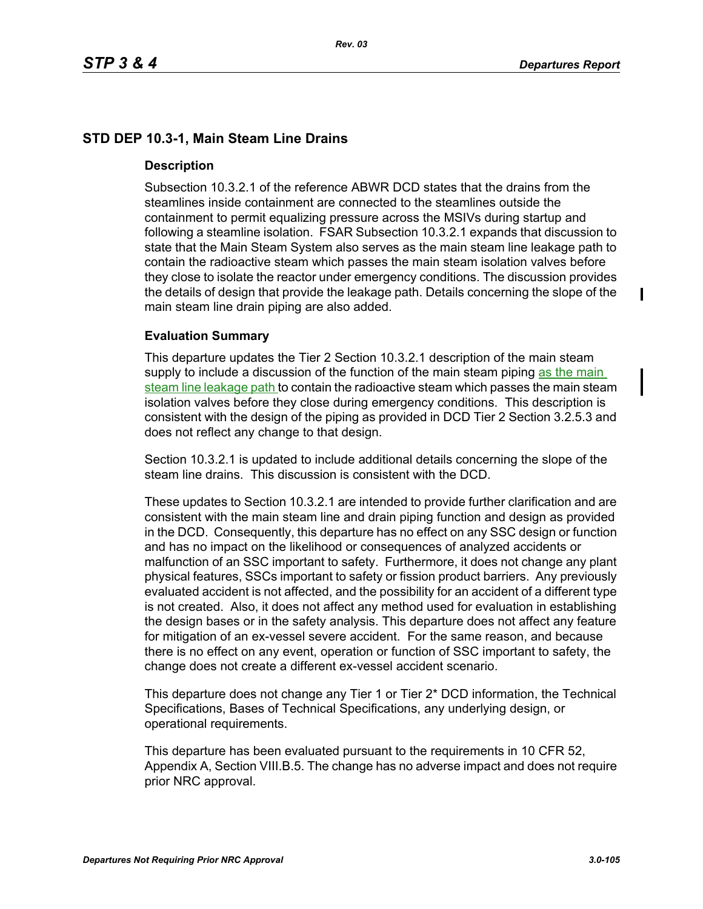# **STD DEP 10.3-1, Main Steam Line Drains**

## **Description**

Subsection 10.3.2.1 of the reference ABWR DCD states that the drains from the steamlines inside containment are connected to the steamlines outside the containment to permit equalizing pressure across the MSIVs during startup and following a steamline isolation. FSAR Subsection 10.3.2.1 expands that discussion to state that the Main Steam System also serves as the main steam line leakage path to contain the radioactive steam which passes the main steam isolation valves before they close to isolate the reactor under emergency conditions. The discussion provides the details of design that provide the leakage path. Details concerning the slope of the main steam line drain piping are also added.

## **Evaluation Summary**

This departure updates the Tier 2 Section 10.3.2.1 description of the main steam supply to include a discussion of the function of the main steam piping as the main steam line leakage path to contain the radioactive steam which passes the main steam isolation valves before they close during emergency conditions. This description is consistent with the design of the piping as provided in DCD Tier 2 Section 3.2.5.3 and does not reflect any change to that design.

Section 10.3.2.1 is updated to include additional details concerning the slope of the steam line drains. This discussion is consistent with the DCD.

These updates to Section 10.3.2.1 are intended to provide further clarification and are consistent with the main steam line and drain piping function and design as provided in the DCD. Consequently, this departure has no effect on any SSC design or function and has no impact on the likelihood or consequences of analyzed accidents or malfunction of an SSC important to safety. Furthermore, it does not change any plant physical features, SSCs important to safety or fission product barriers. Any previously evaluated accident is not affected, and the possibility for an accident of a different type is not created. Also, it does not affect any method used for evaluation in establishing the design bases or in the safety analysis. This departure does not affect any feature for mitigation of an ex-vessel severe accident. For the same reason, and because there is no effect on any event, operation or function of SSC important to safety, the change does not create a different ex-vessel accident scenario.

This departure does not change any Tier 1 or Tier 2\* DCD information, the Technical Specifications, Bases of Technical Specifications, any underlying design, or operational requirements.

This departure has been evaluated pursuant to the requirements in 10 CFR 52, Appendix A, Section VIII.B.5. The change has no adverse impact and does not require prior NRC approval.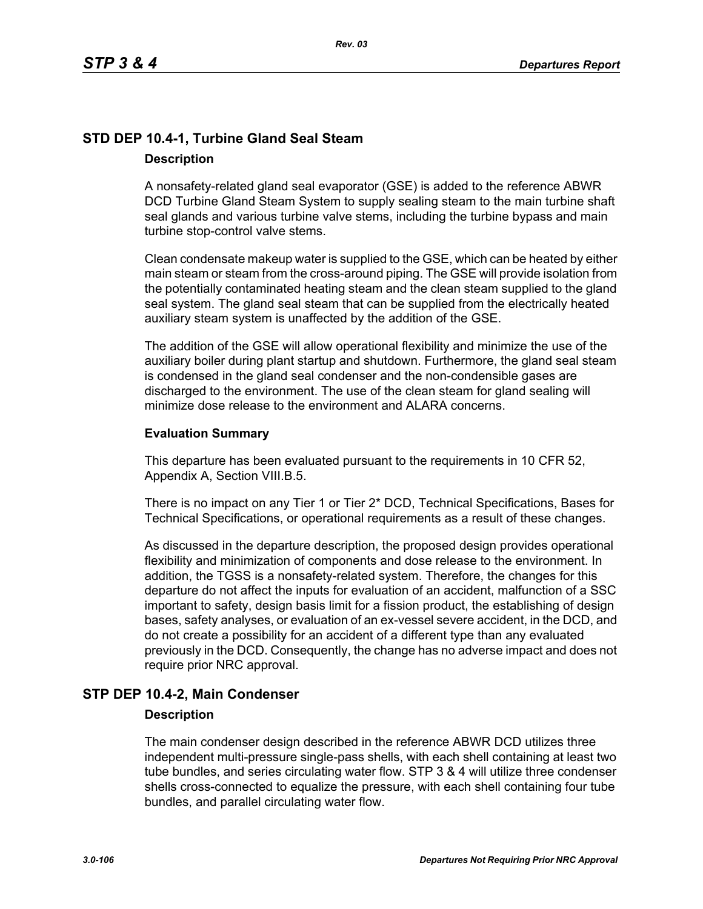# **STD DEP 10.4-1, Turbine Gland Seal Steam Description**

A nonsafety-related gland seal evaporator (GSE) is added to the reference ABWR DCD Turbine Gland Steam System to supply sealing steam to the main turbine shaft seal glands and various turbine valve stems, including the turbine bypass and main turbine stop-control valve stems.

Clean condensate makeup water is supplied to the GSE, which can be heated by either main steam or steam from the cross-around piping. The GSE will provide isolation from the potentially contaminated heating steam and the clean steam supplied to the gland seal system. The gland seal steam that can be supplied from the electrically heated auxiliary steam system is unaffected by the addition of the GSE.

The addition of the GSE will allow operational flexibility and minimize the use of the auxiliary boiler during plant startup and shutdown. Furthermore, the gland seal steam is condensed in the gland seal condenser and the non-condensible gases are discharged to the environment. The use of the clean steam for gland sealing will minimize dose release to the environment and ALARA concerns.

## **Evaluation Summary**

This departure has been evaluated pursuant to the requirements in 10 CFR 52, Appendix A, Section VIII.B.5.

There is no impact on any Tier 1 or Tier 2\* DCD, Technical Specifications, Bases for Technical Specifications, or operational requirements as a result of these changes.

As discussed in the departure description, the proposed design provides operational flexibility and minimization of components and dose release to the environment. In addition, the TGSS is a nonsafety-related system. Therefore, the changes for this departure do not affect the inputs for evaluation of an accident, malfunction of a SSC important to safety, design basis limit for a fission product, the establishing of design bases, safety analyses, or evaluation of an ex-vessel severe accident, in the DCD, and do not create a possibility for an accident of a different type than any evaluated previously in the DCD. Consequently, the change has no adverse impact and does not require prior NRC approval.

# **STP DEP 10.4-2, Main Condenser**

### **Description**

The main condenser design described in the reference ABWR DCD utilizes three independent multi-pressure single-pass shells, with each shell containing at least two tube bundles, and series circulating water flow. STP 3 & 4 will utilize three condenser shells cross-connected to equalize the pressure, with each shell containing four tube bundles, and parallel circulating water flow.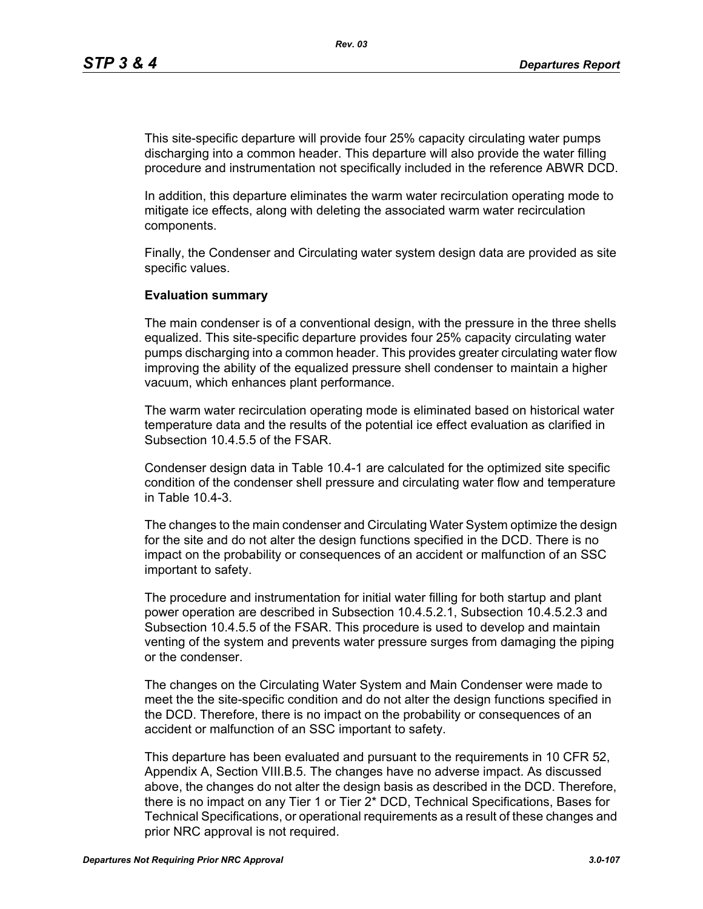This site-specific departure will provide four 25% capacity circulating water pumps discharging into a common header. This departure will also provide the water filling procedure and instrumentation not specifically included in the reference ABWR DCD.

In addition, this departure eliminates the warm water recirculation operating mode to mitigate ice effects, along with deleting the associated warm water recirculation components.

Finally, the Condenser and Circulating water system design data are provided as site specific values.

#### **Evaluation summary**

The main condenser is of a conventional design, with the pressure in the three shells equalized. This site-specific departure provides four 25% capacity circulating water pumps discharging into a common header. This provides greater circulating water flow improving the ability of the equalized pressure shell condenser to maintain a higher vacuum, which enhances plant performance.

The warm water recirculation operating mode is eliminated based on historical water temperature data and the results of the potential ice effect evaluation as clarified in Subsection 10.4.5.5 of the FSAR.

Condenser design data in Table 10.4-1 are calculated for the optimized site specific condition of the condenser shell pressure and circulating water flow and temperature in Table 10.4-3.

The changes to the main condenser and Circulating Water System optimize the design for the site and do not alter the design functions specified in the DCD. There is no impact on the probability or consequences of an accident or malfunction of an SSC important to safety.

The procedure and instrumentation for initial water filling for both startup and plant power operation are described in Subsection 10.4.5.2.1, Subsection 10.4.5.2.3 and Subsection 10.4.5.5 of the FSAR. This procedure is used to develop and maintain venting of the system and prevents water pressure surges from damaging the piping or the condenser.

The changes on the Circulating Water System and Main Condenser were made to meet the the site-specific condition and do not alter the design functions specified in the DCD. Therefore, there is no impact on the probability or consequences of an accident or malfunction of an SSC important to safety.

This departure has been evaluated and pursuant to the requirements in 10 CFR 52, Appendix A, Section VIII.B.5. The changes have no adverse impact. As discussed above, the changes do not alter the design basis as described in the DCD. Therefore, there is no impact on any Tier 1 or Tier 2\* DCD, Technical Specifications, Bases for Technical Specifications, or operational requirements as a result of these changes and prior NRC approval is not required.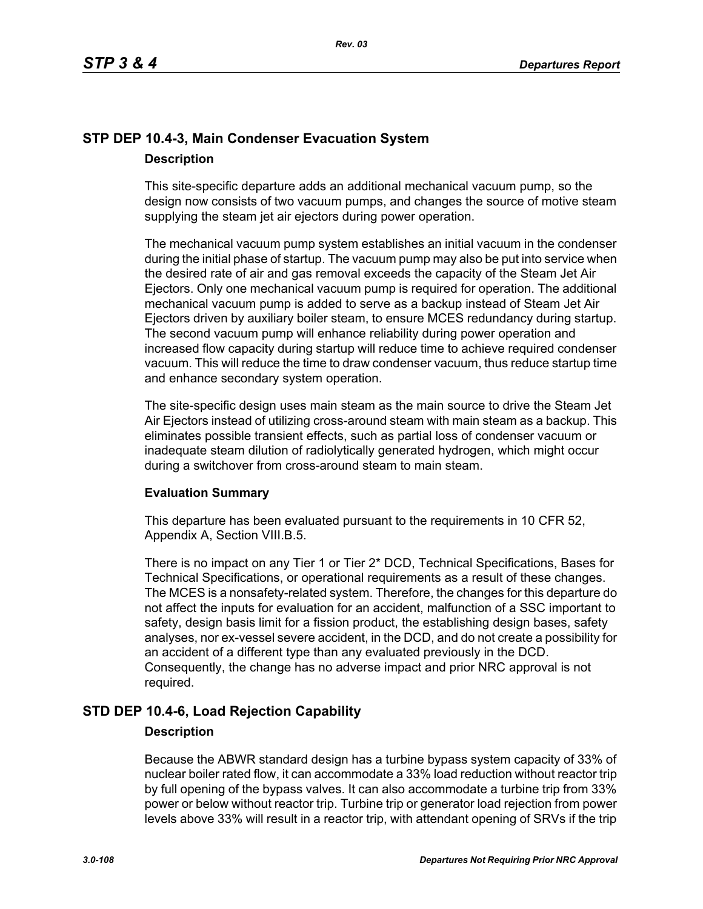# **STP DEP 10.4-3, Main Condenser Evacuation System Description**

This site-specific departure adds an additional mechanical vacuum pump, so the design now consists of two vacuum pumps, and changes the source of motive steam supplying the steam jet air ejectors during power operation.

The mechanical vacuum pump system establishes an initial vacuum in the condenser during the initial phase of startup. The vacuum pump may also be put into service when the desired rate of air and gas removal exceeds the capacity of the Steam Jet Air Ejectors. Only one mechanical vacuum pump is required for operation. The additional mechanical vacuum pump is added to serve as a backup instead of Steam Jet Air Ejectors driven by auxiliary boiler steam, to ensure MCES redundancy during startup. The second vacuum pump will enhance reliability during power operation and increased flow capacity during startup will reduce time to achieve required condenser vacuum. This will reduce the time to draw condenser vacuum, thus reduce startup time and enhance secondary system operation.

The site-specific design uses main steam as the main source to drive the Steam Jet Air Ejectors instead of utilizing cross-around steam with main steam as a backup. This eliminates possible transient effects, such as partial loss of condenser vacuum or inadequate steam dilution of radiolytically generated hydrogen, which might occur during a switchover from cross-around steam to main steam.

## **Evaluation Summary**

This departure has been evaluated pursuant to the requirements in 10 CFR 52, Appendix A, Section VIII.B.5.

There is no impact on any Tier 1 or Tier 2\* DCD, Technical Specifications, Bases for Technical Specifications, or operational requirements as a result of these changes. The MCES is a nonsafety-related system. Therefore, the changes for this departure do not affect the inputs for evaluation for an accident, malfunction of a SSC important to safety, design basis limit for a fission product, the establishing design bases, safety analyses, nor ex-vessel severe accident, in the DCD, and do not create a possibility for an accident of a different type than any evaluated previously in the DCD. Consequently, the change has no adverse impact and prior NRC approval is not required.

# **STD DEP 10.4-6, Load Rejection Capability**

### **Description**

Because the ABWR standard design has a turbine bypass system capacity of 33% of nuclear boiler rated flow, it can accommodate a 33% load reduction without reactor trip by full opening of the bypass valves. It can also accommodate a turbine trip from 33% power or below without reactor trip. Turbine trip or generator load rejection from power levels above 33% will result in a reactor trip, with attendant opening of SRVs if the trip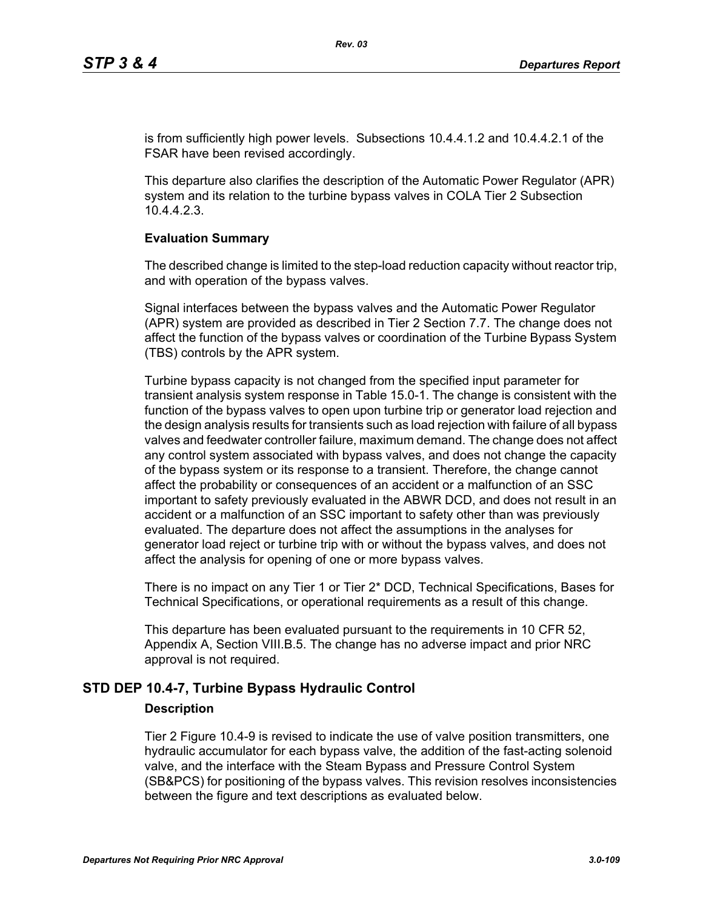is from sufficiently high power levels. Subsections 10.4.4.1.2 and 10.4.4.2.1 of the FSAR have been revised accordingly.

This departure also clarifies the description of the Automatic Power Regulator (APR) system and its relation to the turbine bypass valves in COLA Tier 2 Subsection 10.4.4.2.3.

### **Evaluation Summary**

The described change is limited to the step-load reduction capacity without reactor trip, and with operation of the bypass valves.

Signal interfaces between the bypass valves and the Automatic Power Regulator (APR) system are provided as described in Tier 2 Section 7.7. The change does not affect the function of the bypass valves or coordination of the Turbine Bypass System (TBS) controls by the APR system.

Turbine bypass capacity is not changed from the specified input parameter for transient analysis system response in Table 15.0-1. The change is consistent with the function of the bypass valves to open upon turbine trip or generator load rejection and the design analysis results for transients such as load rejection with failure of all bypass valves and feedwater controller failure, maximum demand. The change does not affect any control system associated with bypass valves, and does not change the capacity of the bypass system or its response to a transient. Therefore, the change cannot affect the probability or consequences of an accident or a malfunction of an SSC important to safety previously evaluated in the ABWR DCD, and does not result in an accident or a malfunction of an SSC important to safety other than was previously evaluated. The departure does not affect the assumptions in the analyses for generator load reject or turbine trip with or without the bypass valves, and does not affect the analysis for opening of one or more bypass valves.

There is no impact on any Tier 1 or Tier 2\* DCD, Technical Specifications, Bases for Technical Specifications, or operational requirements as a result of this change.

This departure has been evaluated pursuant to the requirements in 10 CFR 52, Appendix A, Section VIII.B.5. The change has no adverse impact and prior NRC approval is not required.

# **STD DEP 10.4-7, Turbine Bypass Hydraulic Control**

### **Description**

Tier 2 Figure 10.4-9 is revised to indicate the use of valve position transmitters, one hydraulic accumulator for each bypass valve, the addition of the fast-acting solenoid valve, and the interface with the Steam Bypass and Pressure Control System (SB&PCS) for positioning of the bypass valves. This revision resolves inconsistencies between the figure and text descriptions as evaluated below.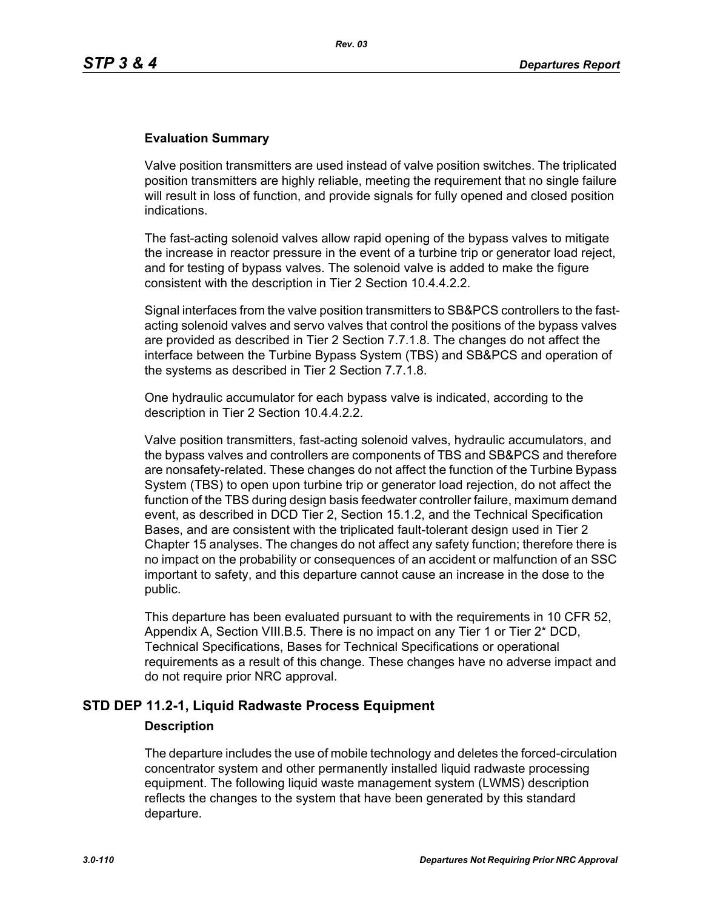## **Evaluation Summary**

Valve position transmitters are used instead of valve position switches. The triplicated position transmitters are highly reliable, meeting the requirement that no single failure will result in loss of function, and provide signals for fully opened and closed position indications.

The fast-acting solenoid valves allow rapid opening of the bypass valves to mitigate the increase in reactor pressure in the event of a turbine trip or generator load reject, and for testing of bypass valves. The solenoid valve is added to make the figure consistent with the description in Tier 2 Section 10.4.4.2.2.

Signal interfaces from the valve position transmitters to SB&PCS controllers to the fastacting solenoid valves and servo valves that control the positions of the bypass valves are provided as described in Tier 2 Section 7.7.1.8. The changes do not affect the interface between the Turbine Bypass System (TBS) and SB&PCS and operation of the systems as described in Tier 2 Section 7.7.1.8.

One hydraulic accumulator for each bypass valve is indicated, according to the description in Tier 2 Section 10.4.4.2.2.

Valve position transmitters, fast-acting solenoid valves, hydraulic accumulators, and the bypass valves and controllers are components of TBS and SB&PCS and therefore are nonsafety-related. These changes do not affect the function of the Turbine Bypass System (TBS) to open upon turbine trip or generator load rejection, do not affect the function of the TBS during design basis feedwater controller failure, maximum demand event, as described in DCD Tier 2, Section 15.1.2, and the Technical Specification Bases, and are consistent with the triplicated fault-tolerant design used in Tier 2 Chapter 15 analyses. The changes do not affect any safety function; therefore there is no impact on the probability or consequences of an accident or malfunction of an SSC important to safety, and this departure cannot cause an increase in the dose to the public.

This departure has been evaluated pursuant to with the requirements in 10 CFR 52, Appendix A, Section VIII.B.5. There is no impact on any Tier 1 or Tier 2\* DCD, Technical Specifications, Bases for Technical Specifications or operational requirements as a result of this change. These changes have no adverse impact and do not require prior NRC approval.

# **STD DEP 11.2-1, Liquid Radwaste Process Equipment**

### **Description**

The departure includes the use of mobile technology and deletes the forced-circulation concentrator system and other permanently installed liquid radwaste processing equipment. The following liquid waste management system (LWMS) description reflects the changes to the system that have been generated by this standard departure.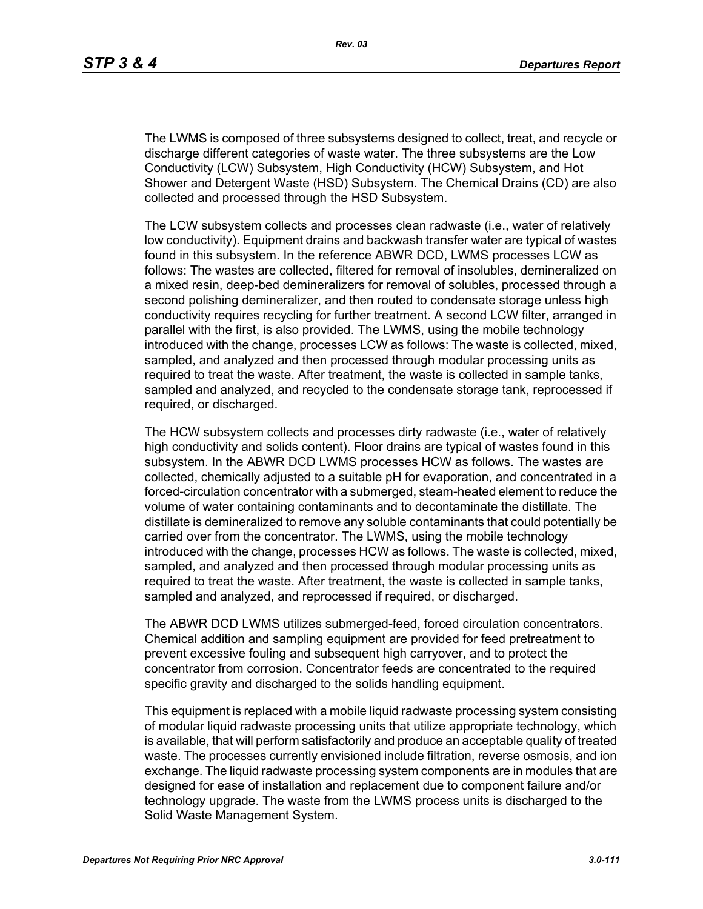The LWMS is composed of three subsystems designed to collect, treat, and recycle or discharge different categories of waste water. The three subsystems are the Low Conductivity (LCW) Subsystem, High Conductivity (HCW) Subsystem, and Hot Shower and Detergent Waste (HSD) Subsystem. The Chemical Drains (CD) are also collected and processed through the HSD Subsystem.

The LCW subsystem collects and processes clean radwaste (i.e., water of relatively low conductivity). Equipment drains and backwash transfer water are typical of wastes found in this subsystem. In the reference ABWR DCD, LWMS processes LCW as follows: The wastes are collected, filtered for removal of insolubles, demineralized on a mixed resin, deep-bed demineralizers for removal of solubles, processed through a second polishing demineralizer, and then routed to condensate storage unless high conductivity requires recycling for further treatment. A second LCW filter, arranged in parallel with the first, is also provided. The LWMS, using the mobile technology introduced with the change, processes LCW as follows: The waste is collected, mixed, sampled, and analyzed and then processed through modular processing units as required to treat the waste. After treatment, the waste is collected in sample tanks, sampled and analyzed, and recycled to the condensate storage tank, reprocessed if required, or discharged.

The HCW subsystem collects and processes dirty radwaste (i.e., water of relatively high conductivity and solids content). Floor drains are typical of wastes found in this subsystem. In the ABWR DCD LWMS processes HCW as follows. The wastes are collected, chemically adjusted to a suitable pH for evaporation, and concentrated in a forced-circulation concentrator with a submerged, steam-heated element to reduce the volume of water containing contaminants and to decontaminate the distillate. The distillate is demineralized to remove any soluble contaminants that could potentially be carried over from the concentrator. The LWMS, using the mobile technology introduced with the change, processes HCW as follows. The waste is collected, mixed, sampled, and analyzed and then processed through modular processing units as required to treat the waste. After treatment, the waste is collected in sample tanks, sampled and analyzed, and reprocessed if required, or discharged.

The ABWR DCD LWMS utilizes submerged-feed, forced circulation concentrators. Chemical addition and sampling equipment are provided for feed pretreatment to prevent excessive fouling and subsequent high carryover, and to protect the concentrator from corrosion. Concentrator feeds are concentrated to the required specific gravity and discharged to the solids handling equipment.

This equipment is replaced with a mobile liquid radwaste processing system consisting of modular liquid radwaste processing units that utilize appropriate technology, which is available, that will perform satisfactorily and produce an acceptable quality of treated waste. The processes currently envisioned include filtration, reverse osmosis, and ion exchange. The liquid radwaste processing system components are in modules that are designed for ease of installation and replacement due to component failure and/or technology upgrade. The waste from the LWMS process units is discharged to the Solid Waste Management System.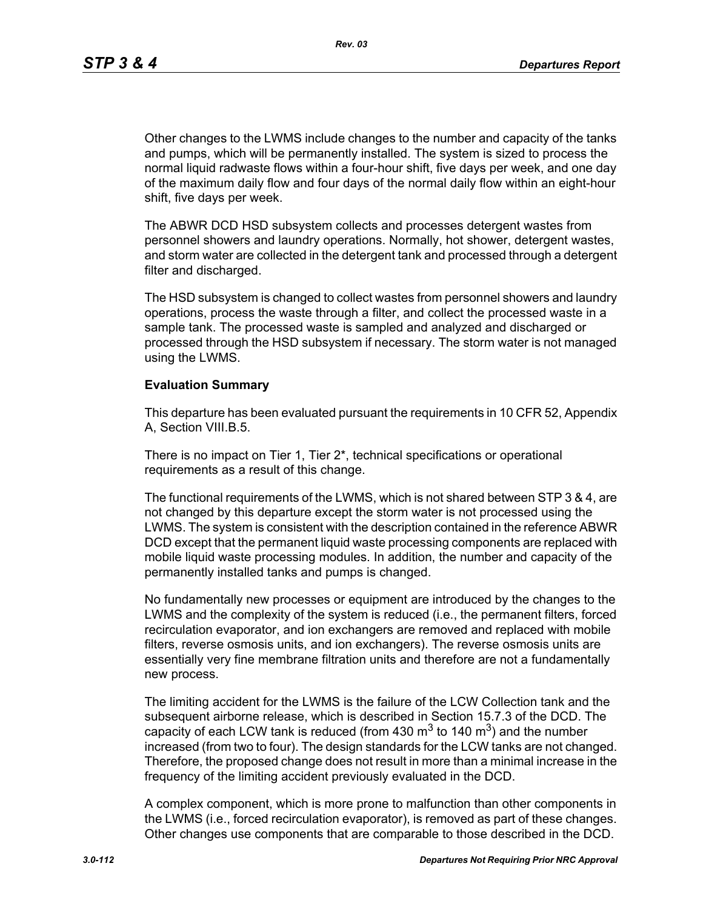*Rev. 03*

Other changes to the LWMS include changes to the number and capacity of the tanks and pumps, which will be permanently installed. The system is sized to process the normal liquid radwaste flows within a four-hour shift, five days per week, and one day of the maximum daily flow and four days of the normal daily flow within an eight-hour shift, five days per week.

The ABWR DCD HSD subsystem collects and processes detergent wastes from personnel showers and laundry operations. Normally, hot shower, detergent wastes, and storm water are collected in the detergent tank and processed through a detergent filter and discharged.

The HSD subsystem is changed to collect wastes from personnel showers and laundry operations, process the waste through a filter, and collect the processed waste in a sample tank. The processed waste is sampled and analyzed and discharged or processed through the HSD subsystem if necessary. The storm water is not managed using the LWMS.

### **Evaluation Summary**

This departure has been evaluated pursuant the requirements in 10 CFR 52, Appendix A, Section VIII.B.5.

There is no impact on Tier 1, Tier 2\*, technical specifications or operational requirements as a result of this change.

The functional requirements of the LWMS, which is not shared between STP 3 & 4, are not changed by this departure except the storm water is not processed using the LWMS. The system is consistent with the description contained in the reference ABWR DCD except that the permanent liquid waste processing components are replaced with mobile liquid waste processing modules. In addition, the number and capacity of the permanently installed tanks and pumps is changed.

No fundamentally new processes or equipment are introduced by the changes to the LWMS and the complexity of the system is reduced (i.e., the permanent filters, forced recirculation evaporator, and ion exchangers are removed and replaced with mobile filters, reverse osmosis units, and ion exchangers). The reverse osmosis units are essentially very fine membrane filtration units and therefore are not a fundamentally new process.

The limiting accident for the LWMS is the failure of the LCW Collection tank and the subsequent airborne release, which is described in Section 15.7.3 of the DCD. The capacity of each LCW tank is reduced (from 430  $\text{m}^3$  to 140  $\text{m}^3$ ) and the number increased (from two to four). The design standards for the LCW tanks are not changed. Therefore, the proposed change does not result in more than a minimal increase in the frequency of the limiting accident previously evaluated in the DCD.

A complex component, which is more prone to malfunction than other components in the LWMS (i.e., forced recirculation evaporator), is removed as part of these changes. Other changes use components that are comparable to those described in the DCD.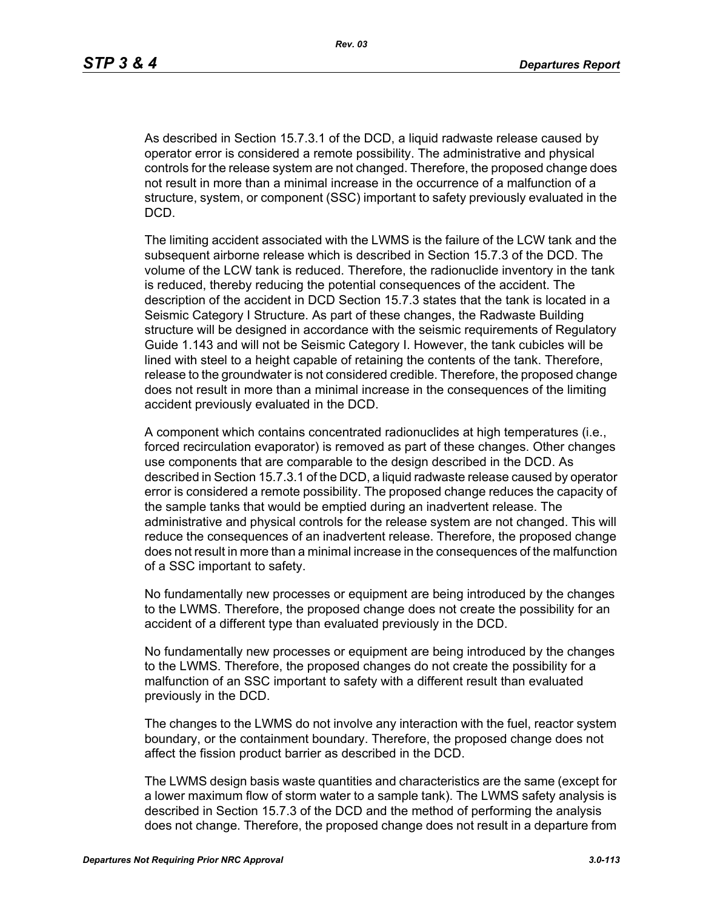As described in Section 15.7.3.1 of the DCD, a liquid radwaste release caused by operator error is considered a remote possibility. The administrative and physical controls for the release system are not changed. Therefore, the proposed change does not result in more than a minimal increase in the occurrence of a malfunction of a structure, system, or component (SSC) important to safety previously evaluated in the DCD.

The limiting accident associated with the LWMS is the failure of the LCW tank and the subsequent airborne release which is described in Section 15.7.3 of the DCD. The volume of the LCW tank is reduced. Therefore, the radionuclide inventory in the tank is reduced, thereby reducing the potential consequences of the accident. The description of the accident in DCD Section 15.7.3 states that the tank is located in a Seismic Category I Structure. As part of these changes, the Radwaste Building structure will be designed in accordance with the seismic requirements of Regulatory Guide 1.143 and will not be Seismic Category I. However, the tank cubicles will be lined with steel to a height capable of retaining the contents of the tank. Therefore, release to the groundwater is not considered credible. Therefore, the proposed change does not result in more than a minimal increase in the consequences of the limiting accident previously evaluated in the DCD.

A component which contains concentrated radionuclides at high temperatures (i.e., forced recirculation evaporator) is removed as part of these changes. Other changes use components that are comparable to the design described in the DCD. As described in Section 15.7.3.1 of the DCD, a liquid radwaste release caused by operator error is considered a remote possibility. The proposed change reduces the capacity of the sample tanks that would be emptied during an inadvertent release. The administrative and physical controls for the release system are not changed. This will reduce the consequences of an inadvertent release. Therefore, the proposed change does not result in more than a minimal increase in the consequences of the malfunction of a SSC important to safety.

No fundamentally new processes or equipment are being introduced by the changes to the LWMS. Therefore, the proposed change does not create the possibility for an accident of a different type than evaluated previously in the DCD.

No fundamentally new processes or equipment are being introduced by the changes to the LWMS. Therefore, the proposed changes do not create the possibility for a malfunction of an SSC important to safety with a different result than evaluated previously in the DCD.

The changes to the LWMS do not involve any interaction with the fuel, reactor system boundary, or the containment boundary. Therefore, the proposed change does not affect the fission product barrier as described in the DCD.

The LWMS design basis waste quantities and characteristics are the same (except for a lower maximum flow of storm water to a sample tank). The LWMS safety analysis is described in Section 15.7.3 of the DCD and the method of performing the analysis does not change. Therefore, the proposed change does not result in a departure from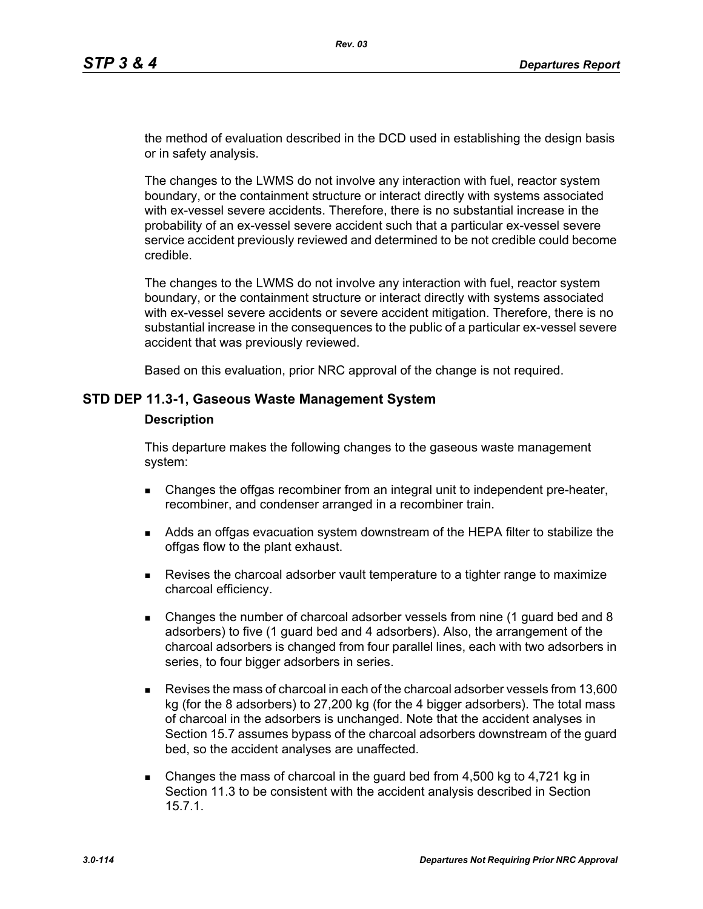the method of evaluation described in the DCD used in establishing the design basis or in safety analysis.

The changes to the LWMS do not involve any interaction with fuel, reactor system boundary, or the containment structure or interact directly with systems associated with ex-vessel severe accidents. Therefore, there is no substantial increase in the probability of an ex-vessel severe accident such that a particular ex-vessel severe service accident previously reviewed and determined to be not credible could become credible.

The changes to the LWMS do not involve any interaction with fuel, reactor system boundary, or the containment structure or interact directly with systems associated with ex-vessel severe accidents or severe accident mitigation. Therefore, there is no substantial increase in the consequences to the public of a particular ex-vessel severe accident that was previously reviewed.

Based on this evaluation, prior NRC approval of the change is not required.

## **STD DEP 11.3-1, Gaseous Waste Management System**

#### **Description**

This departure makes the following changes to the gaseous waste management system:

- **EXA** Changes the offgas recombiner from an integral unit to independent pre-heater, recombiner, and condenser arranged in a recombiner train.
- Adds an offgas evacuation system downstream of the HEPA filter to stabilize the offgas flow to the plant exhaust.
- **Revises the charcoal adsorber vault temperature to a tighter range to maximize** charcoal efficiency.
- Changes the number of charcoal adsorber vessels from nine (1 guard bed and 8 adsorbers) to five (1 guard bed and 4 adsorbers). Also, the arrangement of the charcoal adsorbers is changed from four parallel lines, each with two adsorbers in series, to four bigger adsorbers in series.
- Revises the mass of charcoal in each of the charcoal adsorber vessels from 13,600 kg (for the 8 adsorbers) to 27,200 kg (for the 4 bigger adsorbers). The total mass of charcoal in the adsorbers is unchanged. Note that the accident analyses in Section 15.7 assumes bypass of the charcoal adsorbers downstream of the guard bed, so the accident analyses are unaffected.
- Changes the mass of charcoal in the guard bed from 4,500 kg to 4,721 kg in Section 11.3 to be consistent with the accident analysis described in Section 15.7.1.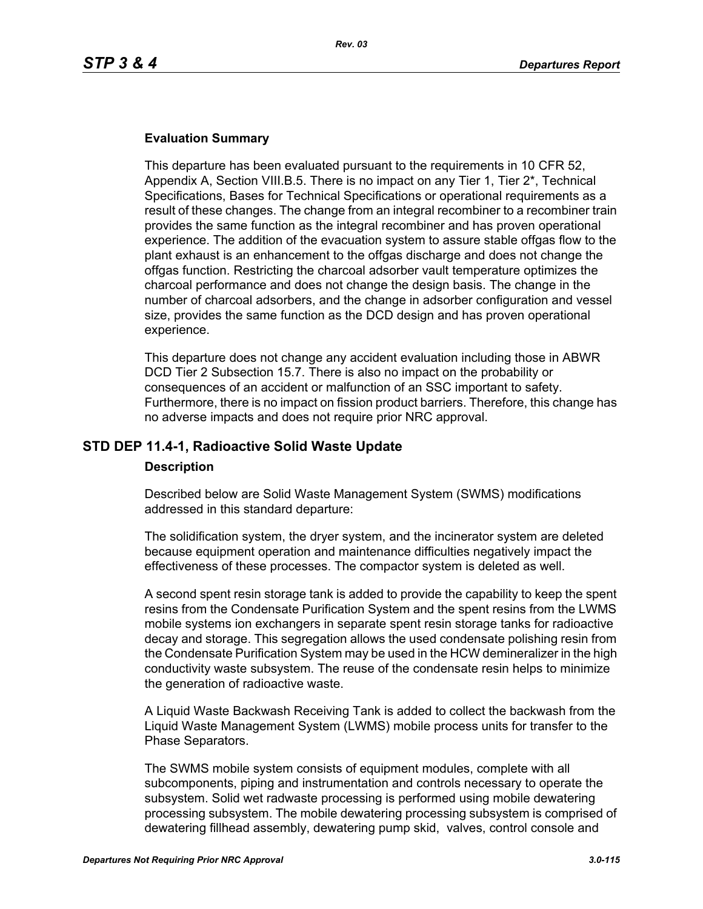### **Evaluation Summary**

This departure has been evaluated pursuant to the requirements in 10 CFR 52, Appendix A, Section VIII.B.5. There is no impact on any Tier 1, Tier 2\*, Technical Specifications, Bases for Technical Specifications or operational requirements as a result of these changes. The change from an integral recombiner to a recombiner train provides the same function as the integral recombiner and has proven operational experience. The addition of the evacuation system to assure stable offgas flow to the plant exhaust is an enhancement to the offgas discharge and does not change the offgas function. Restricting the charcoal adsorber vault temperature optimizes the charcoal performance and does not change the design basis. The change in the number of charcoal adsorbers, and the change in adsorber configuration and vessel size, provides the same function as the DCD design and has proven operational experience.

This departure does not change any accident evaluation including those in ABWR DCD Tier 2 Subsection 15.7. There is also no impact on the probability or consequences of an accident or malfunction of an SSC important to safety. Furthermore, there is no impact on fission product barriers. Therefore, this change has no adverse impacts and does not require prior NRC approval.

### **STD DEP 11.4-1, Radioactive Solid Waste Update**

### **Description**

Described below are Solid Waste Management System (SWMS) modifications addressed in this standard departure:

The solidification system, the dryer system, and the incinerator system are deleted because equipment operation and maintenance difficulties negatively impact the effectiveness of these processes. The compactor system is deleted as well.

A second spent resin storage tank is added to provide the capability to keep the spent resins from the Condensate Purification System and the spent resins from the LWMS mobile systems ion exchangers in separate spent resin storage tanks for radioactive decay and storage. This segregation allows the used condensate polishing resin from the Condensate Purification System may be used in the HCW demineralizer in the high conductivity waste subsystem. The reuse of the condensate resin helps to minimize the generation of radioactive waste.

A Liquid Waste Backwash Receiving Tank is added to collect the backwash from the Liquid Waste Management System (LWMS) mobile process units for transfer to the Phase Separators.

The SWMS mobile system consists of equipment modules, complete with all subcomponents, piping and instrumentation and controls necessary to operate the subsystem. Solid wet radwaste processing is performed using mobile dewatering processing subsystem. The mobile dewatering processing subsystem is comprised of dewatering fillhead assembly, dewatering pump skid, valves, control console and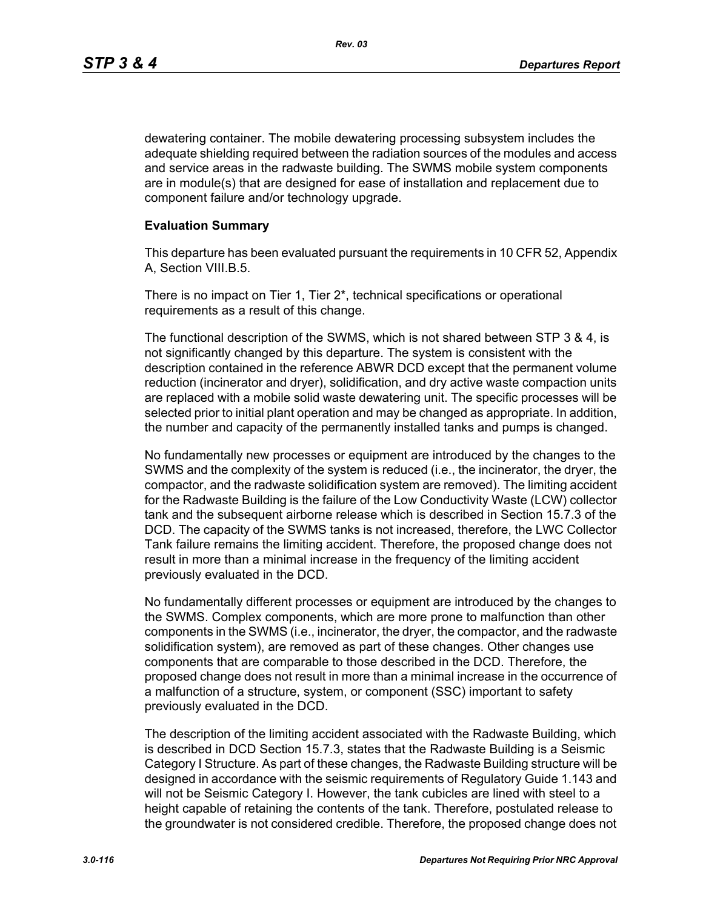dewatering container. The mobile dewatering processing subsystem includes the adequate shielding required between the radiation sources of the modules and access and service areas in the radwaste building. The SWMS mobile system components are in module(s) that are designed for ease of installation and replacement due to component failure and/or technology upgrade.

#### **Evaluation Summary**

This departure has been evaluated pursuant the requirements in 10 CFR 52, Appendix A, Section VIII.B.5.

There is no impact on Tier 1, Tier 2\*, technical specifications or operational requirements as a result of this change.

The functional description of the SWMS, which is not shared between STP 3 & 4, is not significantly changed by this departure. The system is consistent with the description contained in the reference ABWR DCD except that the permanent volume reduction (incinerator and dryer), solidification, and dry active waste compaction units are replaced with a mobile solid waste dewatering unit. The specific processes will be selected prior to initial plant operation and may be changed as appropriate. In addition, the number and capacity of the permanently installed tanks and pumps is changed.

No fundamentally new processes or equipment are introduced by the changes to the SWMS and the complexity of the system is reduced (i.e., the incinerator, the dryer, the compactor, and the radwaste solidification system are removed). The limiting accident for the Radwaste Building is the failure of the Low Conductivity Waste (LCW) collector tank and the subsequent airborne release which is described in Section 15.7.3 of the DCD. The capacity of the SWMS tanks is not increased, therefore, the LWC Collector Tank failure remains the limiting accident. Therefore, the proposed change does not result in more than a minimal increase in the frequency of the limiting accident previously evaluated in the DCD.

No fundamentally different processes or equipment are introduced by the changes to the SWMS. Complex components, which are more prone to malfunction than other components in the SWMS (i.e., incinerator, the dryer, the compactor, and the radwaste solidification system), are removed as part of these changes. Other changes use components that are comparable to those described in the DCD. Therefore, the proposed change does not result in more than a minimal increase in the occurrence of a malfunction of a structure, system, or component (SSC) important to safety previously evaluated in the DCD.

The description of the limiting accident associated with the Radwaste Building, which is described in DCD Section 15.7.3, states that the Radwaste Building is a Seismic Category I Structure. As part of these changes, the Radwaste Building structure will be designed in accordance with the seismic requirements of Regulatory Guide 1.143 and will not be Seismic Category I. However, the tank cubicles are lined with steel to a height capable of retaining the contents of the tank. Therefore, postulated release to the groundwater is not considered credible. Therefore, the proposed change does not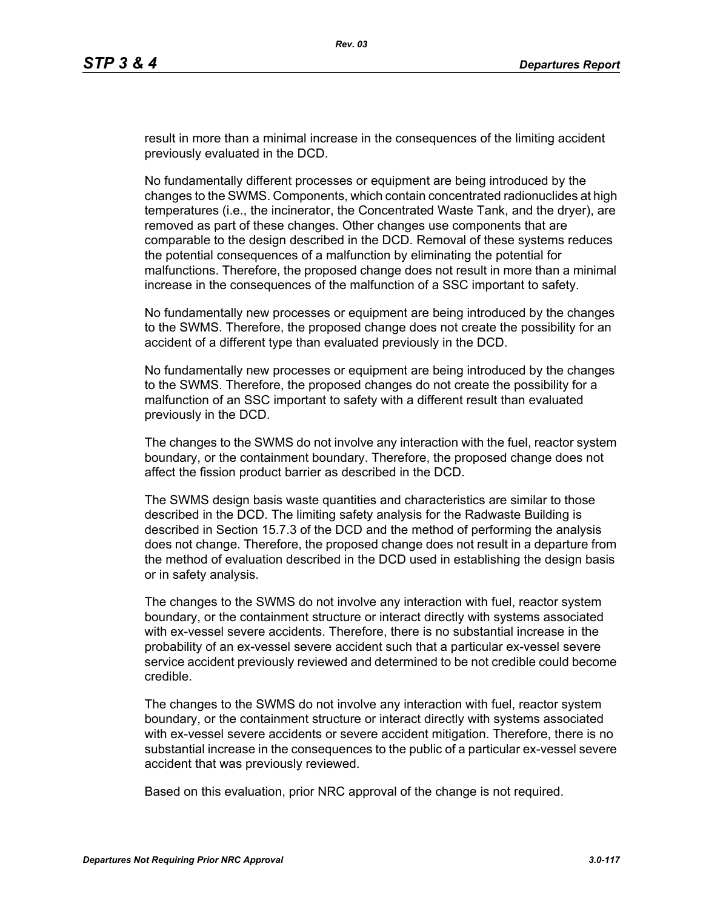result in more than a minimal increase in the consequences of the limiting accident previously evaluated in the DCD.

No fundamentally different processes or equipment are being introduced by the changes to the SWMS. Components, which contain concentrated radionuclides at high temperatures (i.e., the incinerator, the Concentrated Waste Tank, and the dryer), are removed as part of these changes. Other changes use components that are comparable to the design described in the DCD. Removal of these systems reduces the potential consequences of a malfunction by eliminating the potential for malfunctions. Therefore, the proposed change does not result in more than a minimal increase in the consequences of the malfunction of a SSC important to safety.

No fundamentally new processes or equipment are being introduced by the changes to the SWMS. Therefore, the proposed change does not create the possibility for an accident of a different type than evaluated previously in the DCD.

No fundamentally new processes or equipment are being introduced by the changes to the SWMS. Therefore, the proposed changes do not create the possibility for a malfunction of an SSC important to safety with a different result than evaluated previously in the DCD.

The changes to the SWMS do not involve any interaction with the fuel, reactor system boundary, or the containment boundary. Therefore, the proposed change does not affect the fission product barrier as described in the DCD.

The SWMS design basis waste quantities and characteristics are similar to those described in the DCD. The limiting safety analysis for the Radwaste Building is described in Section 15.7.3 of the DCD and the method of performing the analysis does not change. Therefore, the proposed change does not result in a departure from the method of evaluation described in the DCD used in establishing the design basis or in safety analysis.

The changes to the SWMS do not involve any interaction with fuel, reactor system boundary, or the containment structure or interact directly with systems associated with ex-vessel severe accidents. Therefore, there is no substantial increase in the probability of an ex-vessel severe accident such that a particular ex-vessel severe service accident previously reviewed and determined to be not credible could become credible.

The changes to the SWMS do not involve any interaction with fuel, reactor system boundary, or the containment structure or interact directly with systems associated with ex-vessel severe accidents or severe accident mitigation. Therefore, there is no substantial increase in the consequences to the public of a particular ex-vessel severe accident that was previously reviewed.

Based on this evaluation, prior NRC approval of the change is not required.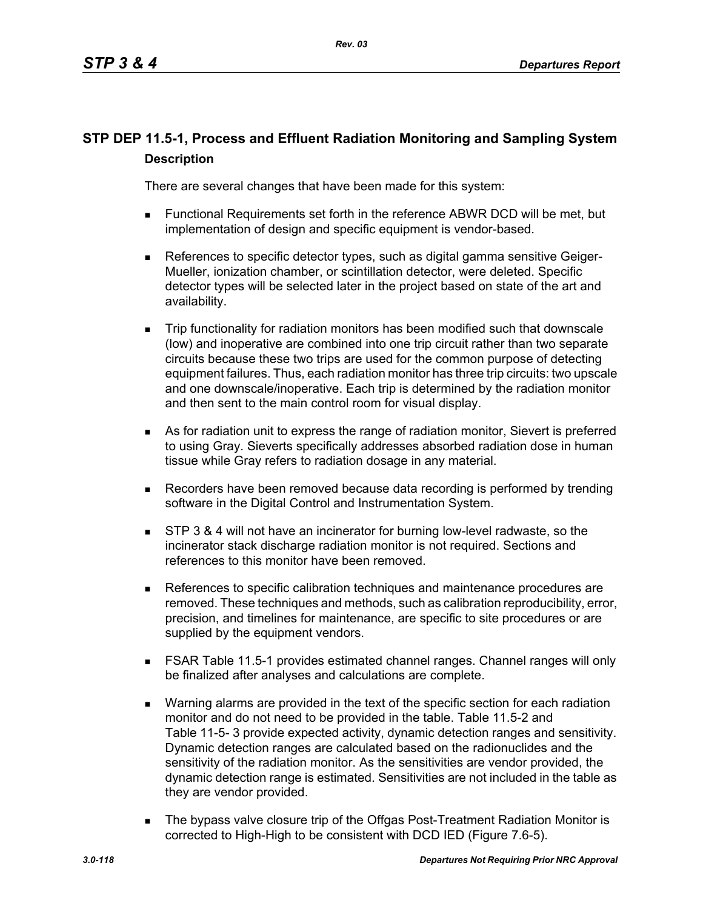# **STP DEP 11.5-1, Process and Effluent Radiation Monitoring and Sampling System Description**

There are several changes that have been made for this system:

- Functional Requirements set forth in the reference ABWR DCD will be met, but implementation of design and specific equipment is vendor-based.
- **References to specific detector types, such as digital gamma sensitive Geiger-**Mueller, ionization chamber, or scintillation detector, were deleted. Specific detector types will be selected later in the project based on state of the art and availability.
- Trip functionality for radiation monitors has been modified such that downscale (low) and inoperative are combined into one trip circuit rather than two separate circuits because these two trips are used for the common purpose of detecting equipment failures. Thus, each radiation monitor has three trip circuits: two upscale and one downscale/inoperative. Each trip is determined by the radiation monitor and then sent to the main control room for visual display.
- As for radiation unit to express the range of radiation monitor, Sievert is preferred to using Gray. Sieverts specifically addresses absorbed radiation dose in human tissue while Gray refers to radiation dosage in any material.
- Recorders have been removed because data recording is performed by trending software in the Digital Control and Instrumentation System.
- **STP 3 & 4 will not have an incinerator for burning low-level radwaste, so the** incinerator stack discharge radiation monitor is not required. Sections and references to this monitor have been removed.
- References to specific calibration techniques and maintenance procedures are removed. These techniques and methods, such as calibration reproducibility, error, precision, and timelines for maintenance, are specific to site procedures or are supplied by the equipment vendors.
- FSAR Table 11.5-1 provides estimated channel ranges. Channel ranges will only be finalized after analyses and calculations are complete.
- Warning alarms are provided in the text of the specific section for each radiation monitor and do not need to be provided in the table. Table 11.5-2 and Table 11-5- 3 provide expected activity, dynamic detection ranges and sensitivity. Dynamic detection ranges are calculated based on the radionuclides and the sensitivity of the radiation monitor. As the sensitivities are vendor provided, the dynamic detection range is estimated. Sensitivities are not included in the table as they are vendor provided.
- The bypass valve closure trip of the Offgas Post-Treatment Radiation Monitor is corrected to High-High to be consistent with DCD IED (Figure 7.6-5).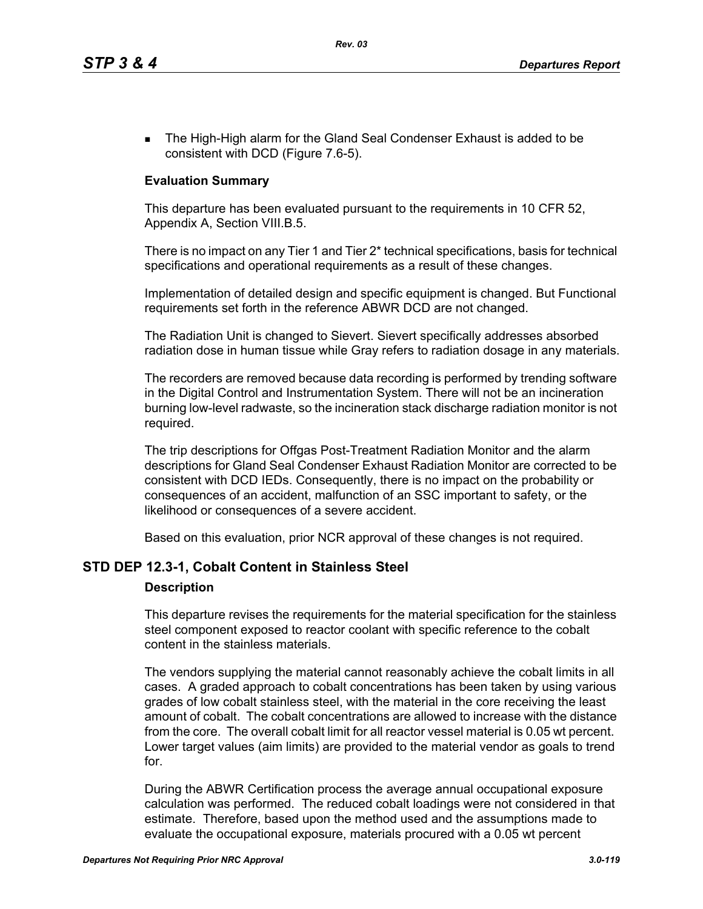**The High-High alarm for the Gland Seal Condenser Exhaust is added to be** consistent with DCD (Figure 7.6-5).

# **Evaluation Summary**

This departure has been evaluated pursuant to the requirements in 10 CFR 52, Appendix A, Section VIII.B.5.

There is no impact on any Tier 1 and Tier 2\* technical specifications, basis for technical specifications and operational requirements as a result of these changes.

Implementation of detailed design and specific equipment is changed. But Functional requirements set forth in the reference ABWR DCD are not changed.

The Radiation Unit is changed to Sievert. Sievert specifically addresses absorbed radiation dose in human tissue while Gray refers to radiation dosage in any materials.

The recorders are removed because data recording is performed by trending software in the Digital Control and Instrumentation System. There will not be an incineration burning low-level radwaste, so the incineration stack discharge radiation monitor is not required.

The trip descriptions for Offgas Post-Treatment Radiation Monitor and the alarm descriptions for Gland Seal Condenser Exhaust Radiation Monitor are corrected to be consistent with DCD IEDs. Consequently, there is no impact on the probability or consequences of an accident, malfunction of an SSC important to safety, or the likelihood or consequences of a severe accident.

Based on this evaluation, prior NCR approval of these changes is not required.

### **STD DEP 12.3-1, Cobalt Content in Stainless Steel**

### **Description**

This departure revises the requirements for the material specification for the stainless steel component exposed to reactor coolant with specific reference to the cobalt content in the stainless materials.

The vendors supplying the material cannot reasonably achieve the cobalt limits in all cases. A graded approach to cobalt concentrations has been taken by using various grades of low cobalt stainless steel, with the material in the core receiving the least amount of cobalt. The cobalt concentrations are allowed to increase with the distance from the core. The overall cobalt limit for all reactor vessel material is 0.05 wt percent. Lower target values (aim limits) are provided to the material vendor as goals to trend for.

During the ABWR Certification process the average annual occupational exposure calculation was performed. The reduced cobalt loadings were not considered in that estimate. Therefore, based upon the method used and the assumptions made to evaluate the occupational exposure, materials procured with a 0.05 wt percent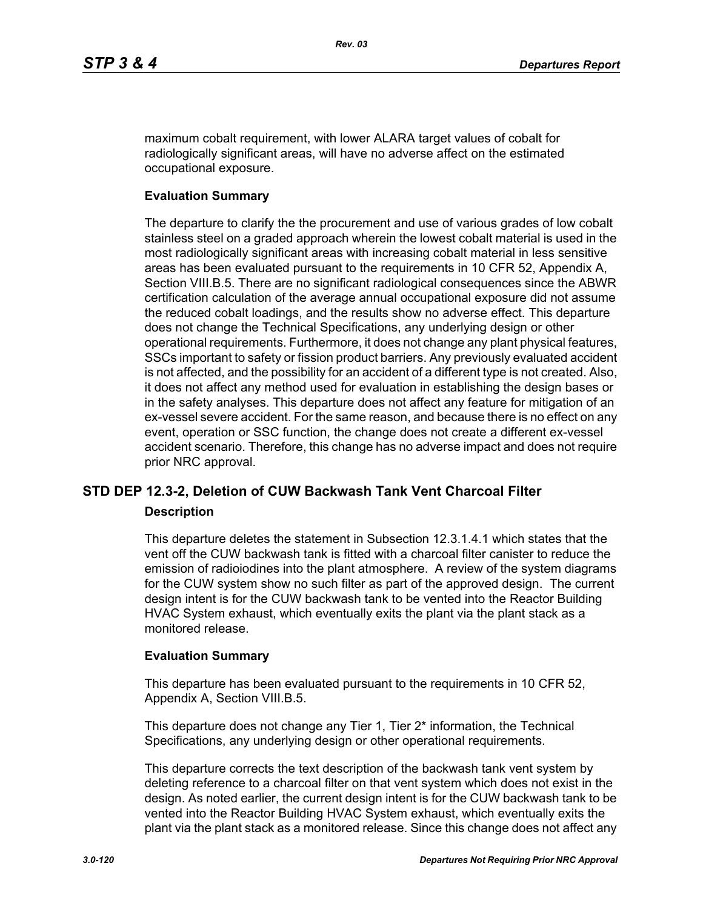maximum cobalt requirement, with lower ALARA target values of cobalt for radiologically significant areas, will have no adverse affect on the estimated occupational exposure.

### **Evaluation Summary**

The departure to clarify the the procurement and use of various grades of low cobalt stainless steel on a graded approach wherein the lowest cobalt material is used in the most radiologically significant areas with increasing cobalt material in less sensitive areas has been evaluated pursuant to the requirements in 10 CFR 52, Appendix A, Section VIII.B.5. There are no significant radiological consequences since the ABWR certification calculation of the average annual occupational exposure did not assume the reduced cobalt loadings, and the results show no adverse effect. This departure does not change the Technical Specifications, any underlying design or other operational requirements. Furthermore, it does not change any plant physical features, SSCs important to safety or fission product barriers. Any previously evaluated accident is not affected, and the possibility for an accident of a different type is not created. Also, it does not affect any method used for evaluation in establishing the design bases or in the safety analyses. This departure does not affect any feature for mitigation of an ex-vessel severe accident. For the same reason, and because there is no effect on any event, operation or SSC function, the change does not create a different ex-vessel accident scenario. Therefore, this change has no adverse impact and does not require prior NRC approval.

# **STD DEP 12.3-2, Deletion of CUW Backwash Tank Vent Charcoal Filter**

### **Description**

This departure deletes the statement in Subsection 12.3.1.4.1 which states that the vent off the CUW backwash tank is fitted with a charcoal filter canister to reduce the emission of radioiodines into the plant atmosphere. A review of the system diagrams for the CUW system show no such filter as part of the approved design. The current design intent is for the CUW backwash tank to be vented into the Reactor Building HVAC System exhaust, which eventually exits the plant via the plant stack as a monitored release.

### **Evaluation Summary**

This departure has been evaluated pursuant to the requirements in 10 CFR 52, Appendix A, Section VIII.B.5.

This departure does not change any Tier 1, Tier 2\* information, the Technical Specifications, any underlying design or other operational requirements.

This departure corrects the text description of the backwash tank vent system by deleting reference to a charcoal filter on that vent system which does not exist in the design. As noted earlier, the current design intent is for the CUW backwash tank to be vented into the Reactor Building HVAC System exhaust, which eventually exits the plant via the plant stack as a monitored release. Since this change does not affect any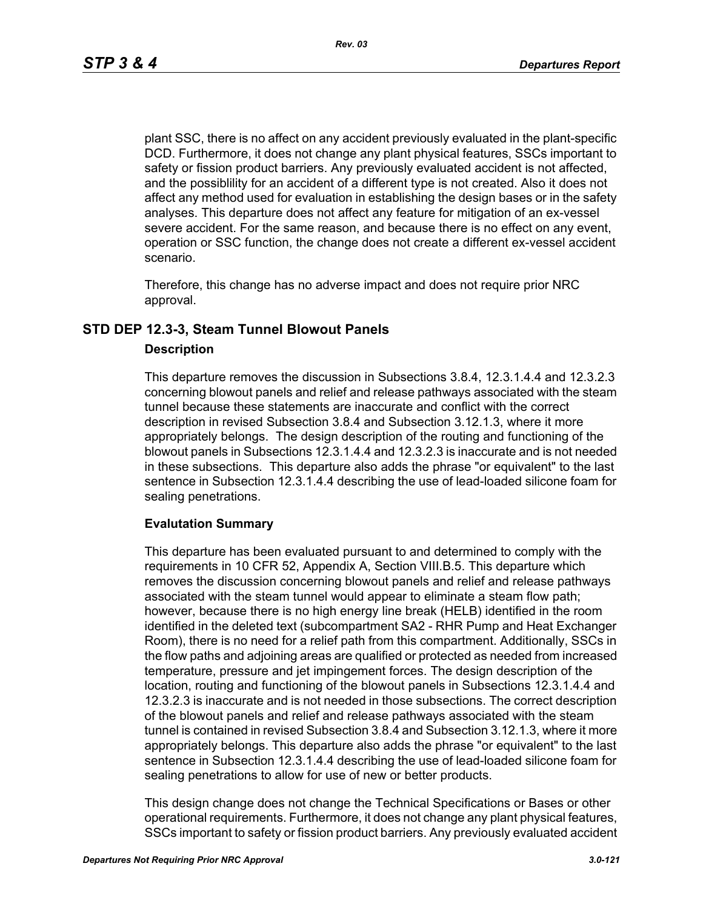plant SSC, there is no affect on any accident previously evaluated in the plant-specific DCD. Furthermore, it does not change any plant physical features, SSCs important to safety or fission product barriers. Any previously evaluated accident is not affected, and the possiblility for an accident of a different type is not created. Also it does not affect any method used for evaluation in establishing the design bases or in the safety analyses. This departure does not affect any feature for mitigation of an ex-vessel severe accident. For the same reason, and because there is no effect on any event, operation or SSC function, the change does not create a different ex-vessel accident scenario.

Therefore, this change has no adverse impact and does not require prior NRC approval.

# **STD DEP 12.3-3, Steam Tunnel Blowout Panels**

#### **Description**

This departure removes the discussion in Subsections 3.8.4, 12.3.1.4.4 and 12.3.2.3 concerning blowout panels and relief and release pathways associated with the steam tunnel because these statements are inaccurate and conflict with the correct description in revised Subsection 3.8.4 and Subsection 3.12.1.3, where it more appropriately belongs. The design description of the routing and functioning of the blowout panels in Subsections 12.3.1.4.4 and 12.3.2.3 is inaccurate and is not needed in these subsections. This departure also adds the phrase "or equivalent" to the last sentence in Subsection 12.3.1.4.4 describing the use of lead-loaded silicone foam for sealing penetrations.

### **Evalutation Summary**

This departure has been evaluated pursuant to and determined to comply with the requirements in 10 CFR 52, Appendix A, Section VIII.B.5. This departure which removes the discussion concerning blowout panels and relief and release pathways associated with the steam tunnel would appear to eliminate a steam flow path; however, because there is no high energy line break (HELB) identified in the room identified in the deleted text (subcompartment SA2 - RHR Pump and Heat Exchanger Room), there is no need for a relief path from this compartment. Additionally, SSCs in the flow paths and adjoining areas are qualified or protected as needed from increased temperature, pressure and jet impingement forces. The design description of the location, routing and functioning of the blowout panels in Subsections 12.3.1.4.4 and 12.3.2.3 is inaccurate and is not needed in those subsections. The correct description of the blowout panels and relief and release pathways associated with the steam tunnel is contained in revised Subsection 3.8.4 and Subsection 3.12.1.3, where it more appropriately belongs. This departure also adds the phrase "or equivalent" to the last sentence in Subsection 12.3.1.4.4 describing the use of lead-loaded silicone foam for sealing penetrations to allow for use of new or better products.

This design change does not change the Technical Specifications or Bases or other operational requirements. Furthermore, it does not change any plant physical features, SSCs important to safety or fission product barriers. Any previously evaluated accident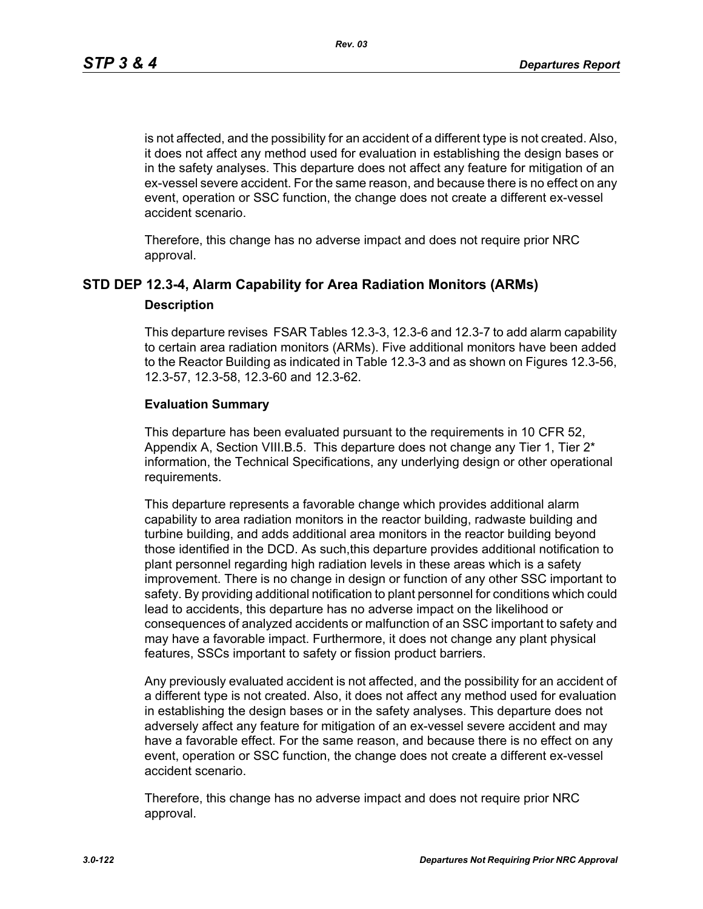is not affected, and the possibility for an accident of a different type is not created. Also, it does not affect any method used for evaluation in establishing the design bases or in the safety analyses. This departure does not affect any feature for mitigation of an ex-vessel severe accident. For the same reason, and because there is no effect on any event, operation or SSC function, the change does not create a different ex-vessel accident scenario.

Therefore, this change has no adverse impact and does not require prior NRC approval.

# **STD DEP 12.3-4, Alarm Capability for Area Radiation Monitors (ARMs) Description**

This departure revises FSAR Tables 12.3-3, 12.3-6 and 12.3-7 to add alarm capability to certain area radiation monitors (ARMs). Five additional monitors have been added to the Reactor Building as indicated in Table 12.3-3 and as shown on Figures 12.3-56, 12.3-57, 12.3-58, 12.3-60 and 12.3-62.

### **Evaluation Summary**

This departure has been evaluated pursuant to the requirements in 10 CFR 52, Appendix A, Section VIII.B.5. This departure does not change any Tier 1, Tier 2<sup>\*</sup> information, the Technical Specifications, any underlying design or other operational requirements.

This departure represents a favorable change which provides additional alarm capability to area radiation monitors in the reactor building, radwaste building and turbine building, and adds additional area monitors in the reactor building beyond those identified in the DCD. As such,this departure provides additional notification to plant personnel regarding high radiation levels in these areas which is a safety improvement. There is no change in design or function of any other SSC important to safety. By providing additional notification to plant personnel for conditions which could lead to accidents, this departure has no adverse impact on the likelihood or consequences of analyzed accidents or malfunction of an SSC important to safety and may have a favorable impact. Furthermore, it does not change any plant physical features, SSCs important to safety or fission product barriers.

Any previously evaluated accident is not affected, and the possibility for an accident of a different type is not created. Also, it does not affect any method used for evaluation in establishing the design bases or in the safety analyses. This departure does not adversely affect any feature for mitigation of an ex-vessel severe accident and may have a favorable effect. For the same reason, and because there is no effect on any event, operation or SSC function, the change does not create a different ex-vessel accident scenario.

Therefore, this change has no adverse impact and does not require prior NRC approval.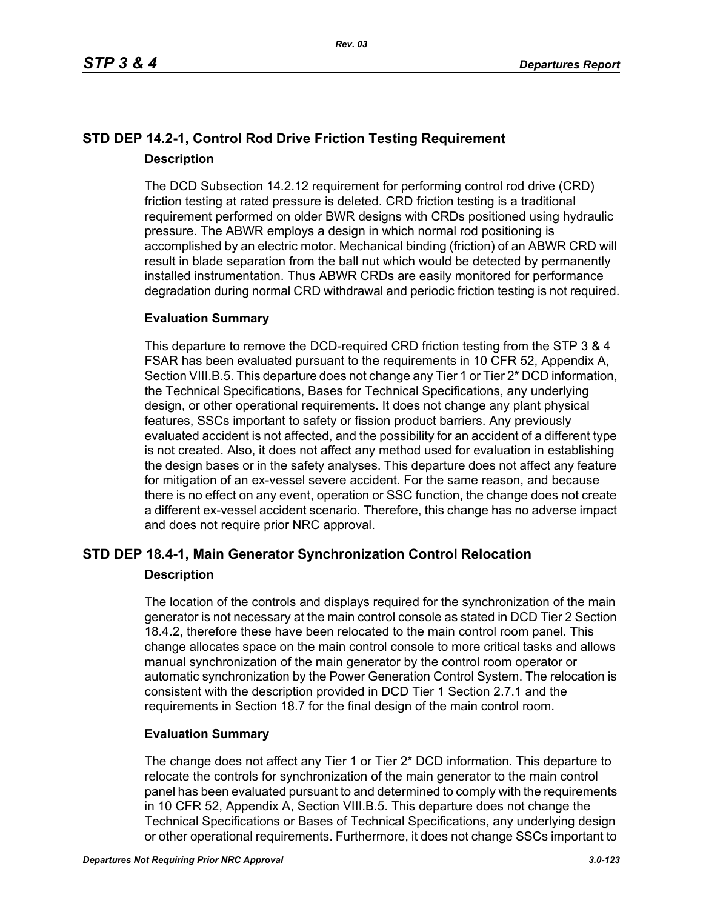# **STD DEP 14.2-1, Control Rod Drive Friction Testing Requirement Description**

The DCD Subsection 14.2.12 requirement for performing control rod drive (CRD) friction testing at rated pressure is deleted. CRD friction testing is a traditional requirement performed on older BWR designs with CRDs positioned using hydraulic pressure. The ABWR employs a design in which normal rod positioning is accomplished by an electric motor. Mechanical binding (friction) of an ABWR CRD will result in blade separation from the ball nut which would be detected by permanently installed instrumentation. Thus ABWR CRDs are easily monitored for performance degradation during normal CRD withdrawal and periodic friction testing is not required.

# **Evaluation Summary**

This departure to remove the DCD-required CRD friction testing from the STP 3 & 4 FSAR has been evaluated pursuant to the requirements in 10 CFR 52, Appendix A, Section VIII.B.5. This departure does not change any Tier 1 or Tier 2<sup>\*</sup> DCD information, the Technical Specifications, Bases for Technical Specifications, any underlying design, or other operational requirements. It does not change any plant physical features, SSCs important to safety or fission product barriers. Any previously evaluated accident is not affected, and the possibility for an accident of a different type is not created. Also, it does not affect any method used for evaluation in establishing the design bases or in the safety analyses. This departure does not affect any feature for mitigation of an ex-vessel severe accident. For the same reason, and because there is no effect on any event, operation or SSC function, the change does not create a different ex-vessel accident scenario. Therefore, this change has no adverse impact and does not require prior NRC approval.

# **STD DEP 18.4-1, Main Generator Synchronization Control Relocation Description**

The location of the controls and displays required for the synchronization of the main generator is not necessary at the main control console as stated in DCD Tier 2 Section 18.4.2, therefore these have been relocated to the main control room panel. This change allocates space on the main control console to more critical tasks and allows manual synchronization of the main generator by the control room operator or automatic synchronization by the Power Generation Control System. The relocation is consistent with the description provided in DCD Tier 1 Section 2.7.1 and the requirements in Section 18.7 for the final design of the main control room.

# **Evaluation Summary**

The change does not affect any Tier 1 or Tier 2\* DCD information. This departure to relocate the controls for synchronization of the main generator to the main control panel has been evaluated pursuant to and determined to comply with the requirements in 10 CFR 52, Appendix A, Section VIII.B.5. This departure does not change the Technical Specifications or Bases of Technical Specifications, any underlying design or other operational requirements. Furthermore, it does not change SSCs important to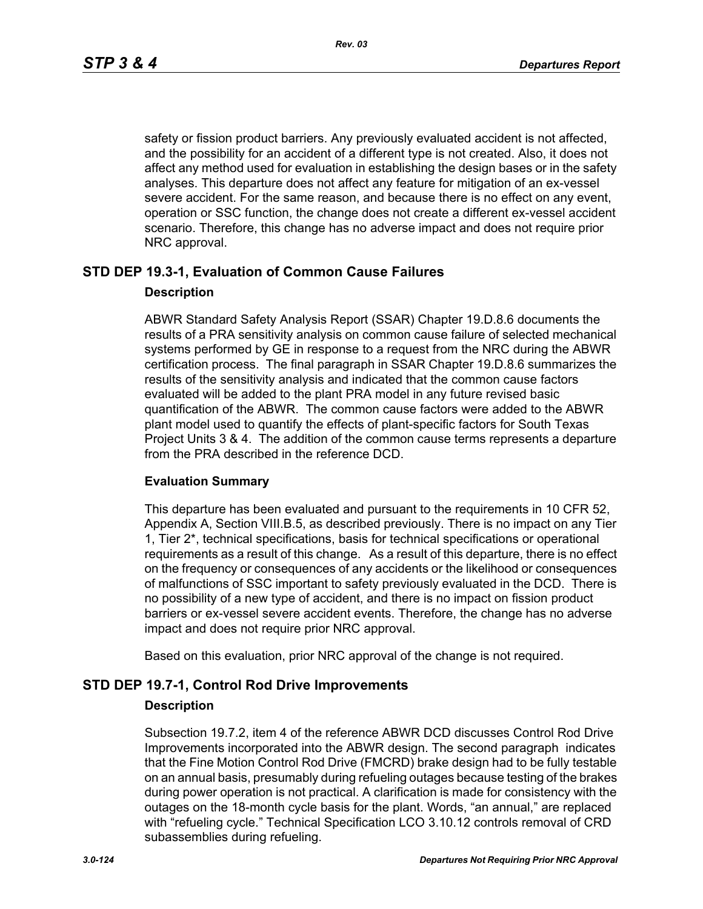safety or fission product barriers. Any previously evaluated accident is not affected, and the possibility for an accident of a different type is not created. Also, it does not affect any method used for evaluation in establishing the design bases or in the safety analyses. This departure does not affect any feature for mitigation of an ex-vessel severe accident. For the same reason, and because there is no effect on any event, operation or SSC function, the change does not create a different ex-vessel accident scenario. Therefore, this change has no adverse impact and does not require prior NRC approval.

# **STD DEP 19.3-1, Evaluation of Common Cause Failures**

### **Description**

ABWR Standard Safety Analysis Report (SSAR) Chapter 19.D.8.6 documents the results of a PRA sensitivity analysis on common cause failure of selected mechanical systems performed by GE in response to a request from the NRC during the ABWR certification process. The final paragraph in SSAR Chapter 19.D.8.6 summarizes the results of the sensitivity analysis and indicated that the common cause factors evaluated will be added to the plant PRA model in any future revised basic quantification of the ABWR. The common cause factors were added to the ABWR plant model used to quantify the effects of plant-specific factors for South Texas Project Units 3 & 4. The addition of the common cause terms represents a departure from the PRA described in the reference DCD.

### **Evaluation Summary**

This departure has been evaluated and pursuant to the requirements in 10 CFR 52, Appendix A, Section VIII.B.5, as described previously. There is no impact on any Tier 1, Tier 2\*, technical specifications, basis for technical specifications or operational requirements as a result of this change. As a result of this departure, there is no effect on the frequency or consequences of any accidents or the likelihood or consequences of malfunctions of SSC important to safety previously evaluated in the DCD. There is no possibility of a new type of accident, and there is no impact on fission product barriers or ex-vessel severe accident events. Therefore, the change has no adverse impact and does not require prior NRC approval.

Based on this evaluation, prior NRC approval of the change is not required.

### **STD DEP 19.7-1, Control Rod Drive Improvements**

### **Description**

Subsection 19.7.2, item 4 of the reference ABWR DCD discusses Control Rod Drive Improvements incorporated into the ABWR design. The second paragraph indicates that the Fine Motion Control Rod Drive (FMCRD) brake design had to be fully testable on an annual basis, presumably during refueling outages because testing of the brakes during power operation is not practical. A clarification is made for consistency with the outages on the 18-month cycle basis for the plant. Words, "an annual," are replaced with "refueling cycle." Technical Specification LCO 3.10.12 controls removal of CRD subassemblies during refueling.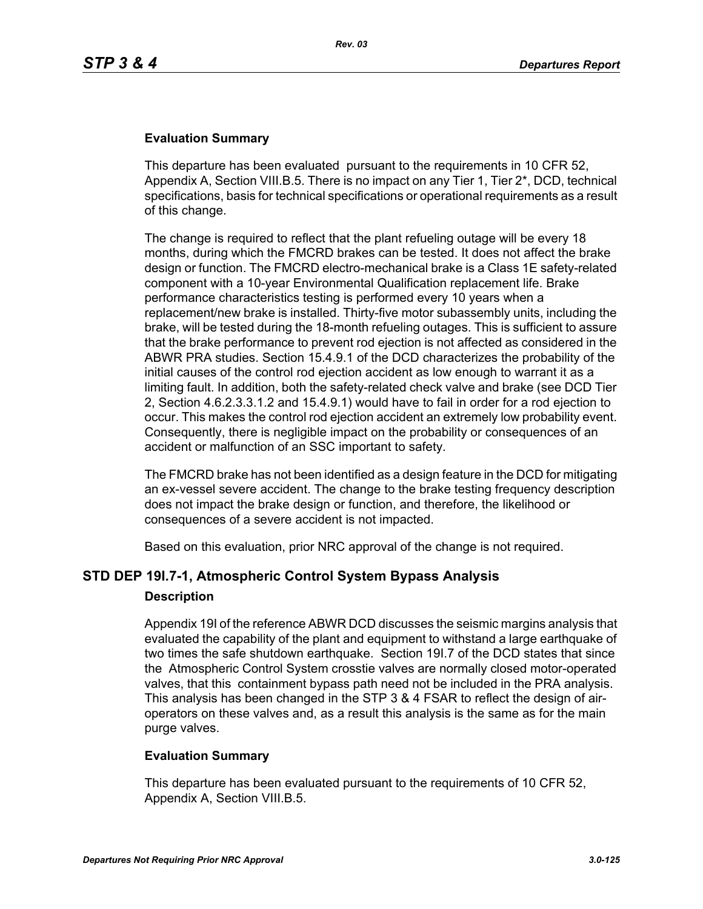## **Evaluation Summary**

This departure has been evaluated pursuant to the requirements in 10 CFR 52, Appendix A, Section VIII.B.5. There is no impact on any Tier 1, Tier 2\*, DCD, technical specifications, basis for technical specifications or operational requirements as a result of this change.

The change is required to reflect that the plant refueling outage will be every 18 months, during which the FMCRD brakes can be tested. It does not affect the brake design or function. The FMCRD electro-mechanical brake is a Class 1E safety-related component with a 10-year Environmental Qualification replacement life. Brake performance characteristics testing is performed every 10 years when a replacement/new brake is installed. Thirty-five motor subassembly units, including the brake, will be tested during the 18-month refueling outages. This is sufficient to assure that the brake performance to prevent rod ejection is not affected as considered in the ABWR PRA studies. Section 15.4.9.1 of the DCD characterizes the probability of the initial causes of the control rod ejection accident as low enough to warrant it as a limiting fault. In addition, both the safety-related check valve and brake (see DCD Tier 2, Section 4.6.2.3.3.1.2 and 15.4.9.1) would have to fail in order for a rod ejection to occur. This makes the control rod ejection accident an extremely low probability event. Consequently, there is negligible impact on the probability or consequences of an accident or malfunction of an SSC important to safety.

The FMCRD brake has not been identified as a design feature in the DCD for mitigating an ex-vessel severe accident. The change to the brake testing frequency description does not impact the brake design or function, and therefore, the likelihood or consequences of a severe accident is not impacted.

Based on this evaluation, prior NRC approval of the change is not required.

# **STD DEP 19I.7-1, Atmospheric Control System Bypass Analysis**

### **Description**

Appendix 19I of the reference ABWR DCD discusses the seismic margins analysis that evaluated the capability of the plant and equipment to withstand a large earthquake of two times the safe shutdown earthquake. Section 19I.7 of the DCD states that since the Atmospheric Control System crosstie valves are normally closed motor-operated valves, that this containment bypass path need not be included in the PRA analysis. This analysis has been changed in the STP 3 & 4 FSAR to reflect the design of airoperators on these valves and, as a result this analysis is the same as for the main purge valves.

### **Evaluation Summary**

This departure has been evaluated pursuant to the requirements of 10 CFR 52, Appendix A, Section VIII.B.5.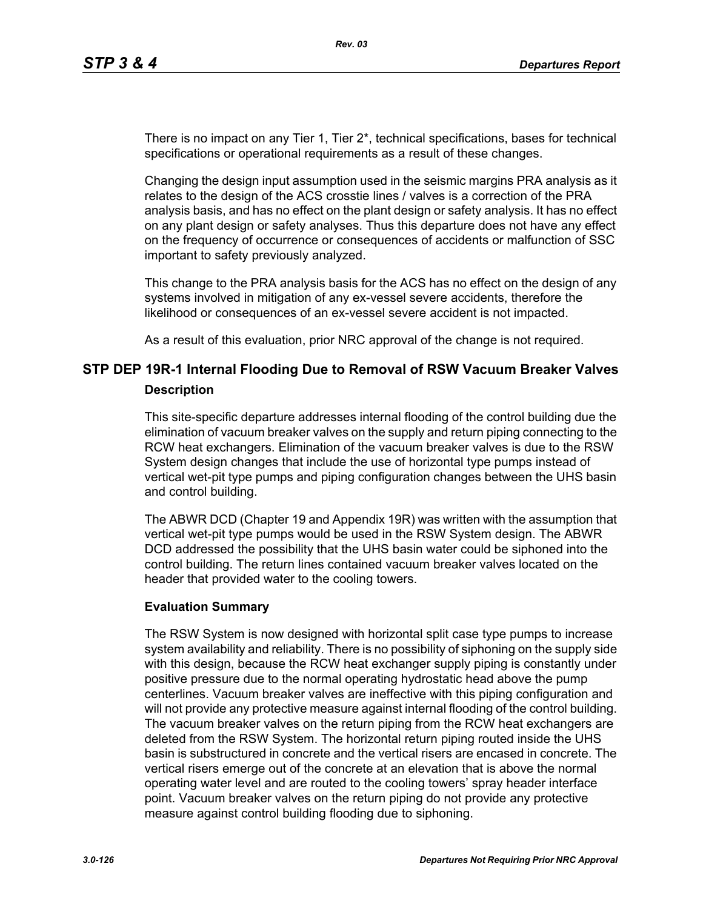There is no impact on any Tier 1, Tier 2\*, technical specifications, bases for technical specifications or operational requirements as a result of these changes.

Changing the design input assumption used in the seismic margins PRA analysis as it relates to the design of the ACS crosstie lines / valves is a correction of the PRA analysis basis, and has no effect on the plant design or safety analysis. It has no effect on any plant design or safety analyses. Thus this departure does not have any effect on the frequency of occurrence or consequences of accidents or malfunction of SSC important to safety previously analyzed.

This change to the PRA analysis basis for the ACS has no effect on the design of any systems involved in mitigation of any ex-vessel severe accidents, therefore the likelihood or consequences of an ex-vessel severe accident is not impacted.

As a result of this evaluation, prior NRC approval of the change is not required.

# **STP DEP 19R-1 Internal Flooding Due to Removal of RSW Vacuum Breaker Valves Description**

This site-specific departure addresses internal flooding of the control building due the elimination of vacuum breaker valves on the supply and return piping connecting to the RCW heat exchangers. Elimination of the vacuum breaker valves is due to the RSW System design changes that include the use of horizontal type pumps instead of vertical wet-pit type pumps and piping configuration changes between the UHS basin and control building.

The ABWR DCD (Chapter 19 and Appendix 19R) was written with the assumption that vertical wet-pit type pumps would be used in the RSW System design. The ABWR DCD addressed the possibility that the UHS basin water could be siphoned into the control building. The return lines contained vacuum breaker valves located on the header that provided water to the cooling towers.

### **Evaluation Summary**

The RSW System is now designed with horizontal split case type pumps to increase system availability and reliability. There is no possibility of siphoning on the supply side with this design, because the RCW heat exchanger supply piping is constantly under positive pressure due to the normal operating hydrostatic head above the pump centerlines. Vacuum breaker valves are ineffective with this piping configuration and will not provide any protective measure against internal flooding of the control building. The vacuum breaker valves on the return piping from the RCW heat exchangers are deleted from the RSW System. The horizontal return piping routed inside the UHS basin is substructured in concrete and the vertical risers are encased in concrete. The vertical risers emerge out of the concrete at an elevation that is above the normal operating water level and are routed to the cooling towers' spray header interface point. Vacuum breaker valves on the return piping do not provide any protective measure against control building flooding due to siphoning.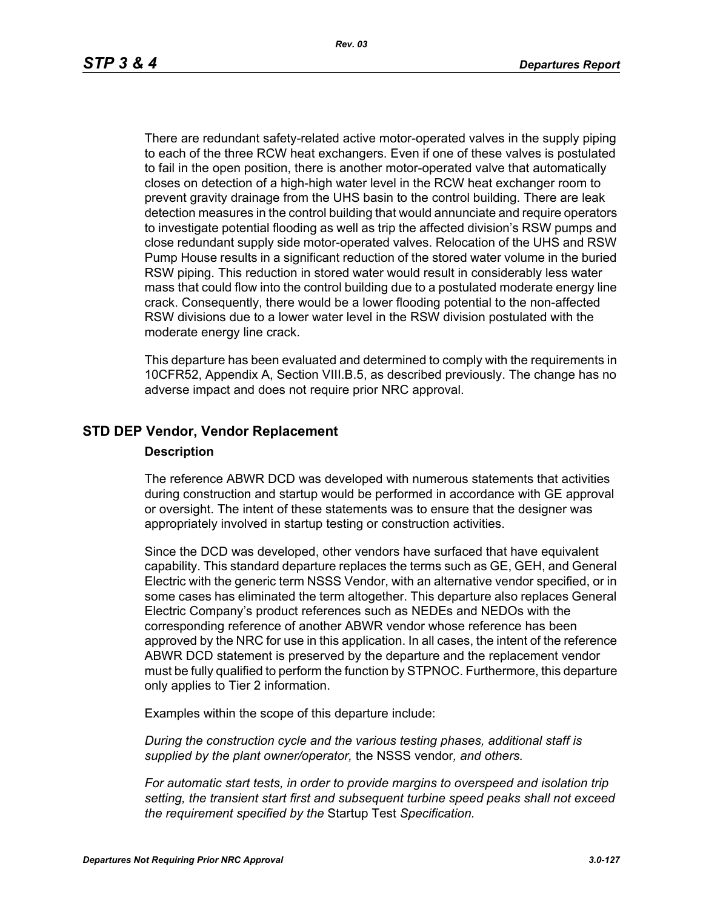*Rev. 03*

There are redundant safety-related active motor-operated valves in the supply piping to each of the three RCW heat exchangers. Even if one of these valves is postulated to fail in the open position, there is another motor-operated valve that automatically closes on detection of a high-high water level in the RCW heat exchanger room to prevent gravity drainage from the UHS basin to the control building. There are leak detection measures in the control building that would annunciate and require operators to investigate potential flooding as well as trip the affected division's RSW pumps and close redundant supply side motor-operated valves. Relocation of the UHS and RSW Pump House results in a significant reduction of the stored water volume in the buried RSW piping. This reduction in stored water would result in considerably less water mass that could flow into the control building due to a postulated moderate energy line crack. Consequently, there would be a lower flooding potential to the non-affected RSW divisions due to a lower water level in the RSW division postulated with the moderate energy line crack.

This departure has been evaluated and determined to comply with the requirements in 10CFR52, Appendix A, Section VIII.B.5, as described previously. The change has no adverse impact and does not require prior NRC approval.

# **STD DEP Vendor, Vendor Replacement**

### **Description**

The reference ABWR DCD was developed with numerous statements that activities during construction and startup would be performed in accordance with GE approval or oversight. The intent of these statements was to ensure that the designer was appropriately involved in startup testing or construction activities.

Since the DCD was developed, other vendors have surfaced that have equivalent capability. This standard departure replaces the terms such as GE, GEH, and General Electric with the generic term NSSS Vendor, with an alternative vendor specified, or in some cases has eliminated the term altogether. This departure also replaces General Electric Company's product references such as NEDEs and NEDOs with the corresponding reference of another ABWR vendor whose reference has been approved by the NRC for use in this application. In all cases, the intent of the reference ABWR DCD statement is preserved by the departure and the replacement vendor must be fully qualified to perform the function by STPNOC. Furthermore, this departure only applies to Tier 2 information.

Examples within the scope of this departure include:

*During the construction cycle and the various testing phases, additional staff is supplied by the plant owner/operator,* the NSSS vendor*, and others.*

*For automatic start tests, in order to provide margins to overspeed and isolation trip setting, the transient start first and subsequent turbine speed peaks shall not exceed the requirement specified by the* Startup Test *Specification.*